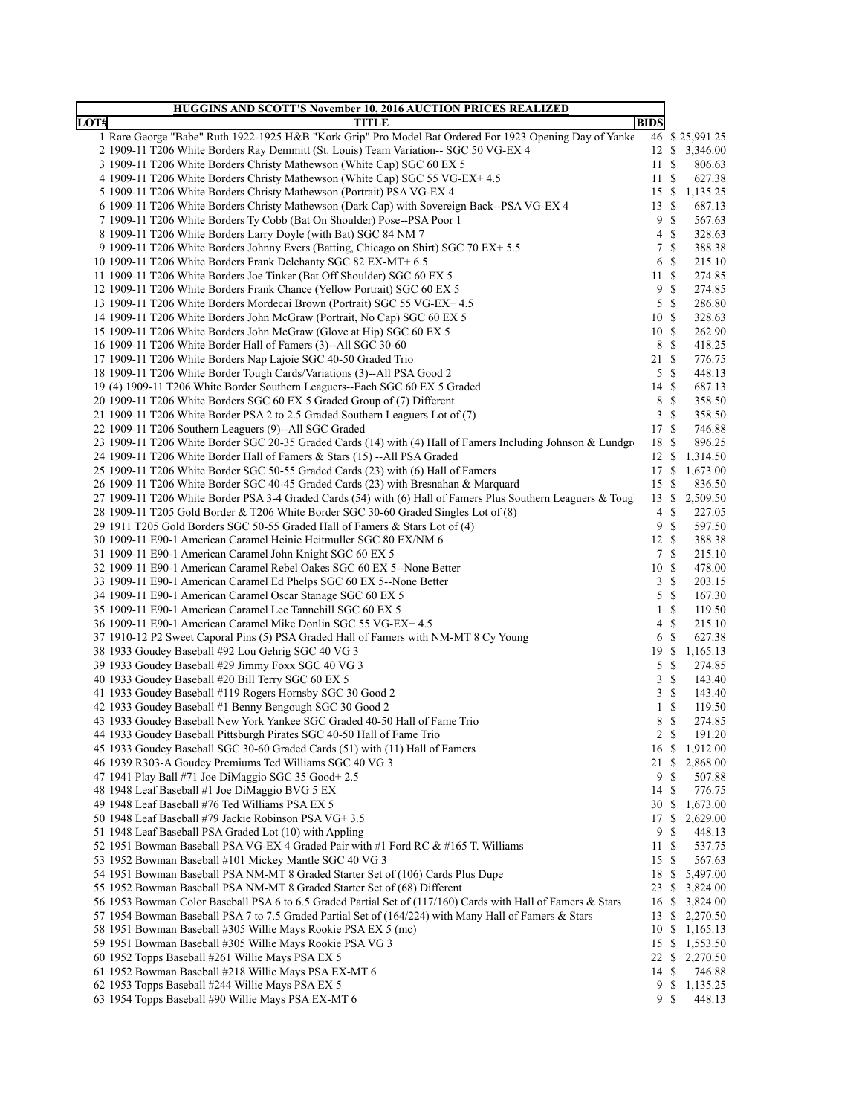| HUGGINS AND SCOTT'S November 10, 2016 AUCTION PRICES REALIZED                                                                                        |                               |        |
|------------------------------------------------------------------------------------------------------------------------------------------------------|-------------------------------|--------|
| LOT#<br><b>TITLE</b>                                                                                                                                 | <b>BIDS</b>                   |        |
| 1 Rare George "Babe" Ruth 1922-1925 H&B "Kork Grip" Pro Model Bat Ordered For 1923 Opening Day of Yanke                                              | 46 \$25,991.25                |        |
| 2 1909-11 T206 White Borders Ray Demmitt (St. Louis) Team Variation-- SGC 50 VG-EX 4                                                                 | 12 \$ 3,346.00                |        |
| 3 1909-11 T206 White Borders Christy Mathewson (White Cap) SGC 60 EX 5                                                                               | 11S                           | 806.63 |
| 4 1909-11 T206 White Borders Christy Mathewson (White Cap) SGC 55 VG-EX+ 4.5                                                                         | 11S                           | 627.38 |
| 5 1909-11 T206 White Borders Christy Mathewson (Portrait) PSA VG-EX 4                                                                                | 15 \$ 1,135.25                |        |
| 6 1909-11 T206 White Borders Christy Mathewson (Dark Cap) with Sovereign Back--PSA VG-EX 4                                                           | 13S                           | 687.13 |
| 7 1909-11 T206 White Borders Ty Cobb (Bat On Shoulder) Pose--PSA Poor 1                                                                              | 9<br>-\$                      | 567.63 |
| 8 1909-11 T206 White Borders Larry Doyle (with Bat) SGC 84 NM 7                                                                                      | <sup>\$</sup><br>4            | 328.63 |
| 9 1909-11 T206 White Borders Johnny Evers (Batting, Chicago on Shirt) SGC 70 EX+ 5.5                                                                 | 7<br>-S                       | 388.38 |
| 10 1909-11 T206 White Borders Frank Delehanty SGC 82 EX-MT+ 6.5                                                                                      | 6<br>-S                       | 215.10 |
| 11 1909-11 T206 White Borders Joe Tinker (Bat Off Shoulder) SGC 60 EX 5                                                                              | 11S                           | 274.85 |
| 12 1909-11 T206 White Borders Frank Chance (Yellow Portrait) SGC 60 EX 5                                                                             | 9<br>-\$                      | 274.85 |
| 13 1909-11 T206 White Borders Mordecai Brown (Portrait) SGC 55 VG-EX+ 4.5                                                                            | 5S                            | 286.80 |
| 14 1909-11 T206 White Borders John McGraw (Portrait, No Cap) SGC 60 EX 5                                                                             | 10S                           | 328.63 |
| 15 1909-11 T206 White Borders John McGraw (Glove at Hip) SGC 60 EX 5                                                                                 | 10S                           | 262.90 |
| 16 1909-11 T206 White Border Hall of Famers (3)--All SGC 30-60                                                                                       | 8<br>- \$                     | 418.25 |
| 17 1909-11 T206 White Borders Nap Lajoie SGC 40-50 Graded Trio                                                                                       | 21S                           | 776.75 |
| 18 1909-11 T206 White Border Tough Cards/Variations (3)--All PSA Good 2                                                                              | 5<br>- \$                     | 448.13 |
| 19 (4) 1909-11 T206 White Border Southern Leaguers--Each SGC 60 EX 5 Graded                                                                          | 14S                           | 687.13 |
| 20 1909-11 T206 White Borders SGC 60 EX 5 Graded Group of (7) Different                                                                              | 8<br>- \$                     | 358.50 |
| 21 1909-11 T206 White Border PSA 2 to 2.5 Graded Southern Leaguers Lot of (7)                                                                        | 3S                            | 358.50 |
| 22 1909-11 T206 Southern Leaguers (9)--All SGC Graded                                                                                                | 17S                           | 746.88 |
| 23 1909-11 T206 White Border SGC 20-35 Graded Cards (14) with (4) Hall of Famers Including Johnson & Lundgro                                         | 18 \$                         | 896.25 |
| 24 1909-11 T206 White Border Hall of Famers & Stars (15) -- All PSA Graded                                                                           | 12S<br>1,314.50               |        |
| 25 1909-11 T206 White Border SGC 50-55 Graded Cards (23) with (6) Hall of Famers                                                                     | 17S<br>1,673.00               |        |
| 26 1909-11 T206 White Border SGC 40-45 Graded Cards (23) with Bresnahan & Marquard                                                                   | 15S                           | 836.50 |
| 27 1909-11 T206 White Border PSA 3-4 Graded Cards (54) with (6) Hall of Famers Plus Southern Leaguers & Toug                                         | 13S<br>2,509.50               |        |
| 28 1909-11 T205 Gold Border & T206 White Border SGC 30-60 Graded Singles Lot of (8)                                                                  | $\mathbb{S}$<br>4             | 227.05 |
| 29 1911 T205 Gold Borders SGC 50-55 Graded Hall of Famers & Stars Lot of (4)                                                                         | <sup>\$</sup><br>9            | 597.50 |
| 30 1909-11 E90-1 American Caramel Heinie Heitmuller SGC 80 EX/NM 6                                                                                   | 12S                           | 388.38 |
| 31 1909-11 E90-1 American Caramel John Knight SGC 60 EX 5                                                                                            | 7 S                           | 215.10 |
| 32 1909-11 E90-1 American Caramel Rebel Oakes SGC 60 EX 5--None Better                                                                               | 10S                           | 478.00 |
| 33 1909-11 E90-1 American Caramel Ed Phelps SGC 60 EX 5--None Better                                                                                 | 3<br>- \$                     | 203.15 |
| 34 1909-11 E90-1 American Caramel Oscar Stanage SGC 60 EX 5                                                                                          | 5<br>$\mathcal{S}$            | 167.30 |
| 35 1909-11 E90-1 American Caramel Lee Tannehill SGC 60 EX 5                                                                                          | $\mathbf{1}$<br><sup>\$</sup> | 119.50 |
| 36 1909-11 E90-1 American Caramel Mike Donlin SGC 55 VG-EX+ 4.5                                                                                      | 4<br>-S                       | 215.10 |
| 37 1910-12 P2 Sweet Caporal Pins (5) PSA Graded Hall of Famers with NM-MT 8 Cy Young                                                                 | 6<br>- \$                     | 627.38 |
| 38 1933 Goudey Baseball #92 Lou Gehrig SGC 40 VG 3                                                                                                   | 19 \$<br>1,165.13             |        |
| 39 1933 Goudey Baseball #29 Jimmy Foxx SGC 40 VG 3                                                                                                   | $\mathcal{S}$<br>5            | 274.85 |
| 40 1933 Goudey Baseball #20 Bill Terry SGC 60 EX 5                                                                                                   | 3<br><sup>\$</sup>            | 143.40 |
| 41 1933 Goudey Baseball #119 Rogers Hornsby SGC 30 Good 2                                                                                            | 3<br>-\$                      | 143.40 |
| 42 1933 Goudey Baseball #1 Benny Bengough SGC 30 Good 2                                                                                              | - \$<br>1<br>- S              | 119.50 |
| 43 1933 Goudey Baseball New York Yankee SGC Graded 40-50 Hall of Fame Trio<br>44 1933 Goudey Baseball Pittsburgh Pirates SGC 40-50 Hall of Fame Trio | 8<br>$2 \sqrt{s}$<br>191.20   | 274.85 |
| 45 1933 Goudey Baseball SGC 30-60 Graded Cards (51) with (11) Hall of Famers                                                                         | 16 \$ 1,912.00                |        |
| 46 1939 R303-A Goudey Premiums Ted Williams SGC 40 VG 3                                                                                              | 21 \$ 2,868.00                |        |
| 47 1941 Play Ball #71 Joe DiMaggio SGC 35 Good + 2.5                                                                                                 | <sup>\$</sup><br>9            | 507.88 |
| 48 1948 Leaf Baseball #1 Joe DiMaggio BVG 5 EX                                                                                                       | 14 \$                         | 776.75 |
| 49 1948 Leaf Baseball #76 Ted Williams PSA EX 5                                                                                                      | 30 \$ 1,673.00                |        |
| 50 1948 Leaf Baseball #79 Jackie Robinson PSA VG+ 3.5                                                                                                | 17 \$ 2,629.00                |        |
| 51 1948 Leaf Baseball PSA Graded Lot (10) with Appling                                                                                               | $\mathbb{S}$<br>9             | 448.13 |
| 52 1951 Bowman Baseball PSA VG-EX 4 Graded Pair with #1 Ford RC & #165 T. Williams                                                                   | 11S                           | 537.75 |
| 53 1952 Bowman Baseball #101 Mickey Mantle SGC 40 VG 3                                                                                               | 15 \$                         | 567.63 |
| 54 1951 Bowman Baseball PSA NM-MT 8 Graded Starter Set of (106) Cards Plus Dupe                                                                      | 18 \$ 5,497.00                |        |
| 55 1952 Bowman Baseball PSA NM-MT 8 Graded Starter Set of (68) Different                                                                             | 23S<br>3,824.00               |        |
| 56 1953 Bowman Color Baseball PSA 6 to 6.5 Graded Partial Set of (117/160) Cards with Hall of Famers & Stars                                         | 16 \$<br>3,824.00             |        |
| 57 1954 Bowman Baseball PSA 7 to 7.5 Graded Partial Set of (164/224) with Many Hall of Famers & Stars                                                | 13 \$ 2,270.50                |        |
| 58 1951 Bowman Baseball #305 Willie Mays Rookie PSA EX 5 (mc)                                                                                        | 10 \$ 1,165.13                |        |
| 59 1951 Bowman Baseball #305 Willie Mays Rookie PSA VG 3                                                                                             | 15S<br>1,553.50               |        |
| 60 1952 Topps Baseball #261 Willie Mays PSA EX 5                                                                                                     | 22<br>S.<br>2,270.50          |        |
| 61 1952 Bowman Baseball #218 Willie Mays PSA EX-MT 6                                                                                                 | 14 \$                         | 746.88 |
| 62 1953 Topps Baseball #244 Willie Mays PSA EX 5                                                                                                     | $\mathbb{S}$<br>9<br>1,135.25 |        |
| 63 1954 Topps Baseball #90 Willie Mays PSA EX-MT 6                                                                                                   | 9\$                           | 448.13 |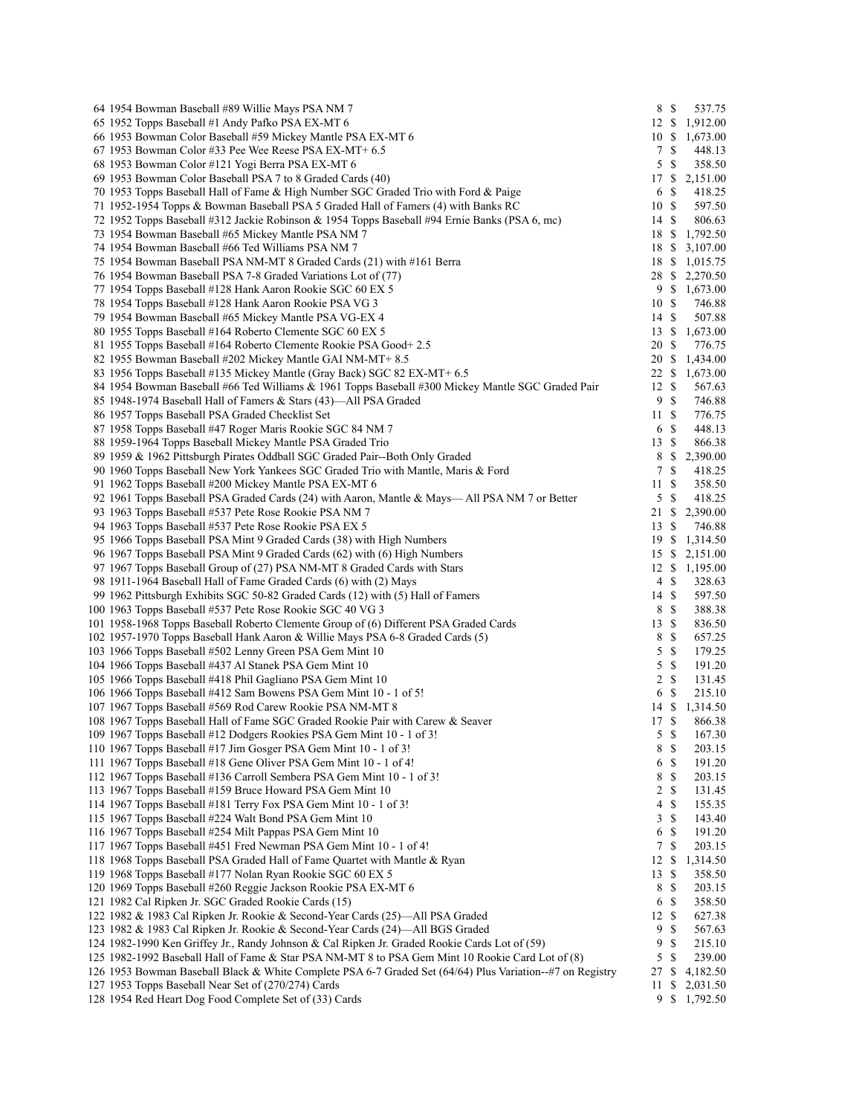| 64 1954 Bowman Baseball #89 Willie Mays PSA NM 7                                                         | 8 \$            |               | 537.75         |
|----------------------------------------------------------------------------------------------------------|-----------------|---------------|----------------|
| 65 1952 Topps Baseball #1 Andy Pafko PSA EX-MT 6                                                         |                 |               | 12 \$ 1,912.00 |
| 66 1953 Bowman Color Baseball #59 Mickey Mantle PSA EX-MT 6                                              |                 |               | 10 \$ 1,673.00 |
| 67 1953 Bowman Color #33 Pee Wee Reese PSA EX-MT+ 6.5                                                    | 7S              |               | 448.13         |
| 68 1953 Bowman Color #121 Yogi Berra PSA EX-MT 6                                                         | 5S              |               | 358.50         |
| 69 1953 Bowman Color Baseball PSA 7 to 8 Graded Cards (40)                                               |                 |               | 17 \$ 2,151.00 |
| 70 1953 Topps Baseball Hall of Fame & High Number SGC Graded Trio with Ford & Paige                      | 6 \$            |               | 418.25         |
| 71 1952-1954 Topps & Bowman Baseball PSA 5 Graded Hall of Famers (4) with Banks RC                       | 10S             |               | 597.50         |
| 72 1952 Topps Baseball #312 Jackie Robinson & 1954 Topps Baseball #94 Ernie Banks (PSA 6, mc)            | 14S             |               | 806.63         |
| 73 1954 Bowman Baseball #65 Mickey Mantle PSA NM 7                                                       | 18 \$           |               | 1,792.50       |
| 74 1954 Bowman Baseball #66 Ted Williams PSA NM 7                                                        |                 |               | 18 \$ 3,107.00 |
| 75 1954 Bowman Baseball PSA NM-MT 8 Graded Cards (21) with #161 Berra                                    |                 |               | 18 \$ 1,015.75 |
| 76 1954 Bowman Baseball PSA 7-8 Graded Variations Lot of (77)                                            |                 |               | 28 \$ 2,270.50 |
| 77 1954 Topps Baseball #128 Hank Aaron Rookie SGC 60 EX 5                                                |                 |               | 9 \$ 1,673.00  |
| 78 1954 Topps Baseball #128 Hank Aaron Rookie PSA VG 3                                                   | 10S             |               | 746.88         |
| 79 1954 Bowman Baseball #65 Mickey Mantle PSA VG-EX 4                                                    | 14 \$           |               | 507.88         |
| 80 1955 Topps Baseball #164 Roberto Clemente SGC 60 EX 5                                                 |                 |               | 13 \$ 1,673.00 |
| 81 1955 Topps Baseball #164 Roberto Clemente Rookie PSA Good+2.5                                         | 20 \$           |               | 776.75         |
| 82 1955 Bowman Baseball #202 Mickey Mantle GAI NM-MT+ 8.5                                                | 20 \$           |               | 1,434.00       |
| 83 1956 Topps Baseball #135 Mickey Mantle (Gray Back) SGC 82 EX-MT+ 6.5                                  |                 |               | 22 \$ 1,673.00 |
| 84 1954 Bowman Baseball #66 Ted Williams & 1961 Topps Baseball #300 Mickey Mantle SGC Graded Pair        | 12S             |               | 567.63         |
| 85 1948-1974 Baseball Hall of Famers & Stars (43)—All PSA Graded                                         | 9               | -\$           | 746.88         |
| 86 1957 Topps Baseball PSA Graded Checklist Set                                                          | 11S             |               | 776.75         |
| 87 1958 Topps Baseball #47 Roger Maris Rookie SGC 84 NM 7                                                | 6 \$            |               | 448.13         |
| 88 1959-1964 Topps Baseball Mickey Mantle PSA Graded Trio                                                | 13S             |               | 866.38         |
|                                                                                                          | 8               | \$            |                |
| 89 1959 & 1962 Pittsburgh Pirates Oddball SGC Graded Pair--Both Only Graded                              |                 |               | 2,390.00       |
| 90 1960 Topps Baseball New York Yankees SGC Graded Trio with Mantle, Maris & Ford                        | 7               | \$            | 418.25         |
| 91 1962 Topps Baseball #200 Mickey Mantle PSA EX-MT 6                                                    | 11              | \$            | 358.50         |
| 92 1961 Topps Baseball PSA Graded Cards (24) with Aaron, Mantle & Mays—All PSA NM 7 or Better            | 5               | -\$           | 418.25         |
| 93 1963 Topps Baseball #537 Pete Rose Rookie PSA NM 7                                                    | 21 \$           |               | 2,390.00       |
| 94 1963 Topps Baseball #537 Pete Rose Rookie PSA EX 5                                                    | 13 \$           |               | 746.88         |
| 95 1966 Topps Baseball PSA Mint 9 Graded Cards (38) with High Numbers                                    |                 |               | 19 \$ 1,314.50 |
| 96 1967 Topps Baseball PSA Mint 9 Graded Cards (62) with (6) High Numbers                                | 15S             |               | 2,151.00       |
| 97 1967 Topps Baseball Group of (27) PSA NM-MT 8 Graded Cards with Stars                                 | 12S             |               | 1,195.00       |
| 98 1911-1964 Baseball Hall of Fame Graded Cards (6) with (2) Mays                                        | 4\$             |               | 328.63         |
| 99 1962 Pittsburgh Exhibits SGC 50-82 Graded Cards (12) with (5) Hall of Famers                          | 14S             |               | 597.50         |
| 100 1963 Topps Baseball #537 Pete Rose Rookie SGC 40 VG 3                                                | 8 \$            |               | 388.38         |
| 101 1958-1968 Topps Baseball Roberto Clemente Group of (6) Different PSA Graded Cards                    | 13S             |               | 836.50         |
| 102 1957-1970 Topps Baseball Hank Aaron & Willie Mays PSA 6-8 Graded Cards (5)                           | 8               | -\$           | 657.25         |
| 103 1966 Topps Baseball #502 Lenny Green PSA Gem Mint 10                                                 | 5               | -S            | 179.25         |
| 104 1966 Topps Baseball #437 Al Stanek PSA Gem Mint 10                                                   | 5               | $\mathcal{S}$ | 191.20         |
| 105 1966 Topps Baseball #418 Phil Gagliano PSA Gem Mint 10                                               | 2S              |               | 131.45         |
| 106 1966 Topps Baseball #412 Sam Bowens PSA Gem Mint 10 - 1 of 5!                                        | 6 <sup>°</sup>  |               | 215.10         |
| 107 1967 Topps Baseball #569 Rod Carew Rookie PSA NM-MT 8                                                | 14 \$           |               | 1,314.50       |
| 108 1967 Topps Baseball Hall of Fame SGC Graded Rookie Pair with Carew & Seaver                          | 17 \$           |               | 866.38         |
| 109 1967 Topps Baseball #12 Dodgers Rookies PSA Gem Mint 10 - 1 of 3!                                    | $5 \text{ }$ \$ |               | 167.30         |
| 110 1967 Topps Baseball #17 Jim Gosger PSA Gem Mint 10 - 1 of 3!                                         | 8               | \$            | 203.15         |
| 111 1967 Topps Baseball #18 Gene Oliver PSA Gem Mint 10 - 1 of 4!                                        | 6 <sup>°</sup>  |               | 191.20         |
| 112 1967 Topps Baseball #136 Carroll Sembera PSA Gem Mint 10 - 1 of 3!                                   | 8 \$            |               | 203.15         |
| 113 1967 Topps Baseball #159 Bruce Howard PSA Gem Mint 10                                                | $\overline{2}$  | <sup>\$</sup> | 131.45         |
| 114 1967 Topps Baseball #181 Terry Fox PSA Gem Mint 10 - 1 of 3!                                         | $\overline{4}$  | S             | 155.35         |
| 115 1967 Topps Baseball #224 Walt Bond PSA Gem Mint 10                                                   | 3S              |               | 143.40         |
| 116 1967 Topps Baseball #254 Milt Pappas PSA Gem Mint 10                                                 | 6               | S             | 191.20         |
| 117 1967 Topps Baseball #451 Fred Newman PSA Gem Mint 10 - 1 of 4!                                       | 7               | <sup>\$</sup> | 203.15         |
| 118 1968 Topps Baseball PSA Graded Hall of Fame Quartet with Mantle & Ryan                               | 12S             |               | 1,314.50       |
| 119 1968 Topps Baseball #177 Nolan Ryan Rookie SGC 60 EX 5                                               | 13              | \$            | 358.50         |
| 120 1969 Topps Baseball #260 Reggie Jackson Rookie PSA EX-MT 6                                           | 8               | -S            | 203.15         |
| 121 1982 Cal Ripken Jr. SGC Graded Rookie Cards (15)                                                     | 6 \$            |               | 358.50         |
| 122 1982 & 1983 Cal Ripken Jr. Rookie & Second-Year Cards (25)—All PSA Graded                            | 12              | \$            | 627.38         |
| 123 1982 & 1983 Cal Ripken Jr. Rookie & Second-Year Cards (24)—All BGS Graded                            | 9               | S             | 567.63         |
| 124 1982-1990 Ken Griffey Jr., Randy Johnson & Cal Ripken Jr. Graded Rookie Cards Lot of (59)            | 9               | <sup>\$</sup> | 215.10         |
| 125 1982-1992 Baseball Hall of Fame & Star PSA NM-MT 8 to PSA Gem Mint 10 Rookie Card Lot of (8)         | 5S              |               | 239.00         |
| 126 1953 Bowman Baseball Black & White Complete PSA 6-7 Graded Set (64/64) Plus Variation—#7 on Registry | 27              | \$            | 4,182.50       |
| 127 1953 Topps Baseball Near Set of (270/274) Cards                                                      | 11              | \$            | 2,031.50       |
| 128 1954 Red Heart Dog Food Complete Set of (33) Cards                                                   |                 |               | 9 \$ 1,792.50  |
|                                                                                                          |                 |               |                |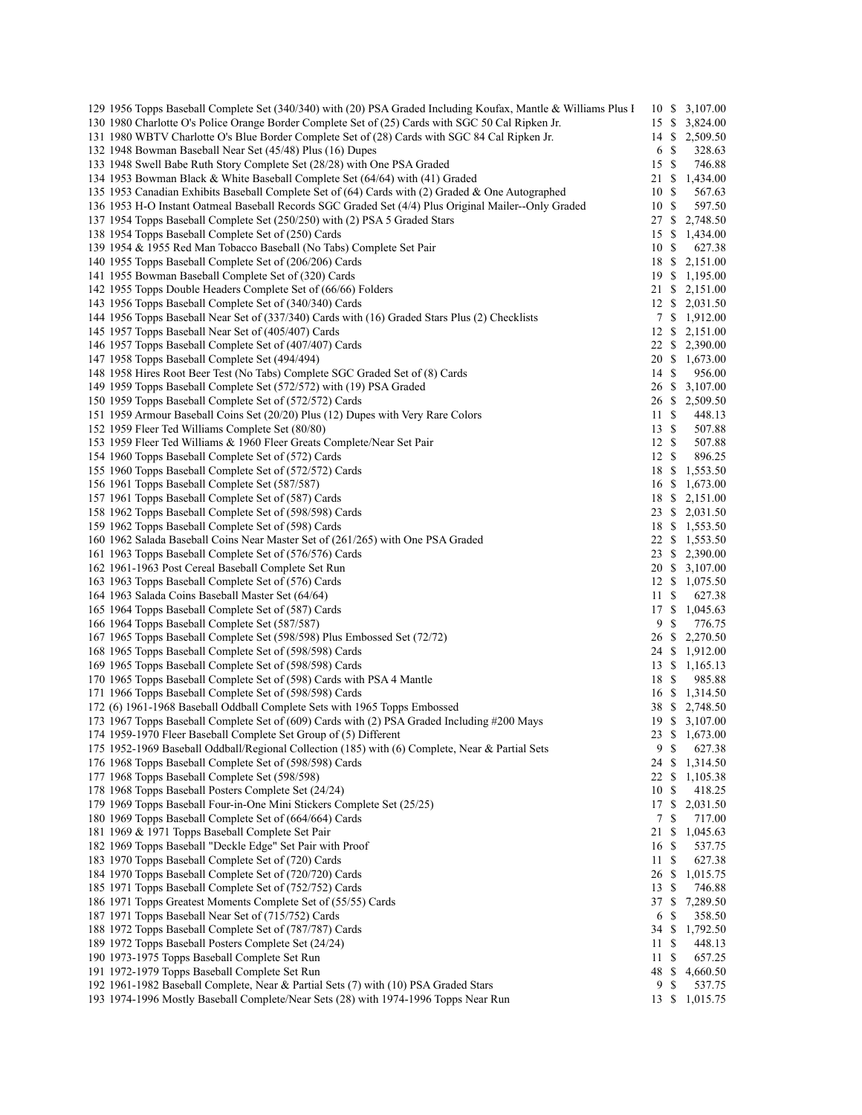| 129 1956 Topps Baseball Complete Set (340/340) with (20) PSA Graded Including Koufax, Mantle & Williams Plus I | 10 \$            |                           | 3,107.00       |
|----------------------------------------------------------------------------------------------------------------|------------------|---------------------------|----------------|
| 130 1980 Charlotte O's Police Orange Border Complete Set of (25) Cards with SGC 50 Cal Ripken Jr.              | 15 \$            |                           | 3,824.00       |
| 131 1980 WBTV Charlotte O's Blue Border Complete Set of (28) Cards with SGC 84 Cal Ripken Jr.                  | 14 \$            |                           | 2,509.50       |
| 132 1948 Bowman Baseball Near Set (45/48) Plus (16) Dupes                                                      | 6                | <sup>\$</sup>             | 328.63         |
|                                                                                                                |                  |                           |                |
| 133 1948 Swell Babe Ruth Story Complete Set (28/28) with One PSA Graded                                        | 15S              |                           | 746.88         |
| 134 1953 Bowman Black & White Baseball Complete Set (64/64) with (41) Graded                                   | 21               | <sup>\$</sup>             | 1,434.00       |
| 135 1953 Canadian Exhibits Baseball Complete Set of (64) Cards with (2) Graded & One Autographed               | 10               | -S                        | 567.63         |
| 136 1953 H-O Instant Oatmeal Baseball Records SGC Graded Set (4/4) Plus Original Mailer--Only Graded           | 10               | -\$                       | 597.50         |
| 137 1954 Topps Baseball Complete Set (250/250) with (2) PSA 5 Graded Stars                                     | 27S              |                           | 2,748.50       |
|                                                                                                                |                  |                           |                |
| 138 1954 Topps Baseball Complete Set of (250) Cards                                                            | 15 \$            |                           | 1,434.00       |
| 139 1954 & 1955 Red Man Tobacco Baseball (No Tabs) Complete Set Pair                                           | 10 \$            |                           | 627.38         |
| 140 1955 Topps Baseball Complete Set of (206/206) Cards                                                        | 18 \$            |                           | 2,151.00       |
| 141 1955 Bowman Baseball Complete Set of (320) Cards                                                           |                  |                           | 19 \$ 1,195.00 |
| 142 1955 Topps Double Headers Complete Set of (66/66) Folders                                                  | 21 \$            |                           | 2,151.00       |
|                                                                                                                |                  |                           |                |
| 143 1956 Topps Baseball Complete Set of (340/340) Cards                                                        |                  |                           | 12 \$ 2,031.50 |
| 144 1956 Topps Baseball Near Set of (337/340) Cards with (16) Graded Stars Plus (2) Checklists                 |                  |                           | 7 \$ 1,912.00  |
| 145 1957 Topps Baseball Near Set of (405/407) Cards                                                            |                  |                           | 12 \$ 2,151.00 |
| 146 1957 Topps Baseball Complete Set of (407/407) Cards                                                        | 22               | -S                        | 2,390.00       |
| 147 1958 Topps Baseball Complete Set (494/494)                                                                 | 20 \$            |                           | 1,673.00       |
| 148 1958 Hires Root Beer Test (No Tabs) Complete SGC Graded Set of (8) Cards                                   | 14S              |                           | 956.00         |
|                                                                                                                |                  |                           |                |
| 149 1959 Topps Baseball Complete Set (572/572) with (19) PSA Graded                                            | 26               | -S                        | 3,107.00       |
| 150 1959 Topps Baseball Complete Set of (572/572) Cards                                                        |                  |                           | 26 \$ 2,509.50 |
| 151 1959 Armour Baseball Coins Set (20/20) Plus (12) Dupes with Very Rare Colors                               | 11 \$            |                           | 448.13         |
| 152 1959 Fleer Ted Williams Complete Set (80/80)                                                               | 13S              |                           | 507.88         |
| 153 1959 Fleer Ted Williams & 1960 Fleer Greats Complete/Near Set Pair                                         | 12S              |                           | 507.88         |
| 154 1960 Topps Baseball Complete Set of (572) Cards                                                            | 12S              |                           | 896.25         |
|                                                                                                                |                  |                           |                |
| 155 1960 Topps Baseball Complete Set of (572/572) Cards                                                        | 18               | -S                        | 1,553.50       |
| 156 1961 Topps Baseball Complete Set (587/587)                                                                 | 16 \$            |                           | 1,673.00       |
| 157 1961 Topps Baseball Complete Set of (587) Cards                                                            | 18 \$            |                           | 2,151.00       |
| 158 1962 Topps Baseball Complete Set of (598/598) Cards                                                        | 23 \$            |                           | 2,031.50       |
| 159 1962 Topps Baseball Complete Set of (598) Cards                                                            | 18 \$            |                           | 1,553.50       |
| 160 1962 Salada Baseball Coins Near Master Set of (261/265) with One PSA Graded                                | 22               | -S                        | 1,553.50       |
|                                                                                                                |                  |                           |                |
| 161 1963 Topps Baseball Complete Set of (576/576) Cards                                                        |                  |                           | 23 \$ 2,390.00 |
| 162 1961-1963 Post Cereal Baseball Complete Set Run                                                            |                  |                           | 20 \$ 3,107.00 |
| 163 1963 Topps Baseball Complete Set of (576) Cards                                                            | 12S              |                           | 1,075.50       |
| 164 1963 Salada Coins Baseball Master Set (64/64)                                                              | 11S              |                           | 627.38         |
| 165 1964 Topps Baseball Complete Set of (587) Cards                                                            | 17S              |                           | 1,045.63       |
| 166 1964 Topps Baseball Complete Set (587/587)                                                                 | 9                | \$                        | 776.75         |
| 167 1965 Topps Baseball Complete Set (598/598) Plus Embossed Set (72/72)                                       | 26 \$            |                           | 2,270.50       |
|                                                                                                                |                  |                           |                |
| 168 1965 Topps Baseball Complete Set of (598/598) Cards                                                        | $24 \text{ }$ \$ |                           | 1,912.00       |
| 169 1965 Topps Baseball Complete Set of (598/598) Cards                                                        | 13S              |                           | 1,165.13       |
| 170 1965 Topps Baseball Complete Set of (598) Cards with PSA 4 Mantle                                          | 18 \$            |                           | 985.88         |
| 171 1966 Topps Baseball Complete Set of (598/598) Cards                                                        | 16 \$            |                           | 1,314.50       |
| 172 (6) 1961-1968 Baseball Oddball Complete Sets with 1965 Topps Embossed                                      |                  |                           | 38 \$ 2,748.50 |
| 173 1967 Topps Baseball Complete Set of (609) Cards with (2) PSA Graded Including #200 Mays                    |                  |                           | 19 \$ 3,107.00 |
|                                                                                                                |                  |                           |                |
| 174 1959-1970 Fleer Baseball Complete Set Group of (5) Different                                               | 23               | $\boldsymbol{\mathsf{S}}$ | 1,673.00       |
| 175 1952-1969 Baseball Oddball/Regional Collection (185) with (6) Complete, Near & Partial Sets                | 9                | \$                        | 627.38         |
| 176 1968 Topps Baseball Complete Set of (598/598) Cards                                                        | 24               | \$                        | 1,314.50       |
| 177 1968 Topps Baseball Complete Set (598/598)                                                                 | 22               | \$                        | 1,105.38       |
| 178 1968 Topps Baseball Posters Complete Set (24/24)                                                           | 10               | \$                        | 418.25         |
| 179 1969 Topps Baseball Four-in-One Mini Stickers Complete Set (25/25)                                         | 17               | \$                        | 2,031.50       |
|                                                                                                                |                  |                           |                |
| 180 1969 Topps Baseball Complete Set of (664/664) Cards                                                        | 7                | \$                        | 717.00         |
| 181 1969 & 1971 Topps Baseball Complete Set Pair                                                               | 21               | -S                        | 1,045.63       |
| 182 1969 Topps Baseball "Deckle Edge" Set Pair with Proof                                                      | 16S              |                           | 537.75         |
| 183 1970 Topps Baseball Complete Set of (720) Cards                                                            | 11               | \$                        | 627.38         |
| 184 1970 Topps Baseball Complete Set of (720/720) Cards                                                        | 26               | -S                        | 1,015.75       |
| 185 1971 Topps Baseball Complete Set of (752/752) Cards                                                        | 13S              |                           | 746.88         |
| 186 1971 Topps Greatest Moments Complete Set of (55/55) Cards                                                  | 37               | -S                        | 7,289.50       |
|                                                                                                                |                  |                           |                |
| 187 1971 Topps Baseball Near Set of (715/752) Cards                                                            | 6                | \$                        | 358.50         |
| 188 1972 Topps Baseball Complete Set of (787/787) Cards                                                        | 34               | - \$                      | 1,792.50       |
| 189 1972 Topps Baseball Posters Complete Set (24/24)                                                           | 11               | -S                        | 448.13         |
| 190 1973-1975 Topps Baseball Complete Set Run                                                                  | 11               | \$                        | 657.25         |
| 191 1972-1979 Topps Baseball Complete Set Run                                                                  | 48               | \$                        | 4,660.50       |
| 192 1961-1982 Baseball Complete, Near & Partial Sets (7) with (10) PSA Graded Stars                            | 9                | \$                        | 537.75         |
| 193 1974-1996 Mostly Baseball Complete/Near Sets (28) with 1974-1996 Topps Near Run                            | 13 \$            |                           | 1,015.75       |
|                                                                                                                |                  |                           |                |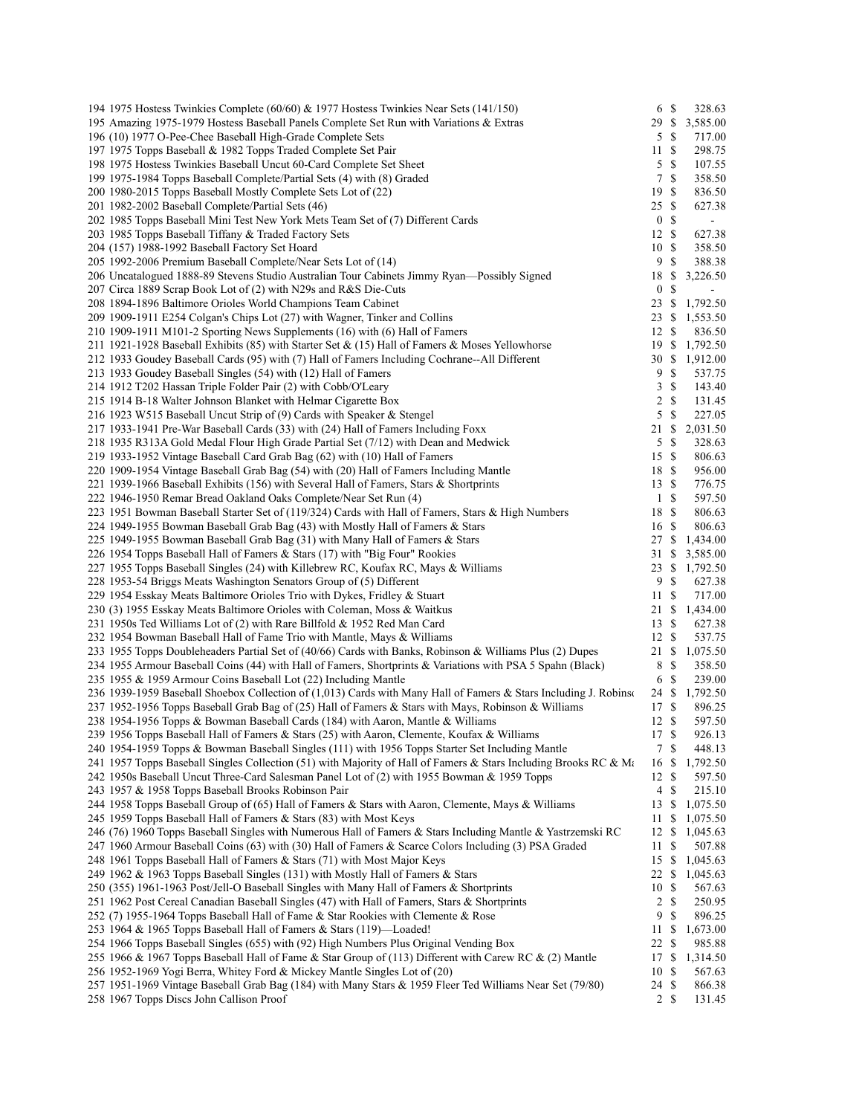| 194 1975 Hostess Twinkies Complete (60/60) & 1977 Hostess Twinkies Near Sets (141/150)                                                                                                                               | 6 \$             |                    | 328.63                   |
|----------------------------------------------------------------------------------------------------------------------------------------------------------------------------------------------------------------------|------------------|--------------------|--------------------------|
| 195 Amazing 1975-1979 Hostess Baseball Panels Complete Set Run with Variations & Extras                                                                                                                              | 29 \$            |                    | 3,585.00                 |
| 196 (10) 1977 O-Pee-Chee Baseball High-Grade Complete Sets                                                                                                                                                           | 5                | - \$               | 717.00                   |
| 197 1975 Topps Baseball & 1982 Topps Traded Complete Set Pair                                                                                                                                                        | 11S              |                    | 298.75                   |
| 198 1975 Hostess Twinkies Baseball Uncut 60-Card Complete Set Sheet                                                                                                                                                  | 5                | <sup>\$</sup>      | 107.55                   |
| 199 1975-1984 Topps Baseball Complete/Partial Sets (4) with (8) Graded                                                                                                                                               | 7                | $\mathbb{S}$       | 358.50                   |
| 200 1980-2015 Topps Baseball Mostly Complete Sets Lot of (22)                                                                                                                                                        | 19               | $\mathcal{S}$      | 836.50                   |
| 201 1982-2002 Baseball Complete/Partial Sets (46)                                                                                                                                                                    | 25S              |                    | 627.38                   |
| 202 1985 Topps Baseball Mini Test New York Mets Team Set of (7) Different Cards                                                                                                                                      | $\mathbf{0}$     | $\mathbb{S}$       | $\overline{\phantom{a}}$ |
| 203 1985 Topps Baseball Tiffany & Traded Factory Sets                                                                                                                                                                | 12               | -\$                | 627.38                   |
| 204 (157) 1988-1992 Baseball Factory Set Hoard                                                                                                                                                                       | 10               | $\mathbb{S}$       | 358.50                   |
| 205 1992-2006 Premium Baseball Complete/Near Sets Lot of (14)                                                                                                                                                        | 9                | $\mathbb{S}$       | 388.38                   |
| 206 Uncatalogued 1888-89 Stevens Studio Australian Tour Cabinets Jimmy Ryan—Possibly Signed                                                                                                                          | 18               | \$                 | 3,226.50                 |
| 207 Circa 1889 Scrap Book Lot of (2) with N29s and R&S Die-Cuts                                                                                                                                                      | $\boldsymbol{0}$ | \$                 |                          |
| 208 1894-1896 Baltimore Orioles World Champions Team Cabinet                                                                                                                                                         | $23 \text{ }$ \$ |                    | 1,792.50                 |
| 209 1909-1911 E254 Colgan's Chips Lot (27) with Wagner, Tinker and Collins                                                                                                                                           | 23               | -S                 | 1,553.50                 |
| 210 1909-1911 M101-2 Sporting News Supplements (16) with (6) Hall of Famers                                                                                                                                          | 12               | -\$                | 836.50                   |
| 211 1921-1928 Baseball Exhibits (85) with Starter Set & (15) Hall of Famers & Moses Yellowhorse                                                                                                                      | 19 \$            |                    | 1,792.50                 |
| 212 1933 Goudey Baseball Cards (95) with (7) Hall of Famers Including Cochrane--All Different                                                                                                                        | 30               | \$<br>$\mathbb{S}$ | 1,912.00                 |
| 213 1933 Goudey Baseball Singles (54) with (12) Hall of Famers                                                                                                                                                       | 9                | $\mathbb{S}$       | 537.75<br>143.40         |
| 214 1912 T202 Hassan Triple Folder Pair (2) with Cobb/O'Leary<br>215 1914 B-18 Walter Johnson Blanket with Helmar Cigarette Box                                                                                      | 3<br>2           | $\mathbb{S}$       | 131.45                   |
| 216 1923 W515 Baseball Uncut Strip of (9) Cards with Speaker & Stengel                                                                                                                                               | 5                | $\mathbb{S}$       | 227.05                   |
| 217 1933-1941 Pre-War Baseball Cards (33) with (24) Hall of Famers Including Foxx                                                                                                                                    | $21 \text{ }$ \$ |                    | 2,031.50                 |
| 218 1935 R313A Gold Medal Flour High Grade Partial Set (7/12) with Dean and Medwick                                                                                                                                  | 5S               |                    | 328.63                   |
| 219 1933-1952 Vintage Baseball Card Grab Bag (62) with (10) Hall of Famers                                                                                                                                           | 15S              |                    | 806.63                   |
| 220 1909-1954 Vintage Baseball Grab Bag (54) with (20) Hall of Famers Including Mantle                                                                                                                               | 18               | -\$                | 956.00                   |
| 221 1939-1966 Baseball Exhibits (156) with Several Hall of Famers, Stars & Shortprints                                                                                                                               | 13S              |                    | 776.75                   |
| 222 1946-1950 Remar Bread Oakland Oaks Complete/Near Set Run (4)                                                                                                                                                     | $\mathbf{1}$     | $\mathbb{S}$       | 597.50                   |
| 223 1951 Bowman Baseball Starter Set of (119/324) Cards with Hall of Famers, Stars & High Numbers                                                                                                                    | 18               | <sup>\$</sup>      | 806.63                   |
| 224 1949-1955 Bowman Baseball Grab Bag (43) with Mostly Hall of Famers & Stars                                                                                                                                       | 16S              |                    | 806.63                   |
| 225 1949-1955 Bowman Baseball Grab Bag (31) with Many Hall of Famers & Stars                                                                                                                                         | 27S              |                    | 1,434.00                 |
| 226 1954 Topps Baseball Hall of Famers & Stars (17) with "Big Four" Rookies                                                                                                                                          | 31               | \$                 | 3,585.00                 |
| 227 1955 Topps Baseball Singles (24) with Killebrew RC, Koufax RC, Mays & Williams                                                                                                                                   | 23               | -\$                | 1,792.50                 |
| 228 1953-54 Briggs Meats Washington Senators Group of (5) Different                                                                                                                                                  | 9                | - \$               | 627.38                   |
| 229 1954 Esskay Meats Baltimore Orioles Trio with Dykes, Fridley & Stuart                                                                                                                                            | 11S              |                    | 717.00                   |
| 230 (3) 1955 Esskay Meats Baltimore Orioles with Coleman, Moss & Waitkus                                                                                                                                             | $21 \text{ }$ \$ |                    | 1,434.00                 |
| 231 1950s Ted Williams Lot of (2) with Rare Billfold & 1952 Red Man Card                                                                                                                                             | 13S              |                    | 627.38                   |
| 232 1954 Bowman Baseball Hall of Fame Trio with Mantle, Mays & Williams                                                                                                                                              | 12S              |                    | 537.75                   |
| 233 1955 Topps Doubleheaders Partial Set of (40/66) Cards with Banks, Robinson & Williams Plus (2) Dupes                                                                                                             | 21               | -S                 | 1,075.50                 |
| 234 1955 Armour Baseball Coins (44) with Hall of Famers, Shortprints & Variations with PSA 5 Spahn (Black)                                                                                                           | 8                | - \$               | 358.50                   |
| 235 1955 & 1959 Armour Coins Baseball Lot (22) Including Mantle                                                                                                                                                      | 6                | <sup>\$</sup>      | 239.00                   |
| 236 1939-1959 Baseball Shoebox Collection of (1,013) Cards with Many Hall of Famers & Stars Including J. Robinson                                                                                                    | 24 \$            |                    | 1,792.50                 |
| 237 1952-1956 Topps Baseball Grab Bag of (25) Hall of Famers & Stars with Mays, Robinson & Williams                                                                                                                  | 17S              |                    | 896.25                   |
| 238 1954-1956 Topps & Bowman Baseball Cards (184) with Aaron, Mantle & Williams                                                                                                                                      | 12S              |                    | 597.50                   |
| 239 1956 Topps Baseball Hall of Famers & Stars (25) with Aaron, Clemente, Koufax & Williams                                                                                                                          | 17S              |                    | 926.13                   |
| 240 1954-1959 Topps & Bowman Baseball Singles (111) with 1956 Topps Starter Set Including Mantle                                                                                                                     | 7S               |                    | 448.13                   |
| 241 1957 Topps Baseball Singles Collection (51) with Majority of Hall of Famers & Stars Including Brooks RC & Ma                                                                                                     | 16 S             |                    | 1,792.50                 |
| 242 1950s Baseball Uncut Three-Card Salesman Panel Lot of (2) with 1955 Bowman & 1959 Topps                                                                                                                          | 12S              |                    | 597.50                   |
| 243 1957 & 1958 Topps Baseball Brooks Robinson Pair                                                                                                                                                                  | 4                | <sup>\$</sup>      | 215.10                   |
| 244 1958 Topps Baseball Group of (65) Hall of Famers & Stars with Aaron, Clemente, Mays & Williams                                                                                                                   | 13 \$            |                    | 1,075.50                 |
| 245 1959 Topps Baseball Hall of Famers & Stars (83) with Most Keys                                                                                                                                                   | 11               | -S                 | 1,075.50                 |
| 246 (76) 1960 Topps Baseball Singles with Numerous Hall of Famers & Stars Including Mantle & Yastrzemski RC<br>247 1960 Armour Baseball Coins (63) with (30) Hall of Famers & Scarce Colors Including (3) PSA Graded | 12               | -S                 | 1,045.63                 |
|                                                                                                                                                                                                                      | 11               | -S                 | 507.88                   |
| 248 1961 Topps Baseball Hall of Famers & Stars (71) with Most Major Keys<br>249 1962 & 1963 Topps Baseball Singles (131) with Mostly Hall of Famers & Stars                                                          | 15S<br>22 \$     |                    | 1,045.63<br>1,045.63     |
|                                                                                                                                                                                                                      | 10               | -S                 | 567.63                   |
| 250 (355) 1961-1963 Post/Jell-O Baseball Singles with Many Hall of Famers & Shortprints<br>251 1962 Post Cereal Canadian Baseball Singles (47) with Hall of Famers, Stars & Shortprints                              | 2                | $\mathbb{S}$       | 250.95                   |
| 252 (7) 1955-1964 Topps Baseball Hall of Fame & Star Rookies with Clemente & Rose                                                                                                                                    | 9                | \$                 | 896.25                   |
| 253 1964 & 1965 Topps Baseball Hall of Famers & Stars (119)—Loaded!                                                                                                                                                  | 11               | -S                 | 1,673.00                 |
| 254 1966 Topps Baseball Singles (655) with (92) High Numbers Plus Original Vending Box                                                                                                                               | 22               | <sup>\$</sup>      | 985.88                   |
| 255 1966 & 1967 Topps Baseball Hall of Fame & Star Group of (113) Different with Carew RC & (2) Mantle                                                                                                               | 17               | \$                 | 1,314.50                 |
| 256 1952-1969 Yogi Berra, Whitey Ford & Mickey Mantle Singles Lot of (20)                                                                                                                                            | 10               | $\mathbb{S}$       | 567.63                   |
| 257 1951-1969 Vintage Baseball Grab Bag (184) with Many Stars & 1959 Fleer Ted Williams Near Set (79/80)                                                                                                             | 24               | \$                 | 866.38                   |
| 258 1967 Topps Discs John Callison Proof                                                                                                                                                                             | $2 \sqrt{s}$     |                    | 131.45                   |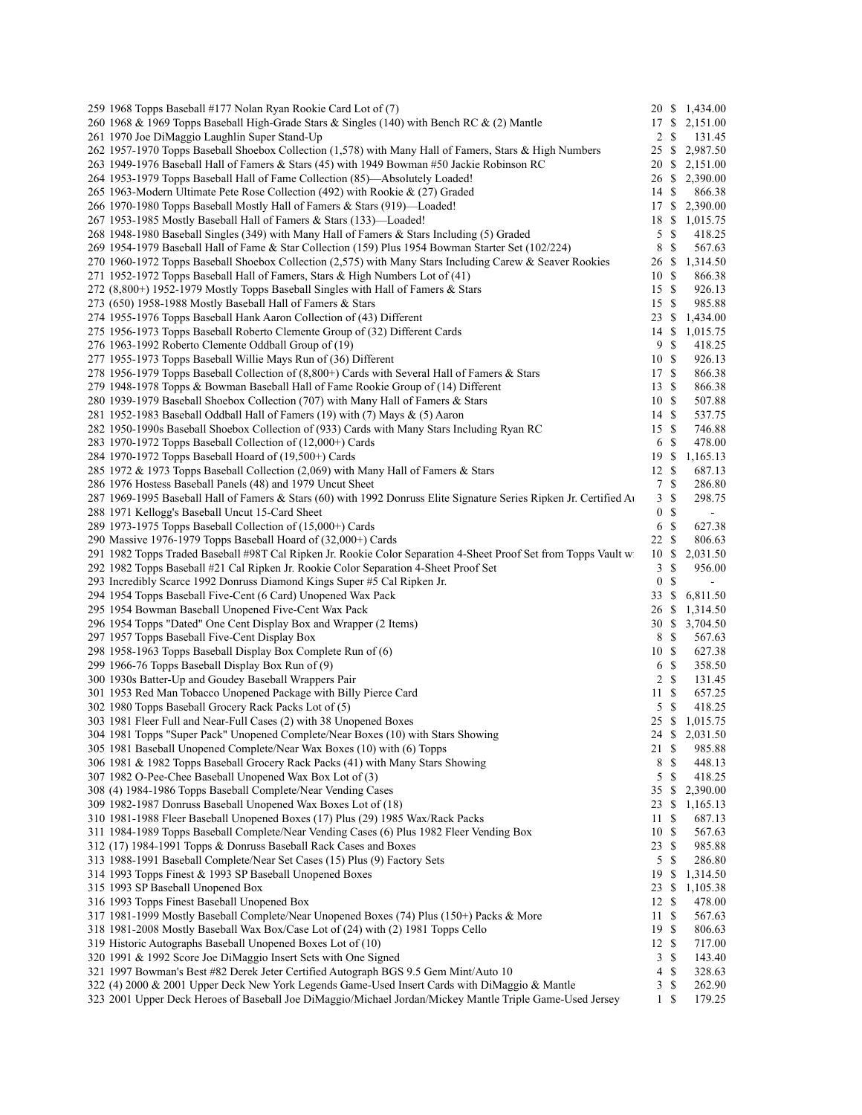| 259 1968 Topps Baseball #177 Nolan Ryan Rookie Card Lot of (7)                                                       |                       |               | 20 \$ 1,434.00             |
|----------------------------------------------------------------------------------------------------------------------|-----------------------|---------------|----------------------------|
| 260 1968 & 1969 Topps Baseball High-Grade Stars & Singles (140) with Bench RC & (2) Mantle                           | 17 \$                 |               | 2,151.00                   |
| 261 1970 Joe DiMaggio Laughlin Super Stand-Up                                                                        | 2                     | -S            | 131.45                     |
| 262 1957-1970 Topps Baseball Shoebox Collection (1,578) with Many Hall of Famers, Stars & High Numbers               | 25S                   |               | 2,987.50                   |
| 263 1949-1976 Baseball Hall of Famers & Stars (45) with 1949 Bowman #50 Jackie Robinson RC                           | 20 \$                 |               | 2,151.00                   |
| 264 1953-1979 Topps Baseball Hall of Fame Collection (85)—Absolutely Loaded!                                         | 26 \$                 |               | 2,390.00                   |
| 265 1963-Modern Ultimate Pete Rose Collection (492) with Rookie & (27) Graded                                        | 14S                   |               | 866.38                     |
| 266 1970-1980 Topps Baseball Mostly Hall of Famers & Stars (919)-Loaded!                                             | 17S                   |               | 2,390.00                   |
| 267 1953-1985 Mostly Baseball Hall of Famers & Stars (133)—Loaded!                                                   | 18 \$                 |               | 1,015.75                   |
| 268 1948-1980 Baseball Singles (349) with Many Hall of Famers & Stars Including (5) Graded                           | 5                     | $\mathcal{S}$ | 418.25                     |
| 269 1954-1979 Baseball Hall of Fame & Star Collection (159) Plus 1954 Bowman Starter Set (102/224)                   | 8                     | \$            | 567.63                     |
| 270 1960-1972 Topps Baseball Shoebox Collection (2,575) with Many Stars Including Carew & Seaver Rookies             | 26 \$                 |               | 1,314.50                   |
| 271 1952-1972 Topps Baseball Hall of Famers, Stars & High Numbers Lot of (41)                                        | 10S                   |               | 866.38                     |
| 272 (8,800+) 1952-1979 Mostly Topps Baseball Singles with Hall of Famers & Stars                                     | 15                    | -S            | 926.13                     |
| 273 (650) 1958-1988 Mostly Baseball Hall of Famers & Stars                                                           | 15S                   |               | 985.88                     |
| 274 1955-1976 Topps Baseball Hank Aaron Collection of (43) Different                                                 | 23                    | \$            | 1,434.00                   |
| 275 1956-1973 Topps Baseball Roberto Clemente Group of (32) Different Cards                                          | 14S                   |               | 1,015.75                   |
| 276 1963-1992 Roberto Clemente Oddball Group of (19)                                                                 | 9                     | \$            | 418.25                     |
| 277 1955-1973 Topps Baseball Willie Mays Run of (36) Different                                                       | 10                    | -S            | 926.13                     |
| 278 1956-1979 Topps Baseball Collection of (8,800+) Cards with Several Hall of Famers & Stars                        | 17S                   |               | 866.38                     |
| 279 1948-1978 Topps & Bowman Baseball Hall of Fame Rookie Group of (14) Different                                    | 13                    | <sup>\$</sup> | 866.38                     |
| 280 1939-1979 Baseball Shoebox Collection (707) with Many Hall of Famers & Stars                                     | 10S                   |               | 507.88                     |
| 281 1952-1983 Baseball Oddball Hall of Famers (19) with (7) Mays $\&$ (5) Aaron                                      | 14S                   |               | 537.75                     |
| 282 1950-1990s Baseball Shoebox Collection of (933) Cards with Many Stars Including Ryan RC                          | 15S                   |               | 746.88                     |
| 283 1970-1972 Topps Baseball Collection of (12,000+) Cards                                                           | 6                     | \$            | 478.00                     |
| 284 1970-1972 Topps Baseball Hoard of (19,500+) Cards                                                                | 19S                   |               | 1,165.13                   |
| 285 1972 & 1973 Topps Baseball Collection (2,069) with Many Hall of Famers & Stars                                   | 12S                   |               | 687.13                     |
| 286 1976 Hostess Baseball Panels (48) and 1979 Uncut Sheet                                                           | 7                     | \$            | 286.80                     |
| 287 1969-1995 Baseball Hall of Famers & Stars (60) with 1992 Donruss Elite Signature Series Ripken Jr. Certified Au  | 3                     | \$            | 298.75                     |
| 288 1971 Kellogg's Baseball Uncut 15-Card Sheet                                                                      | 0                     | \$            | $\blacksquare$             |
| 289 1973-1975 Topps Baseball Collection of (15,000+) Cards                                                           | 6                     | \$            | 627.38                     |
| 290 Massive 1976-1979 Topps Baseball Hoard of (32,000+) Cards                                                        | 22                    | <sup>\$</sup> | 806.63                     |
| 291 1982 Topps Traded Baseball #98T Cal Ripken Jr. Rookie Color Separation 4-Sheet Proof Set from Topps Vault w      | 10                    | \$            | 2,031.50                   |
| 292 1982 Topps Baseball #21 Cal Ripken Jr. Rookie Color Separation 4-Sheet Proof Set                                 | 3<br>$\boldsymbol{0}$ | \$<br>\$      | 956.00<br>$\blacksquare$   |
| 293 Incredibly Scarce 1992 Donruss Diamond Kings Super #5 Cal Ripken Jr.                                             |                       |               |                            |
| 294 1954 Topps Baseball Five-Cent (6 Card) Unopened Wax Pack<br>295 1954 Bowman Baseball Unopened Five-Cent Wax Pack | 33                    | \$            | 6,811.50<br>26 \$ 1,314.50 |
|                                                                                                                      | 30S                   |               |                            |
| 296 1954 Topps "Dated" One Cent Display Box and Wrapper (2 Items)<br>297 1957 Topps Baseball Five-Cent Display Box   | 8                     | -S            | 3,704.50<br>567.63         |
| 298 1958-1963 Topps Baseball Display Box Complete Run of (6)                                                         | 10S                   |               | 627.38                     |
| 299 1966-76 Topps Baseball Display Box Run of (9)                                                                    | 6                     | - \$          | 358.50                     |
| 300 1930s Batter-Up and Goudey Baseball Wrappers Pair                                                                | 2                     | <sup>\$</sup> | 131.45                     |
| 301 1953 Red Man Tobacco Unopened Package with Billy Pierce Card                                                     | 11 \$                 |               | 657.25                     |
| 302 1980 Topps Baseball Grocery Rack Packs Lot of (5)                                                                | 5 \$                  |               | 418.25                     |
| 303 1981 Fleer Full and Near-Full Cases (2) with 38 Unopened Boxes                                                   |                       |               | 25 \$ 1,015.75             |
| 304 1981 Topps "Super Pack" Unopened Complete/Near Boxes (10) with Stars Showing                                     |                       |               | 24 \$ 2,031.50             |
| 305 1981 Baseball Unopened Complete/Near Wax Boxes (10) with (6) Topps                                               | 21S                   |               | 985.88                     |
| 306 1981 & 1982 Topps Baseball Grocery Rack Packs (41) with Many Stars Showing                                       | 8                     | \$            | 448.13                     |
| 307 1982 O-Pee-Chee Baseball Unopened Wax Box Lot of (3)                                                             | 5                     | \$            | 418.25                     |
| 308 (4) 1984-1986 Topps Baseball Complete/Near Vending Cases                                                         | 35                    | \$            | 2,390.00                   |
| 309 1982-1987 Donruss Baseball Unopened Wax Boxes Lot of (18)                                                        | 23                    | \$            | 1,165.13                   |
| 310 1981-1988 Fleer Baseball Unopened Boxes (17) Plus (29) 1985 Wax/Rack Packs                                       | 11                    | \$            | 687.13                     |
| 311 1984-1989 Topps Baseball Complete/Near Vending Cases (6) Plus 1982 Fleer Vending Box                             | 10                    | \$            | 567.63                     |
| 312 (17) 1984-1991 Topps & Donruss Baseball Rack Cases and Boxes                                                     | 23                    | \$            | 985.88                     |
| 313 1988-1991 Baseball Complete/Near Set Cases (15) Plus (9) Factory Sets                                            | 5                     | \$            | 286.80                     |
| 314 1993 Topps Finest & 1993 SP Baseball Unopened Boxes                                                              | 19                    | \$            | 1,314.50                   |
| 315 1993 SP Baseball Unopened Box                                                                                    | 23                    | \$            | 1,105.38                   |
| 316 1993 Topps Finest Baseball Unopened Box                                                                          | 12                    | \$            | 478.00                     |
| 317 1981-1999 Mostly Baseball Complete/Near Unopened Boxes (74) Plus (150+) Packs & More                             | 11                    | \$            | 567.63                     |
| 318 1981-2008 Mostly Baseball Wax Box/Case Lot of (24) with (2) 1981 Topps Cello                                     | 19                    | \$            | 806.63                     |
| 319 Historic Autographs Baseball Unopened Boxes Lot of (10)                                                          | 12S                   |               | 717.00                     |
| 320 1991 & 1992 Score Joe DiMaggio Insert Sets with One Signed                                                       | 3                     | \$            | 143.40                     |
| 321 1997 Bowman's Best #82 Derek Jeter Certified Autograph BGS 9.5 Gem Mint/Auto 10                                  | 4                     | \$            | 328.63                     |
| 322 (4) 2000 & 2001 Upper Deck New York Legends Game-Used Insert Cards with DiMaggio & Mantle                        | 3                     | \$            | 262.90                     |
| 323 2001 Upper Deck Heroes of Baseball Joe DiMaggio/Michael Jordan/Mickey Mantle Triple Game-Used Jersey             | 1 \$                  |               | 179.25                     |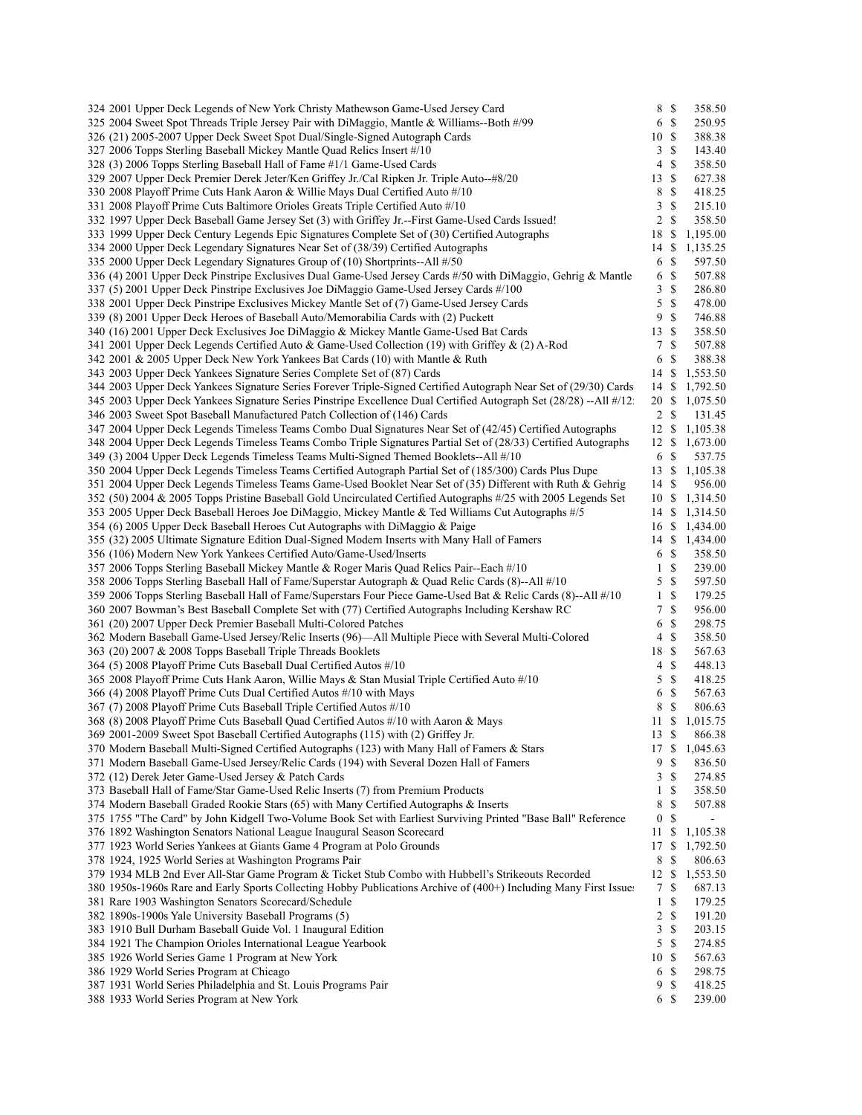| 324 2001 Upper Deck Legends of New York Christy Mathewson Game-Used Jersey Card                                    | 8 \$             |               | 358.50                   |
|--------------------------------------------------------------------------------------------------------------------|------------------|---------------|--------------------------|
| 325 2004 Sweet Spot Threads Triple Jersey Pair with DiMaggio, Mantle & Williams--Both #/99                         | 6                | $\mathcal{S}$ | 250.95                   |
| 326 (21) 2005-2007 Upper Deck Sweet Spot Dual/Single-Signed Autograph Cards                                        | 10S              |               | 388.38                   |
| 327 2006 Topps Sterling Baseball Mickey Mantle Ouad Relics Insert #/10                                             | 3S               |               | 143.40                   |
| 328 (3) 2006 Topps Sterling Baseball Hall of Fame #1/1 Game-Used Cards                                             | 4                | $\mathbb{S}$  | 358.50                   |
| 329 2007 Upper Deck Premier Derek Jeter/Ken Griffey Jr./Cal Ripken Jr. Triple Auto--#8/20                          | 13               | <sup>\$</sup> | 627.38                   |
| 330 2008 Playoff Prime Cuts Hank Aaron & Willie Mays Dual Certified Auto #/10                                      | 8                | $\mathbb{S}$  | 418.25                   |
| 331 2008 Playoff Prime Cuts Baltimore Orioles Greats Triple Certified Auto #/10                                    | $\mathbf{3}$     | $\mathbb{S}$  | 215.10                   |
| 332 1997 Upper Deck Baseball Game Jersey Set (3) with Griffey Jr.--First Game-Used Cards Issued!                   | $\overline{2}$   | $\mathbb{S}$  | 358.50                   |
| 333 1999 Upper Deck Century Legends Epic Signatures Complete Set of (30) Certified Autographs                      | 18               | $\mathbb{S}$  | 1,195.00                 |
| 334 2000 Upper Deck Legendary Signatures Near Set of (38/39) Certified Autographs                                  | 14               | <sup>\$</sup> | 1,135.25                 |
| 335 2000 Upper Deck Legendary Signatures Group of (10) Shortprints--All #/50                                       | 6                | $\mathbb{S}$  | 597.50                   |
| 336 (4) 2001 Upper Deck Pinstripe Exclusives Dual Game-Used Jersey Cards #/50 with DiMaggio, Gehrig & Mantle       | 6                | <sup>\$</sup> | 507.88                   |
| 337 (5) 2001 Upper Deck Pinstripe Exclusives Joe DiMaggio Game-Used Jersey Cards #/100                             | 3                | $\mathbb{S}$  | 286.80                   |
| 338 2001 Upper Deck Pinstripe Exclusives Mickey Mantle Set of (7) Game-Used Jersey Cards                           | 5                | $\mathbf S$   | 478.00                   |
| 339 (8) 2001 Upper Deck Heroes of Baseball Auto/Memorabilia Cards with (2) Puckett                                 | 9                | $\mathcal{S}$ | 746.88                   |
| 340 (16) 2001 Upper Deck Exclusives Joe DiMaggio & Mickey Mantle Game-Used Bat Cards                               | 13S              |               | 358.50                   |
| 341 2001 Upper Deck Legends Certified Auto & Game-Used Collection (19) with Griffey & (2) A-Rod                    | 7S               |               | 507.88                   |
| 342 2001 & 2005 Upper Deck New York Yankees Bat Cards (10) with Mantle & Ruth                                      | 6                | $\mathbb{S}$  | 388.38                   |
| 343 2003 Upper Deck Yankees Signature Series Complete Set of (87) Cards                                            | 14 \$            |               | 1,553.50                 |
| 344 2003 Upper Deck Yankees Signature Series Forever Triple-Signed Certified Autograph Near Set of (29/30) Cards   |                  |               | 1,792.50                 |
|                                                                                                                    | 14 \$            |               |                          |
| 345 2003 Upper Deck Yankees Signature Series Pinstripe Excellence Dual Certified Autograph Set (28/28) --All #/12: | 20 \$            |               | 1,075.50                 |
| 346 2003 Sweet Spot Baseball Manufactured Patch Collection of (146) Cards                                          | $2 \sqrt{s}$     |               | 131.45                   |
| 347 2004 Upper Deck Legends Timeless Teams Combo Dual Signatures Near Set of (42/45) Certified Autographs          | $12 \text{ }$ \$ |               | 1,105.38                 |
| 348 2004 Upper Deck Legends Timeless Teams Combo Triple Signatures Partial Set of (28/33) Certified Autographs     | 12S              |               | 1,673.00                 |
| 349 (3) 2004 Upper Deck Legends Timeless Teams Multi-Signed Themed Booklets--All #/10                              | 6 \$             |               | 537.75                   |
| 350 2004 Upper Deck Legends Timeless Teams Certified Autograph Partial Set of (185/300) Cards Plus Dupe            | $13 \text{ }$ \$ |               | 1,105.38                 |
| 351 2004 Upper Deck Legends Timeless Teams Game-Used Booklet Near Set of (35) Different with Ruth & Gehrig         | 14 \$            |               | 956.00                   |
| 352 (50) 2004 & 2005 Topps Pristine Baseball Gold Uncirculated Certified Autographs #/25 with 2005 Legends Set     | 10 \$            |               | 1,314.50                 |
| 353 2005 Upper Deck Baseball Heroes Joe DiMaggio, Mickey Mantle & Ted Williams Cut Autographs #/5                  | 14               | -S            | 1,314.50                 |
| 354 (6) 2005 Upper Deck Baseball Heroes Cut Autographs with DiMaggio & Paige                                       | 16 S             |               | 1,434.00                 |
| 355 (32) 2005 Ultimate Signature Edition Dual-Signed Modern Inserts with Many Hall of Famers                       | 14 \$            |               | 1,434.00                 |
| 356 (106) Modern New York Yankees Certified Auto/Game-Used/Inserts                                                 | 6                | <sup>\$</sup> | 358.50                   |
| 357 2006 Topps Sterling Baseball Mickey Mantle & Roger Maris Quad Relics Pair--Each #/10                           | $\mathbf{1}$     | $\mathbb{S}$  | 239.00                   |
| 358 2006 Topps Sterling Baseball Hall of Fame/Superstar Autograph & Quad Relic Cards (8)--All #/10                 | 5S               |               | 597.50                   |
| 359 2006 Topps Sterling Baseball Hall of Fame/Superstars Four Piece Game-Used Bat & Relic Cards (8)--All #/10      | $\mathbf{1}$     | $\mathcal{S}$ | 179.25                   |
| 360 2007 Bowman's Best Baseball Complete Set with (77) Certified Autographs Including Kershaw RC                   | 7                | $\mathbb{S}$  | 956.00                   |
| 361 (20) 2007 Upper Deck Premier Baseball Multi-Colored Patches                                                    | 6                | $\mathbf S$   | 298.75                   |
| 362 Modern Baseball Game-Used Jersey/Relic Inserts (96)—All Multiple Piece with Several Multi-Colored              | 4                | $\mathbf S$   | 358.50                   |
| 363 (20) 2007 & 2008 Topps Baseball Triple Threads Booklets                                                        | 18               | -S            | 567.63                   |
| 364 (5) 2008 Playoff Prime Cuts Baseball Dual Certified Autos #/10                                                 | 4                | $\mathbb{S}$  | 448.13                   |
| 365 2008 Playoff Prime Cuts Hank Aaron, Willie Mays & Stan Musial Triple Certified Auto #/10                       | 5                | $\mathbb{S}$  | 418.25                   |
| 366 (4) 2008 Playoff Prime Cuts Dual Certified Autos #/10 with Mays                                                | 6                | $\mathbb{S}$  | 567.63                   |
| 367 (7) 2008 Playoff Prime Cuts Baseball Triple Certified Autos #/10                                               | 8                | $\mathbb{S}$  | 806.63                   |
| 368 (8) 2008 Playoff Prime Cuts Baseball Quad Certified Autos #/10 with Aaron & Mays                               |                  |               | 11 \$ 1,015.75           |
| 369 2001-2009 Sweet Spot Baseball Certified Autographs (115) with (2) Griffey Jr.                                  | 13S              |               | 866.38                   |
| 370 Modern Baseball Multi-Signed Certified Autographs (123) with Many Hall of Famers & Stars                       |                  |               | 17 \$ 1,045.63           |
| 371 Modern Baseball Game-Used Jersey/Relic Cards (194) with Several Dozen Hall of Famers                           | 9                | -S            | 836.50                   |
| 372 (12) Derek Jeter Game-Used Jersey & Patch Cards                                                                | 3                | <sup>\$</sup> | 274.85                   |
| 373 Baseball Hall of Fame/Star Game-Used Relic Inserts (7) from Premium Products                                   | 1                | <sup>\$</sup> | 358.50                   |
| 374 Modern Baseball Graded Rookie Stars (65) with Many Certified Autographs & Inserts                              | 8                | \$            | 507.88                   |
|                                                                                                                    | 0                | \$            | $\overline{\phantom{a}}$ |
| 375 1755 "The Card" by John Kidgell Two-Volume Book Set with Earliest Surviving Printed "Base Ball" Reference      |                  |               |                          |
| 376 1892 Washington Senators National League Inaugural Season Scorecard                                            | 11               | \$            | 1,105.38                 |
| 377 1923 World Series Yankees at Giants Game 4 Program at Polo Grounds                                             | 17               | \$            | 1,792.50                 |
| 378 1924, 1925 World Series at Washington Programs Pair                                                            | 8                | $\mathbb{S}$  | 806.63                   |
| 379 1934 MLB 2nd Ever All-Star Game Program & Ticket Stub Combo with Hubbell's Strikeouts Recorded                 | 12S              |               | 1,553.50                 |
| 380 1950s-1960s Rare and Early Sports Collecting Hobby Publications Archive of (400+) Including Many First Issues  | 7                | $\mathbb{S}$  | 687.13                   |
| 381 Rare 1903 Washington Senators Scorecard/Schedule                                                               | $\mathbf{1}$     | $\mathbb{S}$  | 179.25                   |
| 382 1890s-1900s Yale University Baseball Programs (5)                                                              | $\overline{c}$   | $\mathbb{S}$  | 191.20                   |
| 383 1910 Bull Durham Baseball Guide Vol. 1 Inaugural Edition                                                       | 3                | $\mathbb{S}$  | 203.15                   |
| 384 1921 The Champion Orioles International League Yearbook                                                        | 5                | $\mathbb{S}$  | 274.85                   |
| 385 1926 World Series Game 1 Program at New York                                                                   | 10               | -S            | 567.63                   |
| 386 1929 World Series Program at Chicago                                                                           | 6                | <sup>\$</sup> | 298.75                   |
| 387 1931 World Series Philadelphia and St. Louis Programs Pair                                                     | 9                | \$            | 418.25                   |
| 388 1933 World Series Program at New York                                                                          | 6 \$             |               | 239.00                   |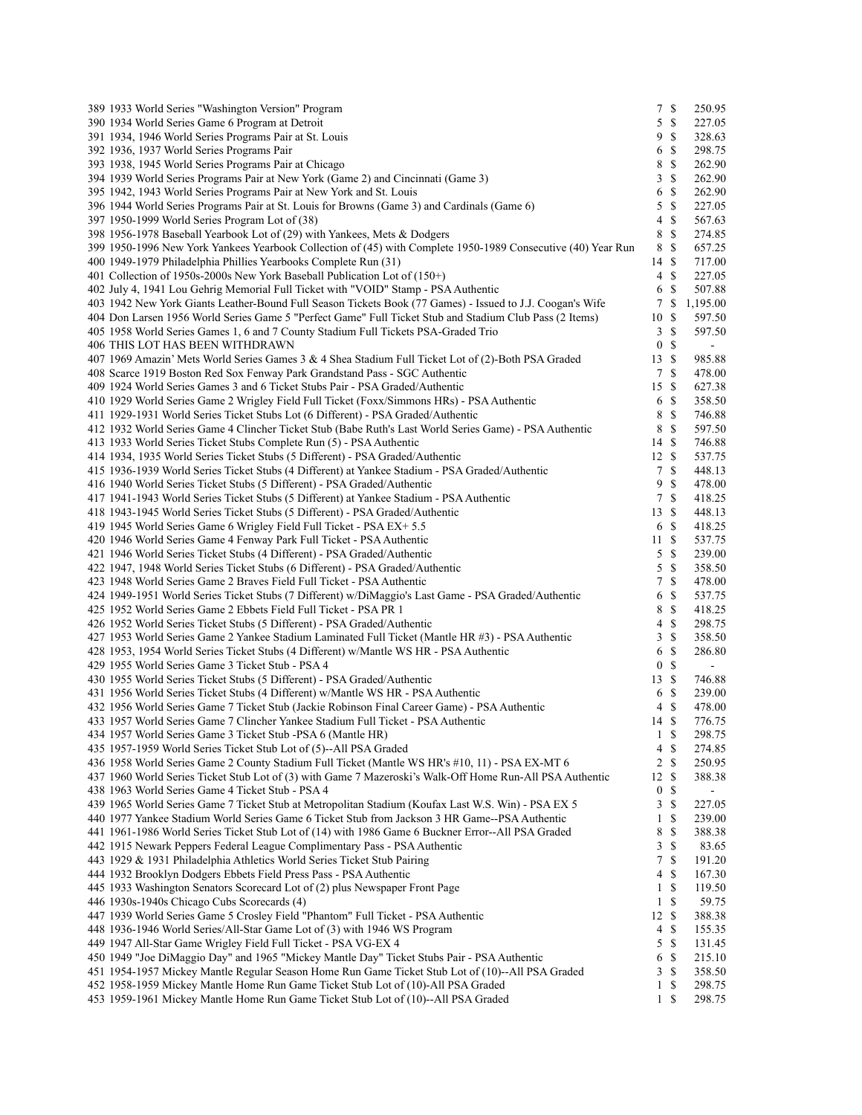| 389 1933 World Series "Washington Version" Program                                                           | $7\phantom{.0}$  | $\mathbb{S}$  | 250.95         |
|--------------------------------------------------------------------------------------------------------------|------------------|---------------|----------------|
| 390 1934 World Series Game 6 Program at Detroit                                                              | 5                | $\mathcal{S}$ | 227.05         |
| 391 1934, 1946 World Series Programs Pair at St. Louis                                                       | 9                | -S            | 328.63         |
| 392 1936, 1937 World Series Programs Pair                                                                    | 6                | -S            | 298.75         |
| 393 1938, 1945 World Series Programs Pair at Chicago                                                         | 8                | $\mathbb{S}$  | 262.90         |
| 394 1939 World Series Programs Pair at New York (Game 2) and Cincinnati (Game 3)                             | 3                | S             | 262.90         |
| 395 1942, 1943 World Series Programs Pair at New York and St. Louis                                          | 6                | \$            | 262.90         |
| 396 1944 World Series Programs Pair at St. Louis for Browns (Game 3) and Cardinals (Game 6)                  | 5                | $\mathbb{S}$  | 227.05         |
| 397 1950-1999 World Series Program Lot of (38)                                                               | 4                | S             | 567.63         |
| 398 1956-1978 Baseball Yearbook Lot of (29) with Yankees, Mets & Dodgers                                     | 8                | \$            | 274.85         |
| 399 1950-1996 New York Yankees Yearbook Collection of (45) with Complete 1950-1989 Consecutive (40) Year Run | 8                | \$            | 657.25         |
| 400 1949-1979 Philadelphia Phillies Yearbooks Complete Run (31)                                              | 14 \$            |               | 717.00         |
| 401 Collection of 1950s-2000s New York Baseball Publication Lot of (150+)                                    | 4                | $\mathbb{S}$  | 227.05         |
| 402 July 4, 1941 Lou Gehrig Memorial Full Ticket with "VOID" Stamp - PSA Authentic                           | 6                | S             | 507.88         |
|                                                                                                              | 7                | \$            | 1,195.00       |
| 403 1942 New York Giants Leather-Bound Full Season Tickets Book (77 Games) - Issued to J.J. Coogan's Wife    |                  |               |                |
| 404 Don Larsen 1956 World Series Game 5 "Perfect Game" Full Ticket Stub and Stadium Club Pass (2 Items)      | 10               | \$            | 597.50         |
| 405 1958 World Series Games 1, 6 and 7 County Stadium Full Tickets PSA-Graded Trio                           | 3                | \$            | 597.50         |
| 406 THIS LOT HAS BEEN WITHDRAWN                                                                              | $\boldsymbol{0}$ | \$            | $\blacksquare$ |
| 407 1969 Amazin' Mets World Series Games 3 & 4 Shea Stadium Full Ticket Lot of (2)-Both PSA Graded           | 13               | S             | 985.88         |
| 408 Scarce 1919 Boston Red Sox Fenway Park Grandstand Pass - SGC Authentic                                   | 7                | S             | 478.00         |
| 409 1924 World Series Games 3 and 6 Ticket Stubs Pair - PSA Graded/Authentic                                 | 15S              |               | 627.38         |
| 410 1929 World Series Game 2 Wrigley Field Full Ticket (Foxx/Simmons HRs) - PSA Authentic                    | 6                | $\mathbb{S}$  | 358.50         |
| 411 1929-1931 World Series Ticket Stubs Lot (6 Different) - PSA Graded/Authentic                             | 8                | \$            | 746.88         |
| 412 1932 World Series Game 4 Clincher Ticket Stub (Babe Ruth's Last World Series Game) - PSA Authentic       | 8                | \$            | 597.50         |
| 413 1933 World Series Ticket Stubs Complete Run (5) - PSA Authentic                                          | 14S              |               | 746.88         |
| 414 1934, 1935 World Series Ticket Stubs (5 Different) - PSA Graded/Authentic                                | 12S              |               | 537.75         |
| 415 1936-1939 World Series Ticket Stubs (4 Different) at Yankee Stadium - PSA Graded/Authentic               | $\tau$           | \$            | 448.13         |
| 416 1940 World Series Ticket Stubs (5 Different) - PSA Graded/Authentic                                      | 9                | \$            | 478.00         |
| 417 1941-1943 World Series Ticket Stubs (5 Different) at Yankee Stadium - PSA Authentic                      |                  | 7 S           | 418.25         |
| 418 1943-1945 World Series Ticket Stubs (5 Different) - PSA Graded/Authentic                                 | 13               | -S            | 448.13         |
| 419 1945 World Series Game 6 Wrigley Field Full Ticket - PSA EX+ 5.5                                         |                  | 6 \$          | 418.25         |
| 420 1946 World Series Game 4 Fenway Park Full Ticket - PSA Authentic                                         | 11S              |               | 537.75         |
| 421 1946 World Series Ticket Stubs (4 Different) - PSA Graded/Authentic                                      | 5                | \$            | 239.00         |
| 422 1947, 1948 World Series Ticket Stubs (6 Different) - PSA Graded/Authentic                                | 5                | \$            | 358.50         |
| 423 1948 World Series Game 2 Braves Field Full Ticket - PSA Authentic                                        | 7                | \$            | 478.00         |
| 424 1949-1951 World Series Ticket Stubs (7 Different) w/DiMaggio's Last Game - PSA Graded/Authentic          | 6                | \$            | 537.75         |
| 425 1952 World Series Game 2 Ebbets Field Full Ticket - PSA PR 1                                             | 8                | $\mathbb{S}$  | 418.25         |
| 426 1952 World Series Ticket Stubs (5 Different) - PSA Graded/Authentic                                      | 4                | \$            | 298.75         |
| 427 1953 World Series Game 2 Yankee Stadium Laminated Full Ticket (Mantle HR #3) - PSA Authentic             | 3                | $\mathbb{S}$  | 358.50         |
| 428 1953, 1954 World Series Ticket Stubs (4 Different) w/Mantle WS HR - PSA Authentic                        | 6                | -S            | 286.80         |
| 429 1955 World Series Game 3 Ticket Stub - PSA 4                                                             | $\boldsymbol{0}$ | \$            | $\blacksquare$ |
|                                                                                                              | 13S              |               |                |
| 430 1955 World Series Ticket Stubs (5 Different) - PSA Graded/Authentic                                      |                  |               | 746.88         |
| 431 1956 World Series Ticket Stubs (4 Different) w/Mantle WS HR - PSA Authentic                              |                  | 6 \$          | 239.00         |
| 432 1956 World Series Game 7 Ticket Stub (Jackie Robinson Final Career Game) - PSA Authentic                 |                  | 4S            | 478.00         |
| 433 1957 World Series Game 7 Clincher Yankee Stadium Full Ticket - PSA Authentic                             | 14S              |               | 776.75         |
| 434 1957 World Series Game 3 Ticket Stub -PSA 6 (Mantle HR)                                                  |                  | $1 \text{ }$  | 298.75         |
| 435 1957-1959 World Series Ticket Stub Lot of (5)--All PSA Graded                                            | 4                | \$            | 274.85         |
| 436 1958 World Series Game 2 County Stadium Full Ticket (Mantle WS HR's #10, 11) - PSA EX-MT 6               |                  | $2 \sqrt{s}$  | 250.95         |
| 437 1960 World Series Ticket Stub Lot of (3) with Game 7 Mazeroski's Walk-Off Home Run-All PSA Authentic     | 12               | <sup>\$</sup> | 388.38         |
| 438 1963 World Series Game 4 Ticket Stub - PSA 4                                                             | $\bf{0}$         | \$            |                |
| 439 1965 World Series Game 7 Ticket Stub at Metropolitan Stadium (Koufax Last W.S. Win) - PSA EX 5           | 3                | \$            | 227.05         |
| 440 1977 Yankee Stadium World Series Game 6 Ticket Stub from Jackson 3 HR Game--PSA Authentic                | $\mathbf{1}$     | \$            | 239.00         |
| 441 1961-1986 World Series Ticket Stub Lot of (14) with 1986 Game 6 Buckner Error--All PSA Graded            | 8                | \$            | 388.38         |
| 442 1915 Newark Peppers Federal League Complimentary Pass - PSA Authentic                                    | 3                | \$            | 83.65          |
| 443 1929 & 1931 Philadelphia Athletics World Series Ticket Stub Pairing                                      | 7                | \$            | 191.20         |
| 444 1932 Brooklyn Dodgers Ebbets Field Press Pass - PSA Authentic                                            | 4                | \$            | 167.30         |
| 445 1933 Washington Senators Scorecard Lot of (2) plus Newspaper Front Page                                  | 1                | \$            | 119.50         |
| 446 1930s-1940s Chicago Cubs Scorecards (4)                                                                  | $\mathbf{1}$     | \$            | 59.75          |
| 447 1939 World Series Game 5 Crosley Field "Phantom" Full Ticket - PSA Authentic                             | 12               | \$            | 388.38         |
| 448 1936-1946 World Series/All-Star Game Lot of (3) with 1946 WS Program                                     | 4                | \$            | 155.35         |
| 449 1947 All-Star Game Wrigley Field Full Ticket - PSA VG-EX 4                                               | 5                | \$            | 131.45         |
| 450 1949 "Joe DiMaggio Day" and 1965 "Mickey Mantle Day" Ticket Stubs Pair - PSA Authentic                   | 6                | \$            | 215.10         |
| 451 1954-1957 Mickey Mantle Regular Season Home Run Game Ticket Stub Lot of (10)--All PSA Graded             | 3                | \$            | 358.50         |
| 452 1958-1959 Mickey Mantle Home Run Game Ticket Stub Lot of (10)-All PSA Graded                             | 1                | \$            | 298.75         |
| 453 1959-1961 Mickey Mantle Home Run Game Ticket Stub Lot of (10)--All PSA Graded                            | $\mathbf{1}$     | \$            | 298.75         |
|                                                                                                              |                  |               |                |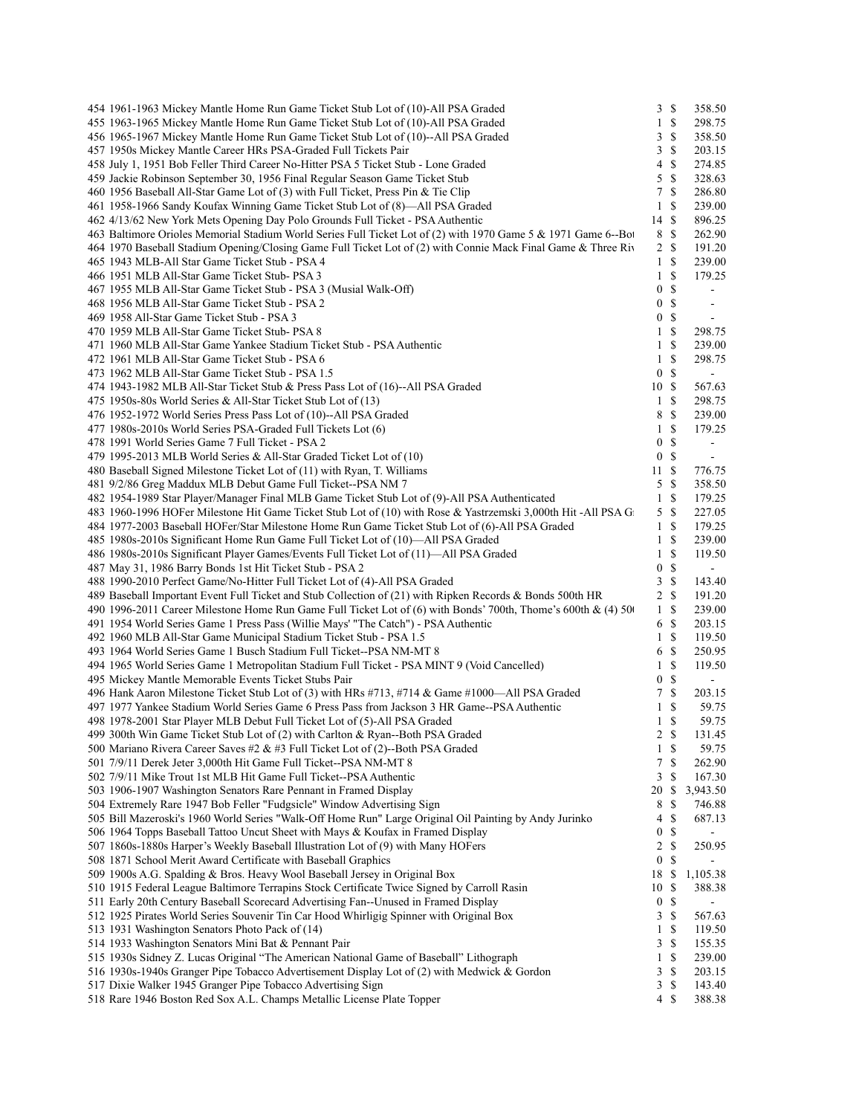| 454 1961-1963 Mickey Mantle Home Run Game Ticket Stub Lot of (10)-All PSA Graded                               | 3S               |                           | 358.50                       |  |
|----------------------------------------------------------------------------------------------------------------|------------------|---------------------------|------------------------------|--|
| 455 1963-1965 Mickey Mantle Home Run Game Ticket Stub Lot of (10)-All PSA Graded                               | $\mathbf{1}$     | $\mathbb{S}$              | 298.75                       |  |
| 456 1965-1967 Mickey Mantle Home Run Game Ticket Stub Lot of (10)--All PSA Graded                              | 3                | -\$                       | 358.50                       |  |
| 457 1950s Mickey Mantle Career HRs PSA-Graded Full Tickets Pair                                                | 3                | -S                        | 203.15                       |  |
| 458 July 1, 1951 Bob Feller Third Career No-Hitter PSA 5 Ticket Stub - Lone Graded                             | 4                | <sup>\$</sup>             | 274.85                       |  |
| 459 Jackie Robinson September 30, 1956 Final Regular Season Game Ticket Stub                                   | 5                | -\$                       | 328.63                       |  |
| 460 1956 Baseball All-Star Game Lot of (3) with Full Ticket, Press Pin & Tie Clip                              | 7                | -\$                       | 286.80                       |  |
| 461 1958-1966 Sandy Koufax Winning Game Ticket Stub Lot of (8)—All PSA Graded                                  | $\mathbf{1}$     | -\$                       | 239.00                       |  |
| 462 4/13/62 New York Mets Opening Day Polo Grounds Full Ticket - PSA Authentic                                 | 14 \$            |                           | 896.25                       |  |
| 463 Baltimore Orioles Memorial Stadium World Series Full Ticket Lot of (2) with 1970 Game 5 & 1971 Game 6--Bot | 8 \$             |                           | 262.90                       |  |
| 464 1970 Baseball Stadium Opening/Closing Game Full Ticket Lot of (2) with Connie Mack Final Game & Three Riv  | 2 \$             |                           | 191.20                       |  |
| 465 1943 MLB-All Star Game Ticket Stub - PSA 4                                                                 | 1 <sup>5</sup>   |                           | 239.00                       |  |
| 466 1951 MLB All-Star Game Ticket Stub- PSA 3                                                                  | $\mathbf{1}$     | -\$                       | 179.25                       |  |
|                                                                                                                | $\boldsymbol{0}$ | $\mathcal{S}$             | $\blacksquare$               |  |
| 467 1955 MLB All-Star Game Ticket Stub - PSA 3 (Musial Walk-Off)                                               |                  |                           |                              |  |
| 468 1956 MLB All-Star Game Ticket Stub - PSA 2                                                                 | $\boldsymbol{0}$ | -\$                       | $\overline{\phantom{a}}$     |  |
| 469 1958 All-Star Game Ticket Stub - PSA 3                                                                     | 0                | <sup>\$</sup>             | $\qquad \qquad \blacksquare$ |  |
| 470 1959 MLB All-Star Game Ticket Stub- PSA 8                                                                  | $1 \text{ }$     |                           | 298.75                       |  |
| 471 1960 MLB All-Star Game Yankee Stadium Ticket Stub - PSA Authentic                                          | 1 <sup>5</sup>   |                           | 239.00                       |  |
| 472 1961 MLB All-Star Game Ticket Stub - PSA 6                                                                 | $1 \text{ }$     |                           | 298.75                       |  |
| 473 1962 MLB All-Star Game Ticket Stub - PSA 1.5                                                               | $\mathbf{0}$     | -\$                       | $\blacksquare$               |  |
| 474 1943-1982 MLB All-Star Ticket Stub & Press Pass Lot of (16)--All PSA Graded                                | 10S              |                           | 567.63                       |  |
| 475 1950s-80s World Series & All-Star Ticket Stub Lot of (13)                                                  | 1 \$             |                           | 298.75                       |  |
| 476 1952-1972 World Series Press Pass Lot of (10)--All PSA Graded                                              | 8                | -S                        | 239.00                       |  |
| 477 1980s-2010s World Series PSA-Graded Full Tickets Lot (6)                                                   | $\mathbf{1}$     | -\$                       | 179.25                       |  |
| 478 1991 World Series Game 7 Full Ticket - PSA 2                                                               | $\boldsymbol{0}$ | -\$                       | $\overline{\phantom{a}}$     |  |
| 479 1995-2013 MLB World Series & All-Star Graded Ticket Lot of (10)                                            | 0                | -\$                       | $\blacksquare$               |  |
| 480 Baseball Signed Milestone Ticket Lot of (11) with Ryan, T. Williams                                        | 11S              |                           | 776.75                       |  |
| 481 9/2/86 Greg Maddux MLB Debut Game Full Ticket--PSA NM 7                                                    | 5S               |                           | 358.50                       |  |
| 482 1954-1989 Star Player/Manager Final MLB Game Ticket Stub Lot of (9)-All PSA Authenticated                  | 1 <sup>5</sup>   |                           | 179.25                       |  |
| 483 1960-1996 HOFer Milestone Hit Game Ticket Stub Lot of (10) with Rose & Yastrzemski 3,000th Hit-All PSA G   | 5S               |                           | 227.05                       |  |
| 484 1977-2003 Baseball HOFer/Star Milestone Home Run Game Ticket Stub Lot of (6)-All PSA Graded                | 1S               |                           | 179.25                       |  |
| 485 1980s-2010s Significant Home Run Game Full Ticket Lot of (10)—All PSA Graded                               | $1 \text{ }$     |                           | 239.00                       |  |
| 486 1980s-2010s Significant Player Games/Events Full Ticket Lot of (11)—All PSA Graded                         | $1 \text{ }$     |                           | 119.50                       |  |
| 487 May 31, 1986 Barry Bonds 1st Hit Ticket Stub - PSA 2                                                       | 0                | $\mathcal{S}$             | $\overline{\phantom{a}}$     |  |
|                                                                                                                | 3                | -\$                       |                              |  |
| 488 1990-2010 Perfect Game/No-Hitter Full Ticket Lot of (4)-All PSA Graded                                     |                  |                           | 143.40                       |  |
| 489 Baseball Important Event Full Ticket and Stub Collection of (21) with Ripken Records & Bonds 500th HR      | 2                | $\mathbb S$               | 191.20                       |  |
| 490 1996-2011 Career Milestone Home Run Game Full Ticket Lot of (6) with Bonds' 700th, Thome's 600th & (4) 500 | 1 \$             |                           | 239.00                       |  |
| 491 1954 World Series Game 1 Press Pass (Willie Mays' "The Catch") - PSA Authentic                             | 6 \$             |                           | 203.15                       |  |
| 492 1960 MLB All-Star Game Municipal Stadium Ticket Stub - PSA 1.5                                             | $1 \text{ }$     |                           | 119.50                       |  |
| 493 1964 World Series Game 1 Busch Stadium Full Ticket--PSA NM-MT 8                                            | 6 \$             |                           | 250.95                       |  |
| 494 1965 World Series Game 1 Metropolitan Stadium Full Ticket - PSA MINT 9 (Void Cancelled)                    | $1 \text{ }$     |                           | 119.50                       |  |
| 495 Mickey Mantle Memorable Events Ticket Stubs Pair                                                           | $\overline{0}$   | -\$                       | $\blacksquare$               |  |
| 496 Hank Aaron Milestone Ticket Stub Lot of (3) with HRs #713, #714 & Game #1000—All PSA Graded                | 7S               |                           | 203.15                       |  |
| 497 1977 Yankee Stadium World Series Game 6 Press Pass from Jackson 3 HR Game--PSA Authentic                   | $1 \text{ }$     |                           | 59.75                        |  |
| 498 1978-2001 Star Player MLB Debut Full Ticket Lot of (5)-All PSA Graded                                      | $\mathbf{1}$     | -S                        | 59.75                        |  |
| 499 300th Win Game Ticket Stub Lot of (2) with Carlton & Ryan--Both PSA Graded                                 | 2 \$             |                           | 131.45                       |  |
| 500 Mariano Rivera Career Saves #2 & #3 Full Ticket Lot of (2)--Both PSA Graded                                | $1 \text{ } s$   |                           | 59.75                        |  |
| 501 7/9/11 Derek Jeter 3,000th Hit Game Full Ticket--PSA NM-MT 8                                               | 7                | $\mathbb{S}$              | 262.90                       |  |
| 502 7/9/11 Mike Trout 1st MLB Hit Game Full Ticket--PSA Authentic                                              | 3                | \$                        | 167.30                       |  |
| 503 1906-1907 Washington Senators Rare Pennant in Framed Display                                               | 20               | -S                        | 3,943.50                     |  |
| 504 Extremely Rare 1947 Bob Feller "Fudgsicle" Window Advertising Sign                                         | 8                | -\$                       | 746.88                       |  |
| 505 Bill Mazeroski's 1960 World Series "Walk-Off Home Run" Large Original Oil Painting by Andy Jurinko         | 4                | \$                        | 687.13                       |  |
| 506 1964 Topps Baseball Tattoo Uncut Sheet with Mays & Koufax in Framed Display                                | $\boldsymbol{0}$ | \$                        | $\overline{\phantom{a}}$     |  |
| 507 1860s-1880s Harper's Weekly Baseball Illustration Lot of (9) with Many HOFers                              | 2                | $\boldsymbol{\mathsf{S}}$ | 250.95                       |  |
| 508 1871 School Merit Award Certificate with Baseball Graphics                                                 | $\boldsymbol{0}$ | \$                        | $\blacksquare$               |  |
| 509 1900s A.G. Spalding & Bros. Heavy Wool Baseball Jersey in Original Box                                     | 18 \$            |                           | 1,105.38                     |  |
|                                                                                                                |                  |                           |                              |  |
| 510 1915 Federal League Baltimore Terrapins Stock Certificate Twice Signed by Carroll Rasin                    | 10               | -S                        | 388.38                       |  |
| 511 Early 20th Century Baseball Scorecard Advertising Fan--Unused in Framed Display                            | $\boldsymbol{0}$ | -\$                       | $\overline{\phantom{0}}$     |  |
| 512 1925 Pirates World Series Souvenir Tin Car Hood Whirligig Spinner with Original Box                        | 3                | <sup>\$</sup>             | 567.63                       |  |
| 513 1931 Washington Senators Photo Pack of (14)                                                                | $\mathbf{1}$     | <sup>\$</sup>             | 119.50                       |  |
| 514 1933 Washington Senators Mini Bat & Pennant Pair                                                           | 3                | -S                        | 155.35                       |  |
| 515 1930s Sidney Z. Lucas Original "The American National Game of Baseball" Lithograph                         | $\mathbf{1}$     | -S                        | 239.00                       |  |
| 516 1930s-1940s Granger Pipe Tobacco Advertisement Display Lot of (2) with Medwick & Gordon                    | 3                | \$                        | 203.15                       |  |
| 517 Dixie Walker 1945 Granger Pipe Tobacco Advertising Sign                                                    | 3                | -S                        | 143.40                       |  |
| 518 Rare 1946 Boston Red Sox A.L. Champs Metallic License Plate Topper                                         | 4S               |                           | 388.38                       |  |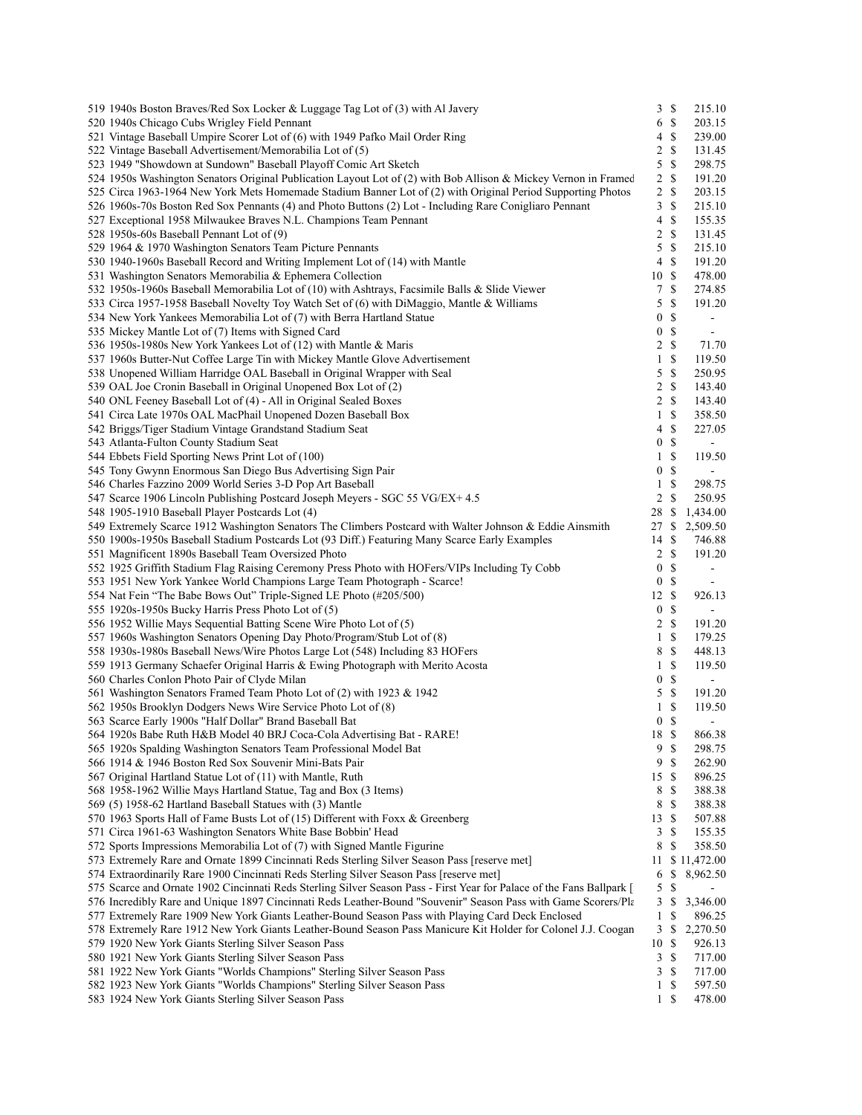| 519 1940s Boston Braves/Red Sox Locker & Luggage Tag Lot of (3) with Al Javery                                        | 3S               |               | 215.10                   |
|-----------------------------------------------------------------------------------------------------------------------|------------------|---------------|--------------------------|
| 520 1940s Chicago Cubs Wrigley Field Pennant                                                                          | 6S               |               | 203.15                   |
| 521 Vintage Baseball Umpire Scorer Lot of (6) with 1949 Pafko Mail Order Ring                                         | 4S               |               | 239.00                   |
| 522 Vintage Baseball Advertisement/Memorabilia Lot of (5)                                                             | 2S               |               | 131.45                   |
| 523 1949 "Showdown at Sundown" Baseball Playoff Comic Art Sketch                                                      | 5                | -\$           | 298.75                   |
| 524 1950s Washington Senators Original Publication Layout Lot of (2) with Bob Allison & Mickey Vernon in Framed       | 2S               |               | 191.20                   |
| 525 Circa 1963-1964 New York Mets Homemade Stadium Banner Lot of (2) with Original Period Supporting Photos           | 2 S              |               | 203.15                   |
| 526 1960s-70s Boston Red Sox Pennants (4) and Photo Buttons (2) Lot - Including Rare Conigliaro Pennant               | 3S               |               | 215.10                   |
| 527 Exceptional 1958 Milwaukee Braves N.L. Champions Team Pennant                                                     | 4S               |               | 155.35                   |
| 528 1950s-60s Baseball Pennant Lot of (9)                                                                             | 2 S              |               | 131.45                   |
| 529 1964 & 1970 Washington Senators Team Picture Pennants                                                             | 5S               |               | 215.10                   |
| 530 1940-1960s Baseball Record and Writing Implement Lot of (14) with Mantle                                          | 4S               |               | 191.20                   |
| 531 Washington Senators Memorabilia & Ephemera Collection                                                             | 10S              |               | 478.00                   |
| 532 1950s-1960s Baseball Memorabilia Lot of (10) with Ashtrays, Facsimile Balls & Slide Viewer                        | 7 \$             |               | 274.85                   |
| 533 Circa 1957-1958 Baseball Novelty Toy Watch Set of (6) with DiMaggio, Mantle & Williams                            | 5S               |               | 191.20                   |
| 534 New York Yankees Memorabilia Lot of (7) with Berra Hartland Statue                                                | $\mathbf{0}$     | $\mathcal{S}$ | $\overline{\phantom{a}}$ |
| 535 Mickey Mantle Lot of (7) Items with Signed Card                                                                   | $\overline{0}$   | $\mathcal{S}$ | $\blacksquare$           |
|                                                                                                                       | 2S               |               |                          |
| 536 1950s-1980s New York Yankees Lot of (12) with Mantle & Maris                                                      |                  |               | 71.70                    |
| 537 1960s Butter-Nut Coffee Large Tin with Mickey Mantle Glove Advertisement                                          | $1 \text{ }$     |               | 119.50                   |
| 538 Unopened William Harridge OAL Baseball in Original Wrapper with Seal                                              | 5S               |               | 250.95                   |
| 539 OAL Joe Cronin Baseball in Original Unopened Box Lot of (2)                                                       | 2S               |               | 143.40                   |
| 540 ONL Feeney Baseball Lot of (4) - All in Original Sealed Boxes                                                     | 2                | - \$          | 143.40                   |
| 541 Circa Late 1970s OAL MacPhail Unopened Dozen Baseball Box                                                         | $1 \text{ }$     |               | 358.50                   |
| 542 Briggs/Tiger Stadium Vintage Grandstand Stadium Seat                                                              | 4S               |               | 227.05                   |
| 543 Atlanta-Fulton County Stadium Seat                                                                                | $\mathbf{0}$     | - \$          | $\sim$                   |
| 544 Ebbets Field Sporting News Print Lot of (100)                                                                     | $1 \text{ }$     |               | 119.50                   |
| 545 Tony Gwynn Enormous San Diego Bus Advertising Sign Pair                                                           | $\overline{0}$   | $\mathcal{S}$ | $\blacksquare$           |
| 546 Charles Fazzino 2009 World Series 3-D Pop Art Baseball                                                            | $1 \text{ }$     |               | 298.75                   |
| 547 Scarce 1906 Lincoln Publishing Postcard Joseph Meyers - SGC 55 VG/EX+ 4.5                                         | 2 S              |               | 250.95                   |
| 548 1905-1910 Baseball Player Postcards Lot (4)                                                                       | 28 \$            |               | 1,434.00                 |
| 549 Extremely Scarce 1912 Washington Senators The Climbers Postcard with Walter Johnson & Eddie Ainsmith              |                  |               | 27 \$ 2,509.50           |
| 550 1900s-1950s Baseball Stadium Postcards Lot (93 Diff.) Featuring Many Scarce Early Examples                        | 14S              |               | 746.88                   |
| 551 Magnificent 1890s Baseball Team Oversized Photo                                                                   | 2 S              |               | 191.20                   |
| 552 1925 Griffith Stadium Flag Raising Ceremony Press Photo with HOFers/VIPs Including Ty Cobb                        | $\overline{0}$   | $\mathbb{S}$  | $\blacksquare$           |
| 553 1951 New York Yankee World Champions Large Team Photograph - Scarce!                                              | $\overline{0}$   | $\mathcal{S}$ | $\blacksquare$           |
| 554 Nat Fein "The Babe Bows Out" Triple-Signed LE Photo (#205/500)                                                    | $12 \text{ }$ \$ |               | 926.13                   |
| 555 1920s-1950s Bucky Harris Press Photo Lot of (5)                                                                   | 0 <sup>5</sup>   |               | $\blacksquare$           |
| 556 1952 Willie Mays Sequential Batting Scene Wire Photo Lot of (5)                                                   | $2 \sqrt{s}$     |               | 191.20                   |
| 557 1960s Washington Senators Opening Day Photo/Program/Stub Lot of (8)                                               | $1 \sqrt{s}$     |               | 179.25                   |
| 558 1930s-1980s Baseball News/Wire Photos Large Lot (548) Including 83 HOFers                                         | 8 \$             |               | 448.13                   |
|                                                                                                                       |                  |               |                          |
| 559 1913 Germany Schaefer Original Harris & Ewing Photograph with Merito Acosta                                       | 1 S              |               | 119.50                   |
| 560 Charles Conlon Photo Pair of Clyde Milan                                                                          | 0S               |               | $\blacksquare$           |
| 561 Washington Senators Framed Team Photo Lot of (2) with 1923 & 1942                                                 | 5S               |               | 191.20                   |
| 562 1950s Brooklyn Dodgers News Wire Service Photo Lot of (8)                                                         | 1 S              |               | 119.50                   |
| 563 Scarce Early 1900s "Half Dollar" Brand Baseball Bat                                                               | 0 <sup>5</sup>   |               | $\sim$                   |
| 564 1920s Babe Ruth H&B Model 40 BRJ Coca-Cola Advertising Bat - RARE!                                                | 18 \$            |               | 866.38                   |
| 565 1920s Spalding Washington Senators Team Professional Model Bat                                                    | 9S               |               | 298.75                   |
| 566 1914 & 1946 Boston Red Sox Souvenir Mini-Bats Pair                                                                | 9S               |               | 262.90                   |
| 567 Original Hartland Statue Lot of (11) with Mantle, Ruth                                                            | 15S              |               | 896.25                   |
| 568 1958-1962 Willie Mays Hartland Statue, Tag and Box (3 Items)                                                      | 8 \$             |               | 388.38                   |
| 569 (5) 1958-62 Hartland Baseball Statues with (3) Mantle                                                             | 8                | -\$           | 388.38                   |
| 570 1963 Sports Hall of Fame Busts Lot of (15) Different with Foxx & Greenberg                                        | 13S              |               | 507.88                   |
| 571 Circa 1961-63 Washington Senators White Base Bobbin' Head                                                         | 3S               |               | 155.35                   |
| 572 Sports Impressions Memorabilia Lot of (7) with Signed Mantle Figurine                                             | 8                | \$            | 358.50                   |
| 573 Extremely Rare and Ornate 1899 Cincinnati Reds Sterling Silver Season Pass [reserve met]                          |                  |               | 11 \$ 11,472.00          |
| 574 Extraordinarily Rare 1900 Cincinnati Reds Sterling Silver Season Pass [reserve met]                               | 6                |               | \$8,962.50               |
| 575 Scarce and Ornate 1902 Cincinnati Reds Sterling Silver Season Pass - First Year for Palace of the Fans Ballpark [ | 5                | \$            |                          |
|                                                                                                                       |                  |               |                          |
| 576 Incredibly Rare and Unique 1897 Cincinnati Reds Leather-Bound "Souvenir" Season Pass with Game Scorers/Pla        | 3S               |               | 3,346.00                 |
| 577 Extremely Rare 1909 New York Giants Leather-Bound Season Pass with Playing Card Deck Enclosed                     | $1 \text{ }$     |               | 896.25                   |
| 578 Extremely Rare 1912 New York Giants Leather-Bound Season Pass Manicure Kit Holder for Colonel J.J. Coogan         | 3S               |               | 2,270.50                 |
| 579 1920 New York Giants Sterling Silver Season Pass                                                                  | 10S              |               | 926.13                   |
| 580 1921 New York Giants Sterling Silver Season Pass                                                                  | 3S               |               | 717.00                   |
| 581 1922 New York Giants "Worlds Champions" Sterling Silver Season Pass                                               | 3S               |               | 717.00                   |
| 582 1923 New York Giants "Worlds Champions" Sterling Silver Season Pass                                               | 1 \$             |               | 597.50                   |
| 583 1924 New York Giants Sterling Silver Season Pass                                                                  | $1 \sqrt{S}$     |               | 478.00                   |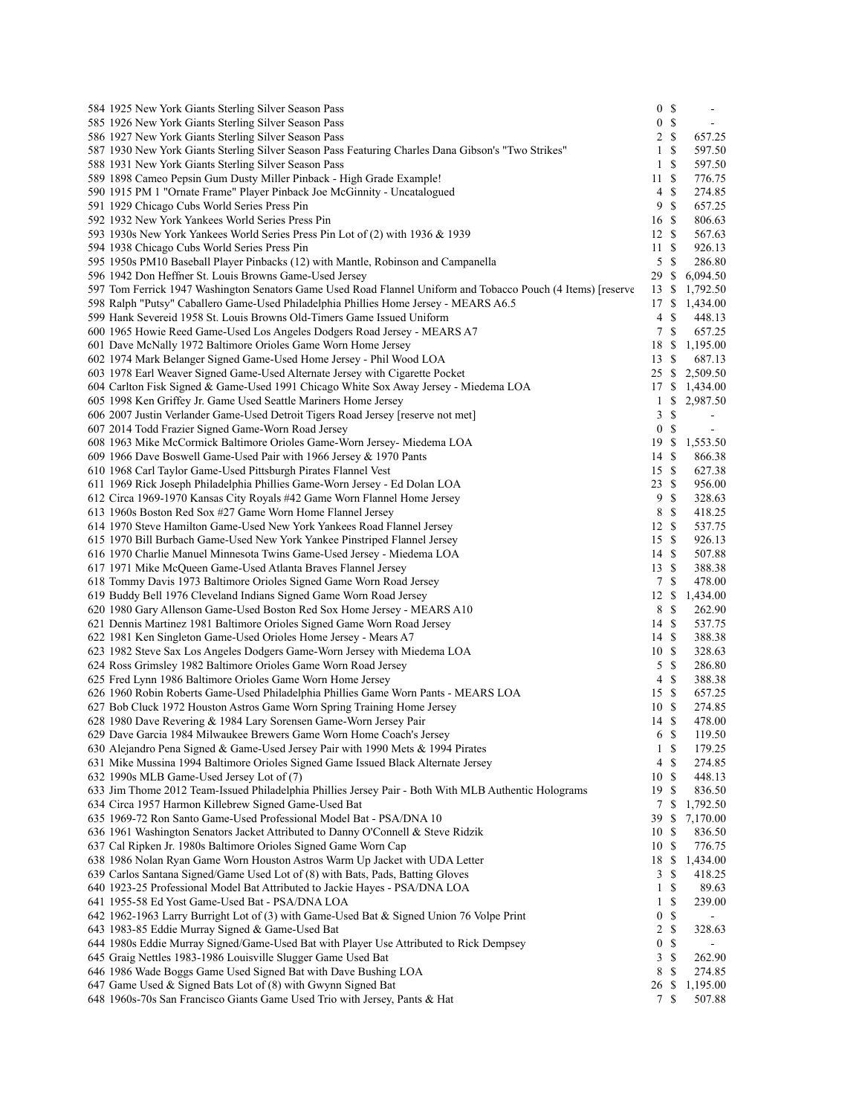| 584 1925 New York Giants Sterling Silver Season Pass                                                                                      | 0 S              |                    |                    |
|-------------------------------------------------------------------------------------------------------------------------------------------|------------------|--------------------|--------------------|
| 585 1926 New York Giants Sterling Silver Season Pass                                                                                      | $\boldsymbol{0}$ | $\mathbb{S}$       |                    |
| 586 1927 New York Giants Sterling Silver Season Pass                                                                                      | $\overline{c}$   | $\mathbb{S}$       | 657.25             |
| 587 1930 New York Giants Sterling Silver Season Pass Featuring Charles Dana Gibson's "Two Strikes"                                        | 1                | $\mathbb{S}$       | 597.50             |
| 588 1931 New York Giants Sterling Silver Season Pass                                                                                      | 1                | <sup>\$</sup>      | 597.50             |
| 589 1898 Cameo Pepsin Gum Dusty Miller Pinback - High Grade Example!                                                                      | 11               | $\mathcal{S}$      | 776.75             |
| 590 1915 PM 1 "Ornate Frame" Player Pinback Joe McGinnity - Uncatalogued                                                                  | 4                | $\mathbf S$        | 274.85             |
| 591 1929 Chicago Cubs World Series Press Pin                                                                                              | 9                | $\mathbb{S}$       | 657.25             |
| 592 1932 New York Yankees World Series Press Pin                                                                                          | 16 \$            |                    | 806.63             |
| 593 1930s New York Yankees World Series Press Pin Lot of (2) with 1936 & 1939                                                             | 12S              |                    | 567.63             |
| 594 1938 Chicago Cubs World Series Press Pin                                                                                              | 11               | $\mathbb{S}$       | 926.13             |
| 595 1950s PM10 Baseball Player Pinbacks (12) with Mantle, Robinson and Campanella                                                         | 5                | -S                 | 286.80             |
| 596 1942 Don Heffner St. Louis Browns Game-Used Jersey                                                                                    | 29               | <sup>\$</sup>      | 6,094.50           |
| 597 Tom Ferrick 1947 Washington Senators Game Used Road Flannel Uniform and Tobacco Pouch (4 Items) [reserve                              | 13S              |                    | 1,792.50           |
| 598 Ralph "Putsy" Caballero Game-Used Philadelphia Phillies Home Jersey - MEARS A6.5                                                      | 17 \$            |                    | 1,434.00           |
| 599 Hank Severeid 1958 St. Louis Browns Old-Timers Game Issued Uniform                                                                    | 4<br>7 S         | \$                 | 448.13<br>657.25   |
| 600 1965 Howie Reed Game-Used Los Angeles Dodgers Road Jersey - MEARS A7                                                                  |                  |                    |                    |
| 601 Dave McNally 1972 Baltimore Orioles Game Worn Home Jersey<br>602 1974 Mark Belanger Signed Game-Used Home Jersey - Phil Wood LOA      | 18<br>13         | -S<br>$\mathbb{S}$ | 1,195.00<br>687.13 |
| 603 1978 Earl Weaver Signed Game-Used Alternate Jersey with Cigarette Pocket                                                              |                  |                    | 25 \$ 2,509.50     |
| 604 Carlton Fisk Signed & Game-Used 1991 Chicago White Sox Away Jersey - Miedema LOA                                                      | 17S              |                    | 1,434.00           |
| 605 1998 Ken Griffey Jr. Game Used Seattle Mariners Home Jersey                                                                           | $\mathbf{1}$     | \$                 | 2,987.50           |
| 606 2007 Justin Verlander Game-Used Detroit Tigers Road Jersey [reserve not met]                                                          | 3                | $\mathbb{S}$       |                    |
| 607 2014 Todd Frazier Signed Game-Worn Road Jersey                                                                                        | $\mathbf{0}$     | $\mathbb{S}$       | $\blacksquare$     |
| 608 1963 Mike McCormick Baltimore Orioles Game-Worn Jersey- Miedema LOA                                                                   | 19               | $\mathbb{S}$       | 1,553.50           |
| 609 1966 Dave Boswell Game-Used Pair with 1966 Jersey & 1970 Pants                                                                        | 14S              |                    | 866.38             |
| 610 1968 Carl Taylor Game-Used Pittsburgh Pirates Flannel Vest                                                                            | 15S              |                    | 627.38             |
| 611 1969 Rick Joseph Philadelphia Phillies Game-Worn Jersey - Ed Dolan LOA                                                                | 23               | $\mathbb{S}$       | 956.00             |
| 612 Circa 1969-1970 Kansas City Royals #42 Game Worn Flannel Home Jersey                                                                  | 9                | $\mathbb{S}$       | 328.63             |
| 613 1960s Boston Red Sox #27 Game Worn Home Flannel Jersey                                                                                | 8                | $\mathbb{S}$       | 418.25             |
| 614 1970 Steve Hamilton Game-Used New York Yankees Road Flannel Jersey                                                                    | 12S              |                    | 537.75             |
| 615 1970 Bill Burbach Game-Used New York Yankee Pinstriped Flannel Jersey                                                                 | 15S              |                    | 926.13             |
| 616 1970 Charlie Manuel Minnesota Twins Game-Used Jersey - Miedema LOA                                                                    | 14               | -\$                | 507.88             |
| 617 1971 Mike McQueen Game-Used Atlanta Braves Flannel Jersey                                                                             | 13S              |                    | 388.38             |
| 618 Tommy Davis 1973 Baltimore Orioles Signed Game Worn Road Jersey                                                                       | 7 S              |                    | 478.00             |
| 619 Buddy Bell 1976 Cleveland Indians Signed Game Worn Road Jersey                                                                        | 12               | $\mathbb{S}$       | 1,434.00           |
| 620 1980 Gary Allenson Game-Used Boston Red Sox Home Jersey - MEARS A10                                                                   | 8                | -\$                | 262.90             |
| 621 Dennis Martinez 1981 Baltimore Orioles Signed Game Worn Road Jersey                                                                   | 14S              |                    | 537.75             |
| 622 1981 Ken Singleton Game-Used Orioles Home Jersey - Mears A7                                                                           | 14 \$            |                    | 388.38             |
| 623 1982 Steve Sax Los Angeles Dodgers Game-Worn Jersey with Miedema LOA                                                                  | 10S              |                    | 328.63             |
| 624 Ross Grimsley 1982 Baltimore Orioles Game Worn Road Jersey                                                                            | $5 \text{ }$ \$  |                    | 286.80             |
| 625 Fred Lynn 1986 Baltimore Orioles Game Worn Home Jersey                                                                                | 4                | $\mathbb{S}$       | 388.38             |
| 626 1960 Robin Roberts Game-Used Philadelphia Phillies Game Worn Pants - MEARS LOA                                                        | 15S              |                    | 657.25             |
| 627 Bob Cluck 1972 Houston Astros Game Worn Spring Training Home Jersey                                                                   | 10S<br>14S       |                    | 274.85             |
| 628 1980 Dave Revering & 1984 Lary Sorensen Game-Worn Jersey Pair<br>629 Dave Garcia 1984 Milwaukee Brewers Game Worn Home Coach's Jersey | 6S               |                    | 478.00<br>119.50   |
| 630 Alejandro Pena Signed & Game-Used Jersey Pair with 1990 Mets & 1994 Pirates                                                           |                  | $1 \text{ }$       | 179.25             |
| 631 Mike Mussina 1994 Baltimore Orioles Signed Game Issued Black Alternate Jersey                                                         | $4 \text{ }$     |                    | 274.85             |
| 632 1990s MLB Game-Used Jersey Lot of (7)                                                                                                 | 10S              |                    | 448.13             |
| 633 Jim Thome 2012 Team-Issued Philadelphia Phillies Jersey Pair - Both With MLB Authentic Holograms                                      | 19               | -\$                | 836.50             |
| 634 Circa 1957 Harmon Killebrew Signed Game-Used Bat                                                                                      |                  | 7 S                | 1,792.50           |
| 635 1969-72 Ron Santo Game-Used Professional Model Bat - PSA/DNA 10                                                                       | 39S              |                    | 7,170.00           |
| 636 1961 Washington Senators Jacket Attributed to Danny O'Connell & Steve Ridzik                                                          | 10               | \$                 | 836.50             |
| 637 Cal Ripken Jr. 1980s Baltimore Orioles Signed Game Worn Cap                                                                           | 10S              |                    | 776.75             |
| 638 1986 Nolan Ryan Game Worn Houston Astros Warm Up Jacket with UDA Letter                                                               | 18               | \$                 | 1,434.00           |
| 639 Carlos Santana Signed/Game Used Lot of (8) with Bats, Pads, Batting Gloves                                                            | 3                | S                  | 418.25             |
| 640 1923-25 Professional Model Bat Attributed to Jackie Hayes - PSA/DNA LOA                                                               | 1                | -S                 | 89.63              |
| 641 1955-58 Ed Yost Game-Used Bat - PSA/DNA LOA                                                                                           | 1                | \$                 | 239.00             |
| 642 1962-1963 Larry Burright Lot of (3) with Game-Used Bat & Signed Union 76 Volpe Print                                                  | $\boldsymbol{0}$ | $\mathbb{S}$       |                    |
| 643 1983-85 Eddie Murray Signed & Game-Used Bat                                                                                           | 2                | $\mathbb{S}$       | 328.63             |
| 644 1980s Eddie Murray Signed/Game-Used Bat with Player Use Attributed to Rick Dempsey                                                    | $\boldsymbol{0}$ | $\mathbb{S}$       | $\sim$             |
| 645 Graig Nettles 1983-1986 Louisville Slugger Game Used Bat                                                                              | 3                | \$                 | 262.90             |
| 646 1986 Wade Boggs Game Used Signed Bat with Dave Bushing LOA                                                                            | 8                | \$                 | 274.85             |
| 647 Game Used & Signed Bats Lot of (8) with Gwynn Signed Bat                                                                              | 26               | \$                 | 1,195.00           |
| 648 1960s-70s San Francisco Giants Game Used Trio with Jersey, Pants & Hat                                                                | 7 S              |                    | 507.88             |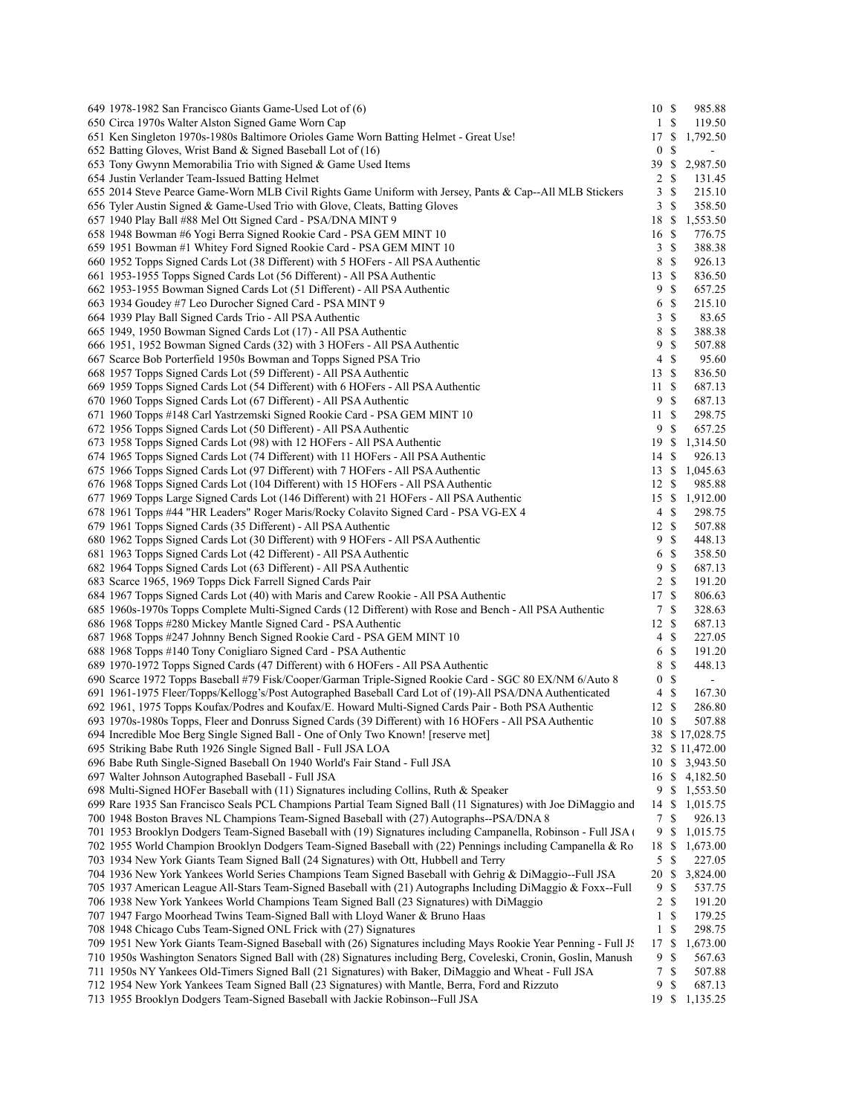| 649 1978-1982 San Francisco Giants Game-Used Lot of (6)                                                                                  | 10S             |               | 985.88           |  |
|------------------------------------------------------------------------------------------------------------------------------------------|-----------------|---------------|------------------|--|
| 650 Circa 1970s Walter Alston Signed Game Worn Cap                                                                                       | 1 \$            |               | 119.50           |  |
| 651 Ken Singleton 1970s-1980s Baltimore Orioles Game Worn Batting Helmet - Great Use!                                                    |                 |               | 17 \$ 1,792.50   |  |
| 652 Batting Gloves, Wrist Band & Signed Baseball Lot of (16)                                                                             | $\mathbf{0}$    | -S            | $\blacksquare$   |  |
| 653 Tony Gwynn Memorabilia Trio with Signed & Game Used Items                                                                            | 39 S            |               | 2,987.50         |  |
| 654 Justin Verlander Team-Issued Batting Helmet                                                                                          | 2S              |               | 131.45           |  |
| 655 2014 Steve Pearce Game-Worn MLB Civil Rights Game Uniform with Jersey, Pants & Cap--All MLB Stickers                                 | 3S              |               | 215.10           |  |
| 656 Tyler Austin Signed & Game-Used Trio with Glove, Cleats, Batting Gloves                                                              | 3               | -\$           | 358.50           |  |
| 657 1940 Play Ball #88 Mel Ott Signed Card - PSA/DNA MINT 9                                                                              | 18 \$           |               | 1,553.50         |  |
| 658 1948 Bowman #6 Yogi Berra Signed Rookie Card - PSA GEM MINT 10                                                                       | 16S             |               | 776.75           |  |
| 659 1951 Bowman #1 Whitey Ford Signed Rookie Card - PSA GEM MINT 10                                                                      | 3S              |               | 388.38           |  |
| 660 1952 Topps Signed Cards Lot (38 Different) with 5 HOFers - All PSA Authentic                                                         | 8               | $\mathcal{S}$ | 926.13           |  |
| 661 1953-1955 Topps Signed Cards Lot (56 Different) - All PSA Authentic                                                                  | 13S             |               | 836.50           |  |
| 662 1953-1955 Bowman Signed Cards Lot (51 Different) - All PSA Authentic                                                                 | 9               | -S            | 657.25           |  |
| 663 1934 Goudey #7 Leo Durocher Signed Card - PSA MINT 9                                                                                 | 6               | -S            | 215.10           |  |
| 664 1939 Play Ball Signed Cards Trio - All PSA Authentic                                                                                 | 3               | <sup>\$</sup> | 83.65            |  |
| 665 1949, 1950 Bowman Signed Cards Lot (17) - All PSA Authentic                                                                          | 8               | -\$           | 388.38           |  |
| 666 1951, 1952 Bowman Signed Cards (32) with 3 HOFers - All PSA Authentic                                                                | 9               | <sup>\$</sup> | 507.88           |  |
| 667 Scarce Bob Porterfield 1950s Bowman and Topps Signed PSA Trio                                                                        | 4               | -S            | 95.60            |  |
| 668 1957 Topps Signed Cards Lot (59 Different) - All PSA Authentic                                                                       | 13S             |               | 836.50           |  |
| 669 1959 Topps Signed Cards Lot (54 Different) with 6 HOFers - All PSA Authentic                                                         | 11S             |               | 687.13           |  |
| 670 1960 Topps Signed Cards Lot (67 Different) - All PSA Authentic                                                                       | 9S              |               | 687.13           |  |
| 671 1960 Topps #148 Carl Yastrzemski Signed Rookie Card - PSA GEM MINT 10                                                                | 11S             |               | 298.75           |  |
| 672 1956 Topps Signed Cards Lot (50 Different) - All PSA Authentic                                                                       | 9S              |               | 657.25           |  |
| 673 1958 Topps Signed Cards Lot (98) with 12 HOFers - All PSA Authentic                                                                  | 19S             |               | 1,314.50         |  |
| 674 1965 Topps Signed Cards Lot (74 Different) with 11 HOFers - All PSA Authentic                                                        | 14S             |               | 926.13           |  |
| 675 1966 Topps Signed Cards Lot (97 Different) with 7 HOFers - All PSA Authentic                                                         | 13S             |               | 1,045.63         |  |
| 676 1968 Topps Signed Cards Lot (104 Different) with 15 HOFers - All PSA Authentic                                                       | 12S             |               | 985.88           |  |
| 677 1969 Topps Large Signed Cards Lot (146 Different) with 21 HOFers - All PSA Authentic                                                 | 15S             |               | 1,912.00         |  |
| 678 1961 Topps #44 "HR Leaders" Roger Maris/Rocky Colavito Signed Card - PSA VG-EX 4                                                     | 4S              |               | 298.75           |  |
| 679 1961 Topps Signed Cards (35 Different) - All PSA Authentic                                                                           | 12S             |               | 507.88           |  |
| 680 1962 Topps Signed Cards Lot (30 Different) with 9 HOFers - All PSA Authentic                                                         | 9\$             |               | 448.13           |  |
| 681 1963 Topps Signed Cards Lot (42 Different) - All PSA Authentic                                                                       | 6               | \$            | 358.50           |  |
| 682 1964 Topps Signed Cards Lot (63 Different) - All PSA Authentic                                                                       | 9               | $\mathbb{S}$  | 687.13           |  |
| 683 Scarce 1965, 1969 Topps Dick Farrell Signed Cards Pair                                                                               | 2 <sub>s</sub>  |               | 191.20           |  |
| 684 1967 Topps Signed Cards Lot (40) with Maris and Carew Rookie - All PSA Authentic                                                     | 17S             |               | 806.63           |  |
| 685 1960s-1970s Topps Complete Multi-Signed Cards (12 Different) with Rose and Bench - All PSA Authentic                                 | 7S              |               | 328.63           |  |
| 686 1968 Topps #280 Mickey Mantle Signed Card - PSA Authentic                                                                            | 12S             |               | 687.13           |  |
| 687 1968 Topps #247 Johnny Bench Signed Rookie Card - PSA GEM MINT 10<br>688 1968 Topps #140 Tony Conigliaro Signed Card - PSA Authentic | 4S<br>6         | - \$          | 227.05<br>191.20 |  |
| 689 1970-1972 Topps Signed Cards (47 Different) with 6 HOFers - All PSA Authentic                                                        | 8               | $\mathcal{S}$ | 448.13           |  |
| 690 Scarce 1972 Topps Baseball #79 Fisk/Cooper/Garman Triple-Signed Rookie Card - SGC 80 EX/NM 6/Auto 8                                  | $\overline{0}$  | -\$           | $\blacksquare$   |  |
| 691 1961-1975 Fleer/Topps/Kellogg's/Post Autographed Baseball Card Lot of (19)-All PSA/DNA Authenticated                                 | $4 \text{ }$ \$ |               | 167.30           |  |
| 692 1961, 1975 Topps Koufax/Podres and Koufax/E. Howard Multi-Signed Cards Pair - Both PSA Authentic                                     | 12S             |               | 286.80           |  |
| 693 1970s-1980s Topps, Fleer and Donruss Signed Cards (39 Different) with 16 HOFers - All PSA Authentic                                  | 10S             |               | 507.88           |  |
| 694 Incredible Moe Berg Single Signed Ball - One of Only Two Known! [reserve met]                                                        |                 |               | 38 \$17,028.75   |  |
| 695 Striking Babe Ruth 1926 Single Signed Ball - Full JSA LOA                                                                            |                 |               | 32 \$ 11,472.00  |  |
| 696 Babe Ruth Single-Signed Baseball On 1940 World's Fair Stand - Full JSA                                                               |                 |               | 10 \$ 3,943.50   |  |
| 697 Walter Johnson Autographed Baseball - Full JSA                                                                                       |                 |               | 16 \$ 4,182.50   |  |
| 698 Multi-Signed HOFer Baseball with $(11)$ Signatures including Collins, Ruth & Speaker                                                 |                 |               | 9 \$ 1,553.50    |  |
| 699 Rare 1935 San Francisco Seals PCL Champions Partial Team Signed Ball (11 Signatures) with Joe DiMaggio and                           |                 |               | 14 \$ 1,015.75   |  |
| 700 1948 Boston Braves NL Champions Team-Signed Baseball with (27) Autographs--PSA/DNA 8                                                 | 7 \$            |               | 926.13           |  |
| 701 1953 Brooklyn Dodgers Team-Signed Baseball with (19) Signatures including Campanella, Robinson - Full JSA (                          | 9 \$            |               | 1,015.75         |  |
| 702 1955 World Champion Brooklyn Dodgers Team-Signed Baseball with (22) Pennings including Campanella & Ro                               | 18 \$           |               | 1,673.00         |  |
| 703 1934 New York Giants Team Signed Ball (24 Signatures) with Ott, Hubbell and Terry                                                    | 5 \$            |               | 227.05           |  |
| 704 1936 New York Yankees World Series Champions Team Signed Baseball with Gehrig & DiMaggio--Full JSA                                   | 20 \$           |               | 3,824.00         |  |
| 705 1937 American League All-Stars Team-Signed Baseball with (21) Autographs Including DiMaggio & Foxx--Full                             | 9               | -S            | 537.75           |  |
| 706 1938 New York Yankees World Champions Team Signed Ball (23 Signatures) with DiMaggio                                                 | 2               | -\$           | 191.20           |  |
| 707 1947 Fargo Moorhead Twins Team-Signed Ball with Lloyd Waner & Bruno Haas                                                             | 1               | <sup>\$</sup> | 179.25           |  |
| 708 1948 Chicago Cubs Team-Signed ONL Frick with (27) Signatures                                                                         | 1 <sup>5</sup>  |               | 298.75           |  |
| 709 1951 New York Giants Team-Signed Baseball with (26) Signatures including Mays Rookie Year Penning - Full JS                          | 17S             |               | 1,673.00         |  |
| 710 1950s Washington Senators Signed Ball with (28) Signatures including Berg, Coveleski, Cronin, Goslin, Manush                         | 9               | \$            | 567.63           |  |
| 711 1950s NY Yankees Old-Timers Signed Ball (21 Signatures) with Baker, DiMaggio and Wheat - Full JSA                                    | 7               | $\mathbb{S}$  | 507.88           |  |
| 712 1954 New York Yankees Team Signed Ball (23 Signatures) with Mantle, Berra, Ford and Rizzuto                                          | 9               | \$            | 687.13           |  |
| 713 1955 Brooklyn Dodgers Team-Signed Baseball with Jackie Robinson--Full JSA                                                            |                 |               | 19 \$ 1,135.25   |  |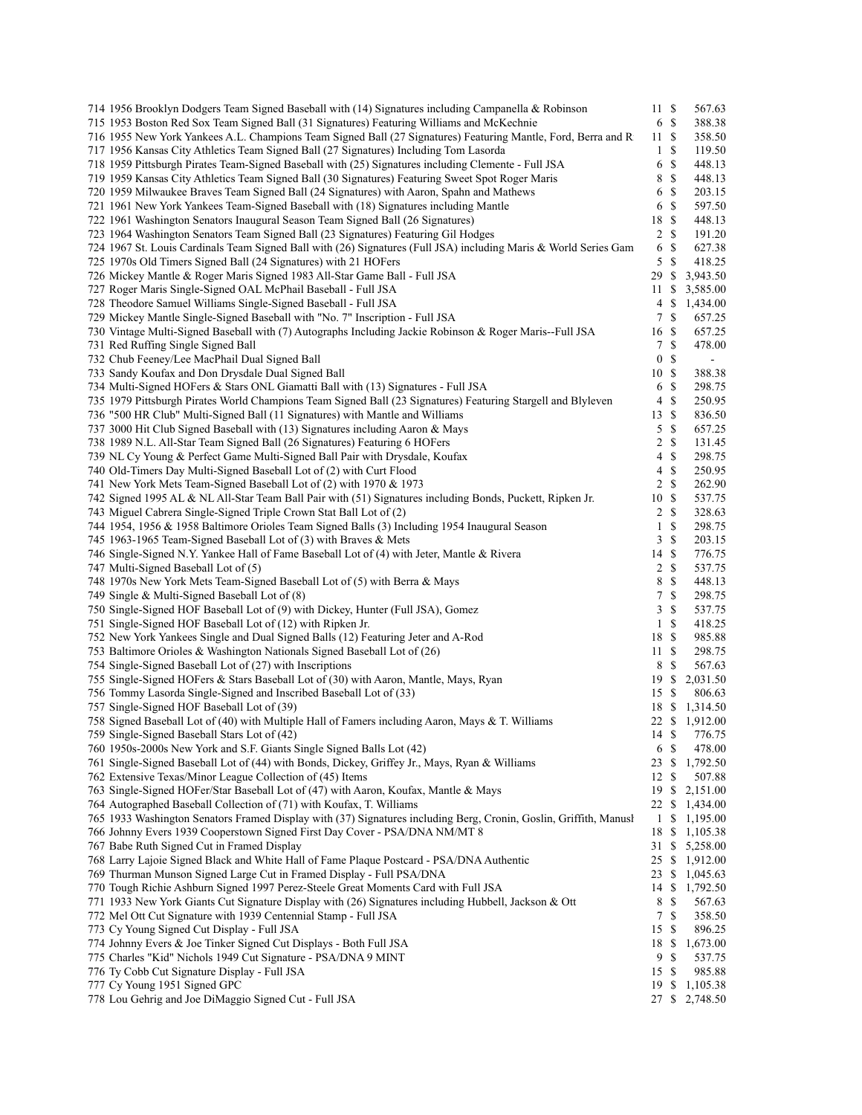| 714 1956 Brooklyn Dodgers Team Signed Baseball with (14) Signatures including Campanella & Robinson               | 11S              |               | 567.63                   |
|-------------------------------------------------------------------------------------------------------------------|------------------|---------------|--------------------------|
| 715 1953 Boston Red Sox Team Signed Ball (31 Signatures) Featuring Williams and McKechnie                         | 6S               |               | 388.38                   |
| 716 1955 New York Yankees A.L. Champions Team Signed Ball (27 Signatures) Featuring Mantle, Ford, Berra and R     | 11S              |               | 358.50                   |
| 717 1956 Kansas City Athletics Team Signed Ball (27 Signatures) Including Tom Lasorda                             | $\mathbf{1}$     | <sup>\$</sup> | 119.50                   |
| 718 1959 Pittsburgh Pirates Team-Signed Baseball with (25) Signatures including Clemente - Full JSA               | 6                | $\mathbb{S}$  | 448.13                   |
| 719 1959 Kansas City Athletics Team Signed Ball (30 Signatures) Featuring Sweet Spot Roger Maris                  | 8                | <sup>\$</sup> | 448.13                   |
| 720 1959 Milwaukee Braves Team Signed Ball (24 Signatures) with Aaron, Spahn and Mathews                          | 6                | $\mathbb{S}$  | 203.15                   |
| 721 1961 New York Yankees Team-Signed Baseball with (18) Signatures including Mantle                              | 6                | $\mathbf S$   | 597.50                   |
| 722 1961 Washington Senators Inaugural Season Team Signed Ball (26 Signatures)                                    | 18               | $\mathbf S$   | 448.13                   |
| 723 1964 Washington Senators Team Signed Ball (23 Signatures) Featuring Gil Hodges                                | $\overline{2}$   | $\mathcal{S}$ | 191.20                   |
| 724 1967 St. Louis Cardinals Team Signed Ball with (26) Signatures (Full JSA) including Maris & World Series Gam  | 6                | $\mathbb{S}$  | 627.38                   |
| 725 1970s Old Timers Signed Ball (24 Signatures) with 21 HOFers                                                   | 5S               |               | 418.25                   |
| 726 Mickey Mantle & Roger Maris Signed 1983 All-Star Game Ball - Full JSA                                         | 29               | -S            | 3,943.50                 |
| 727 Roger Maris Single-Signed OAL McPhail Baseball - Full JSA                                                     | 11S              |               | 3,585.00                 |
|                                                                                                                   |                  |               |                          |
| 728 Theodore Samuel Williams Single-Signed Baseball - Full JSA                                                    | 4                | - \$          | 1,434.00                 |
| 729 Mickey Mantle Single-Signed Baseball with "No. 7" Inscription - Full JSA                                      | 7S               |               | 657.25                   |
| 730 Vintage Multi-Signed Baseball with (7) Autographs Including Jackie Robinson & Roger Maris--Full JSA           | 16 \$            |               | 657.25                   |
| 731 Red Ruffing Single Signed Ball                                                                                | 7S               |               | 478.00                   |
| 732 Chub Feeney/Lee MacPhail Dual Signed Ball                                                                     | $\boldsymbol{0}$ | $\mathbf S$   | $\overline{\phantom{a}}$ |
| 733 Sandy Koufax and Don Drysdale Dual Signed Ball                                                                | 10               | - \$          | 388.38                   |
| 734 Multi-Signed HOFers & Stars ONL Giamatti Ball with (13) Signatures - Full JSA                                 | 6                | $\mathbb{S}$  | 298.75                   |
| 735 1979 Pittsburgh Pirates World Champions Team Signed Ball (23 Signatures) Featuring Stargell and Blyleven      | $\overline{4}$   | $\mathcal{S}$ | 250.95                   |
| 736 "500 HR Club" Multi-Signed Ball (11 Signatures) with Mantle and Williams                                      | 13               | <sup>\$</sup> | 836.50                   |
| 737 3000 Hit Club Signed Baseball with (13) Signatures including Aaron & Mays                                     | 5                | $\mathcal{S}$ | 657.25                   |
| 738 1989 N.L. All-Star Team Signed Ball (26 Signatures) Featuring 6 HOFers                                        | 2 S              |               | 131.45                   |
| 739 NL Cy Young & Perfect Game Multi-Signed Ball Pair with Drysdale, Koufax                                       | 4                | - S           | 298.75                   |
| 740 Old-Timers Day Multi-Signed Baseball Lot of (2) with Curt Flood                                               | 4                | $\mathbb{S}$  | 250.95                   |
| 741 New York Mets Team-Signed Baseball Lot of (2) with 1970 & 1973                                                | 2 S              |               | 262.90                   |
| 742 Signed 1995 AL & NL All-Star Team Ball Pair with (51) Signatures including Bonds, Puckett, Ripken Jr.         | 10               | $\mathbb{S}$  | 537.75                   |
|                                                                                                                   |                  | $\mathcal{S}$ |                          |
| 743 Miguel Cabrera Single-Signed Triple Crown Stat Ball Lot of (2)                                                | $\overline{c}$   |               | 328.63                   |
| 744 1954, 1956 & 1958 Baltimore Orioles Team Signed Balls (3) Including 1954 Inaugural Season                     | $\mathbf{1}$     | $\mathbb{S}$  | 298.75                   |
| 745 1963-1965 Team-Signed Baseball Lot of (3) with Braves & Mets                                                  | 3S               |               | 203.15                   |
| 746 Single-Signed N.Y. Yankee Hall of Fame Baseball Lot of (4) with Jeter, Mantle & Rivera                        | 14S              |               | 776.75                   |
| 747 Multi-Signed Baseball Lot of (5)                                                                              | $\overline{c}$   | $\mathbb{S}$  | 537.75                   |
| 748 1970s New York Mets Team-Signed Baseball Lot of (5) with Berra & Mays                                         | 8                | $\mathbb{S}$  | 448.13                   |
| 749 Single & Multi-Signed Baseball Lot of (8)                                                                     | 7                | <sup>\$</sup> | 298.75                   |
| 750 Single-Signed HOF Baseball Lot of (9) with Dickey, Hunter (Full JSA), Gomez                                   | 3                | -S            | 537.75                   |
| 751 Single-Signed HOF Baseball Lot of (12) with Ripken Jr.                                                        | $\mathbf{1}$     | $\mathbb{S}$  | 418.25                   |
| 752 New York Yankees Single and Dual Signed Balls (12) Featuring Jeter and A-Rod                                  | 18               | -\$           | 985.88                   |
| 753 Baltimore Orioles & Washington Nationals Signed Baseball Lot of (26)                                          | 11S              |               | 298.75                   |
| 754 Single-Signed Baseball Lot of (27) with Inscriptions                                                          | 8                | $\mathcal{S}$ | 567.63                   |
| 755 Single-Signed HOFers & Stars Baseball Lot of (30) with Aaron, Mantle, Mays, Ryan                              | 19S              |               | 2,031.50                 |
| 756 Tommy Lasorda Single-Signed and Inscribed Baseball Lot of (33)                                                | 15S              |               | 806.63                   |
| 757 Single-Signed HOF Baseball Lot of (39)                                                                        | 18S              |               | 1,314.50                 |
| 758 Signed Baseball Lot of (40) with Multiple Hall of Famers including Aaron, Mays & T. Williams                  |                  |               | 22 \$ 1,912.00           |
| 759 Single-Signed Baseball Stars Lot of (42)                                                                      |                  |               | 14 \$ 776.75             |
| 760 1950s-2000s New York and S.F. Giants Single Signed Balls Lot (42)                                             | 6 \$             |               | 478.00                   |
| 761 Single-Signed Baseball Lot of (44) with Bonds, Dickey, Griffey Jr., Mays, Ryan & Williams                     |                  |               | 23 \$ 1,792.50           |
| 762 Extensive Texas/Minor League Collection of (45) Items                                                         | 12S              |               | 507.88                   |
| 763 Single-Signed HOFer/Star Baseball Lot of (47) with Aaron, Koufax, Mantle & Mays                               | 19S              |               |                          |
|                                                                                                                   |                  |               | 2,151.00                 |
| 764 Autographed Baseball Collection of (71) with Koufax, T. Williams                                              | 22 \$            |               | 1,434.00                 |
| 765 1933 Washington Senators Framed Display with (37) Signatures including Berg, Cronin, Goslin, Griffith, Manush |                  |               | $1 \quad $1,195.00$      |
| 766 Johnny Evers 1939 Cooperstown Signed First Day Cover - PSA/DNA NM/MT 8                                        |                  |               | 18 \$ 1,105.38           |
| 767 Babe Ruth Signed Cut in Framed Display                                                                        |                  |               | 31 \$ 5,258.00           |
| 768 Larry Lajoie Signed Black and White Hall of Fame Plaque Postcard - PSA/DNA Authentic                          |                  |               | 25 \$ 1,912.00           |
| 769 Thurman Munson Signed Large Cut in Framed Display - Full PSA/DNA                                              |                  |               | 23 \$ 1,045.63           |
| 770 Tough Richie Ashburn Signed 1997 Perez-Steele Great Moments Card with Full JSA                                |                  |               | 14 \$ 1,792.50           |
| 771 1933 New York Giants Cut Signature Display with (26) Signatures including Hubbell, Jackson & Ott              | 8                | -S            | 567.63                   |
| 772 Mel Ott Cut Signature with 1939 Centennial Stamp - Full JSA                                                   | 7S               |               | 358.50                   |
| 773 Cy Young Signed Cut Display - Full JSA                                                                        | 15 \$            |               | 896.25                   |
| 774 Johnny Evers & Joe Tinker Signed Cut Displays - Both Full JSA                                                 | 18 \$            |               | 1,673.00                 |
| 775 Charles "Kid" Nichols 1949 Cut Signature - PSA/DNA 9 MINT                                                     | 9                | -S            | 537.75                   |
| 776 Ty Cobb Cut Signature Display - Full JSA                                                                      | 15S              |               | 985.88                   |
| 777 Cy Young 1951 Signed GPC                                                                                      | 19               | \$            | 1,105.38                 |
| 778 Lou Gehrig and Joe DiMaggio Signed Cut - Full JSA                                                             |                  |               | 27 \$ 2,748.50           |
|                                                                                                                   |                  |               |                          |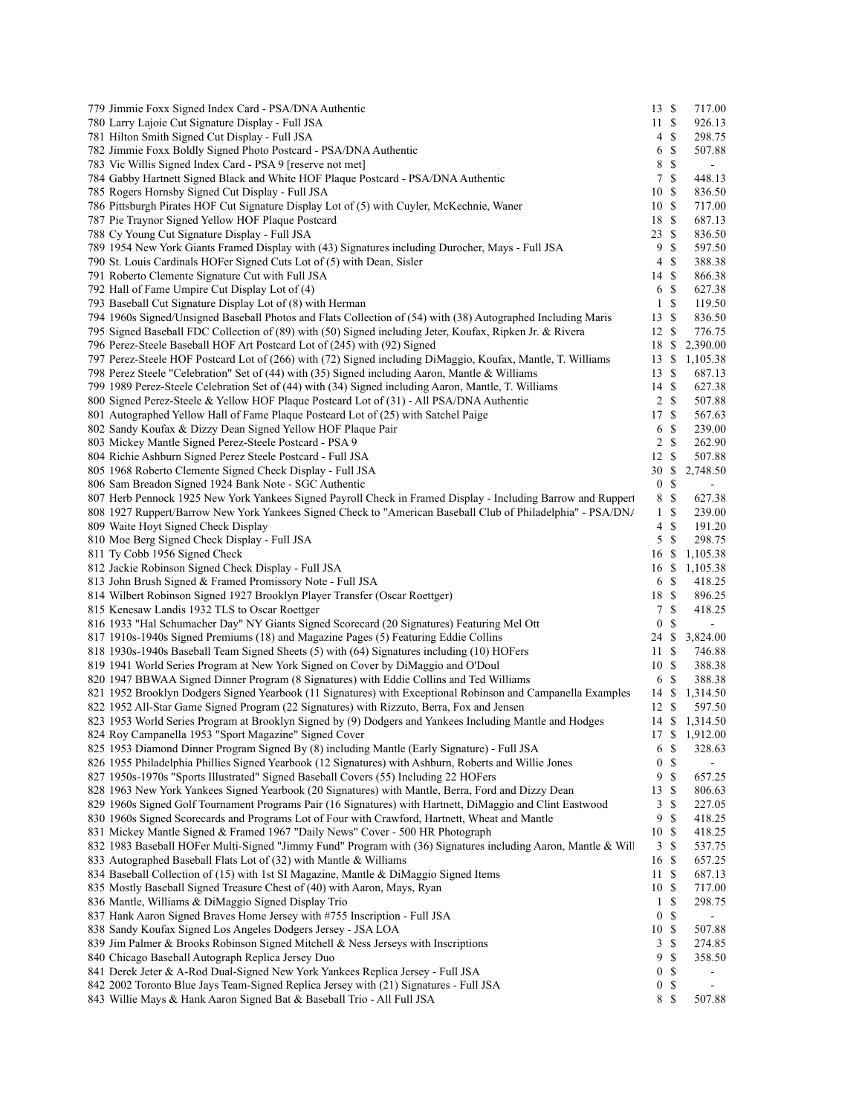| 779 Jimmie Foxx Signed Index Card - PSA/DNA Authentic                                                                                                                                                                       | 13S                   |               | 717.00           |
|-----------------------------------------------------------------------------------------------------------------------------------------------------------------------------------------------------------------------------|-----------------------|---------------|------------------|
| 780 Larry Lajoie Cut Signature Display - Full JSA                                                                                                                                                                           | 11S                   |               | 926.13           |
| 781 Hilton Smith Signed Cut Display - Full JSA                                                                                                                                                                              | 4S                    |               | 298.75           |
| 782 Jimmie Foxx Boldly Signed Photo Postcard - PSA/DNA Authentic                                                                                                                                                            | 6                     | \$            | 507.88           |
| 783 Vic Willis Signed Index Card - PSA 9 [reserve not met]                                                                                                                                                                  | 8                     | \$            |                  |
| 784 Gabby Hartnett Signed Black and White HOF Plaque Postcard - PSA/DNA Authentic                                                                                                                                           | 7                     | \$            | 448.13           |
| 785 Rogers Hornsby Signed Cut Display - Full JSA                                                                                                                                                                            | 10                    | S             | 836.50           |
| 786 Pittsburgh Pirates HOF Cut Signature Display Lot of (5) with Cuyler, McKechnie, Waner                                                                                                                                   | 10S                   |               | 717.00           |
| 787 Pie Traynor Signed Yellow HOF Plaque Postcard                                                                                                                                                                           | 18 \$                 |               | 687.13           |
| 788 Cy Young Cut Signature Display - Full JSA                                                                                                                                                                               | 23                    | <sup>\$</sup> | 836.50           |
| 789 1954 New York Giants Framed Display with (43) Signatures including Durocher, Mays - Full JSA                                                                                                                            | 9                     | \$            | 597.50           |
| 790 St. Louis Cardinals HOFer Signed Cuts Lot of (5) with Dean, Sisler                                                                                                                                                      | 4                     | <sup>\$</sup> | 388.38           |
| 791 Roberto Clemente Signature Cut with Full JSA                                                                                                                                                                            | 14 \$                 |               | 866.38           |
| 792 Hall of Fame Umpire Cut Display Lot of (4)                                                                                                                                                                              | 6                     | \$            | 627.38           |
| 793 Baseball Cut Signature Display Lot of (8) with Herman                                                                                                                                                                   | $\mathbf{1}$          | \$            | 119.50           |
| 794 1960s Signed/Unsigned Baseball Photos and Flats Collection of (54) with (38) Autographed Including Maris                                                                                                                | 13S                   |               | 836.50           |
| 795 Signed Baseball FDC Collection of (89) with (50) Signed including Jeter, Koufax, Ripken Jr. & Rivera                                                                                                                    | 12S                   |               | 776.75           |
| 796 Perez-Steele Baseball HOF Art Postcard Lot of (245) with (92) Signed                                                                                                                                                    | 18                    | \$            | 2,390.00         |
| 797 Perez-Steele HOF Postcard Lot of (266) with (72) Signed including DiMaggio, Koufax, Mantle, T. Williams                                                                                                                 | 13                    | \$            | 1,105.38         |
| 798 Perez Steele "Celebration" Set of (44) with (35) Signed including Aaron, Mantle & Williams                                                                                                                              | 13S                   |               | 687.13           |
| 799 1989 Perez-Steele Celebration Set of (44) with (34) Signed including Aaron, Mantle, T. Williams                                                                                                                         | 14S                   |               | 627.38           |
| 800 Signed Perez-Steele & Yellow HOF Plaque Postcard Lot of (31) - All PSA/DNA Authentic                                                                                                                                    | 2S                    |               | 507.88           |
| 801 Autographed Yellow Hall of Fame Plaque Postcard Lot of (25) with Satchel Paige                                                                                                                                          | 17S                   |               | 567.63           |
| 802 Sandy Koufax & Dizzy Dean Signed Yellow HOF Plaque Pair                                                                                                                                                                 | 6                     | $\mathbf S$   | 239.00           |
| 803 Mickey Mantle Signed Perez-Steele Postcard - PSA 9                                                                                                                                                                      | 2                     | \$            | 262.90           |
| 804 Richie Ashburn Signed Perez Steele Postcard - Full JSA                                                                                                                                                                  | 12                    | - \$          | 507.88           |
| 805 1968 Roberto Clemente Signed Check Display - Full JSA                                                                                                                                                                   | 30                    | <sup>\$</sup> | 2,748.50         |
| 806 Sam Breadon Signed 1924 Bank Note - SGC Authentic                                                                                                                                                                       | $\bf{0}$              | \$<br>\$      |                  |
| 807 Herb Pennock 1925 New York Yankees Signed Payroll Check in Framed Display - Including Barrow and Ruppert<br>808 1927 Ruppert/Barrow New York Yankees Signed Check to "American Baseball Club of Philadelphia" - PSA/DN/ | 8<br>1                | \$            | 627.38<br>239.00 |
| 809 Waite Hoyt Signed Check Display                                                                                                                                                                                         | 4                     | \$            | 191.20           |
| 810 Moe Berg Signed Check Display - Full JSA                                                                                                                                                                                | 5S                    |               | 298.75           |
| 811 Ty Cobb 1956 Signed Check                                                                                                                                                                                               | 16 \$                 |               | 1,105.38         |
| 812 Jackie Robinson Signed Check Display - Full JSA                                                                                                                                                                         | 16 \$                 |               | 1,105.38         |
| 813 John Brush Signed & Framed Promissory Note - Full JSA                                                                                                                                                                   | 6 <sup>°</sup>        |               | 418.25           |
| 814 Wilbert Robinson Signed 1927 Brooklyn Player Transfer (Oscar Roettger)                                                                                                                                                  | 18 \$                 |               | 896.25           |
| 815 Kenesaw Landis 1932 TLS to Oscar Roettger                                                                                                                                                                               | 7                     | \$            | 418.25           |
| 816 1933 "Hal Schumacher Day" NY Giants Signed Scorecard (20 Signatures) Featuring Mel Ott                                                                                                                                  | $\boldsymbol{0}$      | \$            | $\blacksquare$   |
| 817 1910s-1940s Signed Premiums (18) and Magazine Pages (5) Featuring Eddie Collins                                                                                                                                         | 24 S                  |               | 3,824.00         |
| 818 1930s-1940s Baseball Team Signed Sheets (5) with (64) Signatures including (10) HOFers                                                                                                                                  | 11S                   |               | 746.88           |
| 819 1941 World Series Program at New York Signed on Cover by DiMaggio and O'Doul                                                                                                                                            | 10S                   |               | 388.38           |
| 820 1947 BBWAA Signed Dinner Program (8 Signatures) with Eddie Collins and Ted Williams                                                                                                                                     | 6                     | <sup>\$</sup> | 388.38           |
| 821 1952 Brooklyn Dodgers Signed Yearbook (11 Signatures) with Exceptional Robinson and Campanella Examples                                                                                                                 | 14 S                  |               | 1,314.50         |
| 822 1952 All-Star Game Signed Program (22 Signatures) with Rizzuto, Berra, Fox and Jensen                                                                                                                                   | 12S                   |               | 597.50           |
| 823 1953 World Series Program at Brooklyn Signed by (9) Dodgers and Yankees Including Mantle and Hodges                                                                                                                     |                       |               | 14 \$ 1,314.50   |
| 824 Roy Campanella 1953 "Sport Magazine" Signed Cover                                                                                                                                                                       |                       |               | 17 \$ 1,912.00   |
| 825 1953 Diamond Dinner Program Signed By (8) including Mantle (Early Signature) - Full JSA                                                                                                                                 | 6                     | \$            | 328.63           |
| 826 1955 Philadelphia Phillies Signed Yearbook (12 Signatures) with Ashburn, Roberts and Willie Jones                                                                                                                       | 0                     | \$            |                  |
| 827 1950s-1970s "Sports Illustrated" Signed Baseball Covers (55) Including 22 HOFers                                                                                                                                        | 9                     | \$            | 657.25           |
| 828 1963 New York Yankees Signed Yearbook (20 Signatures) with Mantle, Berra, Ford and Dizzy Dean                                                                                                                           | 13                    | \$            | 806.63           |
| 829 1960s Signed Golf Tournament Programs Pair (16 Signatures) with Hartnett, DiMaggio and Clint Eastwood                                                                                                                   | 3                     | \$            | 227.05           |
| 830 1960s Signed Scorecards and Programs Lot of Four with Crawford, Hartnett, Wheat and Mantle                                                                                                                              | 9                     | \$            | 418.25           |
| 831 Mickey Mantle Signed & Framed 1967 "Daily News" Cover - 500 HR Photograph                                                                                                                                               | 10                    | \$            | 418.25           |
| 832 1983 Baseball HOFer Multi-Signed "Jimmy Fund" Program with (36) Signatures including Aaron, Mantle & Will                                                                                                               | $\mathbf{3}$          | \$            | 537.75           |
| 833 Autographed Baseball Flats Lot of (32) with Mantle & Williams                                                                                                                                                           | 16                    | <sup>\$</sup> | 657.25           |
| 834 Baseball Collection of (15) with 1st SI Magazine, Mantle & DiMaggio Signed Items                                                                                                                                        | 11                    | -S            | 687.13           |
| 835 Mostly Baseball Signed Treasure Chest of (40) with Aaron, Mays, Ryan                                                                                                                                                    | 10S                   |               | 717.00           |
| 836 Mantle, Williams & DiMaggio Signed Display Trio                                                                                                                                                                         | $\mathbf{1}$          | S             | 298.75           |
| 837 Hank Aaron Signed Braves Home Jersey with #755 Inscription - Full JSA                                                                                                                                                   | $\boldsymbol{0}$      | \$            |                  |
| 838 Sandy Koufax Signed Los Angeles Dodgers Jersey - JSA LOA                                                                                                                                                                | 10 \$                 |               | 507.88           |
| 839 Jim Palmer & Brooks Robinson Signed Mitchell & Ness Jerseys with Inscriptions                                                                                                                                           | 3                     | \$            | 274.85           |
| 840 Chicago Baseball Autograph Replica Jersey Duo                                                                                                                                                                           | 9<br>$\boldsymbol{0}$ | \$<br>\$      | 358.50           |
| 841 Derek Jeter & A-Rod Dual-Signed New York Yankees Replica Jersey - Full JSA<br>842 2002 Toronto Blue Jays Team-Signed Replica Jersey with (21) Signatures - Full JSA                                                     | 0                     | \$            |                  |
| 843 Willie Mays & Hank Aaron Signed Bat & Baseball Trio - All Full JSA                                                                                                                                                      | 8 \$                  |               | 507.88           |
|                                                                                                                                                                                                                             |                       |               |                  |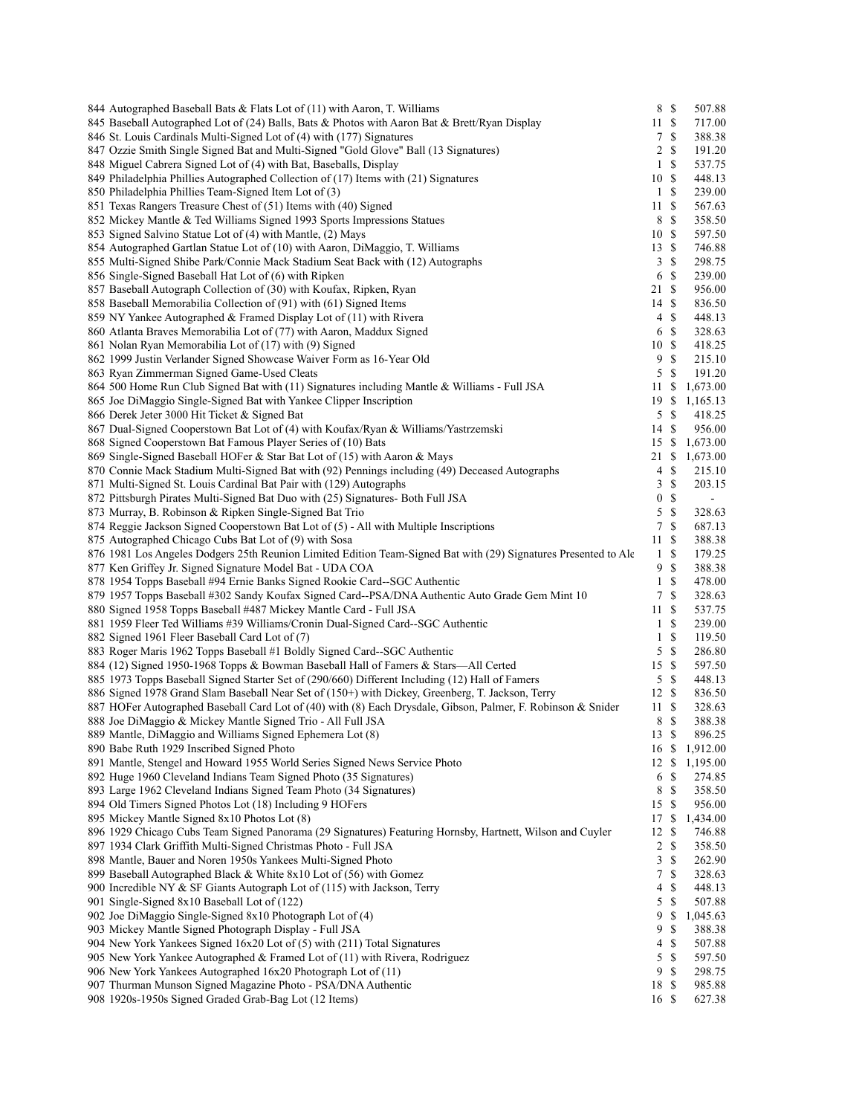| 844 Autographed Baseball Bats & Flats Lot of (11) with Aaron, T. Williams                                       | 8 \$             |               | 507.88         |
|-----------------------------------------------------------------------------------------------------------------|------------------|---------------|----------------|
| 845 Baseball Autographed Lot of (24) Balls, Bats & Photos with Aaron Bat & Brett/Ryan Display                   | 11S              |               | 717.00         |
| 846 St. Louis Cardinals Multi-Signed Lot of (4) with (177) Signatures                                           | 7                | $\mathbb{S}$  | 388.38         |
| 847 Ozzie Smith Single Signed Bat and Multi-Signed "Gold Glove" Ball (13 Signatures)                            | 2S               |               | 191.20         |
| 848 Miguel Cabrera Signed Lot of (4) with Bat, Baseballs, Display                                               | $\mathbf{1}$     | $\mathbf S$   | 537.75         |
| 849 Philadelphia Phillies Autographed Collection of (17) Items with (21) Signatures                             | 10S              |               | 448.13         |
| 850 Philadelphia Phillies Team-Signed Item Lot of (3)                                                           | $\mathbf{1}$     | $\mathbf S$   | 239.00         |
| 851 Texas Rangers Treasure Chest of (51) Items with (40) Signed                                                 | 11               | <sup>\$</sup> | 567.63         |
| 852 Mickey Mantle & Ted Williams Signed 1993 Sports Impressions Statues                                         | 8                | $\mathbf S$   | 358.50         |
| 853 Signed Salvino Statue Lot of (4) with Mantle, (2) Mays                                                      | 10S              |               | 597.50         |
| 854 Autographed Gartlan Statue Lot of (10) with Aaron, DiMaggio, T. Williams                                    | 13S              |               | 746.88         |
| 855 Multi-Signed Shibe Park/Connie Mack Stadium Seat Back with (12) Autographs                                  | 3S               |               | 298.75         |
| 856 Single-Signed Baseball Hat Lot of (6) with Ripken                                                           | 6                | $\mathbb{S}$  | 239.00         |
| 857 Baseball Autograph Collection of (30) with Koufax, Ripken, Ryan                                             | 21S              |               | 956.00         |
| 858 Baseball Memorabilia Collection of (91) with (61) Signed Items                                              | 14S              |               | 836.50         |
| 859 NY Yankee Autographed & Framed Display Lot of (11) with Rivera                                              | $4 \text{ }$ \$  |               | 448.13         |
| 860 Atlanta Braves Memorabilia Lot of (77) with Aaron, Maddux Signed                                            | 6                | $\mathcal{S}$ | 328.63         |
| 861 Nolan Ryan Memorabilia Lot of (17) with (9) Signed                                                          | 10S              |               | 418.25         |
| 862 1999 Justin Verlander Signed Showcase Waiver Form as 16-Year Old                                            | 9                | $\mathbf S$   | 215.10         |
| 863 Ryan Zimmerman Signed Game-Used Cleats                                                                      | 5S               |               | 191.20         |
|                                                                                                                 |                  |               |                |
| 864 500 Home Run Club Signed Bat with (11) Signatures including Mantle & Williams - Full JSA                    | 11               | <sup>\$</sup> | 1,673.00       |
| 865 Joe DiMaggio Single-Signed Bat with Yankee Clipper Inscription                                              | 19S              |               | 1,165.13       |
| 866 Derek Jeter 3000 Hit Ticket & Signed Bat                                                                    |                  | 5 \$          | 418.25         |
| 867 Dual-Signed Cooperstown Bat Lot of (4) with Koufax/Ryan & Williams/Yastrzemski                              | 14 \$            |               | 956.00         |
| 868 Signed Cooperstown Bat Famous Player Series of (10) Bats                                                    | 15S              |               | 1,673.00       |
| 869 Single-Signed Baseball HOFer & Star Bat Lot of (15) with Aaron & Mays                                       | 21               | $\mathbb{S}$  | 1,673.00       |
| 870 Connie Mack Stadium Multi-Signed Bat with (92) Pennings including (49) Deceased Autographs                  | 4S               |               | 215.10         |
| 871 Multi-Signed St. Louis Cardinal Bat Pair with (129) Autographs                                              | 3                | $\mathbb{S}$  | 203.15         |
| 872 Pittsburgh Pirates Multi-Signed Bat Duo with (25) Signatures- Both Full JSA                                 | $\boldsymbol{0}$ | $\mathbf S$   | $\blacksquare$ |
| 873 Murray, B. Robinson & Ripken Single-Signed Bat Trio                                                         | 5                | $\mathbb{S}$  | 328.63         |
| 874 Reggie Jackson Signed Cooperstown Bat Lot of (5) - All with Multiple Inscriptions                           | 7                | $\mathbf S$   | 687.13         |
| 875 Autographed Chicago Cubs Bat Lot of (9) with Sosa                                                           | 11S              |               | 388.38         |
| 876 1981 Los Angeles Dodgers 25th Reunion Limited Edition Team-Signed Bat with (29) Signatures Presented to Ale | $\mathbf{1}$     | $\mathbf S$   | 179.25         |
| 877 Ken Griffey Jr. Signed Signature Model Bat - UDA COA                                                        | 9                | $\mathbb{S}$  | 388.38         |
| 878 1954 Topps Baseball #94 Ernie Banks Signed Rookie Card-SGC Authentic                                        | $\mathbf{1}$     | $\mathbf S$   | 478.00         |
| 879 1957 Topps Baseball #302 Sandy Koufax Signed Card--PSA/DNA Authentic Auto Grade Gem Mint 10                 | 7                | <sup>\$</sup> | 328.63         |
| 880 Signed 1958 Topps Baseball #487 Mickey Mantle Card - Full JSA                                               | 11               | $\mathbf S$   | 537.75         |
| 881 1959 Fleer Ted Williams #39 Williams/Cronin Dual-Signed Card--SGC Authentic                                 | 1 <sup>5</sup>   |               | 239.00         |
| 882 Signed 1961 Fleer Baseball Card Lot of (7)                                                                  | $\mathbf{1}$     | $\mathbb{S}$  | 119.50         |
| 883 Roger Maris 1962 Topps Baseball #1 Boldly Signed Card-SGC Authentic                                         | 5                | $\mathbb{S}$  | 286.80         |
| 884 (12) Signed 1950-1968 Topps & Bowman Baseball Hall of Famers & Stars-All Certed                             | 15S              |               | 597.50         |
| 885 1973 Topps Baseball Signed Starter Set of (290/660) Different Including (12) Hall of Famers                 | 5S               |               | 448.13         |
| 886 Signed 1978 Grand Slam Baseball Near Set of (150+) with Dickey, Greenberg, T. Jackson, Terry                | 12S              |               | 836.50         |
| 887 HOFer Autographed Baseball Card Lot of (40) with (8) Each Drysdale, Gibson, Palmer, F. Robinson & Snider    | 11S              |               | 328.63         |
| 888 Joe DiMaggio & Mickey Mantle Signed Trio - All Full JSA                                                     | 8                | $\mathbb{S}$  | 388.38         |
| 889 Mantle, DiMaggio and Williams Signed Ephemera Lot (8)                                                       | 13 \$            |               | 896.25         |
| 890 Babe Ruth 1929 Inscribed Signed Photo                                                                       |                  |               | 16 \$ 1,912.00 |
| 891 Mantle, Stengel and Howard 1955 World Series Signed News Service Photo                                      |                  |               | 12 \$ 1,195.00 |
|                                                                                                                 | 6                | <sup>\$</sup> | 274.85         |
| 892 Huge 1960 Cleveland Indians Team Signed Photo (35 Signatures)                                               |                  |               | 358.50         |
| 893 Large 1962 Cleveland Indians Signed Team Photo (34 Signatures)                                              | 8                | $\mathcal{S}$ |                |
| 894 Old Timers Signed Photos Lot (18) Including 9 HOFers                                                        | 15 \$            |               | 956.00         |
| 895 Mickey Mantle Signed 8x10 Photos Lot (8)                                                                    | 17S              |               | 1,434.00       |
| 896 1929 Chicago Cubs Team Signed Panorama (29 Signatures) Featuring Hornsby, Hartnett, Wilson and Cuyler       | 12               | \$            | 746.88         |
| 897 1934 Clark Griffith Multi-Signed Christmas Photo - Full JSA                                                 | 2                | \$            | 358.50         |
| 898 Mantle, Bauer and Noren 1950s Yankees Multi-Signed Photo                                                    | 3                | $\mathbf S$   | 262.90         |
| 899 Baseball Autographed Black & White 8x10 Lot of (56) with Gomez                                              | 7                | -S            | 328.63         |
| 900 Incredible NY & SF Giants Autograph Lot of (115) with Jackson, Terry                                        | 4                | <sup>\$</sup> | 448.13         |
| 901 Single-Signed 8x10 Baseball Lot of (122)                                                                    | 5                | -S            | 507.88         |
| 902 Joe DiMaggio Single-Signed 8x10 Photograph Lot of (4)                                                       | 9                | \$            | 1,045.63       |
| 903 Mickey Mantle Signed Photograph Display - Full JSA                                                          | 9                | <sup>\$</sup> | 388.38         |
| 904 New York Yankees Signed 16x20 Lot of (5) with (211) Total Signatures                                        | 4                | <sup>\$</sup> | 507.88         |
| 905 New York Yankee Autographed & Framed Lot of (11) with Rivera, Rodriguez                                     | 5                | $\mathbb{S}$  | 597.50         |
| 906 New York Yankees Autographed 16x20 Photograph Lot of (11)                                                   | 9                | $\mathbf S$   | 298.75         |
| 907 Thurman Munson Signed Magazine Photo - PSA/DNA Authentic                                                    | 18               | $\mathcal{S}$ | 985.88         |
| 908 1920s-1950s Signed Graded Grab-Bag Lot (12 Items)                                                           | 16S              |               | 627.38         |
|                                                                                                                 |                  |               |                |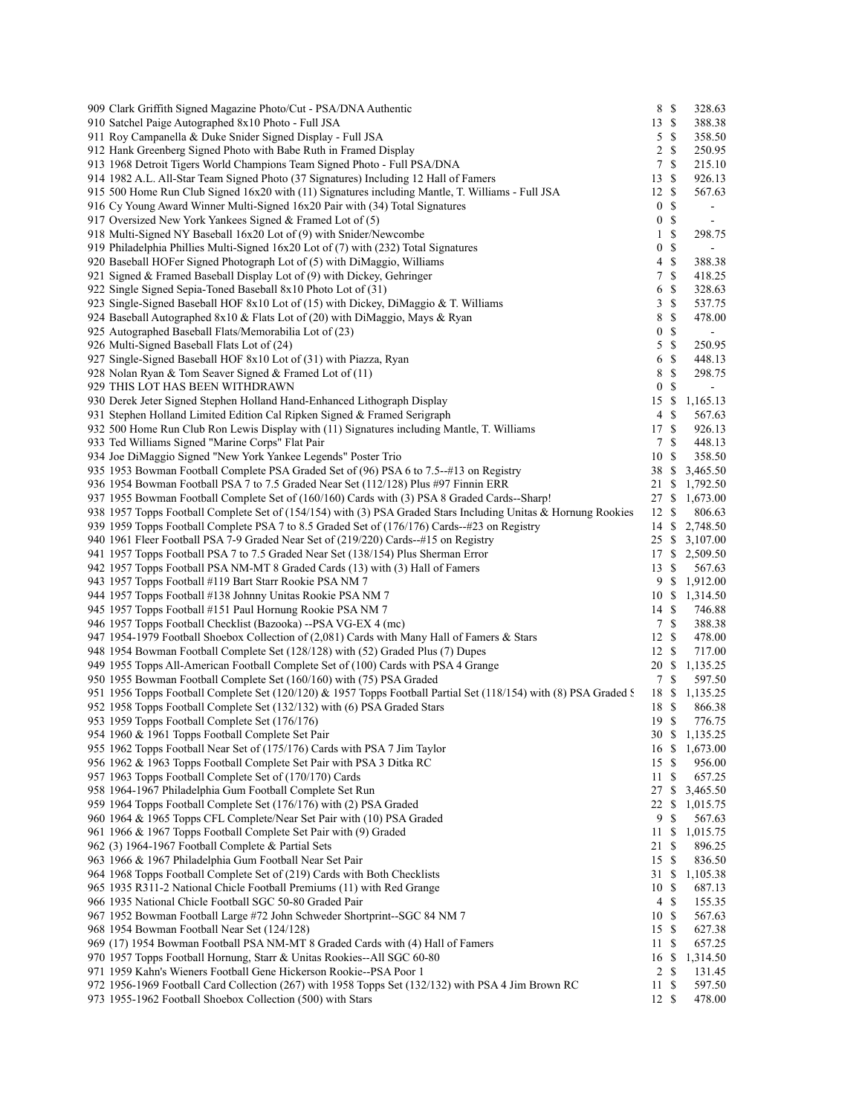| 909 Clark Griffith Signed Magazine Photo/Cut - PSA/DNA Authentic                                                 | 8 \$            |    | 328.63         |  |
|------------------------------------------------------------------------------------------------------------------|-----------------|----|----------------|--|
| 910 Satchel Paige Autographed 8x10 Photo - Full JSA                                                              | 13S             |    | 388.38         |  |
| 911 Roy Campanella & Duke Snider Signed Display - Full JSA                                                       | $5 \text{ }$ \$ |    | 358.50         |  |
| 912 Hank Greenberg Signed Photo with Babe Ruth in Framed Display                                                 | 2S              |    | 250.95         |  |
| 913 1968 Detroit Tigers World Champions Team Signed Photo - Full PSA/DNA                                         | 7S              |    | 215.10         |  |
| 914 1982 A.L. All-Star Team Signed Photo (37 Signatures) Including 12 Hall of Famers                             | 13S             |    | 926.13         |  |
| 915 500 Home Run Club Signed 16x20 with (11) Signatures including Mantle, T. Williams - Full JSA                 | 12S             |    | 567.63         |  |
| 916 Cy Young Award Winner Multi-Signed 16x20 Pair with (34) Total Signatures                                     | 0 <sup>5</sup>  |    | $\blacksquare$ |  |
| 917 Oversized New York Yankees Signed & Framed Lot of (5)                                                        | 0 S             |    | $\blacksquare$ |  |
| 918 Multi-Signed NY Baseball 16x20 Lot of (9) with Snider/Newcombe                                               | $1 \text{ }$    |    | 298.75         |  |
| 919 Philadelphia Phillies Multi-Signed 16x20 Lot of (7) with (232) Total Signatures                              | 0 S             |    | $\sim$         |  |
| 920 Baseball HOFer Signed Photograph Lot of (5) with DiMaggio, Williams                                          | 4S              |    | 388.38         |  |
|                                                                                                                  | 7S              |    |                |  |
| 921 Signed & Framed Baseball Display Lot of (9) with Dickey, Gehringer                                           |                 |    | 418.25         |  |
| 922 Single Signed Sepia-Toned Baseball 8x10 Photo Lot of (31)                                                    | 6 \$            |    | 328.63         |  |
| 923 Single-Signed Baseball HOF 8x10 Lot of (15) with Dickey, DiMaggio & T. Williams                              | 3S              |    | 537.75         |  |
| 924 Baseball Autographed $8x10 \&$ Flats Lot of (20) with DiMaggio, Mays & Ryan                                  | 8               | -S | 478.00         |  |
| 925 Autographed Baseball Flats/Memorabilia Lot of (23)                                                           | 0 S             |    | $\blacksquare$ |  |
| 926 Multi-Signed Baseball Flats Lot of (24)                                                                      | 5S              |    | 250.95         |  |
| 927 Single-Signed Baseball HOF 8x10 Lot of (31) with Piazza, Ryan                                                | 6               | -S | 448.13         |  |
| 928 Nolan Ryan & Tom Seaver Signed & Framed Lot of (11)                                                          | - \$<br>8       |    | 298.75         |  |
| 929 THIS LOT HAS BEEN WITHDRAWN                                                                                  | $\overline{0}$  | -S | $\blacksquare$ |  |
| 930 Derek Jeter Signed Stephen Holland Hand-Enhanced Lithograph Display                                          |                 |    | 15 \$ 1,165.13 |  |
| 931 Stephen Holland Limited Edition Cal Ripken Signed & Framed Serigraph                                         | $4 \text{ }$    |    | 567.63         |  |
| 932 500 Home Run Club Ron Lewis Display with (11) Signatures including Mantle, T. Williams                       | 17S             |    | 926.13         |  |
|                                                                                                                  | 7 \$            |    |                |  |
| 933 Ted Williams Signed "Marine Corps" Flat Pair                                                                 |                 |    | 448.13         |  |
| 934 Joe DiMaggio Signed "New York Yankee Legends" Poster Trio                                                    | 10 \$           |    | 358.50         |  |
| 935 1953 Bowman Football Complete PSA Graded Set of (96) PSA 6 to 7.5-#13 on Registry                            |                 |    | 38 \$ 3,465.50 |  |
| 936 1954 Bowman Football PSA 7 to 7.5 Graded Near Set (112/128) Plus #97 Finnin ERR                              |                 |    | 21 \$ 1,792.50 |  |
| 937 1955 Bowman Football Complete Set of (160/160) Cards with (3) PSA 8 Graded Cards--Sharp!                     |                 |    | 27 \$ 1,673.00 |  |
| 938 1957 Topps Football Complete Set of (154/154) with (3) PSA Graded Stars Including Unitas & Hornung Rookies   | 12S             |    | 806.63         |  |
| 939 1959 Topps Football Complete PSA 7 to 8.5 Graded Set of (176/176) Cards- $\#23$ on Registry                  |                 |    | 14 \$ 2,748.50 |  |
| 940 1961 Fleer Football PSA 7-9 Graded Near Set of (219/220) Cards--#15 on Registry                              |                 |    | 25 \$ 3,107.00 |  |
| 941 1957 Topps Football PSA 7 to 7.5 Graded Near Set (138/154) Plus Sherman Error                                |                 |    | 17 \$ 2,509.50 |  |
| 942 1957 Topps Football PSA NM-MT 8 Graded Cards (13) with (3) Hall of Famers                                    | 13S             |    | 567.63         |  |
| 943 1957 Topps Football #119 Bart Starr Rookie PSA NM 7                                                          |                 |    | 9 \$ 1,912.00  |  |
| 944 1957 Topps Football #138 Johnny Unitas Rookie PSA NM 7                                                       |                 |    | 10 \$ 1,314.50 |  |
| 945 1957 Topps Football #151 Paul Hornung Rookie PSA NM 7                                                        | 14S             |    | 746.88         |  |
| 946 1957 Topps Football Checklist (Bazooka) --PSA VG-EX 4 (mc)                                                   | 7 \$            |    | 388.38         |  |
| 947 1954-1979 Football Shoebox Collection of (2,081) Cards with Many Hall of Famers & Stars                      | 12S             |    | 478.00         |  |
| 948 1954 Bowman Football Complete Set (128/128) with (52) Graded Plus (7) Dupes                                  | 12S             |    |                |  |
|                                                                                                                  |                 |    | 717.00         |  |
| 949 1955 Topps All-American Football Complete Set of (100) Cards with PSA 4 Grange                               |                 |    | 20 \$ 1,135.25 |  |
| 950 1955 Bowman Football Complete Set (160/160) with (75) PSA Graded                                             | 7\$             |    | 597.50         |  |
| 951 1956 Topps Football Complete Set (120/120) & 1957 Topps Football Partial Set (118/154) with (8) PSA Graded S |                 |    | 18 \$ 1,135.25 |  |
| 952 1958 Topps Football Complete Set (132/132) with (6) PSA Graded Stars                                         | 18 \$           |    | 866.38         |  |
| 953 1959 Topps Football Complete Set (176/176)                                                                   | 19S             |    | 776.75         |  |
| 954 1960 & 1961 Topps Football Complete Set Pair                                                                 |                 |    | 30 \$ 1,135.25 |  |
| 955 1962 Topps Football Near Set of (175/176) Cards with PSA 7 Jim Taylor                                        |                 |    | 16 \$ 1,673.00 |  |
| 956 1962 & 1963 Topps Football Complete Set Pair with PSA 3 Ditka RC                                             | 15 \$           |    | 956.00         |  |
| 957 1963 Topps Football Complete Set of (170/170) Cards                                                          | 11S             |    | 657.25         |  |
| 958 1964-1967 Philadelphia Gum Football Complete Set Run                                                         |                 |    | 27 \$ 3,465.50 |  |
| 959 1964 Topps Football Complete Set (176/176) with (2) PSA Graded                                               |                 |    | 22 \$ 1,015.75 |  |
| 960 1964 & 1965 Topps CFL Complete/Near Set Pair with (10) PSA Graded                                            | 9S              |    | 567.63         |  |
| 961 1966 & 1967 Topps Football Complete Set Pair with (9) Graded                                                 |                 |    | 11 \$ 1,015.75 |  |
|                                                                                                                  |                 |    |                |  |
| 962 (3) 1964-1967 Football Complete & Partial Sets                                                               | 21S             |    | 896.25         |  |
| 963 1966 & 1967 Philadelphia Gum Football Near Set Pair                                                          | 15S             |    | 836.50         |  |
| 964 1968 Topps Football Complete Set of (219) Cards with Both Checklists                                         |                 |    | 31 \$ 1,105.38 |  |
| 965 1935 R311-2 National Chicle Football Premiums (11) with Red Grange                                           | 10S             |    | 687.13         |  |
| 966 1935 National Chicle Football SGC 50-80 Graded Pair                                                          | 4 \$            |    | 155.35         |  |
| 967 1952 Bowman Football Large #72 John Schweder Shortprint-SGC 84 NM 7                                          | 10 \$           |    | 567.63         |  |
| 968 1954 Bowman Football Near Set (124/128)                                                                      | 15S             |    | 627.38         |  |
| 969 (17) 1954 Bowman Football PSA NM-MT 8 Graded Cards with (4) Hall of Famers                                   | 11 \$           |    | 657.25         |  |
| 970 1957 Topps Football Hornung, Starr & Unitas Rookies--All SGC 60-80                                           |                 |    | 16 \$ 1,314.50 |  |
| 971 1959 Kahn's Wieners Football Gene Hickerson Rookie--PSA Poor 1                                               | $2 \sqrt{s}$    |    | 131.45         |  |
| 972 1956-1969 Football Card Collection (267) with 1958 Topps Set (132/132) with PSA 4 Jim Brown RC               | 11 \$           |    | 597.50         |  |
| 973 1955-1962 Football Shoebox Collection (500) with Stars                                                       | 12S             |    | 478.00         |  |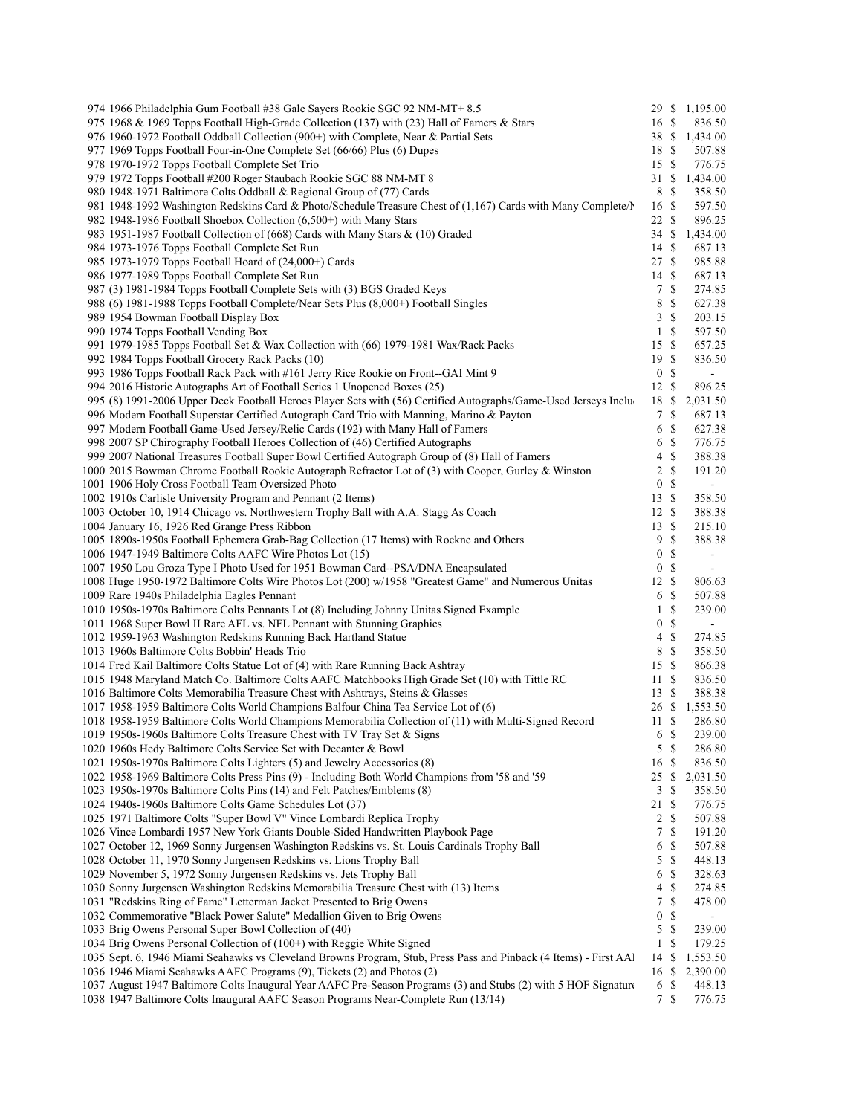| 974 1966 Philadelphia Gum Football #38 Gale Sayers Rookie SGC 92 NM-MT+ 8.5                                                                                                              |                                      |                           | 29 \$ 1,195.00               |  |
|------------------------------------------------------------------------------------------------------------------------------------------------------------------------------------------|--------------------------------------|---------------------------|------------------------------|--|
| 975 1968 & 1969 Topps Football High-Grade Collection (137) with (23) Hall of Famers & Stars                                                                                              | 16 \$                                |                           | 836.50                       |  |
| 976 1960-1972 Football Oddball Collection (900+) with Complete, Near & Partial Sets                                                                                                      |                                      |                           | 38 \$ 1,434.00               |  |
| 977 1969 Topps Football Four-in-One Complete Set (66/66) Plus (6) Dupes                                                                                                                  | 18 \$                                |                           | 507.88                       |  |
| 978 1970-1972 Topps Football Complete Set Trio                                                                                                                                           | 15S                                  |                           | 776.75                       |  |
| 979 1972 Topps Football #200 Roger Staubach Rookie SGC 88 NM-MT 8                                                                                                                        | 31S                                  |                           | 1,434.00                     |  |
| 980 1948-1971 Baltimore Colts Oddball & Regional Group of (77) Cards                                                                                                                     | 8 \$                                 |                           | 358.50                       |  |
| 981 1948-1992 Washington Redskins Card & Photo/Schedule Treasure Chest of (1,167) Cards with Many Complete/                                                                              | 16 \$                                |                           | 597.50                       |  |
| 982 1948-1986 Football Shoebox Collection (6,500+) with Many Stars                                                                                                                       | 22S                                  |                           | 896.25                       |  |
| 983 1951-1987 Football Collection of (668) Cards with Many Stars & (10) Graded                                                                                                           | 34 \$                                |                           | 1,434.00                     |  |
| 984 1973-1976 Topps Football Complete Set Run                                                                                                                                            | 14S                                  |                           | 687.13                       |  |
| 985 1973-1979 Topps Football Hoard of (24,000+) Cards                                                                                                                                    | 27S                                  |                           | 985.88                       |  |
| 986 1977-1989 Topps Football Complete Set Run                                                                                                                                            | 14S                                  |                           | 687.13                       |  |
| 987 (3) 1981-1984 Topps Football Complete Sets with (3) BGS Graded Keys                                                                                                                  | 7                                    | $\mathcal{S}$             | 274.85                       |  |
| 988 (6) 1981-1988 Topps Football Complete/Near Sets Plus (8,000+) Football Singles                                                                                                       | 8                                    | - \$                      | 627.38                       |  |
| 989 1954 Bowman Football Display Box                                                                                                                                                     | 3                                    | -\$                       | 203.15                       |  |
| 990 1974 Topps Football Vending Box                                                                                                                                                      | $\mathbf{1}$                         | $\mathbb{S}$              | 597.50                       |  |
| 991 1979-1985 Topps Football Set & Wax Collection with (66) 1979-1981 Wax/Rack Packs                                                                                                     | 15 \$                                |                           | 657.25                       |  |
| 992 1984 Topps Football Grocery Rack Packs (10)                                                                                                                                          | 19S                                  |                           | 836.50                       |  |
| 993 1986 Topps Football Rack Pack with #161 Jerry Rice Rookie on Front--GAI Mint 9                                                                                                       | 0 S                                  |                           | $\blacksquare$               |  |
| 994 2016 Historic Autographs Art of Football Series 1 Unopened Boxes (25)                                                                                                                | 12S                                  |                           | 896.25                       |  |
| 995 (8) 1991-2006 Upper Deck Football Heroes Player Sets with (56) Certified Autographs/Game-Used Jerseys Inclu                                                                          | 18 \$                                |                           | 2,031.50                     |  |
| 996 Modern Football Superstar Certified Autograph Card Trio with Manning, Marino & Payton                                                                                                | 7S                                   |                           | 687.13                       |  |
| 997 Modern Football Game-Used Jersey/Relic Cards (192) with Many Hall of Famers                                                                                                          | 6                                    | - \$                      | 627.38                       |  |
| 998 2007 SP Chirography Football Heroes Collection of (46) Certified Autographs                                                                                                          | 6                                    | -S                        | 776.75                       |  |
| 999 2007 National Treasures Football Super Bowl Certified Autograph Group of (8) Hall of Famers                                                                                          | 4                                    | $\mathcal{S}$             | 388.38                       |  |
| 1000 2015 Bowman Chrome Football Rookie Autograph Refractor Lot of (3) with Cooper, Gurley & Winston                                                                                     | 2                                    | $\mathbf S$               | 191.20                       |  |
| 1001 1906 Holy Cross Football Team Oversized Photo                                                                                                                                       | $\overline{0}$                       | $\mathcal{S}$             |                              |  |
| 1002 1910s Carlisle University Program and Pennant (2 Items)                                                                                                                             | 13S                                  |                           | 358.50                       |  |
| 1003 October 10, 1914 Chicago vs. Northwestern Trophy Ball with A.A. Stagg As Coach                                                                                                      | 12S                                  |                           | 388.38                       |  |
| 1004 January 16, 1926 Red Grange Press Ribbon                                                                                                                                            | 13S                                  |                           | 215.10                       |  |
| 1005 1890s-1950s Football Ephemera Grab-Bag Collection (17 Items) with Rockne and Others                                                                                                 | 9                                    | $\mathcal{S}$             | 388.38                       |  |
| 1006 1947-1949 Baltimore Colts AAFC Wire Photos Lot (15)                                                                                                                                 | $\boldsymbol{0}$<br>$\boldsymbol{0}$ | \$<br>$\mathcal{S}$       | $\qquad \qquad \blacksquare$ |  |
| 1007 1950 Lou Groza Type I Photo Used for 1951 Bowman Card--PSA/DNA Encapsulated<br>1008 Huge 1950-1972 Baltimore Colts Wire Photos Lot (200) w/1958 "Greatest Game" and Numerous Unitas | 12S                                  |                           | 806.63                       |  |
| 1009 Rare 1940s Philadelphia Eagles Pennant                                                                                                                                              | 6                                    | - \$                      | 507.88                       |  |
| 1010 1950s-1970s Baltimore Colts Pennants Lot (8) Including Johnny Unitas Signed Example                                                                                                 | $\mathbf{1}$                         | \$                        | 239.00                       |  |
| 1011 1968 Super Bowl II Rare AFL vs. NFL Pennant with Stunning Graphics                                                                                                                  | 0                                    | $\mathcal{S}$             | $\overline{\phantom{a}}$     |  |
| 1012 1959-1963 Washington Redskins Running Back Hartland Statue                                                                                                                          | 4                                    | $\mathcal{S}$             | 274.85                       |  |
| 1013 1960s Baltimore Colts Bobbin' Heads Trio                                                                                                                                            | 8 \$                                 |                           | 358.50                       |  |
| 1014 Fred Kail Baltimore Colts Statue Lot of (4) with Rare Running Back Ashtray                                                                                                          | 15S                                  |                           | 866.38                       |  |
| 1015 1948 Maryland Match Co. Baltimore Colts AAFC Matchbooks High Grade Set (10) with Tittle RC                                                                                          | 11S                                  |                           | 836.50                       |  |
| 1016 Baltimore Colts Memorabilia Treasure Chest with Ashtrays, Steins & Glasses                                                                                                          | 13S                                  |                           | 388.38                       |  |
| 1017 1958-1959 Baltimore Colts World Champions Balfour China Tea Service Lot of (6)                                                                                                      | 26 \$                                |                           | 1,553.50                     |  |
| 1018 1958-1959 Baltimore Colts World Champions Memorabilia Collection of (11) with Multi-Signed Record                                                                                   | 11S                                  |                           | 286.80                       |  |
| 1019 1950s-1960s Baltimore Colts Treasure Chest with TV Tray Set & Signs                                                                                                                 | 6 \$                                 |                           | 239.00                       |  |
| 1020 1960s Hedy Baltimore Colts Service Set with Decanter & Bowl                                                                                                                         | $5 \text{ }$ \$                      |                           | 286.80                       |  |
| 1021 1950s-1970s Baltimore Colts Lighters (5) and Jewelry Accessories (8)                                                                                                                | 16 \$                                |                           | 836.50                       |  |
| 1022 1958-1969 Baltimore Colts Press Pins (9) - Including Both World Champions from '58 and '59                                                                                          | 25S                                  |                           | 2,031.50                     |  |
| 1023 1950s-1970s Baltimore Colts Pins (14) and Felt Patches/Emblems (8)                                                                                                                  | 3S                                   |                           | 358.50                       |  |
| 1024 1940s-1960s Baltimore Colts Game Schedules Lot (37)                                                                                                                                 | 21S                                  |                           | 776.75                       |  |
| 1025 1971 Baltimore Colts "Super Bowl V" Vince Lombardi Replica Trophy                                                                                                                   | $2 \sqrt{s}$                         |                           | 507.88                       |  |
| 1026 Vince Lombardi 1957 New York Giants Double-Sided Handwritten Playbook Page                                                                                                          | 7S                                   |                           | 191.20                       |  |
| 1027 October 12, 1969 Sonny Jurgensen Washington Redskins vs. St. Louis Cardinals Trophy Ball                                                                                            | 6                                    | \$                        | 507.88                       |  |
| 1028 October 11, 1970 Sonny Jurgensen Redskins vs. Lions Trophy Ball                                                                                                                     | 5S                                   |                           | 448.13                       |  |
| 1029 November 5, 1972 Sonny Jurgensen Redskins vs. Jets Trophy Ball                                                                                                                      | 6                                    | \$                        | 328.63                       |  |
| 1030 Sonny Jurgensen Washington Redskins Memorabilia Treasure Chest with (13) Items                                                                                                      | 4                                    | \$                        | 274.85                       |  |
| 1031 "Redskins Ring of Fame" Letterman Jacket Presented to Brig Owens                                                                                                                    | 7                                    | $\boldsymbol{\mathsf{S}}$ | 478.00                       |  |
| 1032 Commemorative "Black Power Salute" Medallion Given to Brig Owens                                                                                                                    | 0                                    | \$                        | $\blacksquare$               |  |
| 1033 Brig Owens Personal Super Bowl Collection of (40)                                                                                                                                   | 5S                                   |                           | 239.00                       |  |
| 1034 Brig Owens Personal Collection of (100+) with Reggie White Signed                                                                                                                   | 1 <sup>5</sup>                       |                           | 179.25                       |  |
| 1035 Sept. 6, 1946 Miami Seahawks vs Cleveland Browns Program, Stub, Press Pass and Pinback (4 Items) - First AAl                                                                        | 14S                                  |                           | 1,553.50                     |  |
| 1036 1946 Miami Seahawks AAFC Programs (9), Tickets (2) and Photos (2)                                                                                                                   | $16 \text{ }$ \$                     |                           | 2,390.00                     |  |
| 1037 August 1947 Baltimore Colts Inaugural Year AAFC Pre-Season Programs (3) and Stubs (2) with 5 HOF Signature                                                                          | 6 \$                                 |                           | 448.13                       |  |
| 1038 1947 Baltimore Colts Inaugural AAFC Season Programs Near-Complete Run (13/14)                                                                                                       | 7S                                   |                           | 776.75                       |  |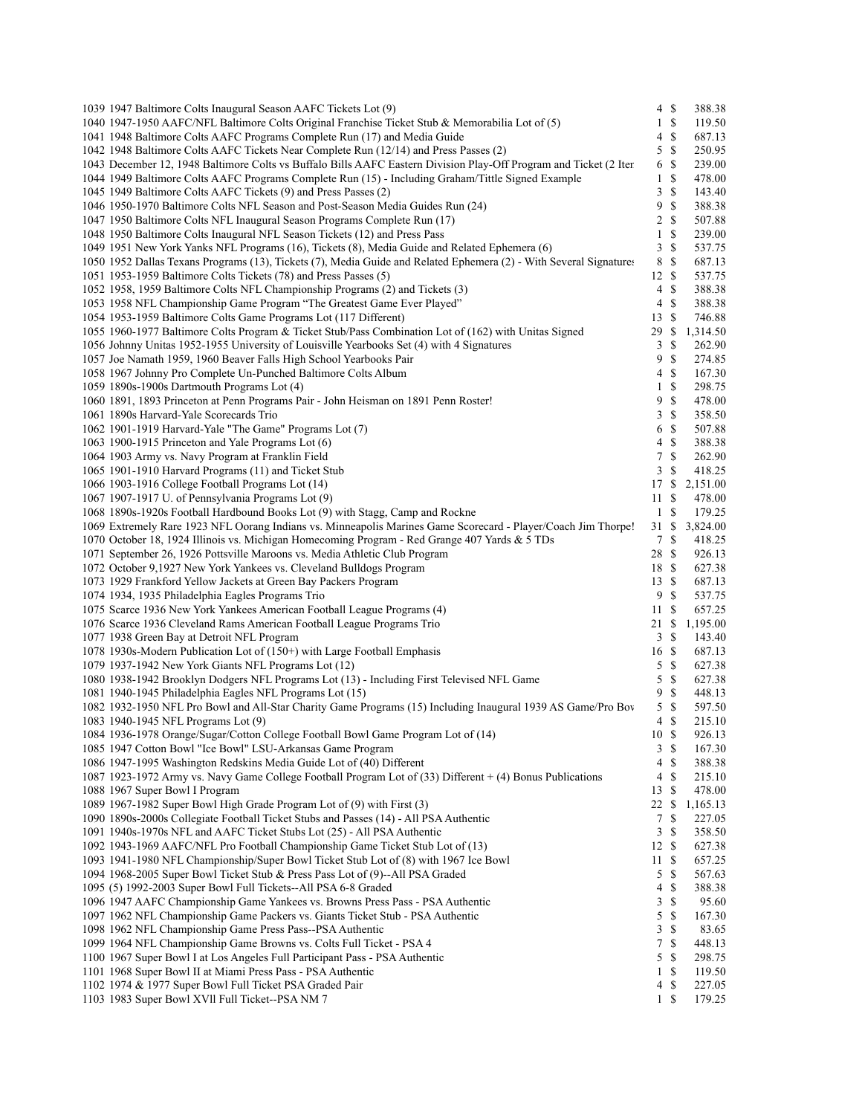| 1039 1947 Baltimore Colts Inaugural Season AAFC Tickets Lot (9)                                                    | $4 \text{ }$ \$ |                           | 388.38   |
|--------------------------------------------------------------------------------------------------------------------|-----------------|---------------------------|----------|
| 1040 1947-1950 AAFC/NFL Baltimore Colts Original Franchise Ticket Stub & Memorabilia Lot of (5)                    | $\,1$           | $\mathbb{S}$              | 119.50   |
| 1041 1948 Baltimore Colts AAFC Programs Complete Run (17) and Media Guide                                          | 4               | \$                        | 687.13   |
| 1042 1948 Baltimore Colts AAFC Tickets Near Complete Run (12/14) and Press Passes (2)                              | 5               | $\mathbf S$               | 250.95   |
| 1043 December 12, 1948 Baltimore Colts vs Buffalo Bills AAFC Eastern Division Play-Off Program and Ticket (2 Iter  | 6               | <sup>\$</sup>             | 239.00   |
| 1044 1949 Baltimore Colts AAFC Programs Complete Run (15) - Including Graham/Tittle Signed Example                 | 1               | <sup>\$</sup>             | 478.00   |
| 1045 1949 Baltimore Colts AAFC Tickets (9) and Press Passes (2)                                                    | 3               | \$                        | 143.40   |
| 1046 1950-1970 Baltimore Colts NFL Season and Post-Season Media Guides Run (24)                                    | 9               | $\mathbb{S}$              | 388.38   |
| 1047 1950 Baltimore Colts NFL Inaugural Season Programs Complete Run (17)                                          | $\overline{2}$  | \$                        | 507.88   |
| 1048 1950 Baltimore Colts Inaugural NFL Season Tickets (12) and Press Pass                                         | $\mathbf{1}$    | \$                        | 239.00   |
| 1049 1951 New York Yanks NFL Programs (16), Tickets (8), Media Guide and Related Ephemera (6)                      | 3               | \$                        | 537.75   |
| 1050 1952 Dallas Texans Programs (13), Tickets (7), Media Guide and Related Ephemera (2) - With Several Signatures | 8               | \$                        | 687.13   |
| 1051 1953-1959 Baltimore Colts Tickets (78) and Press Passes (5)                                                   | 12S             |                           | 537.75   |
| 1052 1958, 1959 Baltimore Colts NFL Championship Programs (2) and Tickets (3)                                      | 4               | $\mathcal{S}$             | 388.38   |
|                                                                                                                    |                 |                           | 388.38   |
| 1053 1958 NFL Championship Game Program "The Greatest Game Ever Played"                                            | 4               | \$                        |          |
| 1054 1953-1959 Baltimore Colts Game Programs Lot (117 Different)                                                   | 13              | <sup>\$</sup>             | 746.88   |
| 1055 1960-1977 Baltimore Colts Program & Ticket Stub/Pass Combination Lot of (162) with Unitas Signed              | 29              | \$                        | 1,314.50 |
| 1056 Johnny Unitas 1952-1955 University of Louisville Yearbooks Set (4) with 4 Signatures                          | 3               | $\mathbb{S}$              | 262.90   |
| 1057 Joe Namath 1959, 1960 Beaver Falls High School Yearbooks Pair                                                 | 9               | $\mathbb{S}$              | 274.85   |
| 1058 1967 Johnny Pro Complete Un-Punched Baltimore Colts Album                                                     | 4               | -S                        | 167.30   |
| 1059 1890s-1900s Dartmouth Programs Lot (4)                                                                        | $\mathbf{1}$    | \$                        | 298.75   |
| 1060 1891, 1893 Princeton at Penn Programs Pair - John Heisman on 1891 Penn Roster!                                | 9               | \$                        | 478.00   |
| 1061 1890s Harvard-Yale Scorecards Trio                                                                            | 3               | <sup>\$</sup>             | 358.50   |
| 1062 1901-1919 Harvard-Yale "The Game" Programs Lot (7)                                                            | 6               | <sup>\$</sup>             | 507.88   |
| 1063 1900-1915 Princeton and Yale Programs Lot (6)                                                                 | 4               | \$                        | 388.38   |
| 1064 1903 Army vs. Navy Program at Franklin Field                                                                  | 7               | \$                        | 262.90   |
| 1065 1901-1910 Harvard Programs (11) and Ticket Stub                                                               | 3               | \$                        | 418.25   |
| 1066 1903-1916 College Football Programs Lot (14)                                                                  | 17 \$           |                           | 2,151.00 |
| 1067 1907-1917 U. of Pennsylvania Programs Lot (9)                                                                 | 11              | $\mathbb{S}$              | 478.00   |
| 1068 1890s-1920s Football Hardbound Books Lot (9) with Stagg, Camp and Rockne                                      | $\mathbf{1}$    | <sup>\$</sup>             | 179.25   |
| 1069 Extremely Rare 1923 NFL Oorang Indians vs. Minneapolis Marines Game Scorecard - Player/Coach Jim Thorpe!      | 31S             |                           | 3,824.00 |
| 1070 October 18, 1924 Illinois vs. Michigan Homecoming Program - Red Grange 407 Yards & 5 TDs                      | 7               | \$                        | 418.25   |
| 1071 September 26, 1926 Pottsville Maroons vs. Media Athletic Club Program                                         | 28              | -S                        | 926.13   |
| 1072 October 9,1927 New York Yankees vs. Cleveland Bulldogs Program                                                | 18 \$           |                           | 627.38   |
| 1073 1929 Frankford Yellow Jackets at Green Bay Packers Program                                                    | 13S             |                           | 687.13   |
|                                                                                                                    |                 |                           |          |
| 1074 1934, 1935 Philadelphia Eagles Programs Trio                                                                  | 9               | -S                        | 537.75   |
| 1075 Scarce 1936 New York Yankees American Football League Programs (4)                                            | 11S             |                           | 657.25   |
| 1076 Scarce 1936 Cleveland Rams American Football League Programs Trio                                             | 21              | \$                        | 1,195.00 |
| 1077 1938 Green Bay at Detroit NFL Program                                                                         | 3               | \$                        | 143.40   |
| 1078 1930s-Modern Publication Lot of (150+) with Large Football Emphasis                                           | 16 \$           |                           | 687.13   |
| 1079 1937-1942 New York Giants NFL Programs Lot (12)                                                               | 5               | <sup>\$</sup>             | 627.38   |
| 1080 1938-1942 Brooklyn Dodgers NFL Programs Lot (13) - Including First Televised NFL Game                         | 5               | \$                        | 627.38   |
| 1081 1940-1945 Philadelphia Eagles NFL Programs Lot (15)                                                           | 9               | $\mathbf S$               | 448.13   |
| 1082 1932-1950 NFL Pro Bowl and All-Star Charity Game Programs (15) Including Inaugural 1939 AS Game/Pro Bov       | 5               | $\mathbb{S}$              | 597.50   |
| 1083 1940-1945 NFL Programs Lot (9)                                                                                | 4               | <sup>\$</sup>             | 215.10   |
| 1084 1936-1978 Orange/Sugar/Cotton College Football Bowl Game Program Lot of (14)                                  | 10S             |                           | 926.13   |
| 1085 1947 Cotton Bowl "Ice Bowl" LSU-Arkansas Game Program                                                         | 3               | $\boldsymbol{\mathsf{S}}$ | 167.30   |
| 1086 1947-1995 Washington Redskins Media Guide Lot of (40) Different                                               | 4               | \$                        | 388.38   |
| 1087 1923-1972 Army vs. Navy Game College Football Program Lot of (33) Different + (4) Bonus Publications          | 4               | \$                        | 215.10   |
| 1088 1967 Super Bowl I Program                                                                                     | 13              | \$                        | 478.00   |
| 1089 1967-1982 Super Bowl High Grade Program Lot of (9) with First (3)                                             | 22              | -S                        | 1,165.13 |
| 1090 1890s-2000s Collegiate Football Ticket Stubs and Passes (14) - All PSA Authentic                              | $\tau$          | \$                        | 227.05   |
| 1091 1940s-1970s NFL and AAFC Ticket Stubs Lot (25) - All PSA Authentic                                            | 3               | \$                        | 358.50   |
| 1092 1943-1969 AAFC/NFL Pro Football Championship Game Ticket Stub Lot of (13)                                     | 12S             |                           | 627.38   |
| 1093 1941-1980 NFL Championship/Super Bowl Ticket Stub Lot of (8) with 1967 Ice Bowl                               |                 | <sup>\$</sup>             |          |
|                                                                                                                    | 11              |                           | 657.25   |
| 1094 1968-2005 Super Bowl Ticket Stub & Press Pass Lot of (9)--All PSA Graded                                      | 5               | \$                        | 567.63   |
| 1095 (5) 1992-2003 Super Bowl Full Tickets--All PSA 6-8 Graded                                                     | 4               | \$                        | 388.38   |
| 1096 1947 AAFC Championship Game Yankees vs. Browns Press Pass - PSA Authentic                                     | 3               | \$                        | 95.60    |
| 1097 1962 NFL Championship Game Packers vs. Giants Ticket Stub - PSA Authentic                                     | 5               | \$                        | 167.30   |
| 1098 1962 NFL Championship Game Press Pass--PSA Authentic                                                          | 3               | \$                        | 83.65    |
| 1099 1964 NFL Championship Game Browns vs. Colts Full Ticket - PSA 4                                               | 7               | \$                        | 448.13   |
| 1100 1967 Super Bowl I at Los Angeles Full Participant Pass - PSA Authentic                                        | 5               | \$                        | 298.75   |
| 1101 1968 Super Bowl II at Miami Press Pass - PSA Authentic                                                        | $\mathbf{1}$    | \$                        | 119.50   |
| 1102 1974 & 1977 Super Bowl Full Ticket PSA Graded Pair                                                            | 4               | \$                        | 227.05   |
| 1103 1983 Super Bowl XVII Full Ticket--PSA NM 7                                                                    | $1 \text{ }$    |                           | 179.25   |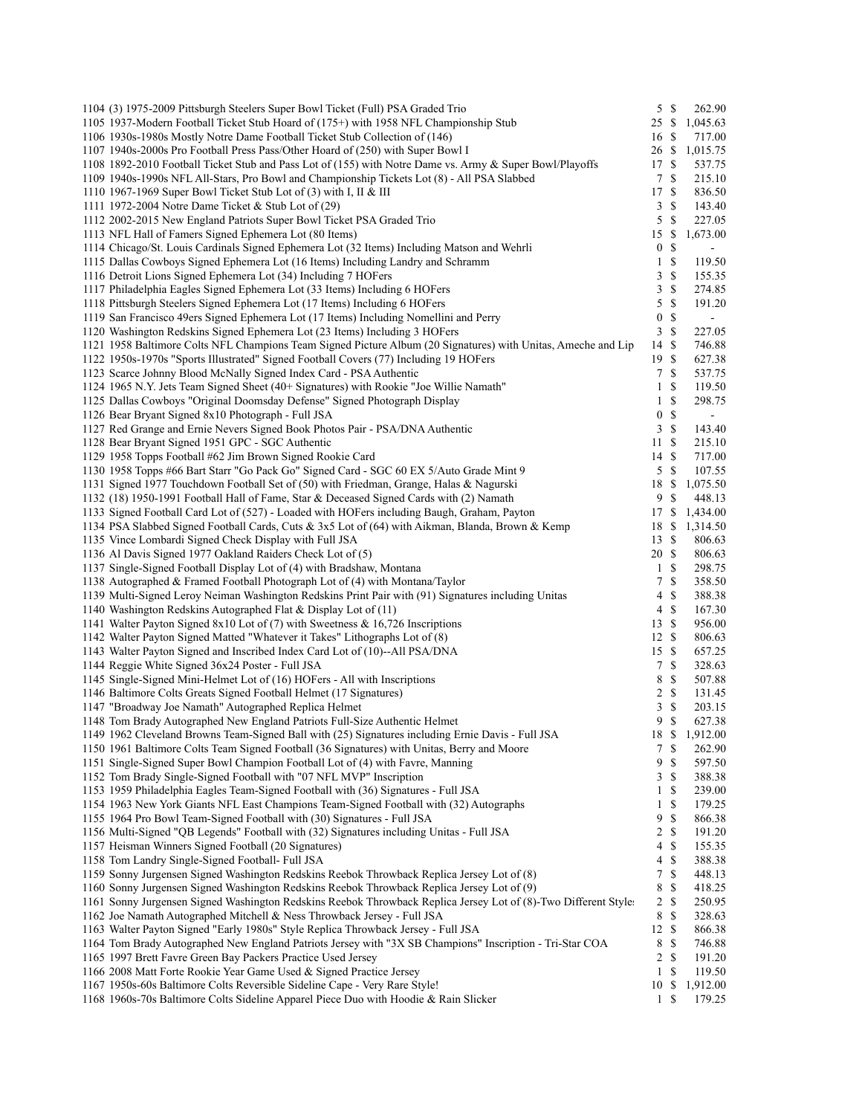| 1104 (3) 1975-2009 Pittsburgh Steelers Super Bowl Ticket (Full) PSA Graded Trio                                |                  | 5S            | 262.90         |
|----------------------------------------------------------------------------------------------------------------|------------------|---------------|----------------|
| 1105 1937-Modern Football Ticket Stub Hoard of (175+) with 1958 NFL Championship Stub                          | 25               | $\mathbb{S}$  | 1,045.63       |
| 1106 1930s-1980s Mostly Notre Dame Football Ticket Stub Collection of (146)                                    | 16 \$            |               | 717.00         |
| 1107 1940s-2000s Pro Football Press Pass/Other Hoard of (250) with Super Bowl I                                | 26S              |               | 1,015.75       |
| 1108 1892-2010 Football Ticket Stub and Pass Lot of (155) with Notre Dame vs. Army & Super Bowl/Playoffs       | 17 \$            |               | 537.75         |
| 1109 1940s-1990s NFL All-Stars, Pro Bowl and Championship Tickets Lot (8) - All PSA Slabbed                    | 7                | \$            | 215.10         |
| 1110 1967-1969 Super Bowl Ticket Stub Lot of $(3)$ with I, II & III                                            | 17               | <sup>\$</sup> | 836.50         |
| 1111 1972-2004 Notre Dame Ticket & Stub Lot of (29)                                                            | 3                | <sup>\$</sup> | 143.40         |
| 1112 2002-2015 New England Patriots Super Bowl Ticket PSA Graded Trio                                          | 5                | \$            | 227.05         |
| 1113 NFL Hall of Famers Signed Ephemera Lot (80 Items)                                                         | 15 \$            |               | 1,673.00       |
| 1114 Chicago/St. Louis Cardinals Signed Ephemera Lot (32 Items) Including Matson and Wehrli                    | 0                | \$            |                |
| 1115 Dallas Cowboys Signed Ephemera Lot (16 Items) Including Landry and Schramm                                | 1                | <sup>\$</sup> | 119.50         |
| 1116 Detroit Lions Signed Ephemera Lot (34) Including 7 HOFers                                                 | 3                | \$            | 155.35         |
| 1117 Philadelphia Eagles Signed Ephemera Lot (33 Items) Including 6 HOFers                                     | 3                | \$            | 274.85         |
| 1118 Pittsburgh Steelers Signed Ephemera Lot (17 Items) Including 6 HOFers                                     | 5                | \$            | 191.20         |
| 1119 San Francisco 49ers Signed Ephemera Lot (17 Items) Including Nomellini and Perry                          | $\boldsymbol{0}$ | \$            |                |
| 1120 Washington Redskins Signed Ephemera Lot (23 Items) Including 3 HOFers                                     | $\mathfrak{Z}$   | \$            | 227.05         |
| 1121 1958 Baltimore Colts NFL Champions Team Signed Picture Album (20 Signatures) with Unitas, Ameche and Lip  | 14               | $\mathbf S$   | 746.88         |
| 1122 1950s-1970s "Sports Illustrated" Signed Football Covers (77) Including 19 HOFers                          | 19S              |               | 627.38         |
| 1123 Scarce Johnny Blood McNally Signed Index Card - PSA Authentic                                             | 7                | \$            | 537.75         |
| 1124 1965 N.Y. Jets Team Signed Sheet (40+ Signatures) with Rookie "Joe Willie Namath"                         | $\mathbf{1}$     | \$            | 119.50         |
| 1125 Dallas Cowboys "Original Doomsday Defense" Signed Photograph Display                                      | 1                | <sup>\$</sup> | 298.75         |
| 1126 Bear Bryant Signed 8x10 Photograph - Full JSA                                                             | $\boldsymbol{0}$ | \$            |                |
| 1127 Red Grange and Ernie Nevers Signed Book Photos Pair - PSA/DNA Authentic                                   | $\mathbf{3}$     | $\mathbb{S}$  | 143.40         |
| 1128 Bear Bryant Signed 1951 GPC - SGC Authentic                                                               | 11S              |               | 215.10         |
| 1129 1958 Topps Football #62 Jim Brown Signed Rookie Card                                                      | 14S              |               | 717.00         |
| 1130 1958 Topps #66 Bart Starr "Go Pack Go" Signed Card - SGC 60 EX 5/Auto Grade Mint 9                        | 5                | <sup>\$</sup> | 107.55         |
| 1131 Signed 1977 Touchdown Football Set of (50) with Friedman, Grange, Halas & Nagurski                        | 18               | \$            | 1,075.50       |
| 1132 (18) 1950-1991 Football Hall of Fame, Star & Deceased Signed Cards with (2) Namath                        | 9                | S             | 448.13         |
| 1133 Signed Football Card Lot of (527) - Loaded with HOFers including Baugh, Graham, Payton                    | 17               | \$            | 1,434.00       |
| 1134 PSA Slabbed Signed Football Cards, Cuts & 3x5 Lot of (64) with Aikman, Blanda, Brown & Kemp               | 18               | \$            | 1,314.50       |
| 1135 Vince Lombardi Signed Check Display with Full JSA                                                         | 13S              |               | 806.63         |
| 1136 Al Davis Signed 1977 Oakland Raiders Check Lot of (5)                                                     | 20 \$            |               | 806.63         |
| 1137 Single-Signed Football Display Lot of (4) with Bradshaw, Montana                                          | $\mathbf{1}$     | \$            | 298.75         |
| 1138 Autographed & Framed Football Photograph Lot of (4) with Montana/Taylor                                   | 7                | \$            | 358.50         |
| 1139 Multi-Signed Leroy Neiman Washington Redskins Print Pair with (91) Signatures including Unitas            | 4                | \$            | 388.38         |
| 1140 Washington Redskins Autographed Flat & Display Lot of (11)                                                | 4                | <sup>\$</sup> | 167.30         |
| 1141 Walter Payton Signed 8x10 Lot of (7) with Sweetness & 16,726 Inscriptions                                 | 13S              |               | 956.00         |
| 1142 Walter Payton Signed Matted "Whatever it Takes" Lithographs Lot of (8)                                    | 12S              |               | 806.63         |
| 1143 Walter Payton Signed and Inscribed Index Card Lot of (10)--All PSA/DNA                                    | 15S              |               | 657.25         |
| 1144 Reggie White Signed 36x24 Poster - Full JSA                                                               | $\tau$           | <sup>\$</sup> | 328.63         |
| 1145 Single-Signed Mini-Helmet Lot of (16) HOFers - All with Inscriptions                                      | 8                | \$            | 507.88         |
| 1146 Baltimore Colts Greats Signed Football Helmet (17 Signatures)                                             | $\overline{2}$   | -S            | 131.45         |
| 1147 "Broadway Joe Namath" Autographed Replica Helmet                                                          | 3                | \$            | 203.15         |
| 1148 Tom Brady Autographed New England Patriots Full-Size Authentic Helmet                                     | 9                | <sup>\$</sup> | 627.38         |
| 1149 1962 Cleveland Browns Team-Signed Ball with (25) Signatures including Ernie Davis - Full JSA              |                  |               | 18 \$ 1,912.00 |
| 1150 1961 Baltimore Colts Team Signed Football (36 Signatures) with Unitas, Berry and Moore                    | $7\phantom{.0}$  | \$            | 262.90         |
| 1151 Single-Signed Super Bowl Champion Football Lot of (4) with Favre, Manning                                 | 9                | \$            | 597.50         |
| 1152 Tom Brady Single-Signed Football with "07 NFL MVP" Inscription                                            | 3                | \$            | 388.38         |
| 1153 1959 Philadelphia Eagles Team-Signed Football with (36) Signatures - Full JSA                             | 1                | \$            | 239.00         |
| 1154 1963 New York Giants NFL East Champions Team-Signed Football with (32) Autographs                         | $\mathbf{1}$     | \$            | 179.25         |
| 1155 1964 Pro Bowl Team-Signed Football with (30) Signatures - Full JSA                                        | 9                | \$            | 866.38         |
| 1156 Multi-Signed "QB Legends" Football with (32) Signatures including Unitas - Full JSA                       | 2                | \$            | 191.20         |
| 1157 Heisman Winners Signed Football (20 Signatures)                                                           | 4                | \$            | 155.35         |
| 1158 Tom Landry Single-Signed Football- Full JSA                                                               | 4                | \$            | 388.38         |
| 1159 Sonny Jurgensen Signed Washington Redskins Reebok Throwback Replica Jersey Lot of (8)                     | 7                | \$            | 448.13         |
| 1160 Sonny Jurgensen Signed Washington Redskins Reebok Throwback Replica Jersey Lot of (9)                     | 8                | \$            | 418.25         |
| 1161 Sonny Jurgensen Signed Washington Redskins Reebok Throwback Replica Jersey Lot of (8)-Two Different Style | $\overline{c}$   | <sup>\$</sup> | 250.95         |
| 1162 Joe Namath Autographed Mitchell & Ness Throwback Jersey - Full JSA                                        | 8                | \$            | 328.63         |
| 1163 Walter Payton Signed "Early 1980s" Style Replica Throwback Jersey - Full JSA                              | 12               | <sup>\$</sup> | 866.38         |
| 1164 Tom Brady Autographed New England Patriots Jersey with "3X SB Champions" Inscription - Tri-Star COA       | 8                | \$            | 746.88         |
| 1165 1997 Brett Favre Green Bay Packers Practice Used Jersey                                                   | 2                | \$            | 191.20         |
| 1166 2008 Matt Forte Rookie Year Game Used & Signed Practice Jersey                                            | 1                | S             | 119.50         |
| 1167 1950s-60s Baltimore Colts Reversible Sideline Cape - Very Rare Style!                                     | 10               | \$            | 1,912.00       |
| 1168 1960s-70s Baltimore Colts Sideline Apparel Piece Duo with Hoodie & Rain Slicker                           | $\mathbf{1}$     | \$            | 179.25         |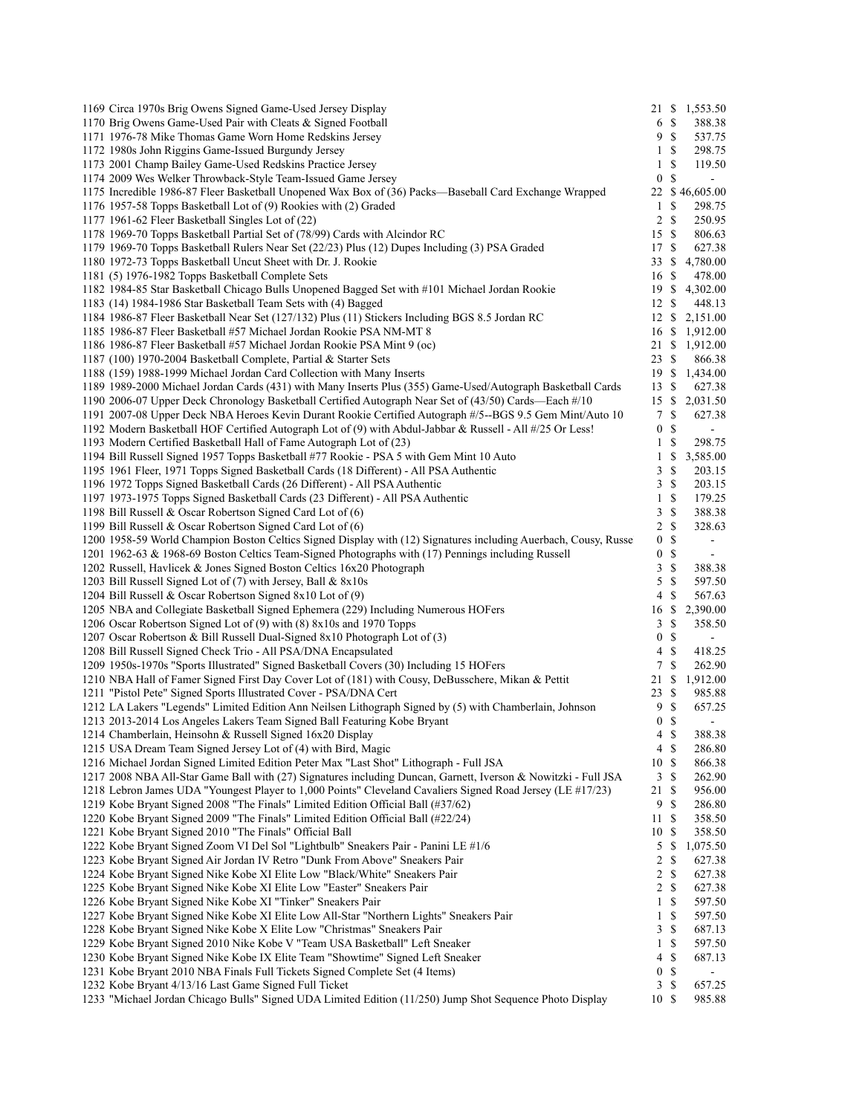| 1169 Circa 1970s Brig Owens Signed Game-Used Jersey Display                                                     | 21 \$            | 1,553.50                        |
|-----------------------------------------------------------------------------------------------------------------|------------------|---------------------------------|
| 1170 Brig Owens Game-Used Pair with Cleats & Signed Football                                                    | 6 \$             | 388.38                          |
| 1171 1976-78 Mike Thomas Game Worn Home Redskins Jersey                                                         | 9                | -S<br>537.75                    |
| 1172 1980s John Riggins Game-Issued Burgundy Jersey                                                             | $\mathbf{1}$     | <sup>\$</sup><br>298.75         |
| 1173 2001 Champ Bailey Game-Used Redskins Practice Jersey                                                       | $\mathbf{1}$     | \$<br>119.50                    |
| 1174 2009 Wes Welker Throwback-Style Team-Issued Game Jersey                                                    | $\boldsymbol{0}$ | <sup>\$</sup><br>$\blacksquare$ |
| 1175 Incredible 1986-87 Fleer Basketball Unopened Wax Box of (36) Packs—Baseball Card Exchange Wrapped          |                  | 22 \$46,605.00                  |
| 1176 1957-58 Topps Basketball Lot of (9) Rookies with (2) Graded                                                | 1                | \$<br>298.75                    |
| 1177 1961-62 Fleer Basketball Singles Lot of (22)                                                               | 2                | <sup>\$</sup><br>250.95         |
| 1178 1969-70 Topps Basketball Partial Set of (78/99) Cards with Alcindor RC                                     | 15S              | 806.63                          |
| 1179 1969-70 Topps Basketball Rulers Near Set (22/23) Plus (12) Dupes Including (3) PSA Graded                  | 17               | \$<br>627.38                    |
| 1180 1972-73 Topps Basketball Uncut Sheet with Dr. J. Rookie                                                    | 33               | \$<br>4,780.00                  |
| 1181 (5) 1976-1982 Topps Basketball Complete Sets                                                               | 16S              | 478.00                          |
| 1182 1984-85 Star Basketball Chicago Bulls Unopened Bagged Set with #101 Michael Jordan Rookie                  | 19               | <sup>\$</sup><br>4,302.00       |
| 1183 (14) 1984-1986 Star Basketball Team Sets with (4) Bagged                                                   | 12               | $\mathbb{S}$<br>448.13          |
| 1184 1986-87 Fleer Basketball Near Set (127/132) Plus (11) Stickers Including BGS 8.5 Jordan RC                 | 12S              | 2,151.00                        |
| 1185 1986-87 Fleer Basketball #57 Michael Jordan Rookie PSA NM-MT 8                                             | 16 \$            | 1,912.00                        |
|                                                                                                                 |                  | 1,912.00                        |
| 1186 1986-87 Fleer Basketball #57 Michael Jordan Rookie PSA Mint 9 (oc)                                         | 21               | \$                              |
| 1187 (100) 1970-2004 Basketball Complete, Partial & Starter Sets                                                | 23               | -S<br>866.38                    |
| 1188 (159) 1988-1999 Michael Jordan Card Collection with Many Inserts                                           | 19S              | 1,434.00                        |
| 1189 1989-2000 Michael Jordan Cards (431) with Many Inserts Plus (355) Game-Used/Autograph Basketball Cards     | 13               | <sup>\$</sup><br>627.38         |
| 1190 2006-07 Upper Deck Chronology Basketball Certified Autograph Near Set of (43/50) Cards—Each #/10           | 15               | $\mathbb{S}$<br>2,031.50        |
| 1191 2007-08 Upper Deck NBA Heroes Kevin Durant Rookie Certified Autograph #/5--BGS 9.5 Gem Mint/Auto 10        | 7                | \$<br>627.38                    |
| 1192 Modern Basketball HOF Certified Autograph Lot of (9) with Abdul-Jabbar & Russell - All #/25 Or Less!       | $\boldsymbol{0}$ | \$<br>$\blacksquare$            |
| 1193 Modern Certified Basketball Hall of Fame Autograph Lot of (23)                                             | $\mathbf{1}$     | \$<br>298.75                    |
| 1194 Bill Russell Signed 1957 Topps Basketball #77 Rookie - PSA 5 with Gem Mint 10 Auto                         | $\mathbf{1}$     | \$<br>3,585.00                  |
| 1195 1961 Fleer, 1971 Topps Signed Basketball Cards (18 Different) - All PSA Authentic                          | 3                | \$<br>203.15                    |
| 1196 1972 Topps Signed Basketball Cards (26 Different) - All PSA Authentic                                      | 3                | \$<br>203.15                    |
| 1197 1973-1975 Topps Signed Basketball Cards (23 Different) - All PSA Authentic                                 | $\mathbf{1}$     | \$<br>179.25                    |
| 1198 Bill Russell & Oscar Robertson Signed Card Lot of (6)                                                      | 3                | \$<br>388.38                    |
| 1199 Bill Russell & Oscar Robertson Signed Card Lot of (6)                                                      | $\overline{c}$   | \$<br>328.63                    |
| 1200 1958-59 World Champion Boston Celtics Signed Display with (12) Signatures including Auerbach, Cousy, Russe | $\boldsymbol{0}$ | \$<br>$\blacksquare$            |
| 1201 1962-63 & 1968-69 Boston Celtics Team-Signed Photographs with (17) Pennings including Russell              | $\boldsymbol{0}$ | \$                              |
| 1202 Russell, Havlicek & Jones Signed Boston Celtics 16x20 Photograph                                           | 3                | \$<br>388.38                    |
| 1203 Bill Russell Signed Lot of (7) with Jersey, Ball & 8x10s                                                   | 5                | \$<br>597.50                    |
| 1204 Bill Russell & Oscar Robertson Signed 8x10 Lot of (9)                                                      | 4                | <sup>\$</sup><br>567.63         |
| 1205 NBA and Collegiate Basketball Signed Ephemera (229) Including Numerous HOFers                              | 16               | \$<br>2,390.00                  |
| 1206 Oscar Robertson Signed Lot of (9) with (8) 8x10s and 1970 Topps                                            | 3                | \$<br>358.50                    |
| 1207 Oscar Robertson & Bill Russell Dual-Signed 8x10 Photograph Lot of (3)                                      | $\boldsymbol{0}$ | \$                              |
| 1208 Bill Russell Signed Check Trio - All PSA/DNA Encapsulated                                                  | 4                | \$<br>418.25                    |
| 1209 1950s-1970s "Sports Illustrated" Signed Basketball Covers (30) Including 15 HOFers                         | 7                | \$<br>262.90                    |
| 1210 NBA Hall of Famer Signed First Day Cover Lot of (181) with Cousy, DeBusschere, Mikan & Pettit              | 21               | 1,912.00<br>\$                  |
| 1211 "Pistol Pete" Signed Sports Illustrated Cover - PSA/DNA Cert                                               | 23               | \$<br>985.88                    |
| 1212 LA Lakers "Legends" Limited Edition Ann Neilsen Lithograph Signed by (5) with Chamberlain, Johnson         | 9                | \$<br>657.25                    |
| 1213 2013-2014 Los Angeles Lakers Team Signed Ball Featuring Kobe Bryant                                        | $\mathbf{0}$     | <sup>\$</sup>                   |
| 1214 Chamberlain, Heinsohn & Russell Signed 16x20 Display                                                       | 4S               | 388.38                          |
|                                                                                                                 |                  |                                 |
| 1215 USA Dream Team Signed Jersey Lot of (4) with Bird, Magic                                                   | 4                | \$<br>286.80                    |
| 1216 Michael Jordan Signed Limited Edition Peter Max "Last Shot" Lithograph - Full JSA                          | 10 \$            | 866.38                          |
| 1217 2008 NBA All-Star Game Ball with (27) Signatures including Duncan, Garnett, Iverson & Nowitzki - Full JSA  | 3                | \$<br>262.90                    |
| 1218 Lebron James UDA "Youngest Player to 1,000 Points" Cleveland Cavaliers Signed Road Jersey (LE #17/23)      | 21               | \$<br>956.00                    |
| 1219 Kobe Bryant Signed 2008 "The Finals" Limited Edition Official Ball (#37/62)                                | 9                | \$<br>286.80                    |
| 1220 Kobe Bryant Signed 2009 "The Finals" Limited Edition Official Ball (#22/24)                                | 11               | \$<br>358.50                    |
| 1221 Kobe Bryant Signed 2010 "The Finals" Official Ball                                                         | 10               | \$<br>358.50                    |
| 1222 Kobe Bryant Signed Zoom VI Del Sol "Lightbulb" Sneakers Pair - Panini LE #1/6                              | 5                | \$<br>1,075.50                  |
| 1223 Kobe Bryant Signed Air Jordan IV Retro "Dunk From Above" Sneakers Pair                                     | 2                | \$<br>627.38                    |
| 1224 Kobe Bryant Signed Nike Kobe XI Elite Low "Black/White" Sneakers Pair                                      | 2                | \$<br>627.38                    |
| 1225 Kobe Bryant Signed Nike Kobe XI Elite Low "Easter" Sneakers Pair                                           | 2                | \$<br>627.38                    |
| 1226 Kobe Bryant Signed Nike Kobe XI "Tinker" Sneakers Pair                                                     | $\mathbf{1}$     | \$<br>597.50                    |
| 1227 Kobe Bryant Signed Nike Kobe XI Elite Low All-Star "Northern Lights" Sneakers Pair                         | 1                | \$<br>597.50                    |
| 1228 Kobe Bryant Signed Nike Kobe X Elite Low "Christmas" Sneakers Pair                                         | 3                | \$<br>687.13                    |
| 1229 Kobe Bryant Signed 2010 Nike Kobe V "Team USA Basketball" Left Sneaker                                     | $\mathbf{1}$     | \$<br>597.50                    |
| 1230 Kobe Bryant Signed Nike Kobe IX Elite Team "Showtime" Signed Left Sneaker                                  | 4                | \$<br>687.13                    |
| 1231 Kobe Bryant 2010 NBA Finals Full Tickets Signed Complete Set (4 Items)                                     | 0                | \$                              |
|                                                                                                                 |                  |                                 |
| 1232 Kobe Bryant 4/13/16 Last Game Signed Full Ticket                                                           | 3                | \$<br>657.25                    |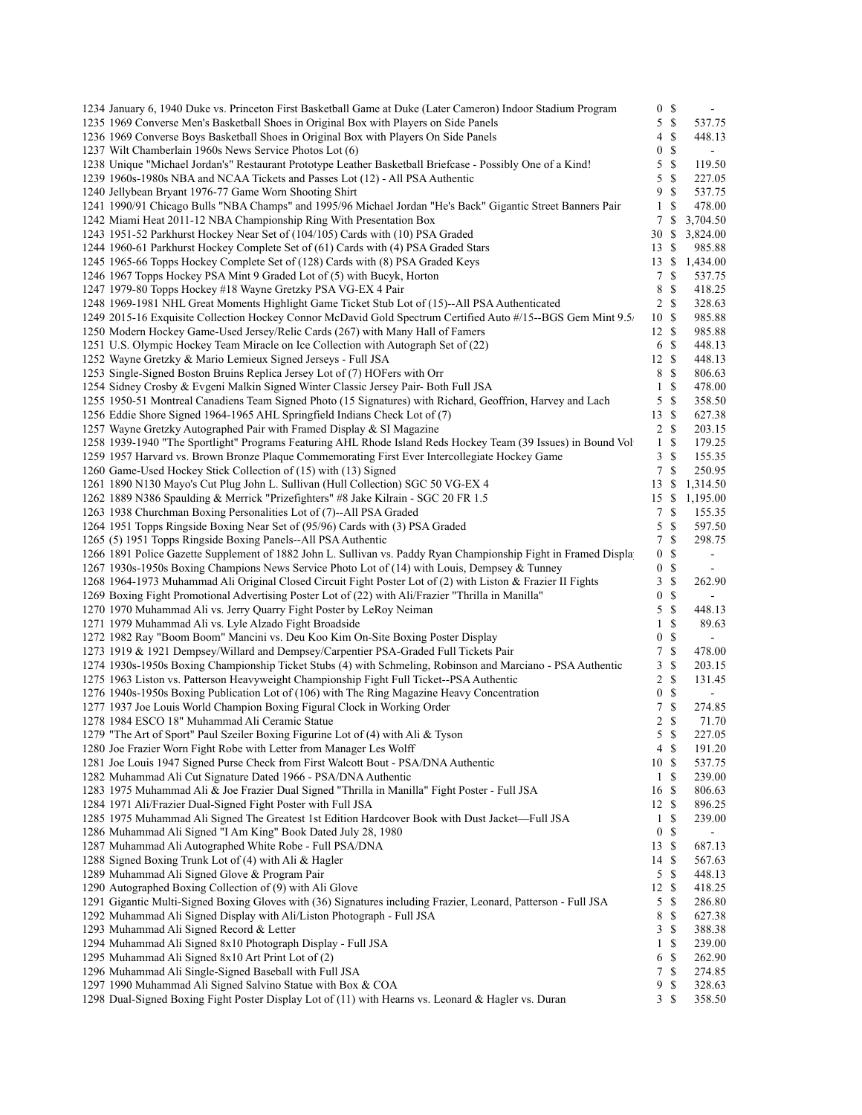| 1234 January 6, 1940 Duke vs. Princeton First Basketball Game at Duke (Later Cameron) Indoor Stadium Program                           |                  | 0 <sup>5</sup> |                  |
|----------------------------------------------------------------------------------------------------------------------------------------|------------------|----------------|------------------|
| 1235 1969 Converse Men's Basketball Shoes in Original Box with Players on Side Panels                                                  | 5                | $\mathbb{S}$   | 537.75           |
| 1236 1969 Converse Boys Basketball Shoes in Original Box with Players On Side Panels                                                   | 4                | <sup>\$</sup>  | 448.13           |
| 1237 Wilt Chamberlain 1960s News Service Photos Lot (6)                                                                                | $\mathbf{0}$     | <sup>\$</sup>  | $\blacksquare$   |
| 1238 Unique "Michael Jordan's" Restaurant Prototype Leather Basketball Briefcase - Possibly One of a Kind!                             | 5                | \$             | 119.50           |
| 1239 1960s-1980s NBA and NCAA Tickets and Passes Lot (12) - All PSA Authentic                                                          | 5                | \$             | 227.05           |
| 1240 Jellybean Bryant 1976-77 Game Worn Shooting Shirt                                                                                 | 9                | <sup>\$</sup>  | 537.75           |
| 1241 1990/91 Chicago Bulls "NBA Champs" and 1995/96 Michael Jordan "He's Back" Gigantic Street Banners Pair                            | $\mathbf{1}$     | <sup>\$</sup>  | 478.00           |
| 1242 Miami Heat 2011-12 NBA Championship Ring With Presentation Box                                                                    | 7                | \$             | 3,704.50         |
| 1243 1951-52 Parkhurst Hockey Near Set of (104/105) Cards with (10) PSA Graded                                                         | 30               | \$             | 3,824.00         |
| 1244 1960-61 Parkhurst Hockey Complete Set of (61) Cards with (4) PSA Graded Stars                                                     | 13               | -S             | 985.88           |
| 1245 1965-66 Topps Hockey Complete Set of (128) Cards with (8) PSA Graded Keys                                                         | 13               | $\mathbb{S}$   | 1,434.00         |
|                                                                                                                                        | 7                | \$             |                  |
| 1246 1967 Topps Hockey PSA Mint 9 Graded Lot of (5) with Bucyk, Horton<br>1247 1979-80 Topps Hockey #18 Wayne Gretzky PSA VG-EX 4 Pair |                  | <sup>\$</sup>  | 537.75<br>418.25 |
|                                                                                                                                        | 8                | 2 \$           | 328.63           |
| 1248 1969-1981 NHL Great Moments Highlight Game Ticket Stub Lot of (15)--All PSA Authenticated                                         |                  |                |                  |
| 1249 2015-16 Exquisite Collection Hockey Connor McDavid Gold Spectrum Certified Auto #/15--BGS Gem Mint 9.5/                           | 10S              |                | 985.88           |
| 1250 Modern Hockey Game-Used Jersey/Relic Cards (267) with Many Hall of Famers                                                         | 12S              |                | 985.88           |
| 1251 U.S. Olympic Hockey Team Miracle on Ice Collection with Autograph Set of (22)                                                     |                  | 6 \$           | 448.13           |
| 1252 Wayne Gretzky & Mario Lemieux Signed Jerseys - Full JSA                                                                           | 12S              |                | 448.13           |
| 1253 Single-Signed Boston Bruins Replica Jersey Lot of (7) HOFers with Orr                                                             | 8                | -S             | 806.63           |
| 1254 Sidney Crosby & Evgeni Malkin Signed Winter Classic Jersey Pair- Both Full JSA                                                    | $\mathbf{1}$     | <sup>\$</sup>  | 478.00           |
| 1255 1950-51 Montreal Canadiens Team Signed Photo (15 Signatures) with Richard, Geoffrion, Harvey and Lach                             | 5                | \$             | 358.50           |
| 1256 Eddie Shore Signed 1964-1965 AHL Springfield Indians Check Lot of (7)                                                             | 13               | -S             | 627.38           |
| 1257 Wayne Gretzky Autographed Pair with Framed Display & SI Magazine                                                                  |                  | 2 S            | 203.15           |
| 1258 1939-1940 "The Sportlight" Programs Featuring AHL Rhode Island Reds Hockey Team (39 Issues) in Bound Vol                          | 1                | \$             | 179.25           |
| 1259 1957 Harvard vs. Brown Bronze Plaque Commemorating First Ever Intercollegiate Hockey Game                                         | 3                | \$             | 155.35           |
| 1260 Game-Used Hockey Stick Collection of (15) with (13) Signed                                                                        | $\overline{7}$   | \$             | 250.95           |
| 1261 1890 N130 Mayo's Cut Plug John L. Sullivan (Hull Collection) SGC 50 VG-EX 4                                                       | 13               | <sup>\$</sup>  | 1,314.50         |
| 1262 1889 N386 Spaulding & Merrick "Prizefighters" #8 Jake Kilrain - SGC 20 FR 1.5                                                     | 15S              |                | 1,195.00         |
| 1263 1938 Churchman Boxing Personalities Lot of (7)--All PSA Graded                                                                    | $7\phantom{.0}$  | \$             | 155.35           |
| 1264 1951 Topps Ringside Boxing Near Set of (95/96) Cards with (3) PSA Graded                                                          | 5                | \$             | 597.50           |
| 1265 (5) 1951 Topps Ringside Boxing Panels--All PSA Authentic                                                                          | 7                | \$             | 298.75           |
| 1266 1891 Police Gazette Supplement of 1882 John L. Sullivan vs. Paddy Ryan Championship Fight in Framed Displa                        | $\mathbf{0}$     | $\mathbb{S}$   | $\blacksquare$   |
| 1267 1930s-1950s Boxing Champions News Service Photo Lot of (14) with Louis, Dempsey & Tunney                                          | $\boldsymbol{0}$ | \$             |                  |
| 1268 1964-1973 Muhammad Ali Original Closed Circuit Fight Poster Lot of (2) with Liston & Frazier II Fights                            | 3                | \$             | 262.90           |
| 1269 Boxing Fight Promotional Advertising Poster Lot of (22) with Ali/Frazier "Thrilla in Manilla"                                     | $\boldsymbol{0}$ | \$             |                  |
| 1270 1970 Muhammad Ali vs. Jerry Quarry Fight Poster by LeRoy Neiman                                                                   | 5                | \$             | 448.13           |
| 1271 1979 Muhammad Ali vs. Lyle Alzado Fight Broadside                                                                                 | $\mathbf{1}$     | \$             | 89.63            |
| 1272 1982 Ray "Boom Boom" Mancini vs. Deu Koo Kim On-Site Boxing Poster Display                                                        | $\boldsymbol{0}$ | \$             |                  |
| 1273 1919 & 1921 Dempsey/Willard and Dempsey/Carpentier PSA-Graded Full Tickets Pair                                                   | 7                | \$             | 478.00           |
| 1274 1930s-1950s Boxing Championship Ticket Stubs (4) with Schmeling, Robinson and Marciano - PSA Authentic                            | 3                | \$             | 203.15           |
| 1275 1963 Liston vs. Patterson Heavyweight Championship Fight Full Ticket--PSA Authentic                                               | $\overline{c}$   | \$             | 131.45           |
| 1276 1940s-1950s Boxing Publication Lot of (106) with The Ring Magazine Heavy Concentration                                            | $\boldsymbol{0}$ | \$             | $\blacksquare$   |
|                                                                                                                                        | 7                | \$             |                  |
| 1277 1937 Joe Louis World Champion Boxing Figural Clock in Working Order                                                               | $\overline{c}$   |                | 274.85           |
| 1278 1984 ESCO 18" Muhammad Ali Ceramic Statue                                                                                         |                  | \$             | 71.70            |
| 1279 "The Art of Sport" Paul Szeiler Boxing Figurine Lot of (4) with Ali & Tyson                                                       | 5                | \$             | 227.05           |
| 1280 Joe Frazier Worn Fight Robe with Letter from Manager Les Wolff                                                                    |                  | 4S             | 191.20           |
| 1281 Joe Louis 1947 Signed Purse Check from First Walcott Bout - PSA/DNA Authentic                                                     | 10S              |                | 537.75           |
| 1282 Muhammad Ali Cut Signature Dated 1966 - PSA/DNA Authentic                                                                         |                  | 1 \$           | 239.00           |
| 1283 1975 Muhammad Ali & Joe Frazier Dual Signed "Thrilla in Manilla" Fight Poster - Full JSA                                          | 16 \$            |                | 806.63           |
| 1284 1971 Ali/Frazier Dual-Signed Fight Poster with Full JSA                                                                           | 12S              |                | 896.25           |
| 1285 1975 Muhammad Ali Signed The Greatest 1st Edition Hardcover Book with Dust Jacket—Full JSA                                        | $\mathbf{1}$     | \$             | 239.00           |
| 1286 Muhammad Ali Signed "I Am King" Book Dated July 28, 1980                                                                          | $\mathbf{0}$     | \$             |                  |
| 1287 Muhammad Ali Autographed White Robe - Full PSA/DNA                                                                                | 13S              |                | 687.13           |
| 1288 Signed Boxing Trunk Lot of (4) with Ali & Hagler                                                                                  | 14 \$            |                | 567.63           |
| 1289 Muhammad Ali Signed Glove & Program Pair                                                                                          | 5                | \$             | 448.13           |
| 1290 Autographed Boxing Collection of (9) with Ali Glove                                                                               | 12S              |                | 418.25           |
| 1291 Gigantic Multi-Signed Boxing Gloves with (36) Signatures including Frazier, Leonard, Patterson - Full JSA                         | 5                | \$             | 286.80           |
| 1292 Muhammad Ali Signed Display with Ali/Liston Photograph - Full JSA                                                                 | 8                | \$             | 627.38           |
| 1293 Muhammad Ali Signed Record & Letter                                                                                               | 3                | \$             | 388.38           |
| 1294 Muhammad Ali Signed 8x10 Photograph Display - Full JSA                                                                            | $\mathbf{1}$     | \$             | 239.00           |
| 1295 Muhammad Ali Signed 8x10 Art Print Lot of (2)                                                                                     | 6                | \$             | 262.90           |
| 1296 Muhammad Ali Single-Signed Baseball with Full JSA                                                                                 | 7                | \$             | 274.85           |
| 1297 1990 Muhammad Ali Signed Salvino Statue with Box & COA                                                                            | 9                | \$             | 328.63           |
| 1298 Dual-Signed Boxing Fight Poster Display Lot of (11) with Hearns vs. Leonard & Hagler vs. Duran                                    |                  | 3 \$           | 358.50           |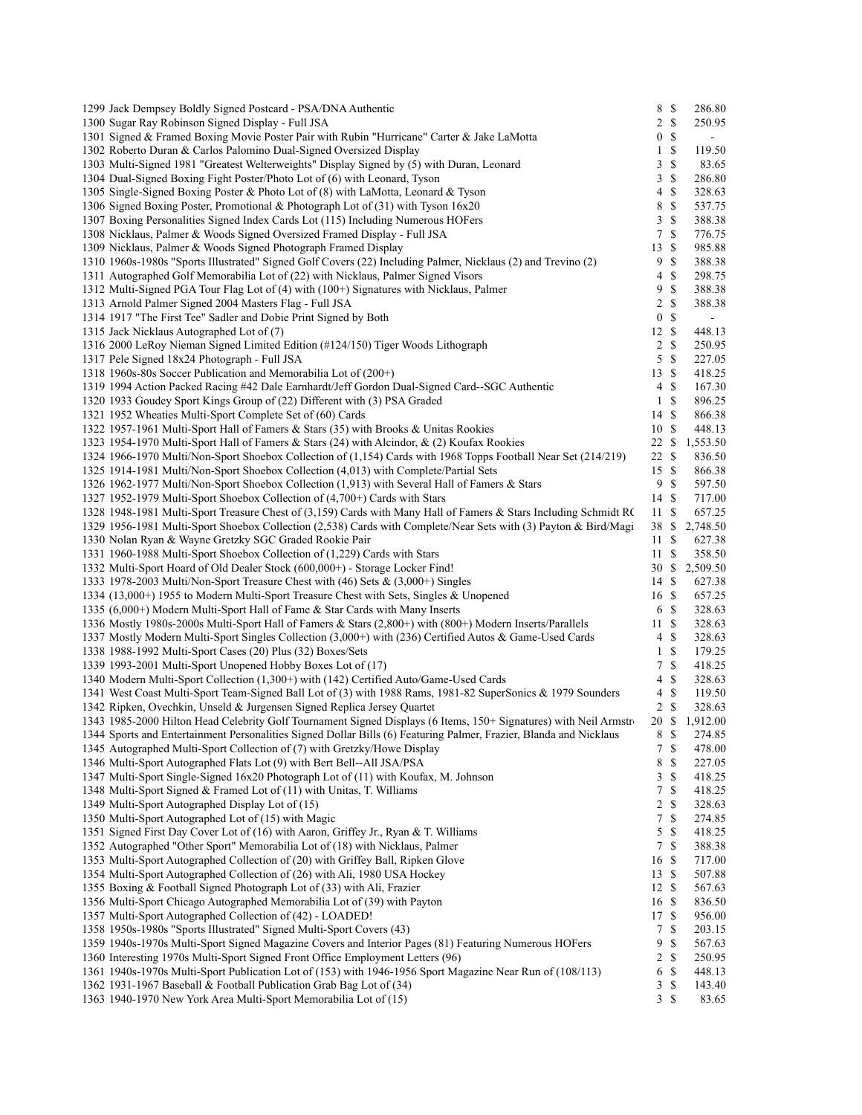| 1299 Jack Dempsey Boldly Signed Postcard - PSA/DNA Authentic                                                                                                                                                                             |                  | 8S            | 286.80                   |
|------------------------------------------------------------------------------------------------------------------------------------------------------------------------------------------------------------------------------------------|------------------|---------------|--------------------------|
| 1300 Sugar Ray Robinson Signed Display - Full JSA                                                                                                                                                                                        |                  | 2 S           | 250.95                   |
| 1301 Signed & Framed Boxing Movie Poster Pair with Rubin "Hurricane" Carter & Jake LaMotta                                                                                                                                               | $\boldsymbol{0}$ | $\mathbb{S}$  | $\blacksquare$           |
| 1302 Roberto Duran & Carlos Palomino Dual-Signed Oversized Display                                                                                                                                                                       | 1                | \$            | 119.50                   |
| 1303 Multi-Signed 1981 "Greatest Welterweights" Display Signed by (5) with Duran, Leonard                                                                                                                                                | 3                | \$            | 83.65                    |
| 1304 Dual-Signed Boxing Fight Poster/Photo Lot of (6) with Leonard, Tyson                                                                                                                                                                | 3                | $\mathcal{S}$ | 286.80                   |
| 1305 Single-Signed Boxing Poster & Photo Lot of (8) with LaMotta, Leonard & Tyson                                                                                                                                                        | 4                | \$            | 328.63                   |
| 1306 Signed Boxing Poster, Promotional & Photograph Lot of (31) with Tyson 16x20                                                                                                                                                         | 8                | \$            | 537.75                   |
| 1307 Boxing Personalities Signed Index Cards Lot (115) Including Numerous HOFers                                                                                                                                                         | 3                | $\mathbb{S}$  | 388.38                   |
| 1308 Nicklaus, Palmer & Woods Signed Oversized Framed Display - Full JSA                                                                                                                                                                 | 7                | \$            | 776.75                   |
| 1309 Nicklaus, Palmer & Woods Signed Photograph Framed Display                                                                                                                                                                           | 13               | $\mathbb{S}$  | 985.88                   |
| 1310 1960s-1980s "Sports Illustrated" Signed Golf Covers (22) Including Palmer, Nicklaus (2) and Trevino (2)                                                                                                                             | 9                | \$            | 388.38                   |
| 1311 Autographed Golf Memorabilia Lot of (22) with Nicklaus, Palmer Signed Visors                                                                                                                                                        | 4                | \$            | 298.75                   |
| 1312 Multi-Signed PGA Tour Flag Lot of (4) with (100+) Signatures with Nicklaus, Palmer                                                                                                                                                  | 9                | \$            | 388.38                   |
| 1313 Arnold Palmer Signed 2004 Masters Flag - Full JSA                                                                                                                                                                                   | 2                | \$            | 388.38                   |
| 1314 1917 "The First Tee" Sadler and Dobie Print Signed by Both                                                                                                                                                                          | $\boldsymbol{0}$ | $\mathcal{S}$ | $\blacksquare$           |
| 1315 Jack Nicklaus Autographed Lot of (7)                                                                                                                                                                                                | 12S              |               | 448.13                   |
|                                                                                                                                                                                                                                          |                  |               |                          |
| 1316 2000 LeRoy Nieman Signed Limited Edition (#124/150) Tiger Woods Lithograph                                                                                                                                                          |                  | $2 \sqrt{s}$  | 250.95                   |
| 1317 Pele Signed 18x24 Photograph - Full JSA                                                                                                                                                                                             | 5                | $\mathcal{S}$ | 227.05                   |
| 1318 1960s-80s Soccer Publication and Memorabilia Lot of (200+)                                                                                                                                                                          | 13S              |               | 418.25                   |
| 1319 1994 Action Packed Racing #42 Dale Earnhardt/Jeff Gordon Dual-Signed Card--SGC Authentic                                                                                                                                            | 4                | $\mathbb{S}$  | 167.30                   |
| 1320 1933 Goudey Sport Kings Group of (22) Different with (3) PSA Graded                                                                                                                                                                 | 1                | \$            | 896.25                   |
| 1321 1952 Wheaties Multi-Sport Complete Set of (60) Cards                                                                                                                                                                                | 14 \$            |               | 866.38                   |
| 1322 1957-1961 Multi-Sport Hall of Famers & Stars (35) with Brooks & Unitas Rookies                                                                                                                                                      | 10S              |               | 448.13                   |
| 1323 1954-1970 Multi-Sport Hall of Famers & Stars (24) with Alcindor, & (2) Koufax Rookies                                                                                                                                               | 22 \$            |               | 1,553.50                 |
| 1324 1966-1970 Multi/Non-Sport Shoebox Collection of (1,154) Cards with 1968 Topps Football Near Set (214/219)                                                                                                                           | 22 \$            |               | 836.50                   |
| 1325 1914-1981 Multi/Non-Sport Shoebox Collection (4,013) with Complete/Partial Sets                                                                                                                                                     | 15S              |               | 866.38                   |
| 1326 1962-1977 Multi/Non-Sport Shoebox Collection (1,913) with Several Hall of Famers & Stars                                                                                                                                            | 9                | $\mathcal{S}$ | 597.50                   |
| 1327 1952-1979 Multi-Sport Shoebox Collection of (4,700+) Cards with Stars                                                                                                                                                               | 14 \$            |               | 717.00                   |
| 1328 1948-1981 Multi-Sport Treasure Chest of (3,159) Cards with Many Hall of Famers & Stars Including Schmidt RC                                                                                                                         | 11S              |               | 657.25                   |
| 1329 1956-1981 Multi-Sport Shoebox Collection (2,538) Cards with Complete/Near Sets with (3) Payton & Bird/Magi                                                                                                                          | 38 S             |               | 2,748.50                 |
| 1330 Nolan Ryan & Wayne Gretzky SGC Graded Rookie Pair                                                                                                                                                                                   | 11S              |               | 627.38                   |
| 1331 1960-1988 Multi-Sport Shoebox Collection of (1,229) Cards with Stars                                                                                                                                                                | 11S              |               | 358.50                   |
| 1332 Multi-Sport Hoard of Old Dealer Stock (600,000+) - Storage Locker Find!                                                                                                                                                             |                  |               | 30 \$ 2,509.50           |
| 1333 1978-2003 Multi/Non-Sport Treasure Chest with $(46)$ Sets & $(3,000+)$ Singles                                                                                                                                                      | 14S              |               | 627.38                   |
| 1334 (13,000+) 1955 to Modern Multi-Sport Treasure Chest with Sets, Singles & Unopened                                                                                                                                                   | 16S              |               | 657.25                   |
| 1335 (6,000+) Modern Multi-Sport Hall of Fame & Star Cards with Many Inserts                                                                                                                                                             | 6 \$             |               | 328.63                   |
| 1336 Mostly 1980s-2000s Multi-Sport Hall of Famers & Stars (2,800+) with (800+) Modern Inserts/Parallels                                                                                                                                 | 11S              |               | 328.63                   |
| 1337 Mostly Modern Multi-Sport Singles Collection (3,000+) with (236) Certified Autos & Game-Used Cards                                                                                                                                  | $\overline{4}$   | <sup>\$</sup> | 328.63                   |
| 1338 1988-1992 Multi-Sport Cases (20) Plus (32) Boxes/Sets                                                                                                                                                                               | 1                | $\mathbb{S}$  | 179.25                   |
| 1339 1993-2001 Multi-Sport Unopened Hobby Boxes Lot of (17)                                                                                                                                                                              | 7                | $\mathbb{S}$  | 418.25                   |
| 1340 Modern Multi-Sport Collection (1,300+) with (142) Certified Auto/Game-Used Cards                                                                                                                                                    | 4                | S             | 328.63                   |
| 1341 West Coast Multi-Sport Team-Signed Ball Lot of (3) with 1988 Rams, 1981-82 SuperSonics & 1979 Sounders                                                                                                                              | $4 \text{ }$ \$  |               | 119.50                   |
| 1342 Ripken, Ovechkin, Unseld & Jurgensen Signed Replica Jersey Quartet                                                                                                                                                                  | 2S               |               | 328.63                   |
|                                                                                                                                                                                                                                          |                  |               |                          |
| 1343 1985-2000 Hilton Head Celebrity Golf Tournament Signed Displays (6 Items, 150+ Signatures) with Neil Armstron<br>1344 Sports and Entertainment Personalities Signed Dollar Bills (6) Featuring Palmer, Frazier, Blanda and Nicklaus |                  | 8 \$          | 20 \$ 1,912.00<br>274.85 |
|                                                                                                                                                                                                                                          | 7S               |               |                          |
| 1345 Autographed Multi-Sport Collection of (7) with Gretzky/Howe Display                                                                                                                                                                 | 8                |               | 478.00                   |
| 1346 Multi-Sport Autographed Flats Lot (9) with Bert Bell--All JSA/PSA                                                                                                                                                                   |                  | \$            | 227.05                   |
| 1347 Multi-Sport Single-Signed 16x20 Photograph Lot of (11) with Koufax, M. Johnson                                                                                                                                                      | 3                | \$            | 418.25                   |
| 1348 Multi-Sport Signed & Framed Lot of (11) with Unitas, T. Williams                                                                                                                                                                    | 7                | $\mathbb{S}$  | 418.25                   |
| 1349 Multi-Sport Autographed Display Lot of (15)                                                                                                                                                                                         | 2                | S             | 328.63                   |
| 1350 Multi-Sport Autographed Lot of (15) with Magic                                                                                                                                                                                      | 7                | \$            | 274.85                   |
| 1351 Signed First Day Cover Lot of (16) with Aaron, Griffey Jr., Ryan & T. Williams                                                                                                                                                      | 5                | $\mathbb{S}$  | 418.25                   |
| 1352 Autographed "Other Sport" Memorabilia Lot of (18) with Nicklaus, Palmer                                                                                                                                                             | $\tau$           | $\mathbf S$   | 388.38                   |
| 1353 Multi-Sport Autographed Collection of (20) with Griffey Ball, Ripken Glove                                                                                                                                                          | 16 \$            |               | 717.00                   |
| 1354 Multi-Sport Autographed Collection of (26) with Ali, 1980 USA Hockey                                                                                                                                                                | 13S              |               | 507.88                   |
| 1355 Boxing & Football Signed Photograph Lot of (33) with Ali, Frazier                                                                                                                                                                   | 12S              |               | 567.63                   |
| 1356 Multi-Sport Chicago Autographed Memorabilia Lot of (39) with Payton                                                                                                                                                                 | 16 \$            |               | 836.50                   |
| 1357 Multi-Sport Autographed Collection of (42) - LOADED!                                                                                                                                                                                | 17S              |               | 956.00                   |
| 1358 1950s-1980s "Sports Illustrated" Signed Multi-Sport Covers (43)                                                                                                                                                                     | 7                | \$            | 203.15                   |
| 1359 1940s-1970s Multi-Sport Signed Magazine Covers and Interior Pages (81) Featuring Numerous HOFers                                                                                                                                    | 9                | \$            | 567.63                   |
| 1360 Interesting 1970s Multi-Sport Signed Front Office Employment Letters (96)                                                                                                                                                           | 2                | \$            | 250.95                   |
| 1361 1940s-1970s Multi-Sport Publication Lot of (153) with 1946-1956 Sport Magazine Near Run of (108/113)                                                                                                                                | 6                | \$            | 448.13                   |
| 1362 1931-1967 Baseball & Football Publication Grab Bag Lot of (34)                                                                                                                                                                      | 3                | \$            | 143.40                   |
| 1363 1940-1970 New York Area Multi-Sport Memorabilia Lot of (15)                                                                                                                                                                         | 3S               |               | 83.65                    |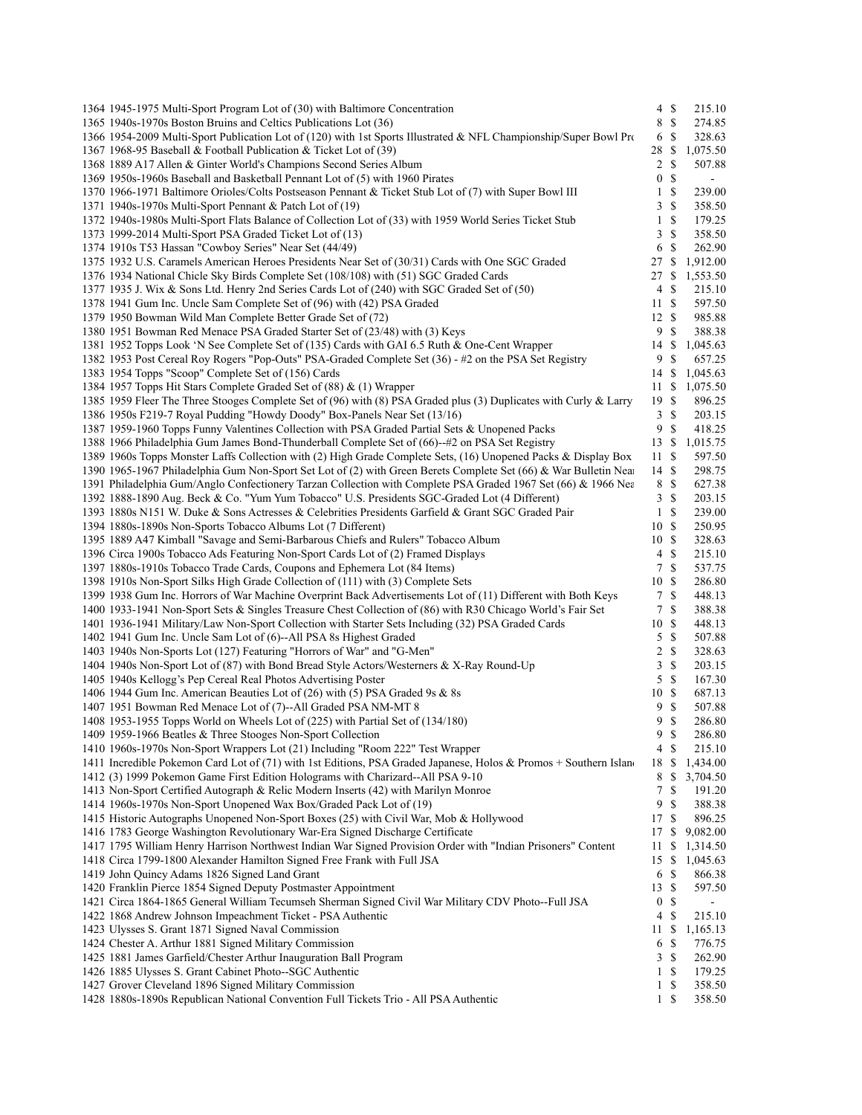| 1364 1945-1975 Multi-Sport Program Lot of (30) with Baltimore Concentration                                       |                | $4 \text{ }$       | 215.10         |  |
|-------------------------------------------------------------------------------------------------------------------|----------------|--------------------|----------------|--|
| 1365 1940s-1970s Boston Bruins and Celtics Publications Lot (36)                                                  |                | 8 \$               | 274.85         |  |
| 1366 1954-2009 Multi-Sport Publication Lot of (120) with 1st Sports Illustrated & NFL Championship/Super Bowl Pro |                | 6 \$               | 328.63         |  |
| 1367 1968-95 Baseball & Football Publication & Ticket Lot of (39)                                                 | 28 \$          |                    | 1,075.50       |  |
| 1368 1889 A17 Allen & Ginter World's Champions Second Series Album                                                |                | $2 \sqrt{s}$       | 507.88         |  |
| 1369 1950s-1960s Baseball and Basketball Pennant Lot of (5) with 1960 Pirates                                     | $\mathbf{0}$   | <sup>\$</sup>      | $\blacksquare$ |  |
| 1370 1966-1971 Baltimore Orioles/Colts Postseason Pennant & Ticket Stub Lot of (7) with Super Bowl III            | $\mathbf{1}$   | \$                 | 239.00         |  |
| 1371 1940s-1970s Multi-Sport Pennant & Patch Lot of (19)                                                          |                | 3S                 | 358.50         |  |
| 1372 1940s-1980s Multi-Sport Flats Balance of Collection Lot of (33) with 1959 World Series Ticket Stub           | $\mathbf{1}$   | <sup>\$</sup>      | 179.25         |  |
| 1373 1999-2014 Multi-Sport PSA Graded Ticket Lot of (13)                                                          |                | 3S                 | 358.50         |  |
| 1374 1910s T53 Hassan "Cowboy Series" Near Set (44/49)                                                            |                | 6 \$               | 262.90         |  |
| 1375 1932 U.S. Caramels American Heroes Presidents Near Set of (30/31) Cards with One SGC Graded                  | 27S            |                    | 1,912.00       |  |
| 1376 1934 National Chicle Sky Birds Complete Set (108/108) with (51) SGC Graded Cards                             |                |                    | 27 \$ 1,553.50 |  |
| 1377 1935 J. Wix & Sons Ltd. Henry 2nd Series Cards Lot of (240) with SGC Graded Set of (50)                      |                | 4S                 | 215.10         |  |
| 1378 1941 Gum Inc. Uncle Sam Complete Set of (96) with (42) PSA Graded                                            | 11S            |                    | 597.50         |  |
| 1379 1950 Bowman Wild Man Complete Better Grade Set of (72)                                                       | 12S            |                    | 985.88         |  |
| 1380 1951 Bowman Red Menace PSA Graded Starter Set of (23/48) with (3) Keys                                       | 9S             |                    | 388.38         |  |
| 1381 1952 Topps Look 'N See Complete Set of (135) Cards with GAI 6.5 Ruth & One-Cent Wrapper                      |                |                    | 14 \$ 1,045.63 |  |
| 1382 1953 Post Cereal Roy Rogers "Pop-Outs" PSA-Graded Complete Set (36) - #2 on the PSA Set Registry             | 9S             |                    | 657.25         |  |
| 1383 1954 Topps "Scoop" Complete Set of (156) Cards                                                               | 14S            |                    | 1,045.63       |  |
| 1384 1957 Topps Hit Stars Complete Graded Set of (88) & (1) Wrapper                                               |                |                    | 11 \$ 1,075.50 |  |
| 1385 1959 Fleer The Three Stooges Complete Set of (96) with (8) PSA Graded plus (3) Duplicates with Curly & Larry | 19S            |                    |                |  |
|                                                                                                                   |                | 3S                 | 896.25         |  |
| 1386 1950s F219-7 Royal Pudding "Howdy Doody" Box-Panels Near Set (13/16)                                         |                |                    | 203.15         |  |
| 1387 1959-1960 Topps Funny Valentines Collection with PSA Graded Partial Sets & Unopened Packs                    | 9              | $\mathcal{S}$      | 418.25         |  |
| 1388 1966 Philadelphia Gum James Bond-Thunderball Complete Set of (66)--#2 on PSA Set Registry                    | 13S            |                    | 1,015.75       |  |
| 1389 1960s Topps Monster Laffs Collection with (2) High Grade Complete Sets, (16) Unopened Packs & Display Box    | 11S            |                    | 597.50         |  |
| 1390 1965-1967 Philadelphia Gum Non-Sport Set Lot of (2) with Green Berets Complete Set (66) & War Bulletin Near  | 14S            |                    | 298.75         |  |
| 1391 Philadelphia Gum/Anglo Confectionery Tarzan Collection with Complete PSA Graded 1967 Set (66) & 1966 Nea     |                | 8 \$               | 627.38         |  |
| 1392 1888-1890 Aug. Beck & Co. "Yum Yum Tobacco" U.S. Presidents SGC-Graded Lot (4 Different)                     | $\mathbf{3}$   | $\mathbf{\hat{s}}$ | 203.15         |  |
| 1393 1880s N151 W. Duke & Sons Actresses & Celebrities Presidents Garfield & Grant SGC Graded Pair                | $\mathbf{1}$   | <sup>\$</sup>      | 239.00         |  |
| 1394 1880s-1890s Non-Sports Tobacco Albums Lot (7 Different)                                                      | 10S            |                    | 250.95         |  |
| 1395 1889 A47 Kimball "Savage and Semi-Barbarous Chiefs and Rulers" Tobacco Album                                 | 10S            |                    | 328.63         |  |
| 1396 Circa 1900s Tobacco Ads Featuring Non-Sport Cards Lot of (2) Framed Displays                                 |                | 4S                 | 215.10         |  |
| 1397 1880s-1910s Tobacco Trade Cards, Coupons and Ephemera Lot (84 Items)                                         | 7              | $\mathbf S$        | 537.75         |  |
| 1398 1910s Non-Sport Silks High Grade Collection of (111) with (3) Complete Sets                                  | 10S            |                    | 286.80         |  |
| 1399 1938 Gum Inc. Horrors of War Machine Overprint Back Advertisements Lot of (11) Different with Both Keys      |                | 7S                 | 448.13         |  |
| 1400 1933-1941 Non-Sport Sets & Singles Treasure Chest Collection of (86) with R30 Chicago World's Fair Set       | 7              | \$                 | 388.38         |  |
| 1401 1936-1941 Military/Law Non-Sport Collection with Starter Sets Including (32) PSA Graded Cards                | 10S            |                    | 448.13         |  |
| 1402 1941 Gum Inc. Uncle Sam Lot of (6)--All PSA 8s Highest Graded                                                |                | 5S                 | 507.88         |  |
| 1403 1940s Non-Sports Lot (127) Featuring "Horrors of War" and "G-Men"                                            | $\overline{2}$ | <sup>\$</sup>      | 328.63         |  |
| 1404 1940s Non-Sport Lot of (87) with Bond Bread Style Actors/Westerners & X-Ray Round-Up                         | $\mathbf{3}$   | $\mathbf S$        | 203.15         |  |
| 1405 1940s Kellogg's Pep Cereal Real Photos Advertising Poster                                                    |                | 5S                 | 167.30         |  |
| 1406 1944 Gum Inc. American Beauties Lot of (26) with (5) PSA Graded 9s & 8s                                      | 10S            |                    | 687.13         |  |
| 1407 1951 Bowman Red Menace Lot of (7)--All Graded PSA NM-MT 8                                                    | 9S             |                    | 507.88         |  |
| 1408 1953-1955 Topps World on Wheels Lot of (225) with Partial Set of (134/180)                                   |                | 9S                 | 286.80         |  |
| 1409 1959-1966 Beatles & Three Stooges Non-Sport Collection                                                       |                | 9S                 | 286.80         |  |
| 1410 1960s-1970s Non-Sport Wrappers Lot (21) Including "Room 222" Test Wrapper                                    |                | 4S                 | 215.10         |  |
| 1411 Incredible Pokemon Card Lot of (71) with 1st Editions, PSA Graded Japanese, Holos & Promos + Southern Island |                |                    | 18 \$ 1,434.00 |  |
| 1412 (3) 1999 Pokemon Game First Edition Holograms with Charizard-All PSA 9-10                                    |                |                    | 8 \$ 3,704.50  |  |
| 1413 Non-Sport Certified Autograph & Relic Modern Inserts (42) with Marilyn Monroe                                | 7              | -S                 | 191.20         |  |
| 1414 1960s-1970s Non-Sport Unopened Wax Box/Graded Pack Lot of (19)                                               | 9              | -S                 | 388.38         |  |
| 1415 Historic Autographs Unopened Non-Sport Boxes (25) with Civil War, Mob & Hollywood                            | 17S            |                    | 896.25         |  |
| 1416 1783 George Washington Revolutionary War-Era Signed Discharge Certificate                                    | 17S            |                    | 9,082.00       |  |
| 1417 1795 William Henry Harrison Northwest Indian War Signed Provision Order with "Indian Prisoners" Content      | $\mathbf{11}$  | \$                 | 1,314.50       |  |
| 1418 Circa 1799-1800 Alexander Hamilton Signed Free Frank with Full JSA                                           |                |                    | 15 \$ 1,045.63 |  |
| 1419 John Quincy Adams 1826 Signed Land Grant                                                                     |                | 6 \$               | 866.38         |  |
| 1420 Franklin Pierce 1854 Signed Deputy Postmaster Appointment                                                    | 13S            |                    | 597.50         |  |
| 1421 Circa 1864-1865 General William Tecumseh Sherman Signed Civil War Military CDV Photo--Full JSA               | $\mathbf{0}$   | \$                 |                |  |
| 1422 1868 Andrew Johnson Impeachment Ticket - PSA Authentic                                                       | 4              | S                  | 215.10         |  |
| 1423 Ulysses S. Grant 1871 Signed Naval Commission                                                                | $11^{\circ}$   | \$                 | 1,165.13       |  |
| 1424 Chester A. Arthur 1881 Signed Military Commission                                                            |                | 6 \$               | 776.75         |  |
| 1425 1881 James Garfield/Chester Arthur Inauguration Ball Program                                                 |                | 3S                 | 262.90         |  |
|                                                                                                                   | $\mathbf{1}$   | S                  | 179.25         |  |
| 1426 1885 Ulysses S. Grant Cabinet Photo--SGC Authentic                                                           |                |                    |                |  |
| 1427 Grover Cleveland 1896 Signed Military Commission                                                             | $\mathbf{1}$   | \$                 | 358.50         |  |
| 1428 1880s-1890s Republican National Convention Full Tickets Trio - All PSA Authentic                             |                | $1 \text{ }$       | 358.50         |  |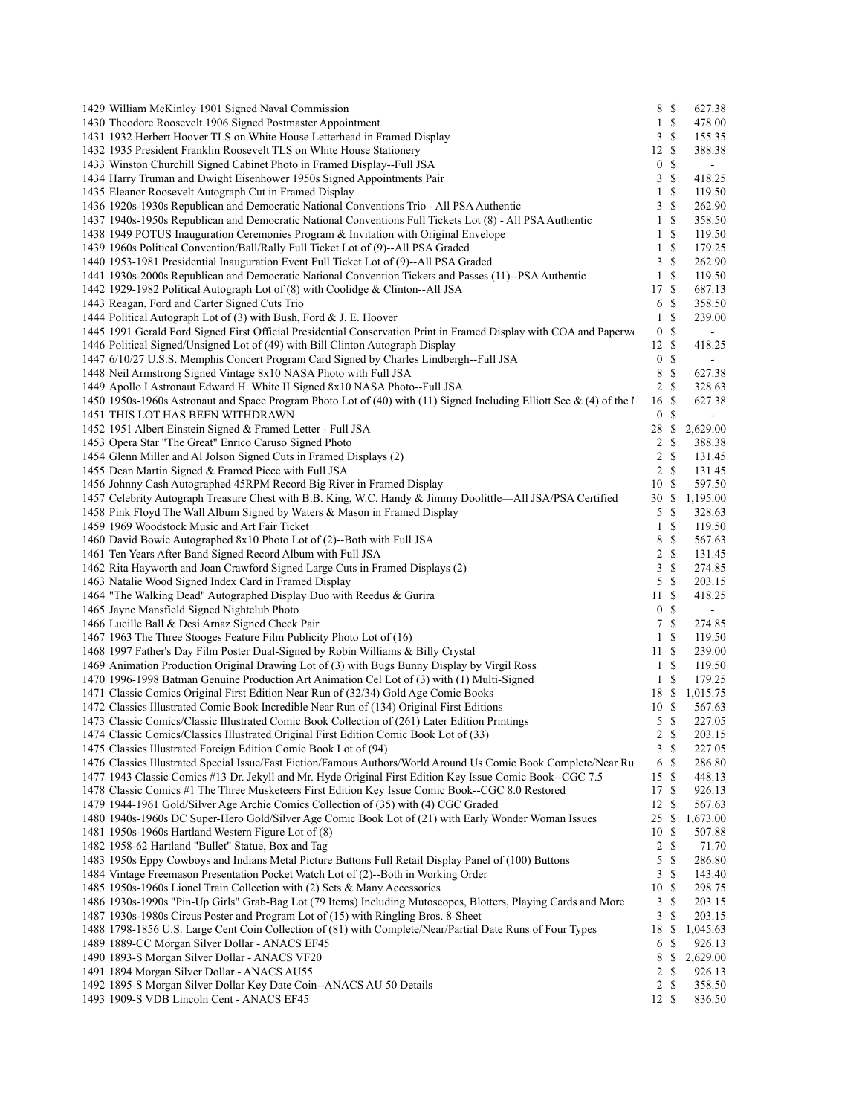| 1429 William McKinley 1901 Signed Naval Commission                                                                                                              |                  | 8 \$                      | 627.38           |
|-----------------------------------------------------------------------------------------------------------------------------------------------------------------|------------------|---------------------------|------------------|
| 1430 Theodore Roosevelt 1906 Signed Postmaster Appointment                                                                                                      |                  | $1 \sqrt{S}$              | 478.00           |
| 1431 1932 Herbert Hoover TLS on White House Letterhead in Framed Display                                                                                        |                  | 3S                        | 155.35           |
| 1432 1935 President Franklin Roosevelt TLS on White House Stationery                                                                                            | 12S              |                           | 388.38           |
| 1433 Winston Churchill Signed Cabinet Photo in Framed Display--Full JSA                                                                                         | $\mathbf{0}$     | \$                        |                  |
| 1434 Harry Truman and Dwight Eisenhower 1950s Signed Appointments Pair                                                                                          | $\mathbf{3}$     | \$                        | 418.25           |
| 1435 Eleanor Roosevelt Autograph Cut in Framed Display                                                                                                          | 1                | \$                        | 119.50           |
| 1436 1920s-1930s Republican and Democratic National Conventions Trio - All PSA Authentic                                                                        | 3                | \$                        | 262.90           |
| 1437 1940s-1950s Republican and Democratic National Conventions Full Tickets Lot (8) - All PSA Authentic                                                        | $\mathbf{1}$     | <sup>\$</sup>             | 358.50           |
| 1438 1949 POTUS Inauguration Ceremonies Program & Invitation with Original Envelope                                                                             | 1                | \$                        | 119.50           |
| 1439 1960s Political Convention/Ball/Rally Full Ticket Lot of (9)--All PSA Graded                                                                               | 1                | \$                        | 179.25           |
| 1440 1953-1981 Presidential Inauguration Event Full Ticket Lot of (9)--All PSA Graded                                                                           | 3                | \$                        | 262.90           |
| 1441 1930s-2000s Republican and Democratic National Convention Tickets and Passes (11)--PSA Authentic                                                           | 1                | $\boldsymbol{\mathsf{S}}$ | 119.50           |
| 1442 1929-1982 Political Autograph Lot of (8) with Coolidge & Clinton--All JSA                                                                                  | 17               | <sup>\$</sup>             | 687.13           |
| 1443 Reagan, Ford and Carter Signed Cuts Trio                                                                                                                   |                  | 6 \$                      | 358.50           |
| 1444 Political Autograph Lot of (3) with Bush, Ford & J. E. Hoover                                                                                              | 1                | \$                        | 239.00           |
| 1445 1991 Gerald Ford Signed First Official Presidential Conservation Print in Framed Display with COA and Paperwo                                              | $\bf{0}$         | \$                        | ÷.               |
| 1446 Political Signed/Unsigned Lot of (49) with Bill Clinton Autograph Display                                                                                  | 12S              |                           | 418.25           |
| 1447 6/10/27 U.S.S. Memphis Concert Program Card Signed by Charles Lindbergh--Full JSA                                                                          | $\mathbf{0}$     | \$                        |                  |
| 1448 Neil Armstrong Signed Vintage 8x10 NASA Photo with Full JSA                                                                                                | 8                | \$                        | 627.38           |
| 1449 Apollo I Astronaut Edward H. White II Signed 8x10 NASA Photo--Full JSA                                                                                     | $\overline{2}$   | <sup>\$</sup>             | 328.63           |
| 1450 1950s-1960s Astronaut and Space Program Photo Lot of (40) with (11) Signed Including Elliott See & (4) of the l                                            | 16               | \$                        | 627.38           |
| 1451 THIS LOT HAS BEEN WITHDRAWN                                                                                                                                | $\boldsymbol{0}$ | S                         |                  |
| 1452 1951 Albert Einstein Signed & Framed Letter - Full JSA                                                                                                     | 28               | \$                        | 2,629.00         |
| 1453 Opera Star "The Great" Enrico Caruso Signed Photo<br>1454 Glenn Miller and Al Jolson Signed Cuts in Framed Displays (2)                                    | 2<br>2           | \$<br>\$                  | 388.38<br>131.45 |
| 1455 Dean Martin Signed & Framed Piece with Full JSA                                                                                                            | $\overline{2}$   | <sup>\$</sup>             | 131.45           |
| 1456 Johnny Cash Autographed 45RPM Record Big River in Framed Display                                                                                           | 10               | <sup>\$</sup>             | 597.50           |
| 1457 Celebrity Autograph Treasure Chest with B.B. King, W.C. Handy & Jimmy Doolittle—All JSA/PSA Certified                                                      | 30 S             |                           | 1,195.00         |
| 1458 Pink Floyd The Wall Album Signed by Waters & Mason in Framed Display                                                                                       | 5                | <sup>\$</sup>             | 328.63           |
| 1459 1969 Woodstock Music and Art Fair Ticket                                                                                                                   | 1                | \$                        | 119.50           |
| 1460 David Bowie Autographed 8x10 Photo Lot of (2)--Both with Full JSA                                                                                          | 8                | \$                        | 567.63           |
| 1461 Ten Years After Band Signed Record Album with Full JSA                                                                                                     | 2                | $\mathbb{S}$              | 131.45           |
| 1462 Rita Hayworth and Joan Crawford Signed Large Cuts in Framed Displays (2)                                                                                   | 3                | \$                        | 274.85           |
| 1463 Natalie Wood Signed Index Card in Framed Display                                                                                                           | 5                | <sup>\$</sup>             | 203.15           |
| 1464 "The Walking Dead" Autographed Display Duo with Reedus & Gurira                                                                                            | 11S              |                           | 418.25           |
| 1465 Jayne Mansfield Signed Nightclub Photo                                                                                                                     |                  | 0 <sup>5</sup>            | $\blacksquare$   |
| 1466 Lucille Ball & Desi Arnaz Signed Check Pair                                                                                                                | $\tau$           | <sup>\$</sup>             | 274.85           |
| 1467 1963 The Three Stooges Feature Film Publicity Photo Lot of (16)                                                                                            | $\mathbf{1}$     | -S                        | 119.50           |
| 1468 1997 Father's Day Film Poster Dual-Signed by Robin Williams & Billy Crystal                                                                                | 11S              |                           | 239.00           |
| 1469 Animation Production Original Drawing Lot of (3) with Bugs Bunny Display by Virgil Ross                                                                    |                  | $1 \text{ }$              | 119.50           |
| 1470 1996-1998 Batman Genuine Production Art Animation Cel Lot of (3) with (1) Multi-Signed                                                                     | $\mathbf{1}$     | \$                        | 179.25           |
| 1471 Classic Comics Original First Edition Near Run of (32/34) Gold Age Comic Books                                                                             | 18 \$            |                           | 1,015.75         |
| 1472 Classics Illustrated Comic Book Incredible Near Run of (134) Original First Editions                                                                       | 10 \$            |                           | 567.63           |
| 1473 Classic Comics/Classic Illustrated Comic Book Collection of (261) Later Edition Printings                                                                  | 5                | \$                        | 227.05           |
| 1474 Classic Comics/Classics Illustrated Original First Edition Comic Book Lot of (33)                                                                          |                  | $2 \sqrt{S}$              | 203.15           |
| 1475 Classics Illustrated Foreign Edition Comic Book Lot of (94)                                                                                                | 3                | \$                        | 227.05           |
| 1476 Classics Illustrated Special Issue/Fast Fiction/Famous Authors/World Around Us Comic Book Complete/Near Ru                                                 | 6                | \$                        | 286.80           |
| 1477 1943 Classic Comics #13 Dr. Jekyll and Mr. Hyde Original First Edition Key Issue Comic Book--CGC 7.5                                                       | 15S              |                           | 448.13           |
| 1478 Classic Comics #1 The Three Musketeers First Edition Key Issue Comic Book--CGC 8.0 Restored                                                                | 17               | \$                        | 926.13           |
| 1479 1944-1961 Gold/Silver Age Archie Comics Collection of (35) with (4) CGC Graded                                                                             | 12               | \$                        | 567.63           |
| 1480 1940s-1960s DC Super-Hero Gold/Silver Age Comic Book Lot of (21) with Early Wonder Woman Issues                                                            | 25               | \$                        | 1,673.00         |
| 1481 1950s-1960s Hartland Western Figure Lot of (8)                                                                                                             | 10               | \$                        | 507.88           |
| 1482 1958-62 Hartland "Bullet" Statue, Box and Tag                                                                                                              | 2                | \$                        | 71.70            |
| 1483 1950s Eppy Cowboys and Indians Metal Picture Buttons Full Retail Display Panel of (100) Buttons                                                            | 5                | \$                        | 286.80           |
| 1484 Vintage Freemason Presentation Pocket Watch Lot of (2)--Both in Working Order<br>1485 1950s-1960s Lionel Train Collection with (2) Sets & Many Accessories | 3<br>10          | <sup>\$</sup><br>\$       | 143.40<br>298.75 |
| 1486 1930s-1990s "Pin-Up Girls" Grab-Bag Lot (79 Items) Including Mutoscopes, Blotters, Playing Cards and More                                                  |                  |                           | 203.15           |
| 1487 1930s-1980s Circus Poster and Program Lot of (15) with Ringling Bros. 8-Sheet                                                                              | 3<br>3           | \$<br>\$                  | 203.15           |
| 1488 1798-1856 U.S. Large Cent Coin Collection of (81) with Complete/Near/Partial Date Runs of Four Types                                                       | 18               | \$                        | 1,045.63         |
| 1489 1889-CC Morgan Silver Dollar - ANACS EF45                                                                                                                  | 6                | \$                        | 926.13           |
| 1490 1893-S Morgan Silver Dollar - ANACS VF20                                                                                                                   | 8                | \$                        | 2,629.00         |
| 1491 1894 Morgan Silver Dollar - ANACS AU55                                                                                                                     | 2                | \$                        | 926.13           |
| 1492 1895-S Morgan Silver Dollar Key Date Coin--ANACS AU 50 Details                                                                                             | $\overline{2}$   | \$                        | 358.50           |
| 1493 1909-S VDB Lincoln Cent - ANACS EF45                                                                                                                       | 12S              |                           | 836.50           |
|                                                                                                                                                                 |                  |                           |                  |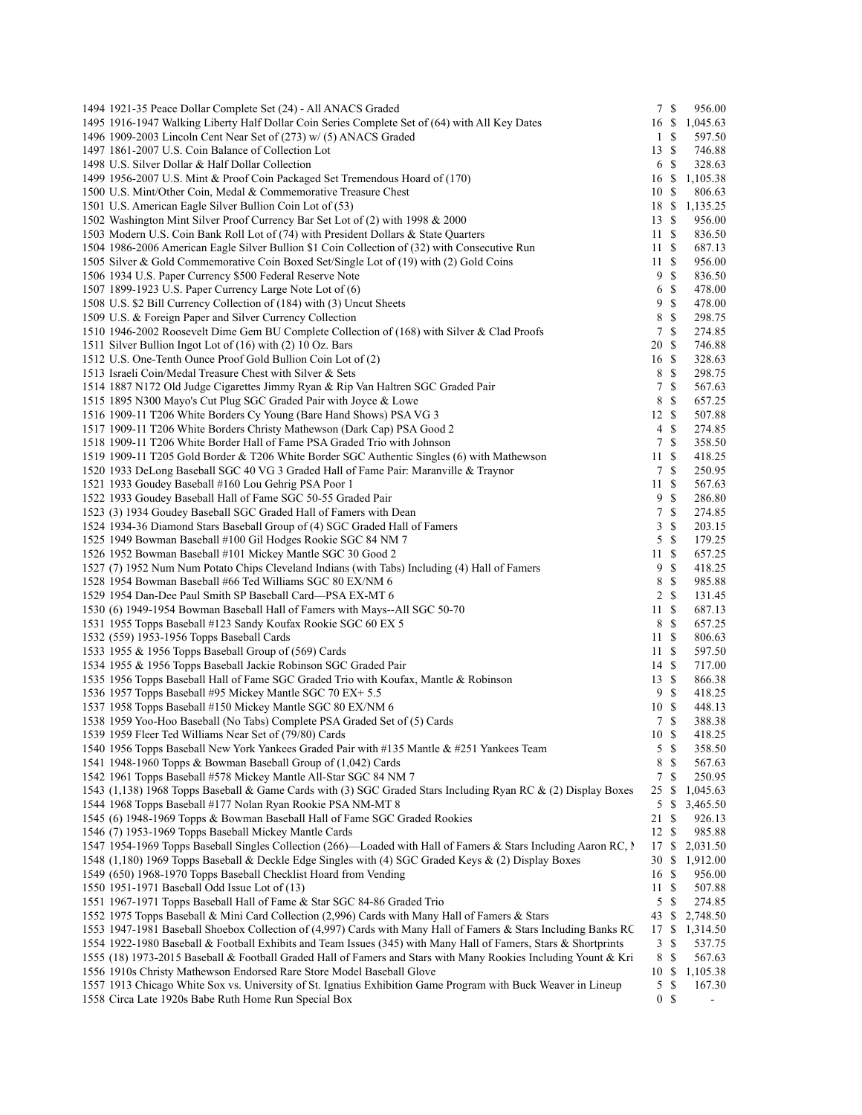| 1494 1921-35 Peace Dollar Complete Set (24) - All ANACS Graded                                                                          |                | 7\$             | 956.00                   |  |
|-----------------------------------------------------------------------------------------------------------------------------------------|----------------|-----------------|--------------------------|--|
| 1495 1916-1947 Walking Liberty Half Dollar Coin Series Complete Set of (64) with All Key Dates                                          |                |                 | 16 \$ 1,045.63           |  |
| 1496 1909-2003 Lincoln Cent Near Set of (273) w/ (5) ANACS Graded                                                                       | $1 \text{ }$   |                 | 597.50                   |  |
| 1497 1861-2007 U.S. Coin Balance of Collection Lot                                                                                      | 13S            |                 | 746.88                   |  |
| 1498 U.S. Silver Dollar & Half Dollar Collection                                                                                        |                | 6 \$            | 328.63                   |  |
| 1499 1956-2007 U.S. Mint & Proof Coin Packaged Set Tremendous Hoard of (170)                                                            |                |                 | 16 \$ 1,105.38           |  |
| 1500 U.S. Mint/Other Coin, Medal & Commemorative Treasure Chest                                                                         | 10S            |                 | 806.63                   |  |
| 1501 U.S. American Eagle Silver Bullion Coin Lot of (53)                                                                                |                |                 | 18 \$ 1,135.25           |  |
| 1502 Washington Mint Silver Proof Currency Bar Set Lot of (2) with 1998 & 2000                                                          | 13S            |                 | 956.00                   |  |
| 1503 Modern U.S. Coin Bank Roll Lot of (74) with President Dollars & State Quarters                                                     | 11S            |                 | 836.50                   |  |
| 1504 1986-2006 American Eagle Silver Bullion \$1 Coin Collection of (32) with Consecutive Run                                           | 11 \$          |                 | 687.13                   |  |
| 1505 Silver & Gold Commemorative Coin Boxed Set/Single Lot of (19) with (2) Gold Coins                                                  | 11S            |                 | 956.00                   |  |
| 1506 1934 U.S. Paper Currency \$500 Federal Reserve Note                                                                                | 9              | $\mathbb{S}$    | 836.50                   |  |
| 1507 1899-1923 U.S. Paper Currency Large Note Lot of (6)                                                                                |                | 6 \$            | 478.00                   |  |
| 1508 U.S. \$2 Bill Currency Collection of (184) with (3) Uncut Sheets                                                                   | 9              | $\mathbb{S}$    | 478.00                   |  |
| 1509 U.S. & Foreign Paper and Silver Currency Collection                                                                                | 8              | -S<br>-S        | 298.75                   |  |
| 1510 1946-2002 Roosevelt Dime Gem BU Complete Collection of (168) with Silver & Clad Proofs                                             | $\tau$         |                 | 274.85                   |  |
| 1511 Silver Bullion Ingot Lot of (16) with (2) 10 Oz. Bars                                                                              | 20 \$<br>16 \$ |                 | 746.88                   |  |
| 1512 U.S. One-Tenth Ounce Proof Gold Bullion Coin Lot of (2)<br>1513 Israeli Coin/Medal Treasure Chest with Silver & Sets               | 8              | - \$            | 328.63<br>298.75         |  |
| 1514 1887 N172 Old Judge Cigarettes Jimmy Ryan & Rip Van Haltren SGC Graded Pair                                                        | 7              | $\mathbb{S}$    | 567.63                   |  |
| 1515 1895 N300 Mayo's Cut Plug SGC Graded Pair with Joyce & Lowe                                                                        | 8              | -S              | 657.25                   |  |
| 1516 1909-11 T206 White Borders Cy Young (Bare Hand Shows) PSA VG 3                                                                     | 12S            |                 | 507.88                   |  |
| 1517 1909-11 T206 White Borders Christy Mathewson (Dark Cap) PSA Good 2                                                                 |                | $4 \text{ }$    | 274.85                   |  |
| 1518 1909-11 T206 White Border Hall of Fame PSA Graded Trio with Johnson                                                                |                | 7S              | 358.50                   |  |
| 1519 1909-11 T205 Gold Border & T206 White Border SGC Authentic Singles (6) with Mathewson                                              | 11S            |                 | 418.25                   |  |
| 1520 1933 DeLong Baseball SGC 40 VG 3 Graded Hall of Fame Pair: Maranville & Traynor                                                    | 7S             |                 | 250.95                   |  |
| 1521 1933 Goudey Baseball #160 Lou Gehrig PSA Poor 1                                                                                    | 11 \$          |                 | 567.63                   |  |
| 1522 1933 Goudey Baseball Hall of Fame SGC 50-55 Graded Pair                                                                            | 9              | $\mathbb{S}$    | 286.80                   |  |
| 1523 (3) 1934 Goudey Baseball SGC Graded Hall of Famers with Dean                                                                       | 7              | <sup>\$</sup>   | 274.85                   |  |
| 1524 1934-36 Diamond Stars Baseball Group of (4) SGC Graded Hall of Famers                                                              |                | 3S              | 203.15                   |  |
| 1525 1949 Bowman Baseball #100 Gil Hodges Rookie SGC 84 NM 7                                                                            | 5              | - \$            | 179.25                   |  |
| 1526 1952 Bowman Baseball #101 Mickey Mantle SGC 30 Good 2                                                                              | 11 \$          |                 | 657.25                   |  |
| 1527 (7) 1952 Num Num Potato Chips Cleveland Indians (with Tabs) Including (4) Hall of Famers                                           | 9              | -S              | 418.25                   |  |
| 1528 1954 Bowman Baseball #66 Ted Williams SGC 80 EX/NM 6                                                                               | 8              | -S              | 985.88                   |  |
| 1529 1954 Dan-Dee Paul Smith SP Baseball Card—PSA EX-MT 6                                                                               |                | 2 \$            | 131.45                   |  |
| 1530 (6) 1949-1954 Bowman Baseball Hall of Famers with Mays--All SGC 50-70                                                              | 11 \$          |                 | 687.13                   |  |
| 1531 1955 Topps Baseball #123 Sandy Koufax Rookie SGC 60 EX 5                                                                           | 8 \$           |                 | 657.25                   |  |
| 1532 (559) 1953-1956 Topps Baseball Cards                                                                                               | 11 \$          |                 | 806.63                   |  |
| 1533 1955 & 1956 Topps Baseball Group of (569) Cards                                                                                    | 11 \$          |                 | 597.50                   |  |
| 1534 1955 & 1956 Topps Baseball Jackie Robinson SGC Graded Pair                                                                         | 14S            |                 | 717.00                   |  |
| 1535 1956 Topps Baseball Hall of Fame SGC Graded Trio with Koufax, Mantle & Robinson                                                    | 13S            |                 | 866.38                   |  |
| 1536 1957 Topps Baseball #95 Mickey Mantle SGC 70 EX+ 5.5                                                                               | 9S<br>10S      |                 | 418.25                   |  |
| 1537 1958 Topps Baseball #150 Mickey Mantle SGC 80 EX/NM 6<br>1538 1959 Yoo-Hoo Baseball (No Tabs) Complete PSA Graded Set of (5) Cards | 7S             |                 | 448.13<br>388.38         |  |
| 1539 1959 Fleer Ted Williams Near Set of (79/80) Cards                                                                                  | 10S            |                 | 418.25                   |  |
| 1540 1956 Topps Baseball New York Yankees Graded Pair with #135 Mantle & #251 Yankees Team                                              |                | $5 \text{ }$ \$ | 358.50                   |  |
| 1541 1948-1960 Topps & Bowman Baseball Group of (1,042) Cards                                                                           | 8 \$           |                 | 567.63                   |  |
| 1542 1961 Topps Baseball #578 Mickey Mantle All-Star SGC 84 NM 7                                                                        | 7              | \$              | 250.95                   |  |
| 1543 (1,138) 1968 Topps Baseball & Game Cards with (3) SGC Graded Stars Including Ryan RC & (2) Display Boxes                           | 25 \$          |                 | 1,045.63                 |  |
| 1544 1968 Topps Baseball #177 Nolan Ryan Rookie PSA NM-MT 8                                                                             |                | $5 \text{ }$ \$ | 3,465.50                 |  |
| 1545 (6) 1948-1969 Topps & Bowman Baseball Hall of Fame SGC Graded Rookies                                                              | 21 \$          |                 | 926.13                   |  |
| 1546 (7) 1953-1969 Topps Baseball Mickey Mantle Cards                                                                                   | 12S            |                 | 985.88                   |  |
| 1547 1954-1969 Topps Baseball Singles Collection (266)—Loaded with Hall of Famers & Stars Including Aaron RC, N                         | 17 S           |                 | 2,031.50                 |  |
| 1548 (1,180) 1969 Topps Baseball & Deckle Edge Singles with (4) SGC Graded Keys & (2) Display Boxes                                     |                |                 | 30 \$ 1,912.00           |  |
| 1549 (650) 1968-1970 Topps Baseball Checklist Hoard from Vending                                                                        | 16 \$          |                 | 956.00                   |  |
| 1550 1951-1971 Baseball Odd Issue Lot of (13)                                                                                           | 11 \$          |                 | 507.88                   |  |
| 1551 1967-1971 Topps Baseball Hall of Fame & Star SGC 84-86 Graded Trio                                                                 | 5S             |                 | 274.85                   |  |
| 1552 1975 Topps Baseball & Mini Card Collection (2,996) Cards with Many Hall of Famers & Stars                                          | 43 \$          |                 | 2,748.50                 |  |
| 1553 1947-1981 Baseball Shoebox Collection of (4,997) Cards with Many Hall of Famers & Stars Including Banks RC                         | 17S            |                 | 1,314.50                 |  |
| 1554 1922-1980 Baseball & Football Exhibits and Team Issues (345) with Many Hall of Famers, Stars & Shortprints                         |                | 3S              | 537.75                   |  |
| 1555 (18) 1973-2015 Baseball & Football Graded Hall of Famers and Stars with Many Rookies Including Yount & Kri                         | 8 \$           |                 | 567.63                   |  |
| 1556 1910s Christy Mathewson Endorsed Rare Store Model Baseball Glove                                                                   | 10 \$          |                 | 1,105.38                 |  |
| 1557 1913 Chicago White Sox vs. University of St. Ignatius Exhibition Game Program with Buck Weaver in Lineup                           | 5S             |                 | 167.30                   |  |
| 1558 Circa Late 1920s Babe Ruth Home Run Special Box                                                                                    | 0 <sup>5</sup> |                 | $\overline{\phantom{a}}$ |  |
|                                                                                                                                         |                |                 |                          |  |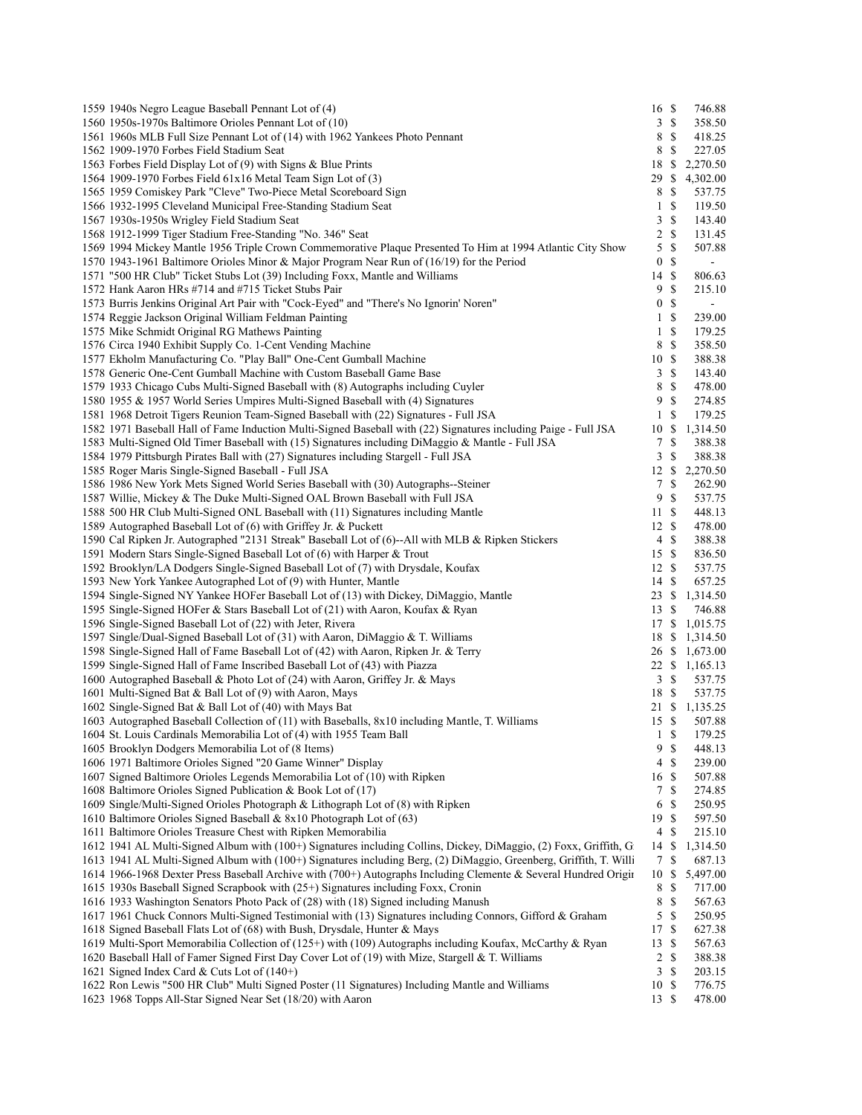| 1559 1940s Negro League Baseball Pennant Lot of (4)                                                                | 16 \$          |                | 746.88         |  |
|--------------------------------------------------------------------------------------------------------------------|----------------|----------------|----------------|--|
| 1560 1950s-1970s Baltimore Orioles Pennant Lot of (10)                                                             |                | 3S             | 358.50         |  |
| 1561 1960s MLB Full Size Pennant Lot of (14) with 1962 Yankees Photo Pennant                                       |                | 8 \$           | 418.25         |  |
| 1562 1909-1970 Forbes Field Stadium Seat                                                                           |                | 8 \$           | 227.05         |  |
| 1563 Forbes Field Display Lot of (9) with Signs & Blue Prints                                                      |                |                | 18 \$ 2,270.50 |  |
| 1564 1909-1970 Forbes Field 61x16 Metal Team Sign Lot of (3)                                                       |                |                | 29 \$ 4,302.00 |  |
| 1565 1959 Comiskey Park "Cleve" Two-Piece Metal Scoreboard Sign                                                    |                | 8 \$           | 537.75         |  |
| 1566 1932-1995 Cleveland Municipal Free-Standing Stadium Seat                                                      |                | 1 <sup>5</sup> | 119.50         |  |
| 1567 1930s-1950s Wrigley Field Stadium Seat                                                                        |                | 3S             | 143.40         |  |
| 1568 1912-1999 Tiger Stadium Free-Standing "No. 346" Seat                                                          |                | 2 S            | 131.45         |  |
| 1569 1994 Mickey Mantle 1956 Triple Crown Commemorative Plaque Presented To Him at 1994 Atlantic City Show         |                | 5S             | 507.88         |  |
| 1570 1943-1961 Baltimore Orioles Minor & Major Program Near Run of (16/19) for the Period                          |                | 0 S            | $\blacksquare$ |  |
| 1571 "500 HR Club" Ticket Stubs Lot (39) Including Foxx, Mantle and Williams                                       | 14 \$          |                | 806.63         |  |
| 1572 Hank Aaron HRs #714 and #715 Ticket Stubs Pair                                                                | 9              | $\mathcal{S}$  |                |  |
|                                                                                                                    |                |                | 215.10         |  |
| 1573 Burris Jenkins Original Art Pair with "Cock-Eyed" and "There's No Ignorin' Noren"                             |                | 0 S            | $\blacksquare$ |  |
| 1574 Reggie Jackson Original William Feldman Painting                                                              |                | 1 <sup>5</sup> | 239.00         |  |
| 1575 Mike Schmidt Original RG Mathews Painting                                                                     |                | 1 S            | 179.25         |  |
| 1576 Circa 1940 Exhibit Supply Co. 1-Cent Vending Machine                                                          |                | 8 \$           | 358.50         |  |
| 1577 Ekholm Manufacturing Co. "Play Ball" One-Cent Gumball Machine                                                 | 10S            |                | 388.38         |  |
| 1578 Generic One-Cent Gumball Machine with Custom Baseball Game Base                                               |                | 3S             | 143.40         |  |
| 1579 1933 Chicago Cubs Multi-Signed Baseball with (8) Autographs including Cuyler                                  |                | 8 \$           | 478.00         |  |
| 1580 1955 & 1957 World Series Umpires Multi-Signed Baseball with (4) Signatures                                    | 9              | $\mathcal{S}$  | 274.85         |  |
| 1581 1968 Detroit Tigers Reunion Team-Signed Baseball with (22) Signatures - Full JSA                              |                | 1 <sup>5</sup> | 179.25         |  |
| 1582 1971 Baseball Hall of Fame Induction Multi-Signed Baseball with (22) Signatures including Paige - Full JSA    | 10S            |                | 1,314.50       |  |
| 1583 Multi-Signed Old Timer Baseball with (15) Signatures including DiMaggio & Mantle - Full JSA                   |                | 7 S            | 388.38         |  |
| 1584 1979 Pittsburgh Pirates Ball with (27) Signatures including Stargell - Full JSA                               |                | 3S             | 388.38         |  |
| 1585 Roger Maris Single-Signed Baseball - Full JSA                                                                 |                |                | 12 \$ 2,270.50 |  |
| 1586 1986 New York Mets Signed World Series Baseball with (30) Autographs--Steiner                                 |                | 7S             | 262.90         |  |
| 1587 Willie, Mickey & The Duke Multi-Signed OAL Brown Baseball with Full JSA                                       |                | 9S             | 537.75         |  |
| 1588 500 HR Club Multi-Signed ONL Baseball with (11) Signatures including Mantle                                   | 11S            |                | 448.13         |  |
| 1589 Autographed Baseball Lot of (6) with Griffey Jr. & Puckett                                                    | 12 \$          |                | 478.00         |  |
| 1590 Cal Ripken Jr. Autographed "2131 Streak" Baseball Lot of (6)--All with MLB & Ripken Stickers                  |                | 4S             | 388.38         |  |
| 1591 Modern Stars Single-Signed Baseball Lot of (6) with Harper & Trout                                            | 15S            |                | 836.50         |  |
| 1592 Brooklyn/LA Dodgers Single-Signed Baseball Lot of (7) with Drysdale, Koufax                                   | 12S            |                | 537.75         |  |
|                                                                                                                    | 14S            |                | 657.25         |  |
| 1593 New York Yankee Autographed Lot of (9) with Hunter, Mantle                                                    |                |                |                |  |
| 1594 Single-Signed NY Yankee HOFer Baseball Lot of (13) with Dickey, DiMaggio, Mantle                              |                |                | 23 \$ 1,314.50 |  |
| 1595 Single-Signed HOFer & Stars Baseball Lot of (21) with Aaron, Koufax & Ryan                                    | 13S            |                | 746.88         |  |
| 1596 Single-Signed Baseball Lot of (22) with Jeter, Rivera                                                         |                |                | 17 \$ 1,015.75 |  |
| 1597 Single/Dual-Signed Baseball Lot of (31) with Aaron, DiMaggio & T. Williams                                    |                |                | 18 \$ 1,314.50 |  |
| 1598 Single-Signed Hall of Fame Baseball Lot of (42) with Aaron, Ripken Jr. & Terry                                |                |                | 26 \$ 1,673.00 |  |
| 1599 Single-Signed Hall of Fame Inscribed Baseball Lot of (43) with Piazza                                         |                |                | 22 \$ 1,165.13 |  |
| 1600 Autographed Baseball & Photo Lot of (24) with Aaron, Griffey Jr. & Mays                                       |                | 3S             | 537.75         |  |
| 1601 Multi-Signed Bat & Ball Lot of (9) with Aaron, Mays                                                           | 18 \$          |                | 537.75         |  |
| 1602 Single-Signed Bat & Ball Lot of (40) with Mays Bat                                                            |                |                | 21 \$ 1,135.25 |  |
| 1603 Autographed Baseball Collection of (11) with Baseballs, 8x10 including Mantle, T. Williams                    | 15S            |                | 507.88         |  |
| 1604 St. Louis Cardinals Memorabilia Lot of (4) with 1955 Team Ball                                                |                |                | 1 \$ 179.25    |  |
| 1605 Brooklyn Dodgers Memorabilia Lot of (8 Items)                                                                 |                | 9S             | 448.13         |  |
| 1606 1971 Baltimore Orioles Signed "20 Game Winner" Display                                                        |                | 4S             | 239.00         |  |
| 1607 Signed Baltimore Orioles Legends Memorabilia Lot of (10) with Ripken                                          | 16 \$          |                | 507.88         |  |
| 1608 Baltimore Orioles Signed Publication & Book Lot of (17)                                                       |                | 7 S            | 274.85         |  |
| 1609 Single/Multi-Signed Orioles Photograph & Lithograph Lot of (8) with Ripken                                    |                | 6 \$           | 250.95         |  |
| 1610 Baltimore Orioles Signed Baseball & 8x10 Photograph Lot of (63)                                               | 19S            |                | 597.50         |  |
| 1611 Baltimore Orioles Treasure Chest with Ripken Memorabilia                                                      | $\overline{4}$ | -S             | 215.10         |  |
| 1612 1941 AL Multi-Signed Album with (100+) Signatures including Collins, Dickey, DiMaggio, (2) Foxx, Griffith, G  | 14 \$          |                | 1,314.50       |  |
| 1613 1941 AL Multi-Signed Album with (100+) Signatures including Berg, (2) DiMaggio, Greenberg, Griffith, T. Willi | 7S             |                | 687.13         |  |
| 1614 1966-1968 Dexter Press Baseball Archive with (700+) Autographs Including Clemente & Several Hundred Origin    | 10S            |                | 5,497.00       |  |
|                                                                                                                    |                | 8 \$           |                |  |
| 1615 1930s Baseball Signed Scrapbook with (25+) Signatures including Foxx, Cronin                                  |                |                | 717.00         |  |
| 1616 1933 Washington Senators Photo Pack of (28) with (18) Signed including Manush                                 |                | 8 \$           | 567.63         |  |
| 1617 1961 Chuck Connors Multi-Signed Testimonial with (13) Signatures including Connors, Gifford & Graham          |                | 5S             | 250.95         |  |
| 1618 Signed Baseball Flats Lot of (68) with Bush, Drysdale, Hunter & Mays                                          | 17S            |                | 627.38         |  |
| 1619 Multi-Sport Memorabilia Collection of (125+) with (109) Autographs including Koufax, McCarthy & Ryan          | 13S            |                | 567.63         |  |
| 1620 Baseball Hall of Famer Signed First Day Cover Lot of (19) with Mize, Stargell & T. Williams                   |                | $2 \sqrt{s}$   | 388.38         |  |
| 1621 Signed Index Card & Cuts Lot of $(140+)$                                                                      |                | 3S             | 203.15         |  |
| 1622 Ron Lewis "500 HR Club" Multi Signed Poster (11 Signatures) Including Mantle and Williams                     | 10S            |                | 776.75         |  |
| 1623 1968 Topps All-Star Signed Near Set (18/20) with Aaron                                                        | 13S            |                | 478.00         |  |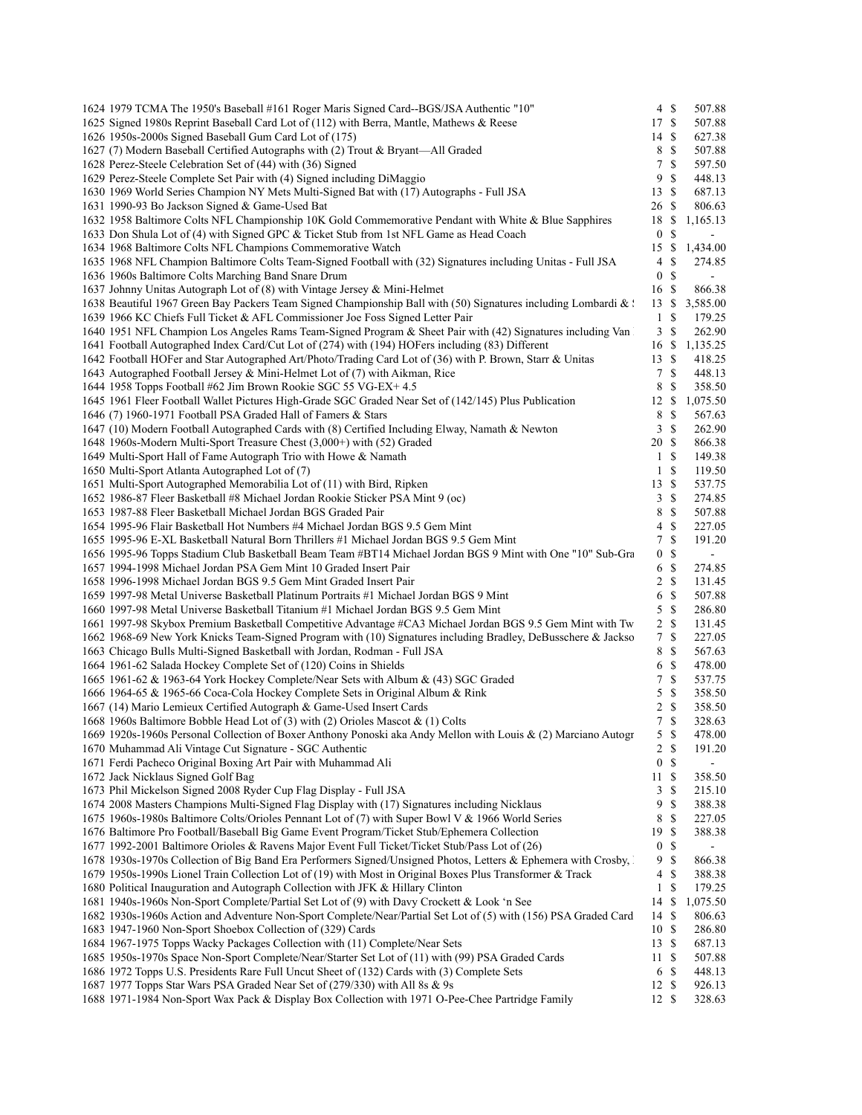| 1624 1979 TCMA The 1950's Baseball #161 Roger Maris Signed Card--BGS/JSA Authentic "10"                          | $4 \text{ }$       | 507.88                   |  |
|------------------------------------------------------------------------------------------------------------------|--------------------|--------------------------|--|
| 1625 Signed 1980s Reprint Baseball Card Lot of (112) with Berra, Mantle, Mathews & Reese                         | 17S                | 507.88                   |  |
| 1626 1950s-2000s Signed Baseball Gum Card Lot of (175)                                                           | 14S                | 627.38                   |  |
| 1627 (7) Modern Baseball Certified Autographs with (2) Trout & Bryant—All Graded                                 | 8 \$               | 507.88                   |  |
| 1628 Perez-Steele Celebration Set of (44) with (36) Signed                                                       | 7 \$               | 597.50                   |  |
| 1629 Perez-Steele Complete Set Pair with (4) Signed including DiMaggio                                           | 9S                 | 448.13                   |  |
| 1630 1969 World Series Champion NY Mets Multi-Signed Bat with (17) Autographs - Full JSA                         | 13S                | 687.13                   |  |
| 1631 1990-93 Bo Jackson Signed & Game-Used Bat                                                                   | 26 \$              | 806.63                   |  |
| 1632 1958 Baltimore Colts NFL Championship 10K Gold Commemorative Pendant with White & Blue Sapphires            |                    | 18 \$ 1,165.13           |  |
| 1633 Don Shula Lot of (4) with Signed GPC & Ticket Stub from 1st NFL Game as Head Coach                          | 0 <sup>5</sup>     | $\overline{\phantom{a}}$ |  |
| 1634 1968 Baltimore Colts NFL Champions Commemorative Watch                                                      |                    | 15 \$ 1,434.00           |  |
| 1635 1968 NFL Champion Baltimore Colts Team-Signed Football with (32) Signatures including Unitas - Full JSA     | $4 \text{ }$       | 274.85                   |  |
| 1636 1960s Baltimore Colts Marching Band Snare Drum                                                              | 0 <sup>5</sup>     | $\blacksquare$           |  |
| 1637 Johnny Unitas Autograph Lot of (8) with Vintage Jersey & Mini-Helmet                                        | 16 \$              | 866.38                   |  |
| 1638 Beautiful 1967 Green Bay Packers Team Signed Championship Ball with (50) Signatures including Lombardi & \; |                    | 13 \$ 3,585.00           |  |
| 1639 1966 KC Chiefs Full Ticket & AFL Commissioner Joe Foss Signed Letter Pair                                   | 1 \$               | 179.25                   |  |
| 1640 1951 NFL Champion Los Angeles Rams Team-Signed Program & Sheet Pair with (42) Signatures including Van      | $3 \sqrt{3}$       | 262.90                   |  |
| 1641 Football Autographed Index Card/Cut Lot of (274) with (194) HOFers including (83) Different                 |                    | 16 \$ 1,135.25           |  |
| 1642 Football HOFer and Star Autographed Art/Photo/Trading Card Lot of (36) with P. Brown, Starr & Unitas        | 13S                | 418.25                   |  |
| 1643 Autographed Football Jersey & Mini-Helmet Lot of (7) with Aikman, Rice                                      | 7 \$               | 448.13                   |  |
| 1644 1958 Topps Football #62 Jim Brown Rookie SGC 55 VG-EX+ 4.5                                                  | 8 \$               | 358.50                   |  |
| 1645 1961 Fleer Football Wallet Pictures High-Grade SGC Graded Near Set of (142/145) Plus Publication            | 12S                | 1,075.50                 |  |
| 1646 (7) 1960-1971 Football PSA Graded Hall of Famers & Stars                                                    | 8 \$               | 567.63                   |  |
|                                                                                                                  | 3S                 |                          |  |
| 1647 (10) Modern Football Autographed Cards with (8) Certified Including Elway, Namath & Newton                  |                    | 262.90                   |  |
| 1648 1960s-Modern Multi-Sport Treasure Chest (3,000+) with (52) Graded                                           | 20 \$              | 866.38                   |  |
| 1649 Multi-Sport Hall of Fame Autograph Trio with Howe & Namath                                                  | 1 \$               | 149.38                   |  |
| 1650 Multi-Sport Atlanta Autographed Lot of (7)                                                                  | 1 <sup>5</sup>     | 119.50                   |  |
| 1651 Multi-Sport Autographed Memorabilia Lot of (11) with Bird, Ripken                                           | 13S                | 537.75                   |  |
| 1652 1986-87 Fleer Basketball #8 Michael Jordan Rookie Sticker PSA Mint 9 (oc)                                   | 3S                 | 274.85                   |  |
| 1653 1987-88 Fleer Basketball Michael Jordan BGS Graded Pair                                                     | 8 \$               | 507.88                   |  |
| 1654 1995-96 Flair Basketball Hot Numbers #4 Michael Jordan BGS 9.5 Gem Mint                                     | $4 \text{ }$       | 227.05                   |  |
| 1655 1995-96 E-XL Basketball Natural Born Thrillers #1 Michael Jordan BGS 9.5 Gem Mint                           | 7S                 | 191.20                   |  |
| 1656 1995-96 Topps Stadium Club Basketball Beam Team #BT14 Michael Jordan BGS 9 Mint with One "10" Sub-Gra       | 0 <sup>5</sup>     | $\blacksquare$           |  |
| 1657 1994-1998 Michael Jordan PSA Gem Mint 10 Graded Insert Pair                                                 | 6 \$               | 274.85                   |  |
| 1658 1996-1998 Michael Jordan BGS 9.5 Gem Mint Graded Insert Pair                                                | $2 \sqrt{s}$       | 131.45                   |  |
| 1659 1997-98 Metal Universe Basketball Platinum Portraits #1 Michael Jordan BGS 9 Mint                           | 6 \$               | 507.88                   |  |
| 1660 1997-98 Metal Universe Basketball Titanium #1 Michael Jordan BGS 9.5 Gem Mint                               | $5 \text{ }$ \$    | 286.80                   |  |
| 1661 1997-98 Skybox Premium Basketball Competitive Advantage #CA3 Michael Jordan BGS 9.5 Gem Mint with Tw        | $2 \sqrt{s}$       | 131.45                   |  |
| 1662 1968-69 New York Knicks Team-Signed Program with (10) Signatures including Bradley, DeBusschere & Jackso    | 7S                 | 227.05                   |  |
| 1663 Chicago Bulls Multi-Signed Basketball with Jordan, Rodman - Full JSA                                        | 8 \$               | 567.63                   |  |
| 1664 1961-62 Salada Hockey Complete Set of (120) Coins in Shields                                                | 6 \$               | 478.00                   |  |
| 1665 1961-62 & 1963-64 York Hockey Complete/Near Sets with Album & (43) SGC Graded                               | 7S                 | 537.75                   |  |
| 1666 1964-65 & 1965-66 Coca-Cola Hockey Complete Sets in Original Album & Rink                                   | $5 \text{ }$ \$    | 358.50                   |  |
| 1667 (14) Mario Lemieux Certified Autograph & Game-Used Insert Cards                                             | $2 \sqrt{s}$       | 358.50                   |  |
| 1668 1960s Baltimore Bobble Head Lot of (3) with (2) Orioles Mascot & (1) Colts                                  | 7S                 | 328.63                   |  |
| 1669 1920s-1960s Personal Collection of Boxer Anthony Ponoski aka Andy Mellon with Louis & (2) Marciano Autogr   | 5S                 | 478.00                   |  |
| 1670 Muhammad Ali Vintage Cut Signature - SGC Authentic                                                          | 2 \$               | 191.20                   |  |
| 1671 Ferdi Pacheco Original Boxing Art Pair with Muhammad Ali                                                    | 0 <sup>5</sup>     |                          |  |
| 1672 Jack Nicklaus Signed Golf Bag                                                                               | 11S                | 358.50                   |  |
| 1673 Phil Mickelson Signed 2008 Ryder Cup Flag Display - Full JSA                                                | 3S                 | 215.10                   |  |
| 1674 2008 Masters Champions Multi-Signed Flag Display with (17) Signatures including Nicklaus                    | 9<br>-S            | 388.38                   |  |
| 1675 1960s-1980s Baltimore Colts/Orioles Pennant Lot of (7) with Super Bowl V & 1966 World Series                | 8 \$               | 227.05                   |  |
| 1676 Baltimore Pro Football/Baseball Big Game Event Program/Ticket Stub/Ephemera Collection                      | 19S                | 388.38                   |  |
| 1677 1992-2001 Baltimore Orioles & Ravens Major Event Full Ticket/Ticket Stub/Pass Lot of (26)                   | 0 <sup>5</sup>     | $\blacksquare$           |  |
| 1678 1930s-1970s Collection of Big Band Era Performers Signed/Unsigned Photos, Letters & Ephemera with Crosby, I | 9S                 | 866.38                   |  |
| 1679 1950s-1990s Lionel Train Collection Lot of (19) with Most in Original Boxes Plus Transformer & Track        | 4S                 | 388.38                   |  |
| 1680 Political Inauguration and Autograph Collection with JFK & Hillary Clinton                                  | $\mathbf{1}$<br>\$ | 179.25                   |  |
| 1681 1940s-1960s Non-Sport Complete/Partial Set Lot of (9) with Davy Crockett & Look 'n See                      | 14S                | 1,075.50                 |  |
| 1682 1930s-1960s Action and Adventure Non-Sport Complete/Near/Partial Set Lot of (5) with (156) PSA Graded Card  | 14 \$              | 806.63                   |  |
| 1683 1947-1960 Non-Sport Shoebox Collection of (329) Cards                                                       | 10S                | 286.80                   |  |
| 1684 1967-1975 Topps Wacky Packages Collection with (11) Complete/Near Sets                                      | 13 \$              | 687.13                   |  |
| 1685 1950s-1970s Space Non-Sport Complete/Near/Starter Set Lot of (11) with (99) PSA Graded Cards                | 11 \$              | 507.88                   |  |
| 1686 1972 Topps U.S. Presidents Rare Full Uncut Sheet of (132) Cards with (3) Complete Sets                      | 6 \$               | 448.13                   |  |
| 1687 1977 Topps Star Wars PSA Graded Near Set of (279/330) with All 8s & 9s                                      | 12S                | 926.13                   |  |
|                                                                                                                  |                    |                          |  |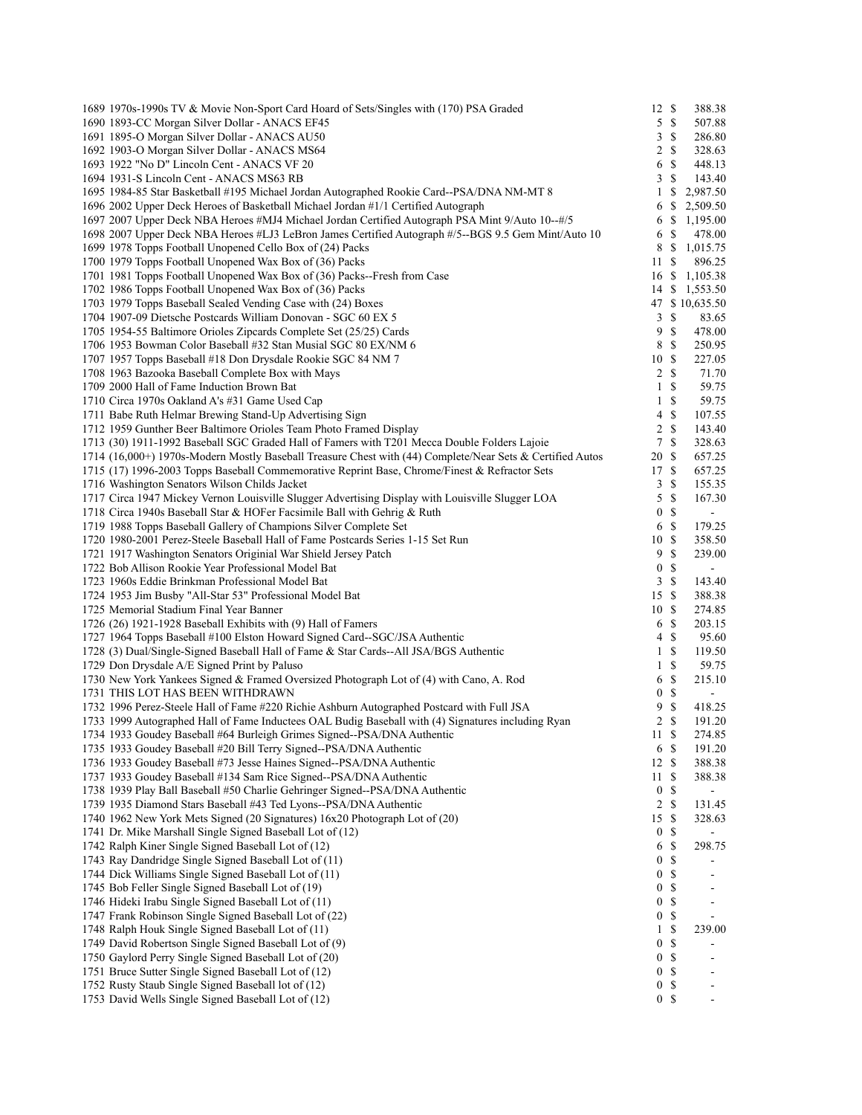| 1689 1970s-1990s TV & Movie Non-Sport Card Hoard of Sets/Singles with (170) PSA Graded                    | 12 \$            |                | 388.38                   |
|-----------------------------------------------------------------------------------------------------------|------------------|----------------|--------------------------|
| 1690 1893-CC Morgan Silver Dollar - ANACS EF45                                                            |                  | 5S             | 507.88                   |
| 1691 1895-O Morgan Silver Dollar - ANACS AU50                                                             | 3                | -S             | 286.80                   |
| 1692 1903-O Morgan Silver Dollar - ANACS MS64                                                             |                  | 2 S            | 328.63                   |
| 1693 1922 "No D" Lincoln Cent - ANACS VF 20                                                               | 6                | \$             | 448.13                   |
| 1694 1931-S Lincoln Cent - ANACS MS63 RB                                                                  | 3                | -S             | 143.40                   |
| 1695 1984-85 Star Basketball #195 Michael Jordan Autographed Rookie Card--PSA/DNA NM-MT 8                 | 1                | <sup>\$</sup>  | 2,987.50                 |
| 1696 2002 Upper Deck Heroes of Basketball Michael Jordan #1/1 Certified Autograph                         | 6                | S              | 2,509.50                 |
| 1697 2007 Upper Deck NBA Heroes #MJ4 Michael Jordan Certified Autograph PSA Mint 9/Auto 10--#/5           | 6                | -S             | 1,195.00                 |
| 1698 2007 Upper Deck NBA Heroes #LJ3 LeBron James Certified Autograph #/5--BGS 9.5 Gem Mint/Auto 10       | 6                | -\$            | 478.00                   |
| 1699 1978 Topps Football Unopened Cello Box of (24) Packs                                                 | 8                | -S             | 1,015.75                 |
| 1700 1979 Topps Football Unopened Wax Box of (36) Packs                                                   | 11S              |                | 896.25                   |
| 1701 1981 Topps Football Unopened Wax Box of (36) Packs--Fresh from Case                                  | 16 \$            |                | 1,105.38                 |
|                                                                                                           |                  |                |                          |
| 1702 1986 Topps Football Unopened Wax Box of (36) Packs                                                   |                  |                | 14 \$ 1,553.50           |
| 1703 1979 Topps Baseball Sealed Vending Case with (24) Boxes                                              |                  |                | 47 \$10,635.50           |
| 1704 1907-09 Dietsche Postcards William Donovan - SGC 60 EX 5                                             | 3                | $\mathbb{S}$   | 83.65                    |
| 1705 1954-55 Baltimore Orioles Zipcards Complete Set (25/25) Cards                                        | 9                | $\mathcal{S}$  | 478.00                   |
| 1706 1953 Bowman Color Baseball #32 Stan Musial SGC 80 EX/NM 6                                            | 8                | - \$           | 250.95                   |
| 1707 1957 Topps Baseball #18 Don Drysdale Rookie SGC 84 NM 7                                              | 10S              |                | 227.05                   |
| 1708 1963 Bazooka Baseball Complete Box with Mays                                                         |                  | $2 \sqrt{s}$   | 71.70                    |
| 1709 2000 Hall of Fame Induction Brown Bat                                                                | $\mathbf{1}$     | $\mathbf S$    | 59.75                    |
| 1710 Circa 1970s Oakland A's #31 Game Used Cap                                                            | $\mathbf{1}$     | $\mathbb{S}$   | 59.75                    |
| 1711 Babe Ruth Helmar Brewing Stand-Up Advertising Sign                                                   | 4                | -\$            | 107.55                   |
| 1712 1959 Gunther Beer Baltimore Orioles Team Photo Framed Display                                        | 2                | $\mathcal{S}$  | 143.40                   |
| 1713 (30) 1911-1992 Baseball SGC Graded Hall of Famers with T201 Mecca Double Folders Lajoie              | 7                | <sup>\$</sup>  | 328.63                   |
| 1714 (16,000+) 1970s-Modern Mostly Baseball Treasure Chest with (44) Complete/Near Sets & Certified Autos | 20S              |                | 657.25                   |
| 1715 (17) 1996-2003 Topps Baseball Commemorative Reprint Base, Chrome/Finest & Refractor Sets             | 17 \$            |                | 657.25                   |
| 1716 Washington Senators Wilson Childs Jacket                                                             | 3                | <sup>\$</sup>  | 155.35                   |
| 1717 Circa 1947 Mickey Vernon Louisville Slugger Advertising Display with Louisville Slugger LOA          | 5                | $\mathbb{S}$   | 167.30                   |
| 1718 Circa 1940s Baseball Star & HOFer Facsimile Ball with Gehrig & Ruth                                  | $\boldsymbol{0}$ | \$             |                          |
|                                                                                                           |                  |                | $\blacksquare$           |
| 1719 1988 Topps Baseball Gallery of Champions Silver Complete Set                                         | 6                | - \$           | 179.25                   |
| 1720 1980-2001 Perez-Steele Baseball Hall of Fame Postcards Series 1-15 Set Run                           | 10S              |                | 358.50                   |
| 1721 1917 Washington Senators Originial War Shield Jersey Patch                                           | 9                | $\mathbf S$    | 239.00                   |
| 1722 Bob Allison Rookie Year Professional Model Bat                                                       | $\boldsymbol{0}$ | $\mathcal{S}$  |                          |
| 1723 1960s Eddie Brinkman Professional Model Bat                                                          | $\mathfrak{Z}$   | $\mathcal{S}$  | 143.40                   |
| 1724 1953 Jim Busby "All-Star 53" Professional Model Bat                                                  | 15S              |                | 388.38                   |
| 1725 Memorial Stadium Final Year Banner                                                                   | 10S              |                | 274.85                   |
| 1726 (26) 1921-1928 Baseball Exhibits with (9) Hall of Famers                                             | 6                | -S             | 203.15                   |
| 1727 1964 Topps Baseball #100 Elston Howard Signed Card--SGC/JSA Authentic                                | 4                | <sup>\$</sup>  | 95.60                    |
| 1728 (3) Dual/Single-Signed Baseball Hall of Fame & Star Cards--All JSA/BGS Authentic                     | $\mathbf{1}$     | -S             | 119.50                   |
| 1729 Don Drysdale A/E Signed Print by Paluso                                                              | 1                | $\mathcal{S}$  | 59.75                    |
| 1730 New York Yankees Signed & Framed Oversized Photograph Lot of (4) with Cano, A. Rod                   | 6                | \$             | 215.10                   |
| 1731 THIS LOT HAS BEEN WITHDRAWN                                                                          | $\boldsymbol{0}$ | $\mathbb{S}$   | $\blacksquare$           |
| 1732 1996 Perez-Steele Hall of Fame #220 Richie Ashburn Autographed Postcard with Full JSA                | 9                | $\mathbb{S}$   | 418.25                   |
| 1733 1999 Autographed Hall of Fame Inductees OAL Budig Baseball with (4) Signatures including Ryan        |                  | $2 \sqrt{s}$   | 191.20                   |
| 1734 1933 Goudey Baseball #64 Burleigh Grimes Signed--PSA/DNA Authentic                                   | 11S              |                | 274.85                   |
| 1735 1933 Goudey Baseball #20 Bill Terry Signed--PSA/DNA Authentic                                        |                  | 6 <sup>8</sup> | 191.20                   |
| 1736 1933 Goudey Baseball #73 Jesse Haines Signed--PSA/DNA Authentic                                      | 12S              |                | 388.38                   |
| 1737 1933 Goudey Baseball #134 Sam Rice Signed--PSA/DNA Authentic                                         | 11               | -S             | 388.38                   |
| 1738 1939 Play Ball Baseball #50 Charlie Gehringer Signed--PSA/DNA Authentic                              | $\bf{0}$         | \$             |                          |
| 1739 1935 Diamond Stars Baseball #43 Ted Lyons--PSA/DNA Authentic                                         |                  | -\$            |                          |
|                                                                                                           | 2                |                | 131.45                   |
| 1740 1962 New York Mets Signed (20 Signatures) 16x20 Photograph Lot of (20)                               | 15S              |                | 328.63                   |
| 1741 Dr. Mike Marshall Single Signed Baseball Lot of (12)                                                 | $\bf{0}$         | \$             |                          |
| 1742 Ralph Kiner Single Signed Baseball Lot of (12)                                                       | 6                | \$             | 298.75                   |
| 1743 Ray Dandridge Single Signed Baseball Lot of (11)                                                     | $\boldsymbol{0}$ | \$             |                          |
| 1744 Dick Williams Single Signed Baseball Lot of (11)                                                     | 0                | \$             |                          |
| 1745 Bob Feller Single Signed Baseball Lot of (19)                                                        | 0                | \$             |                          |
| 1746 Hideki Irabu Single Signed Baseball Lot of (11)                                                      | $\boldsymbol{0}$ | \$             |                          |
| 1747 Frank Robinson Single Signed Baseball Lot of (22)                                                    | $\boldsymbol{0}$ | \$             |                          |
| 1748 Ralph Houk Single Signed Baseball Lot of (11)                                                        | 1                | \$             | 239.00                   |
| 1749 David Robertson Single Signed Baseball Lot of (9)                                                    | $\boldsymbol{0}$ | \$             |                          |
| 1750 Gaylord Perry Single Signed Baseball Lot of (20)                                                     | $\boldsymbol{0}$ | $\mathbb{S}$   |                          |
| 1751 Bruce Sutter Single Signed Baseball Lot of (12)                                                      | $\boldsymbol{0}$ | \$             |                          |
| 1752 Rusty Staub Single Signed Baseball lot of (12)                                                       | 0                | \$             |                          |
| 1753 David Wells Single Signed Baseball Lot of (12)                                                       |                  | 0 <sup>5</sup> | $\overline{\phantom{a}}$ |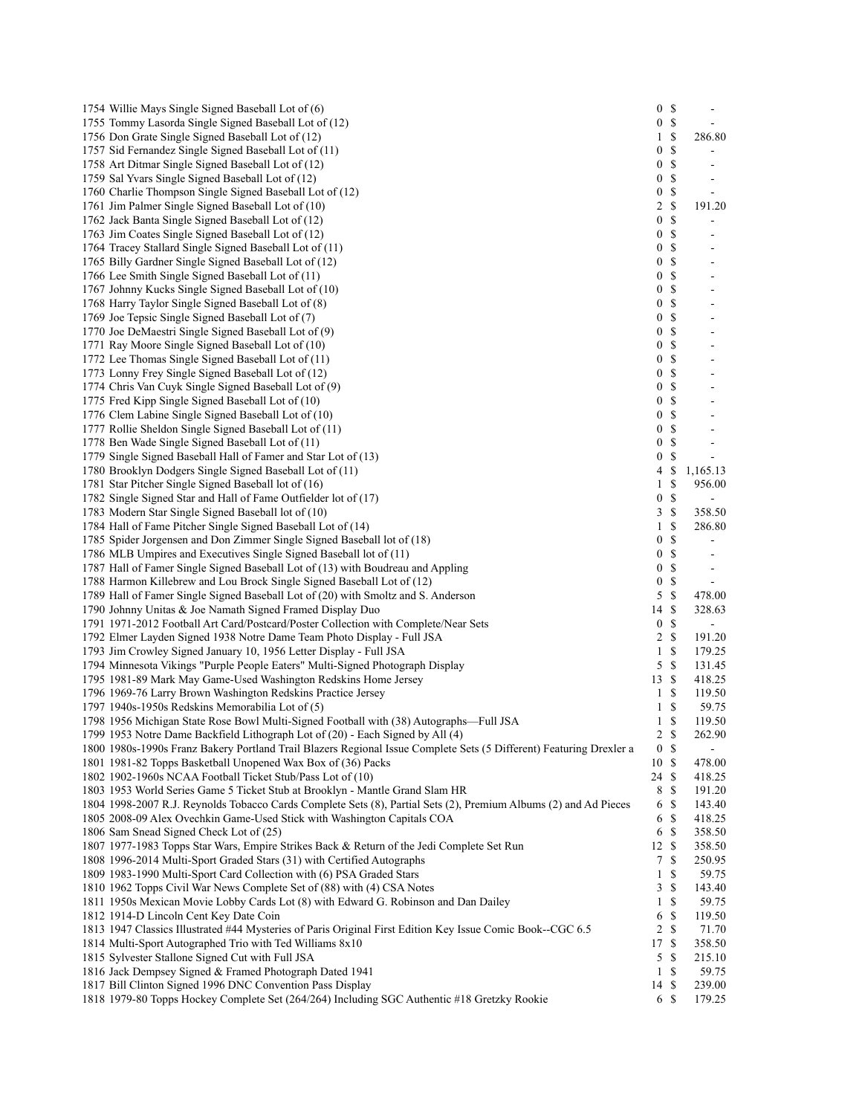| 1754 Willie Mays Single Signed Baseball Lot of (6)                                                                  | 0S               |                                   | $\overline{\phantom{a}}$     |
|---------------------------------------------------------------------------------------------------------------------|------------------|-----------------------------------|------------------------------|
| 1755 Tommy Lasorda Single Signed Baseball Lot of (12)                                                               | 0                | $\mathcal{S}$                     |                              |
| 1756 Don Grate Single Signed Baseball Lot of (12)                                                                   | 1                | \$                                | 286.80                       |
| 1757 Sid Fernandez Single Signed Baseball Lot of (11)                                                               | $\boldsymbol{0}$ | $\mathcal{S}$                     |                              |
| 1758 Art Ditmar Single Signed Baseball Lot of (12)                                                                  | $\boldsymbol{0}$ | \$                                | ۰                            |
| 1759 Sal Yvars Single Signed Baseball Lot of (12)                                                                   | $\boldsymbol{0}$ | \$                                |                              |
| 1760 Charlie Thompson Single Signed Baseball Lot of (12)                                                            | $\boldsymbol{0}$ | \$                                | $\overline{a}$               |
|                                                                                                                     | $\overline{c}$   | $\mathcal{S}$                     |                              |
| 1761 Jim Palmer Single Signed Baseball Lot of (10)                                                                  |                  |                                   | 191.20                       |
| 1762 Jack Banta Single Signed Baseball Lot of (12)                                                                  | $\boldsymbol{0}$ | $\mathbb{S}% _{t}\left( t\right)$ |                              |
| 1763 Jim Coates Single Signed Baseball Lot of (12)                                                                  | 0                | \$                                |                              |
| 1764 Tracey Stallard Single Signed Baseball Lot of (11)                                                             | 0                | \$                                | $\overline{a}$               |
| 1765 Billy Gardner Single Signed Baseball Lot of (12)                                                               | $\boldsymbol{0}$ | \$                                | $\overline{a}$               |
| 1766 Lee Smith Single Signed Baseball Lot of (11)                                                                   | $\boldsymbol{0}$ | \$                                | $\overline{\phantom{a}}$     |
| 1767 Johnny Kucks Single Signed Baseball Lot of (10)                                                                | 0                | \$                                |                              |
| 1768 Harry Taylor Single Signed Baseball Lot of (8)                                                                 | $\boldsymbol{0}$ | $\mathcal{S}$                     |                              |
| 1769 Joe Tepsic Single Signed Baseball Lot of (7)                                                                   | $\boldsymbol{0}$ | \$                                |                              |
| 1770 Joe DeMaestri Single Signed Baseball Lot of (9)                                                                | 0                | \$                                |                              |
| 1771 Ray Moore Single Signed Baseball Lot of (10)                                                                   | $\boldsymbol{0}$ | \$                                |                              |
| 1772 Lee Thomas Single Signed Baseball Lot of (11)                                                                  | 0                | \$                                |                              |
| 1773 Lonny Frey Single Signed Baseball Lot of (12)                                                                  | $\boldsymbol{0}$ | \$                                | $\overline{a}$               |
| 1774 Chris Van Cuyk Single Signed Baseball Lot of (9)                                                               | 0                | \$                                |                              |
| 1775 Fred Kipp Single Signed Baseball Lot of (10)                                                                   | $\boldsymbol{0}$ | \$                                |                              |
| 1776 Clem Labine Single Signed Baseball Lot of (10)                                                                 | $\boldsymbol{0}$ | \$                                |                              |
| 1777 Rollie Sheldon Single Signed Baseball Lot of (11)                                                              | 0                | \$                                |                              |
| 1778 Ben Wade Single Signed Baseball Lot of (11)                                                                    | $\boldsymbol{0}$ | \$                                |                              |
| 1779 Single Signed Baseball Hall of Famer and Star Lot of (13)                                                      | $\boldsymbol{0}$ | \$                                | $\overline{\phantom{a}}$     |
| 1780 Brooklyn Dodgers Single Signed Baseball Lot of (11)                                                            | 4                | \$                                | 1,165.13                     |
| 1781 Star Pitcher Single Signed Baseball lot of (16)                                                                | $\mathbf{1}$     | $\mathbb{S}$                      | 956.00                       |
| 1782 Single Signed Star and Hall of Fame Outfielder lot of (17)                                                     | $\boldsymbol{0}$ | $\mathcal{S}$                     |                              |
| 1783 Modern Star Single Signed Baseball lot of (10)                                                                 | 3                | $\mathcal{S}$                     | 358.50                       |
| 1784 Hall of Fame Pitcher Single Signed Baseball Lot of (14)                                                        | 1                | \$                                | 286.80                       |
| 1785 Spider Jorgensen and Don Zimmer Single Signed Baseball lot of (18)                                             | $\boldsymbol{0}$ | $\mathcal{S}$                     | $\blacksquare$               |
| 1786 MLB Umpires and Executives Single Signed Baseball lot of (11)                                                  | $\boldsymbol{0}$ | \$                                | $\overline{\phantom{a}}$     |
| 1787 Hall of Famer Single Signed Baseball Lot of (13) with Boudreau and Appling                                     | $\boldsymbol{0}$ | \$                                | $\qquad \qquad \blacksquare$ |
| 1788 Harmon Killebrew and Lou Brock Single Signed Baseball Lot of (12)                                              | $\boldsymbol{0}$ | $\mathbb{S}$                      |                              |
| 1789 Hall of Famer Single Signed Baseball Lot of (20) with Smoltz and S. Anderson                                   | 5                | $\mathbb{S}$                      | 478.00                       |
| 1790 Johnny Unitas & Joe Namath Signed Framed Display Duo                                                           | 14               | $\mathbb{S}$                      | 328.63                       |
| 1791 1971-2012 Football Art Card/Postcard/Poster Collection with Complete/Near Sets                                 | $\boldsymbol{0}$ | $\mathcal{S}$                     | $\blacksquare$               |
| 1792 Elmer Layden Signed 1938 Notre Dame Team Photo Display - Full JSA                                              |                  | 2S                                | 191.20                       |
|                                                                                                                     | 1                | \$                                | 179.25                       |
| 1793 Jim Crowley Signed January 10, 1956 Letter Display - Full JSA                                                  |                  | $\mathbf S$                       | 131.45                       |
| 1794 Minnesota Vikings "Purple People Eaters" Multi-Signed Photograph Display                                       | 5                |                                   |                              |
| 1795 1981-89 Mark May Game-Used Washington Redskins Home Jersey                                                     | 13S              |                                   | 418.25                       |
| 1796 1969-76 Larry Brown Washington Redskins Practice Jersey                                                        | 1                | S                                 | 119.50                       |
| 1797 1940s-1950s Redskins Memorabilia Lot of (5)                                                                    |                  | $1 \sqrt{S}$                      | 59.75                        |
| 1798 1956 Michigan State Rose Bowl Multi-Signed Football with (38) Autographs—Full JSA                              |                  | $1 \text{ }s$                     | 119.50                       |
| 1799 1953 Notre Dame Backfield Lithograph Lot of (20) - Each Signed by All (4)                                      | 2 S              |                                   | 262.90                       |
| 1800 1980s-1990s Franz Bakery Portland Trail Blazers Regional Issue Complete Sets (5 Different) Featuring Drexler a | 0 S              |                                   |                              |
| 1801 1981-82 Topps Basketball Unopened Wax Box of (36) Packs                                                        | 10S              |                                   | 478.00                       |
| 1802 1902-1960s NCAA Football Ticket Stub/Pass Lot of (10)                                                          | 24S              |                                   | 418.25                       |
| 1803 1953 World Series Game 5 Ticket Stub at Brooklyn - Mantle Grand Slam HR                                        |                  | 8 \$                              | 191.20                       |
| 1804 1998-2007 R.J. Reynolds Tobacco Cards Complete Sets (8), Partial Sets (2), Premium Albums (2) and Ad Pieces    | 6                | -S                                | 143.40                       |
| 1805 2008-09 Alex Ovechkin Game-Used Stick with Washington Capitals COA                                             |                  | 6S                                | 418.25                       |
| 1806 Sam Snead Signed Check Lot of (25)                                                                             | 6 \$             |                                   | 358.50                       |
| 1807 1977-1983 Topps Star Wars, Empire Strikes Back & Return of the Jedi Complete Set Run                           | 12S              |                                   | 358.50                       |
| 1808 1996-2014 Multi-Sport Graded Stars (31) with Certified Autographs                                              | 7                | <sup>\$</sup>                     | 250.95                       |
| 1809 1983-1990 Multi-Sport Card Collection with (6) PSA Graded Stars                                                | $\mathbf{1}$     | -S                                | 59.75                        |
| 1810 1962 Topps Civil War News Complete Set of (88) with (4) CSA Notes                                              | 3                | $\mathbb{S}$                      | 143.40                       |
| 1811 1950s Mexican Movie Lobby Cards Lot (8) with Edward G. Robinson and Dan Dailey                                 | $\mathbf{1}$     | $\mathbb{S}$                      | 59.75                        |
| 1812 1914-D Lincoln Cent Key Date Coin                                                                              | 6                | $\mathcal{S}$                     | 119.50                       |
| 1813 1947 Classics Illustrated #44 Mysteries of Paris Original First Edition Key Issue Comic Book--CGC 6.5          | $\overline{2}$   | $\mathcal{S}$                     | 71.70                        |
| 1814 Multi-Sport Autographed Trio with Ted Williams 8x10                                                            | 17S              |                                   | 358.50                       |
| 1815 Sylvester Stallone Signed Cut with Full JSA                                                                    | 5                | $\mathcal{S}$                     | 215.10                       |
| 1816 Jack Dempsey Signed & Framed Photograph Dated 1941                                                             |                  | $1\sqrt{S}$                       | 59.75                        |
| 1817 Bill Clinton Signed 1996 DNC Convention Pass Display                                                           | 14 \$            |                                   | 239.00                       |
| 1818 1979-80 Topps Hockey Complete Set (264/264) Including SGC Authentic #18 Gretzky Rookie                         | 6 \$             |                                   | 179.25                       |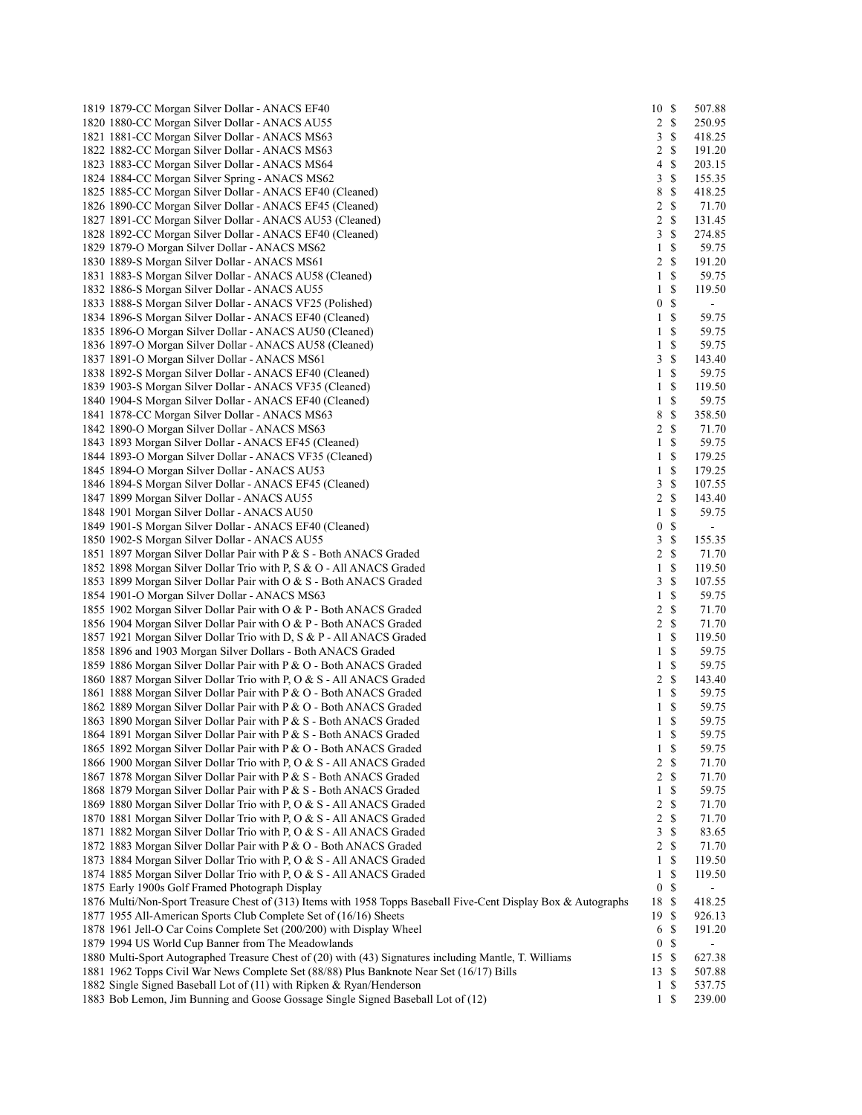| 1819 1879-CC Morgan Silver Dollar - ANACS EF40                                                                 | 10               | $\mathcal{S}$             | 507.88                   |
|----------------------------------------------------------------------------------------------------------------|------------------|---------------------------|--------------------------|
| 1820 1880-CC Morgan Silver Dollar - ANACS AU55                                                                 | 2                | $\mathbb{S}$              | 250.95                   |
|                                                                                                                |                  |                           |                          |
| 1821 1881-CC Morgan Silver Dollar - ANACS MS63                                                                 | 3                | \$                        | 418.25                   |
| 1822 1882-CC Morgan Silver Dollar - ANACS MS63                                                                 | 2                | $\mathbb{S}$              | 191.20                   |
| 1823 1883-CC Morgan Silver Dollar - ANACS MS64                                                                 | 4                | \$                        | 203.15                   |
| 1824 1884-CC Morgan Silver Spring - ANACS MS62                                                                 | 3                | $\mathbb{S}$              | 155.35                   |
| 1825 1885-CC Morgan Silver Dollar - ANACS EF40 (Cleaned)                                                       | 8                | $\mathbb{S}$              | 418.25                   |
|                                                                                                                |                  |                           |                          |
| 1826 1890-CC Morgan Silver Dollar - ANACS EF45 (Cleaned)                                                       | 2                | $\mathbb{S}$              | 71.70                    |
| 1827 1891-CC Morgan Silver Dollar - ANACS AU53 (Cleaned)                                                       | 2                | $\mathbb{S}$              | 131.45                   |
| 1828 1892-CC Morgan Silver Dollar - ANACS EF40 (Cleaned)                                                       | 3                | <sup>\$</sup>             | 274.85                   |
| 1829 1879-O Morgan Silver Dollar - ANACS MS62                                                                  | 1                | $\mathbb{S}$              | 59.75                    |
| 1830 1889-S Morgan Silver Dollar - ANACS MS61                                                                  | 2                | <sup>\$</sup>             | 191.20                   |
| 1831 1883-S Morgan Silver Dollar - ANACS AU58 (Cleaned)                                                        | 1                | <sup>\$</sup>             | 59.75                    |
|                                                                                                                |                  |                           |                          |
| 1832 1886-S Morgan Silver Dollar - ANACS AU55                                                                  | 1                | $\mathbb{S}$              | 119.50                   |
| 1833 1888-S Morgan Silver Dollar - ANACS VF25 (Polished)                                                       | $\boldsymbol{0}$ | $\mathbb{S}$              | $\sim$                   |
| 1834 1896-S Morgan Silver Dollar - ANACS EF40 (Cleaned)                                                        | 1                | $\mathbb{S}$              | 59.75                    |
| 1835 1896-O Morgan Silver Dollar - ANACS AU50 (Cleaned)                                                        | 1                | \$                        | 59.75                    |
| 1836 1897-O Morgan Silver Dollar - ANACS AU58 (Cleaned)                                                        | $\mathbf{1}$     | \$                        | 59.75                    |
|                                                                                                                |                  |                           |                          |
| 1837 1891-O Morgan Silver Dollar - ANACS MS61                                                                  | 3                | $\boldsymbol{\mathsf{S}}$ | 143.40                   |
| 1838 1892-S Morgan Silver Dollar - ANACS EF40 (Cleaned)                                                        | 1                | \$                        | 59.75                    |
| 1839 1903-S Morgan Silver Dollar - ANACS VF35 (Cleaned)                                                        | 1                | $\mathbb{S}$              | 119.50                   |
| 1840 1904-S Morgan Silver Dollar - ANACS EF40 (Cleaned)                                                        | 1                | \$                        | 59.75                    |
| 1841 1878-CC Morgan Silver Dollar - ANACS MS63                                                                 | 8                | \$                        | 358.50                   |
|                                                                                                                |                  |                           |                          |
| 1842 1890-O Morgan Silver Dollar - ANACS MS63                                                                  | 2                | $\mathbb{S}$              | 71.70                    |
| 1843 1893 Morgan Silver Dollar - ANACS EF45 (Cleaned)                                                          | 1                | $\mathbb{S}$              | 59.75                    |
| 1844 1893-O Morgan Silver Dollar - ANACS VF35 (Cleaned)                                                        | 1                | $\mathbb{S}$              | 179.25                   |
| 1845 1894-O Morgan Silver Dollar - ANACS AU53                                                                  | 1                | \$                        | 179.25                   |
| 1846 1894-S Morgan Silver Dollar - ANACS EF45 (Cleaned)                                                        | 3                | $\mathbb{S}$              | 107.55                   |
| 1847 1899 Morgan Silver Dollar - ANACS AU55                                                                    | 2                | $\mathbb{S}$              | 143.40                   |
|                                                                                                                |                  |                           |                          |
| 1848 1901 Morgan Silver Dollar - ANACS AU50                                                                    | $\mathbf{1}$     | \$                        | 59.75                    |
| 1849 1901-S Morgan Silver Dollar - ANACS EF40 (Cleaned)                                                        | $\boldsymbol{0}$ | \$                        | $\overline{\phantom{a}}$ |
| 1850 1902-S Morgan Silver Dollar - ANACS AU55                                                                  | 3                | $\mathbb S$               | 155.35                   |
| 1851 1897 Morgan Silver Dollar Pair with P & S - Both ANACS Graded                                             | 2                | $\mathbb{S}$              | 71.70                    |
| 1852 1898 Morgan Silver Dollar Trio with P, S & O - All ANACS Graded                                           | $\mathbf{1}$     | \$                        | 119.50                   |
|                                                                                                                |                  | $\mathbb{S}$              |                          |
| 1853 1899 Morgan Silver Dollar Pair with O & S - Both ANACS Graded                                             | 3                |                           | 107.55                   |
| 1854 1901-O Morgan Silver Dollar - ANACS MS63                                                                  | 1                | $\mathbb{S}$              | 59.75                    |
| 1855 1902 Morgan Silver Dollar Pair with O & P - Both ANACS Graded                                             | 2                | \$                        | 71.70                    |
| 1856 1904 Morgan Silver Dollar Pair with O & P - Both ANACS Graded                                             | $\overline{c}$   | $\mathbb{S}$              | 71.70                    |
| 1857 1921 Morgan Silver Dollar Trio with D, S & P - All ANACS Graded                                           | 1                | $\mathbb{S}$              | 119.50                   |
|                                                                                                                | $\mathbf{1}$     | $\mathbb{S}$              | 59.75                    |
| 1858 1896 and 1903 Morgan Silver Dollars - Both ANACS Graded                                                   |                  |                           |                          |
| 1859 1886 Morgan Silver Dollar Pair with P & O - Both ANACS Graded                                             | $\mathbf{1}$     | $\mathbb S$               | 59.75                    |
| 1860 1887 Morgan Silver Dollar Trio with P, O & S - All ANACS Graded                                           | 2                | $\mathbb{S}$              | 143.40                   |
| 1861 1888 Morgan Silver Dollar Pair with P & O - Both ANACS Graded                                             | 1                | $\mathbb{S}$              | 59.75                    |
| 1862 1889 Morgan Silver Dollar Pair with P & O - Both ANACS Graded                                             | $\mathbf{1}$     | $\mathbb{S}$              | 59.75                    |
| 1863 1890 Morgan Silver Dollar Pair with P & S - Both ANACS Graded                                             | $\mathbf{1}$     | <sup>\$</sup>             | 59.75                    |
|                                                                                                                |                  |                           |                          |
| 1864 1891 Morgan Silver Dollar Pair with P & S - Both ANACS Graded                                             | $1 \text{ }s$    |                           | 59.75                    |
| 1865 1892 Morgan Silver Dollar Pair with P & O - Both ANACS Graded                                             | $\mathbf{1}$     | $\mathbb{S}$              | 59.75                    |
| 1866 1900 Morgan Silver Dollar Trio with P, O & S - All ANACS Graded                                           | 2                | $\mathbb{S}$              | 71.70                    |
| 1867 1878 Morgan Silver Dollar Pair with P & S - Both ANACS Graded                                             | $\overline{2}$   | $\mathcal{S}$             | 71.70                    |
| 1868 1879 Morgan Silver Dollar Pair with P & S - Both ANACS Graded                                             | $\mathbf{1}$     | $\mathbb{S}$              | 59.75                    |
| 1869 1880 Morgan Silver Dollar Trio with P, O & S - All ANACS Graded                                           | 2                | \$                        | 71.70                    |
|                                                                                                                |                  |                           |                          |
| 1870 1881 Morgan Silver Dollar Trio with P, O & S - All ANACS Graded                                           | 2                | $\mathbb{S}$              | 71.70                    |
| 1871 1882 Morgan Silver Dollar Trio with P, O & S - All ANACS Graded                                           | 3                | $\mathbb{S}$              | 83.65                    |
| 1872 1883 Morgan Silver Dollar Pair with P & O - Both ANACS Graded                                             | 2                | \$                        | 71.70                    |
| 1873 1884 Morgan Silver Dollar Trio with P, O & S - All ANACS Graded                                           | $\mathbf{1}$     | $\mathbb{S}$              | 119.50                   |
| 1874 1885 Morgan Silver Dollar Trio with P, O & S - All ANACS Graded                                           | 1                | $\mathbb{S}$              | 119.50                   |
|                                                                                                                |                  |                           |                          |
| 1875 Early 1900s Golf Framed Photograph Display                                                                | $\boldsymbol{0}$ | $\mathbb{S}$              | $\blacksquare$           |
| 1876 Multi/Non-Sport Treasure Chest of (313) Items with 1958 Topps Baseball Five-Cent Display Box & Autographs | 18               | $\mathcal{S}$             | 418.25                   |
| 1877 1955 All-American Sports Club Complete Set of (16/16) Sheets                                              | 19S              |                           | 926.13                   |
| 1878 1961 Jell-O Car Coins Complete Set (200/200) with Display Wheel                                           | 6                | <sup>\$</sup>             | 191.20                   |
| 1879 1994 US World Cup Banner from The Meadowlands                                                             | $\boldsymbol{0}$ | $\mathbb{S}$              |                          |
| 1880 Multi-Sport Autographed Treasure Chest of (20) with (43) Signatures including Mantle, T. Williams         | 15S              |                           | 627.38                   |
|                                                                                                                |                  |                           |                          |
| 1881 1962 Topps Civil War News Complete Set (88/88) Plus Banknote Near Set (16/17) Bills                       | 13               | -\$                       | 507.88                   |
| 1882 Single Signed Baseball Lot of (11) with Ripken & Ryan/Henderson                                           | $\mathbf{1}$     | -S                        | 537.75                   |
| 1883 Bob Lemon, Jim Bunning and Goose Gossage Single Signed Baseball Lot of (12)                               | $1 \text{ }$     |                           | 239.00                   |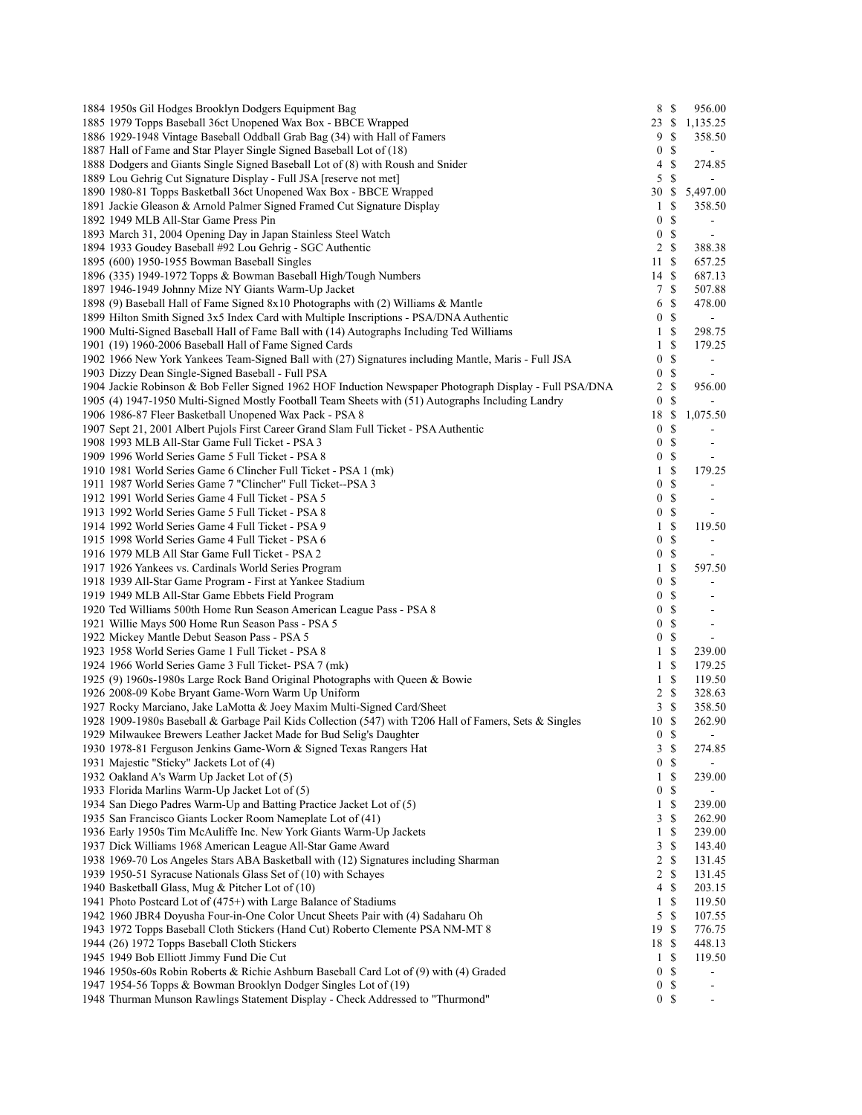| 1884 1950s Gil Hodges Brooklyn Dodgers Equipment Bag                                                                               |                       | 8 \$           | 956.00                   |
|------------------------------------------------------------------------------------------------------------------------------------|-----------------------|----------------|--------------------------|
| 1885 1979 Topps Baseball 36ct Unopened Wax Box - BBCE Wrapped                                                                      | 23                    | \$             | 1,135.25                 |
| 1886 1929-1948 Vintage Baseball Oddball Grab Bag (34) with Hall of Famers                                                          | 9                     | \$             | 358.50                   |
| 1887 Hall of Fame and Star Player Single Signed Baseball Lot of (18)                                                               | 0                     | \$             | $\overline{a}$           |
| 1888 Dodgers and Giants Single Signed Baseball Lot of (8) with Roush and Snider                                                    | 4                     | \$             | 274.85                   |
| 1889 Lou Gehrig Cut Signature Display - Full JSA [reserve not met]                                                                 | 5                     | \$             |                          |
| 1890 1980-81 Topps Basketball 36ct Unopened Wax Box - BBCE Wrapped                                                                 | 30                    | \$             | 5,497.00                 |
| 1891 Jackie Gleason & Arnold Palmer Signed Framed Cut Signature Display                                                            | 1                     | \$             | 358.50                   |
| 1892 1949 MLB All-Star Game Press Pin                                                                                              | 0                     | \$             |                          |
| 1893 March 31, 2004 Opening Day in Japan Stainless Steel Watch                                                                     | $\boldsymbol{0}$      | \$             | $\sim$                   |
| 1894 1933 Goudey Baseball #92 Lou Gehrig - SGC Authentic                                                                           | 2                     | \$             | 388.38                   |
| 1895 (600) 1950-1955 Bowman Baseball Singles                                                                                       | 11                    | <sup>\$</sup>  | 657.25                   |
| 1896 (335) 1949-1972 Topps & Bowman Baseball High/Tough Numbers                                                                    | 14 \$                 |                | 687.13                   |
| 1897 1946-1949 Johnny Mize NY Giants Warm-Up Jacket                                                                                | 7                     | \$             | 507.88                   |
| 1898 (9) Baseball Hall of Fame Signed 8x10 Photographs with (2) Williams & Mantle                                                  | 6                     | \$             | 478.00                   |
| 1899 Hilton Smith Signed 3x5 Index Card with Multiple Inscriptions - PSA/DNA Authentic                                             | 0                     | \$             |                          |
| 1900 Multi-Signed Baseball Hall of Fame Ball with (14) Autographs Including Ted Williams                                           | 1                     | \$             | 298.75                   |
| 1901 (19) 1960-2006 Baseball Hall of Fame Signed Cards                                                                             | 1                     | \$             | 179.25                   |
| 1902 1966 New York Yankees Team-Signed Ball with (27) Signatures including Mantle, Maris - Full JSA                                | 0                     | \$             | $\blacksquare$           |
| 1903 Dizzy Dean Single-Signed Baseball - Full PSA                                                                                  | $\boldsymbol{0}$      | \$             |                          |
| 1904 Jackie Robinson & Bob Feller Signed 1962 HOF Induction Newspaper Photograph Display - Full PSA/DNA                            | 2                     | \$             | 956.00                   |
| 1905 (4) 1947-1950 Multi-Signed Mostly Football Team Sheets with (51) Autographs Including Landry                                  | 0                     | \$             |                          |
| 1906 1986-87 Fleer Basketball Unopened Wax Pack - PSA 8                                                                            | 18                    | -S             | 1,075.50                 |
| 1907 Sept 21, 2001 Albert Pujols First Career Grand Slam Full Ticket - PSA Authentic                                               | 0                     | \$<br>\$       |                          |
| 1908 1993 MLB All-Star Game Full Ticket - PSA 3<br>1909 1996 World Series Game 5 Full Ticket - PSA 8                               | 0<br>$\boldsymbol{0}$ | \$             | $\blacksquare$           |
| 1910 1981 World Series Game 6 Clincher Full Ticket - PSA 1 (mk)                                                                    | $\mathbf{1}$          | \$             | 179.25                   |
| 1911 1987 World Series Game 7 "Clincher" Full Ticket--PSA 3                                                                        | 0                     | \$             |                          |
| 1912 1991 World Series Game 4 Full Ticket - PSA 5                                                                                  | 0                     | -S             | $\blacksquare$           |
| 1913 1992 World Series Game 5 Full Ticket - PSA 8                                                                                  | $\boldsymbol{0}$      | \$             | $\sim$                   |
| 1914 1992 World Series Game 4 Full Ticket - PSA 9                                                                                  | $\mathbf{1}$          | \$             | 119.50                   |
| 1915 1998 World Series Game 4 Full Ticket - PSA 6                                                                                  | 0                     | \$             | $\blacksquare$           |
| 1916 1979 MLB All Star Game Full Ticket - PSA 2                                                                                    | $\boldsymbol{0}$      | \$             |                          |
| 1917 1926 Yankees vs. Cardinals World Series Program                                                                               | $\mathbf{1}$          | \$             | 597.50                   |
| 1918 1939 All-Star Game Program - First at Yankee Stadium                                                                          | 0                     | \$             |                          |
| 1919 1949 MLB All-Star Game Ebbets Field Program                                                                                   | $\boldsymbol{0}$      | \$             | $\blacksquare$           |
| 1920 Ted Williams 500th Home Run Season American League Pass - PSA 8                                                               | $\boldsymbol{0}$      | \$             | $\sim$                   |
| 1921 Willie Mays 500 Home Run Season Pass - PSA 5                                                                                  | $\boldsymbol{0}$      | \$             | $\sim$                   |
| 1922 Mickey Mantle Debut Season Pass - PSA 5                                                                                       | 0                     | \$             | $\blacksquare$           |
| 1923 1958 World Series Game 1 Full Ticket - PSA 8                                                                                  | 1                     | \$             | 239.00                   |
| 1924 1966 World Series Game 3 Full Ticket- PSA 7 (mk)                                                                              | 1                     | \$             | 179.25                   |
| 1925 (9) 1960s-1980s Large Rock Band Original Photographs with Queen & Bowie                                                       | $\mathbf{1}$          | \$             | 119.50                   |
| 1926 2008-09 Kobe Bryant Game-Worn Warm Up Uniform                                                                                 | 2                     | <sup>\$</sup>  | 328.63                   |
| 1927 Rocky Marciano, Jake LaMotta & Joey Maxim Multi-Signed Card/Sheet                                                             | 3                     | $\mathbb{S}$   | 358.50                   |
| 1928 1909-1980s Baseball & Garbage Pail Kids Collection (547) with T206 Hall of Famers, Sets & Singles                             | 10                    | <sup>\$</sup>  | 262.90                   |
| 1929 Milwaukee Brewers Leather Jacket Made for Bud Selig's Daughter                                                                |                       | 0 <sup>5</sup> |                          |
| 1930 1978-81 Ferguson Jenkins Game-Worn & Signed Texas Rangers Hat                                                                 | 3                     | \$             | 274.85                   |
| 1931 Majestic "Sticky" Jackets Lot of (4)                                                                                          |                       | 0 <sup>5</sup> |                          |
| 1932 Oakland A's Warm Up Jacket Lot of (5)                                                                                         |                       | 1 S            | 239.00                   |
| 1933 Florida Marlins Warm-Up Jacket Lot of (5)                                                                                     | 0                     | \$             |                          |
| 1934 San Diego Padres Warm-Up and Batting Practice Jacket Lot of (5)                                                               | $\mathbf{1}$          | \$             | 239.00                   |
| 1935 San Francisco Giants Locker Room Nameplate Lot of (41)                                                                        | 3                     | \$             | 262.90                   |
| 1936 Early 1950s Tim McAuliffe Inc. New York Giants Warm-Up Jackets                                                                | 1                     | \$             | 239.00                   |
| 1937 Dick Williams 1968 American League All-Star Game Award                                                                        | 3                     | \$             | 143.40                   |
| 1938 1969-70 Los Angeles Stars ABA Basketball with (12) Signatures including Sharman                                               | 2                     | <sup>\$</sup>  | 131.45                   |
| 1939 1950-51 Syracuse Nationals Glass Set of (10) with Schayes                                                                     | 2                     | S              | 131.45                   |
| 1940 Basketball Glass, Mug & Pitcher Lot of (10)                                                                                   | 4                     | <sup>\$</sup>  | 203.15                   |
| 1941 Photo Postcard Lot of (475+) with Large Balance of Stadiums                                                                   | 1                     | S              | 119.50                   |
| 1942 1960 JBR4 Doyusha Four-in-One Color Uncut Sheets Pair with (4) Sadaharu Oh                                                    | 5                     | \$             | 107.55                   |
| 1943 1972 Topps Baseball Cloth Stickers (Hand Cut) Roberto Clemente PSA NM-MT 8                                                    | 19S                   |                | 776.75                   |
| 1944 (26) 1972 Topps Baseball Cloth Stickers                                                                                       | 18 \$                 |                | 448.13                   |
| 1945 1949 Bob Elliott Jimmy Fund Die Cut<br>1946 1950s-60s Robin Roberts & Richie Ashburn Baseball Card Lot of (9) with (4) Graded | 1<br>0                | \$<br>\$       | 119.50                   |
| 1947 1954-56 Topps & Bowman Brooklyn Dodger Singles Lot of (19)                                                                    | $\boldsymbol{0}$      | \$             | $\overline{\phantom{a}}$ |
| 1948 Thurman Munson Rawlings Statement Display - Check Addressed to "Thurmond"                                                     |                       | 0 <sup>5</sup> |                          |
|                                                                                                                                    |                       |                |                          |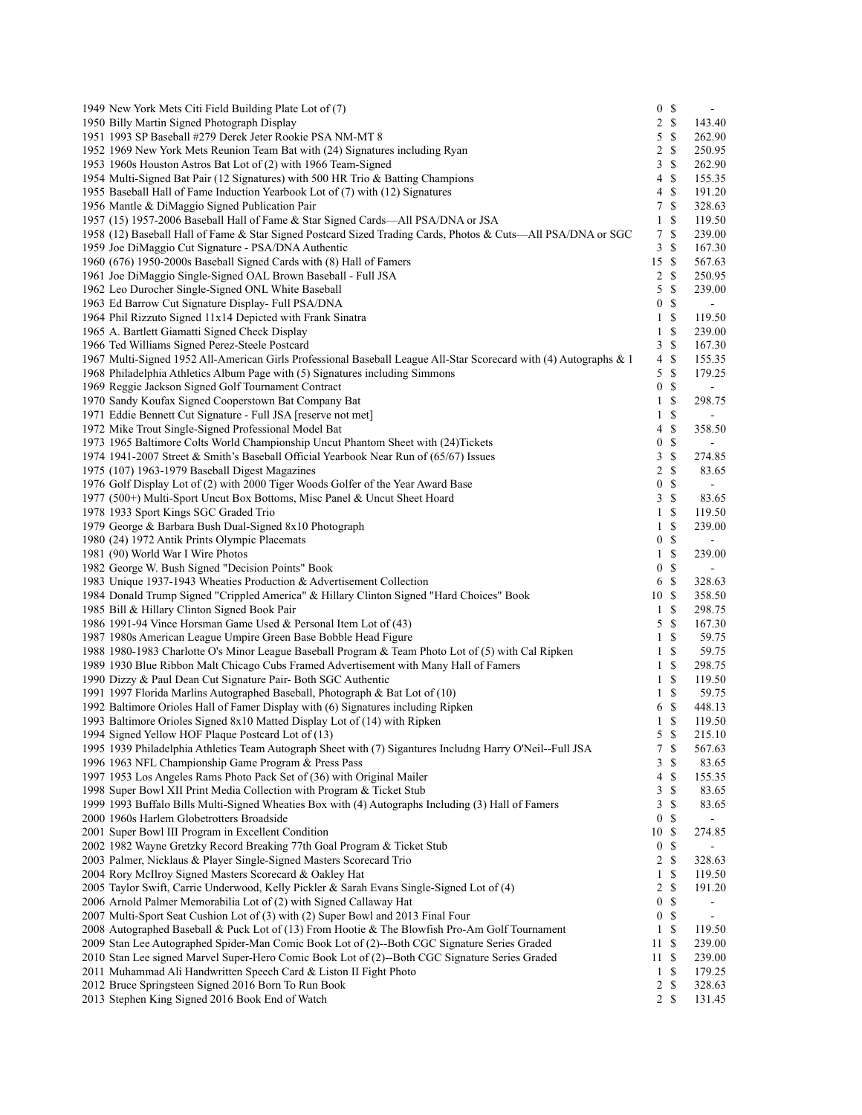| 1949 New York Mets Citi Field Building Plate Lot of (7)                                                                                                       |                                    | 0 <sup>5</sup>               | $\blacksquare$           |
|---------------------------------------------------------------------------------------------------------------------------------------------------------------|------------------------------------|------------------------------|--------------------------|
| 1950 Billy Martin Signed Photograph Display                                                                                                                   |                                    | $2 \sqrt{s}$                 | 143.40                   |
| 1951 1993 SP Baseball #279 Derek Jeter Rookie PSA NM-MT 8                                                                                                     |                                    | $5 \text{ }$ \$              | 262.90                   |
| 1952 1969 New York Mets Reunion Team Bat with (24) Signatures including Ryan                                                                                  |                                    | $2 \sqrt{s}$                 | 250.95                   |
| 1953 1960s Houston Astros Bat Lot of (2) with 1966 Team-Signed                                                                                                | 3                                  | $\mathbb{S}$                 | 262.90                   |
| 1954 Multi-Signed Bat Pair (12 Signatures) with 500 HR Trio & Batting Champions                                                                               | 4                                  | $\mathbb{S}$                 | 155.35                   |
| 1955 Baseball Hall of Fame Induction Yearbook Lot of (7) with (12) Signatures                                                                                 | 4                                  | $\mathbf S$                  | 191.20                   |
| 1956 Mantle & DiMaggio Signed Publication Pair                                                                                                                | 7                                  | $\mathbb{S}$                 | 328.63                   |
| 1957 (15) 1957-2006 Baseball Hall of Fame & Star Signed Cards—All PSA/DNA or JSA                                                                              | $\mathbf{1}$                       | -S                           | 119.50                   |
| 1958 (12) Baseball Hall of Fame & Star Signed Postcard Sized Trading Cards, Photos & Cuts—All PSA/DNA or SGC                                                  | 7                                  | $\mathbb{S}$                 | 239.00                   |
| 1959 Joe DiMaggio Cut Signature - PSA/DNA Authentic                                                                                                           | 3                                  | \$                           | 167.30                   |
| 1960 (676) 1950-2000s Baseball Signed Cards with (8) Hall of Famers                                                                                           | 15S                                |                              | 567.63                   |
| 1961 Joe DiMaggio Single-Signed OAL Brown Baseball - Full JSA                                                                                                 | 2                                  | -S                           | 250.95                   |
| 1962 Leo Durocher Single-Signed ONL White Baseball                                                                                                            | 5                                  | -S                           | 239.00                   |
| 1963 Ed Barrow Cut Signature Display- Full PSA/DNA                                                                                                            | $\boldsymbol{0}$                   | <sup>\$</sup>                | $\blacksquare$           |
| 1964 Phil Rizzuto Signed 11x14 Depicted with Frank Sinatra                                                                                                    | $\mathbf{1}$                       | <sup>\$</sup>                | 119.50                   |
| 1965 A. Bartlett Giamatti Signed Check Display                                                                                                                | $\mathbf{1}$                       | $\mathbb{S}$                 | 239.00                   |
| 1966 Ted Williams Signed Perez-Steele Postcard                                                                                                                | $\mathfrak{Z}$                     | \$                           | 167.30                   |
| 1967 Multi-Signed 1952 All-American Girls Professional Baseball League All-Star Scorecard with (4) Autographs & 1                                             | 4                                  | \$                           | 155.35                   |
| 1968 Philadelphia Athletics Album Page with (5) Signatures including Simmons                                                                                  | 5                                  | $\mathcal{S}$                | 179.25                   |
| 1969 Reggie Jackson Signed Golf Tournament Contract                                                                                                           | $\boldsymbol{0}$                   | $\mathbb{S}$                 | $\blacksquare$           |
| 1970 Sandy Koufax Signed Cooperstown Bat Company Bat                                                                                                          | $\mathbf{1}$                       | $\mathbb{S}$                 | 298.75                   |
| 1971 Eddie Bennett Cut Signature - Full JSA [reserve not met]                                                                                                 | $\mathbf{1}$                       | $\boldsymbol{\mathsf{S}}$    |                          |
| 1972 Mike Trout Single-Signed Professional Model Bat                                                                                                          | 4                                  | $\mathbb{S}$                 | 358.50                   |
| 1973 1965 Baltimore Colts World Championship Uncut Phantom Sheet with (24)Tickets                                                                             | $\boldsymbol{0}$                   | $\mathbb{S}$                 | $\overline{\phantom{0}}$ |
| 1974 1941-2007 Street & Smith's Baseball Official Yearbook Near Run of (65/67) Issues                                                                         | 3                                  | \$                           | 274.85                   |
| 1975 (107) 1963-1979 Baseball Digest Magazines                                                                                                                | $\overline{2}$<br>$\boldsymbol{0}$ | $\mathbb{S}$<br>$\mathbb{S}$ | 83.65                    |
| 1976 Golf Display Lot of (2) with 2000 Tiger Woods Golfer of the Year Award Base<br>1977 (500+) Multi-Sport Uncut Box Bottoms, Misc Panel & Uncut Sheet Hoard |                                    | 3S                           | 83.65                    |
| 1978 1933 Sport Kings SGC Graded Trio                                                                                                                         | $\mathbf{1}$                       | <sup>\$</sup>                | 119.50                   |
| 1979 George & Barbara Bush Dual-Signed 8x10 Photograph                                                                                                        | $\mathbf{1}$                       | -\$                          | 239.00                   |
| 1980 (24) 1972 Antik Prints Olympic Placemats                                                                                                                 | $\boldsymbol{0}$                   | <sup>\$</sup>                | $\overline{\phantom{0}}$ |
| 1981 (90) World War I Wire Photos                                                                                                                             | $\mathbf{1}$                       | <sup>\$</sup>                | 239.00                   |
| 1982 George W. Bush Signed "Decision Points" Book                                                                                                             |                                    | 0 S                          |                          |
| 1983 Unique 1937-1943 Wheaties Production & Advertisement Collection                                                                                          | 6                                  | - \$                         | 328.63                   |
| 1984 Donald Trump Signed "Crippled America" & Hillary Clinton Signed "Hard Choices" Book                                                                      | 10S                                |                              | 358.50                   |
| 1985 Bill & Hillary Clinton Signed Book Pair                                                                                                                  |                                    | 1 <sup>5</sup>               | 298.75                   |
| 1986 1991-94 Vince Horsman Game Used & Personal Item Lot of (43)                                                                                              | 5                                  | $\mathbb{S}$                 | 167.30                   |
| 1987 1980s American League Umpire Green Base Bobble Head Figure                                                                                               | $\mathbf{1}$                       | $\mathbb{S}$                 | 59.75                    |
| 1988 1980-1983 Charlotte O's Minor League Baseball Program & Team Photo Lot of (5) with Cal Ripken                                                            | $\mathbf{1}$                       | <sup>\$</sup>                | 59.75                    |
| 1989 1930 Blue Ribbon Malt Chicago Cubs Framed Advertisement with Many Hall of Famers                                                                         | $\mathbf{1}$                       | $\mathbb{S}$                 | 298.75                   |
| 1990 Dizzy & Paul Dean Cut Signature Pair- Both SGC Authentic                                                                                                 | $\mathbf{1}$                       | <sup>\$</sup>                | 119.50                   |
| 1991 1997 Florida Marlins Autographed Baseball, Photograph & Bat Lot of (10)                                                                                  |                                    | $1 \text{ }$                 | 59.75                    |
| 1992 Baltimore Orioles Hall of Famer Display with (6) Signatures including Ripken                                                                             | 6                                  | $\mathcal{S}$                | 448.13                   |
| 1993 Baltimore Orioles Signed 8x10 Matted Display Lot of (14) with Ripken                                                                                     | 1                                  | \$                           | 119.50                   |
| 1994 Signed Yellow HOF Plaque Postcard Lot of (13)                                                                                                            |                                    | 5S                           | 215.10                   |
| 1995 1939 Philadelphia Athletics Team Autograph Sheet with (7) Sigantures Includng Harry O'Neil--Full JSA                                                     | 7                                  | \$                           | 567.63                   |
| 1996 1963 NFL Championship Game Program & Press Pass                                                                                                          | 3                                  | \$                           | 83.65                    |
| 1997 1953 Los Angeles Rams Photo Pack Set of (36) with Original Mailer                                                                                        | 4                                  | \$                           | 155.35                   |
| 1998 Super Bowl XII Print Media Collection with Program & Ticket Stub                                                                                         | 3                                  | $\mathbb{S}$                 | 83.65                    |
| 1999 1993 Buffalo Bills Multi-Signed Wheaties Box with (4) Autographs Including (3) Hall of Famers                                                            | 3                                  | \$                           | 83.65                    |
| 2000 1960s Harlem Globetrotters Broadside                                                                                                                     | $\bf{0}$                           | \$                           |                          |
| 2001 Super Bowl III Program in Excellent Condition                                                                                                            | 10S                                |                              | 274.85                   |
| 2002 1982 Wayne Gretzky Record Breaking 77th Goal Program & Ticket Stub                                                                                       | $\boldsymbol{0}$                   | <sup>\$</sup>                |                          |
| 2003 Palmer, Nicklaus & Player Single-Signed Masters Scorecard Trio                                                                                           |                                    | 2 <sub>s</sub>               | 328.63                   |
| 2004 Rory McIlroy Signed Masters Scorecard & Oakley Hat                                                                                                       | $\mathbf{1}$                       | $\mathbb{S}$                 | 119.50                   |
| 2005 Taylor Swift, Carrie Underwood, Kelly Pickler & Sarah Evans Single-Signed Lot of (4)                                                                     | 2                                  | <sup>\$</sup>                | 191.20                   |
| 2006 Arnold Palmer Memorabilia Lot of (2) with Signed Callaway Hat                                                                                            | $\bf{0}$                           | <sup>\$</sup>                | ٠                        |
| 2007 Multi-Sport Seat Cushion Lot of (3) with (2) Super Bowl and 2013 Final Four                                                                              | 0                                  | <sup>\$</sup>                | ÷.                       |
| 2008 Autographed Baseball & Puck Lot of (13) From Hootie & The Blowfish Pro-Am Golf Tournament                                                                | $\mathbf{1}$                       | -\$                          | 119.50                   |
| 2009 Stan Lee Autographed Spider-Man Comic Book Lot of (2)--Both CGC Signature Series Graded                                                                  | 11S                                |                              | 239.00                   |
| 2010 Stan Lee signed Marvel Super-Hero Comic Book Lot of (2)--Both CGC Signature Series Graded                                                                | 11S                                |                              | 239.00                   |
| 2011 Muhammad Ali Handwritten Speech Card & Liston II Fight Photo                                                                                             | $\mathbf{1}$                       | \$                           | 179.25                   |
| 2012 Bruce Springsteen Signed 2016 Born To Run Book                                                                                                           | 2                                  | \$<br>$2 \sqrt{s}$           | 328.63                   |
| 2013 Stephen King Signed 2016 Book End of Watch                                                                                                               |                                    |                              | 131.45                   |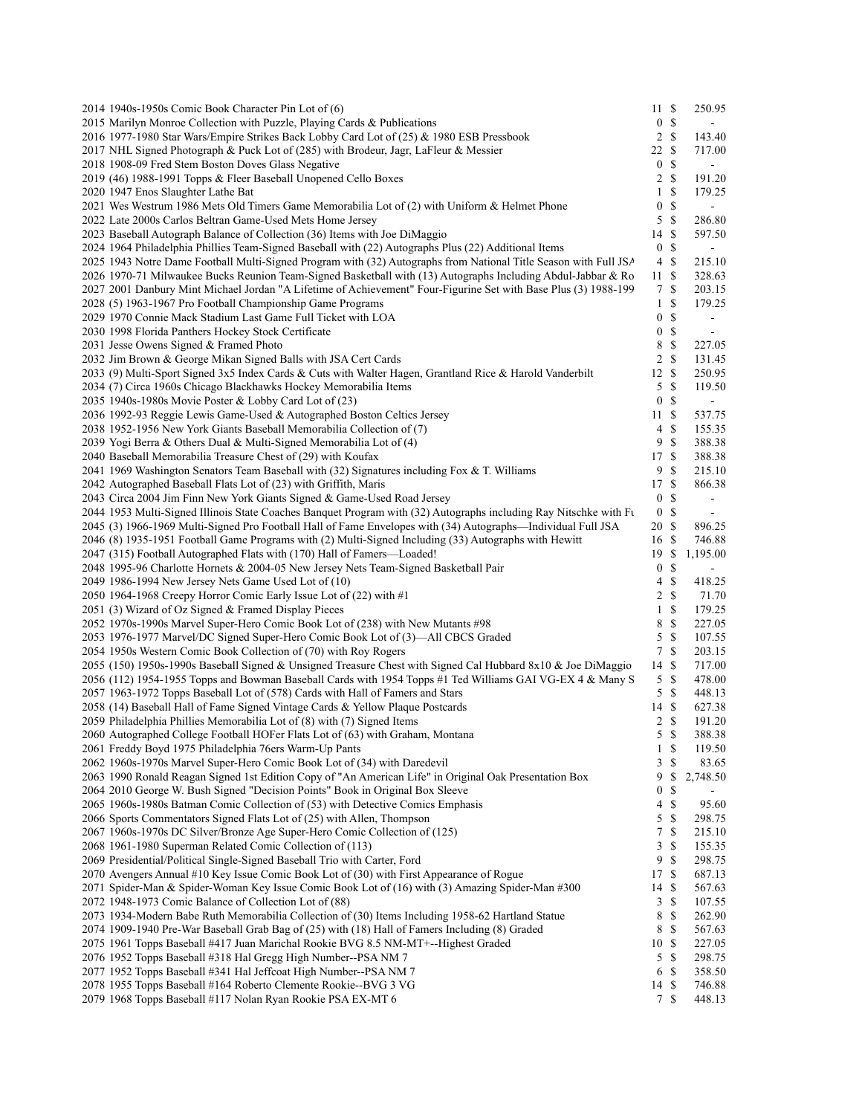| 2014 1940s-1950s Comic Book Character Pin Lot of (6)                                                                                                                               | 11S                   |               | 250.95                   |
|------------------------------------------------------------------------------------------------------------------------------------------------------------------------------------|-----------------------|---------------|--------------------------|
| 2015 Marilyn Monroe Collection with Puzzle, Playing Cards & Publications                                                                                                           | 0 <sup>5</sup>        |               |                          |
| 2016 1977-1980 Star Wars/Empire Strikes Back Lobby Card Lot of (25) & 1980 ESB Pressbook                                                                                           | $2 \sqrt{s}$          |               | 143.40                   |
| 2017 NHL Signed Photograph & Puck Lot of (285) with Brodeur, Jagr, LaFleur & Messier                                                                                               | 22 \$                 |               | 717.00                   |
| 2018 1908-09 Fred Stem Boston Doves Glass Negative                                                                                                                                 | 0 <sup>5</sup>        |               |                          |
| 2019 (46) 1988-1991 Topps & Fleer Baseball Unopened Cello Boxes                                                                                                                    | $2 \sqrt{s}$          |               | 191.20                   |
| 2020 1947 Enos Slaughter Lathe Bat                                                                                                                                                 | $\mathbf{1}$          | \$            | 179.25                   |
| 2021 Wes Westrum 1986 Mets Old Timers Game Memorabilia Lot of (2) with Uniform & Helmet Phone                                                                                      | $\mathbf{0}$          | -\$           |                          |
| 2022 Late 2000s Carlos Beltran Game-Used Mets Home Jersey                                                                                                                          | 5S                    |               | 286.80                   |
| 2023 Baseball Autograph Balance of Collection (36) Items with Joe DiMaggio<br>2024 1964 Philadelphia Phillies Team-Signed Baseball with (22) Autographs Plus (22) Additional Items | 14 \$<br>0 S          |               | 597.50<br>$\blacksquare$ |
| 2025 1943 Notre Dame Football Multi-Signed Program with (32) Autographs from National Title Season with Full JSA                                                                   | 4S                    |               | 215.10                   |
| 2026 1970-71 Milwaukee Bucks Reunion Team-Signed Basketball with (13) Autographs Including Abdul-Jabbar & Ro                                                                       | 11S                   |               | 328.63                   |
| 2027 2001 Danbury Mint Michael Jordan "A Lifetime of Achievement" Four-Figurine Set with Base Plus (3) 1988-199                                                                    | 7                     | \$            | 203.15                   |
| 2028 (5) 1963-1967 Pro Football Championship Game Programs                                                                                                                         | $\mathbf{1}$          | \$            | 179.25                   |
| 2029 1970 Connie Mack Stadium Last Game Full Ticket with LOA                                                                                                                       | $\overline{0}$        | <sup>\$</sup> | $\blacksquare$           |
| 2030 1998 Florida Panthers Hockey Stock Certificate                                                                                                                                | 0 S                   |               | $\blacksquare$           |
| 2031 Jesse Owens Signed & Framed Photo                                                                                                                                             | 8                     | $\mathbb{S}$  | 227.05                   |
| 2032 Jim Brown & George Mikan Signed Balls with JSA Cert Cards                                                                                                                     | $2 \sqrt{s}$          |               | 131.45                   |
| 2033 (9) Multi-Sport Signed 3x5 Index Cards & Cuts with Walter Hagen, Grantland Rice & Harold Vanderbilt                                                                           | 12S                   |               | 250.95                   |
| 2034 (7) Circa 1960s Chicago Blackhawks Hockey Memorabilia Items                                                                                                                   | 5S                    |               | 119.50                   |
| 2035 1940s-1980s Movie Poster & Lobby Card Lot of (23)                                                                                                                             | 0 <sup>5</sup>        |               | $\overline{\phantom{a}}$ |
| 2036 1992-93 Reggie Lewis Game-Used & Autographed Boston Celtics Jersey                                                                                                            | 11S                   |               | 537.75                   |
| 2038 1952-1956 New York Giants Baseball Memorabilia Collection of (7)                                                                                                              | 4S                    |               | 155.35                   |
| 2039 Yogi Berra & Others Dual & Multi-Signed Memorabilia Lot of (4)                                                                                                                | 9S                    |               | 388.38                   |
| 2040 Baseball Memorabilia Treasure Chest of (29) with Koufax                                                                                                                       | 17S                   |               | 388.38                   |
| 2041 1969 Washington Senators Team Baseball with (32) Signatures including Fox & T. Williams                                                                                       | 9S                    |               | 215.10                   |
| 2042 Autographed Baseball Flats Lot of (23) with Griffith, Maris                                                                                                                   | 17S                   |               | 866.38                   |
| 2043 Circa 2004 Jim Finn New York Giants Signed & Game-Used Road Jersey                                                                                                            | $\mathbf{0}$          | <sup>\$</sup> | $\overline{\phantom{a}}$ |
| 2044 1953 Multi-Signed Illinois State Coaches Banquet Program with (32) Autographs including Ray Nitschke with Fu                                                                  | 0 <sup>5</sup>        |               | $\overline{\phantom{a}}$ |
| 2045 (3) 1966-1969 Multi-Signed Pro Football Hall of Fame Envelopes with (34) Autographs—Individual Full JSA                                                                       | 20S                   |               | 896.25                   |
| 2046 (8) 1935-1951 Football Game Programs with (2) Multi-Signed Including (33) Autographs with Hewitt                                                                              | 16S                   |               | 746.88                   |
| 2047 (315) Football Autographed Flats with (170) Hall of Famers—Loaded!                                                                                                            | 19S                   |               | 1,195.00                 |
| 2048 1995-96 Charlotte Hornets & 2004-05 New Jersey Nets Team-Signed Basketball Pair                                                                                               | $\overline{0}$        | -S            | $\blacksquare$           |
| 2049 1986-1994 New Jersey Nets Game Used Lot of (10)                                                                                                                               | 4                     | \$            | 418.25                   |
| 2050 1964-1968 Creepy Horror Comic Early Issue Lot of (22) with #1                                                                                                                 | 2 <sub>3</sub>        |               | 71.70                    |
| 2051 (3) Wizard of Oz Signed & Framed Display Pieces                                                                                                                               | $1 \text{ }$          |               | 179.25                   |
| 2052 1970s-1990s Marvel Super-Hero Comic Book Lot of (238) with New Mutants #98                                                                                                    | 8                     | $\mathcal{S}$ | 227.05                   |
| 2053 1976-1977 Marvel/DC Signed Super-Hero Comic Book Lot of (3)—All CBCS Graded                                                                                                   | 5                     | $\mathcal{S}$ | 107.55                   |
| 2054 1950s Western Comic Book Collection of (70) with Roy Rogers                                                                                                                   | 7S                    |               | 203.15                   |
| 2055 (150) 1950s-1990s Baseball Signed & Unsigned Treasure Chest with Signed Cal Hubbard 8x10 & Joe DiMaggio                                                                       | 14S                   |               | 717.00                   |
| 2056 (112) 1954-1955 Topps and Bowman Baseball Cards with 1954 Topps #1 Ted Williams GAI VG-EX 4 & Many S                                                                          | 5S                    |               | 478.00                   |
| 2057 1963-1972 Topps Baseball Lot of (578) Cards with Hall of Famers and Stars                                                                                                     | $5 \text{ }$ \$       |               | 448.13                   |
| 2058 (14) Baseball Hall of Fame Signed Vintage Cards & Yellow Plaque Postcards<br>2059 Philadelphia Phillies Memorabilia Lot of (8) with (7) Signed Items                          | 14 \$<br>$2 \sqrt{s}$ |               | 627.38<br>191.20         |
| 2060 Autographed College Football HOFer Flats Lot of (63) with Graham, Montana                                                                                                     | 5S                    |               | 388.38                   |
| 2061 Freddy Boyd 1975 Philadelphia 76ers Warm-Up Pants                                                                                                                             | $1 \text{ }$          |               | 119.50                   |
| 2062 1960s-1970s Marvel Super-Hero Comic Book Lot of (34) with Daredevil                                                                                                           | 3                     | \$            | 83.65                    |
| 2063 1990 Ronald Reagan Signed 1st Edition Copy of "An American Life" in Original Oak Presentation Box                                                                             | 9                     | \$            | 2,748.50                 |
| 2064 2010 George W. Bush Signed "Decision Points" Book in Original Box Sleeve                                                                                                      | $\boldsymbol{0}$      | \$            |                          |
| 2065 1960s-1980s Batman Comic Collection of (53) with Detective Comics Emphasis                                                                                                    | 4S                    |               | 95.60                    |
| 2066 Sports Commentators Signed Flats Lot of (25) with Allen, Thompson                                                                                                             | 5                     | $\mathbb{S}$  | 298.75                   |
| 2067 1960s-1970s DC Silver/Bronze Age Super-Hero Comic Collection of (125)                                                                                                         | $7\phantom{.0}$       | \$            | 215.10                   |
| 2068 1961-1980 Superman Related Comic Collection of (113)                                                                                                                          | 3                     | \$            | 155.35                   |
| 2069 Presidential/Political Single-Signed Baseball Trio with Carter, Ford                                                                                                          | 9                     | $\mathcal{S}$ | 298.75                   |
| 2070 Avengers Annual #10 Key Issue Comic Book Lot of (30) with First Appearance of Rogue                                                                                           | 17 \$                 |               | 687.13                   |
| 2071 Spider-Man & Spider-Woman Key Issue Comic Book Lot of (16) with (3) Amazing Spider-Man #300                                                                                   | 14S                   |               | 567.63                   |
| 2072 1948-1973 Comic Balance of Collection Lot of (88)                                                                                                                             | 3S                    |               | 107.55                   |
| 2073 1934-Modern Babe Ruth Memorabilia Collection of (30) Items Including 1958-62 Hartland Statue                                                                                  | 8                     | \$            | 262.90                   |
| 2074 1909-1940 Pre-War Baseball Grab Bag of (25) with (18) Hall of Famers Including (8) Graded                                                                                     | 8 \$                  |               | 567.63                   |
| 2075 1961 Topps Baseball #417 Juan Marichal Rookie BVG 8.5 NM-MT+--Highest Graded                                                                                                  | 10S                   |               | 227.05                   |
| 2076 1952 Topps Baseball #318 Hal Gregg High Number--PSA NM 7                                                                                                                      | 5 \$                  |               | 298.75                   |
| 2077 1952 Topps Baseball #341 Hal Jeffcoat High Number--PSA NM 7                                                                                                                   | 6 \$                  |               | 358.50                   |
| 2078 1955 Topps Baseball #164 Roberto Clemente Rookie--BVG 3 VG                                                                                                                    | 14S                   |               | 746.88                   |
| 2079 1968 Topps Baseball #117 Nolan Ryan Rookie PSA EX-MT 6                                                                                                                        | 7S                    |               | 448.13                   |
|                                                                                                                                                                                    |                       |               |                          |